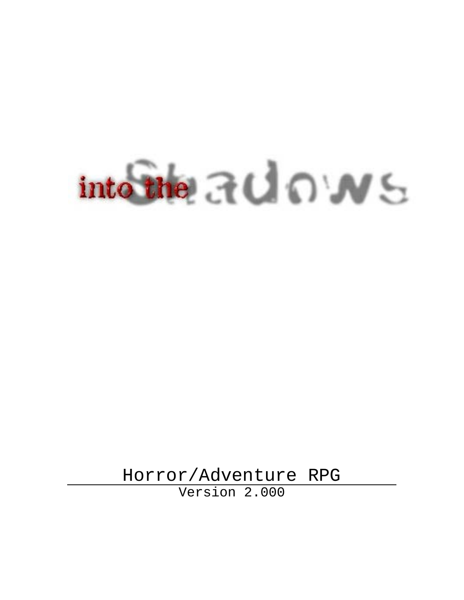# $into$  the  $B \cup D \cup S$

Horror/Adventure RPG

Version 2.000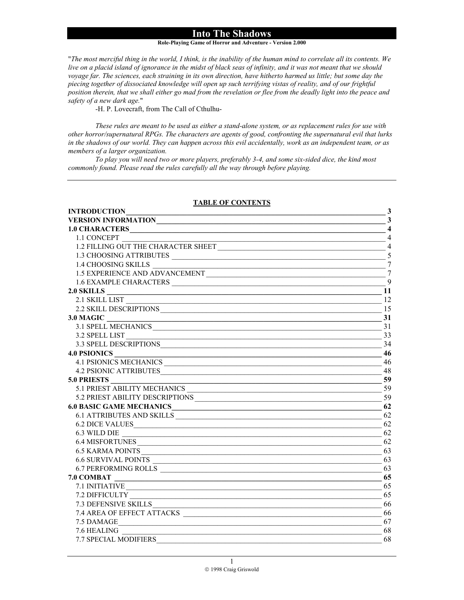# **Role-Playing Game of Horror and Adventure - Version 2.000**

"*The most merciful thing in the world, I think, is the inability of the human mind to correlate all its contents. We live on a placid island of ignorance in the midst of black seas of infinity, and it was not meant that we should voyage far. The sciences, each straining in its own direction, have hitherto harmed us little; but some day the piecing together of dissociated knowledge will open up such terrifying vistas of reality, and of our frightful position therein, that we shall either go mad from the revelation or flee from the deadly light into the peace and safety of a new dark age.*"

-H. P. Lovecraft, from The Call of Cthulhu-

*These rules are meant to be used as either a stand-alone system, or as replacement rules for use with other horror/supernatural RPGs. The characters are agents of good, confronting the supernatural evil that lurks in the shadows of our world. They can happen across this evil accidentally, work as an independent team, or as members of a larger organization.* 

*To play you will need two or more players, preferably 3-4, and some six-sided dice, the kind most commonly found. Please read the rules carefully all the way through before playing.* 

# **TABLE OF CONTENTS**

| <b>INTRODUCTION</b><br><u> 1989 - Johann Barn, mars ann an t-Amhainn an t-Amhainn an t-Amhainn an t-Amhainn an t-Amhainn an t-Amhainn an</u> | $\mathbf{3}$            |
|----------------------------------------------------------------------------------------------------------------------------------------------|-------------------------|
|                                                                                                                                              | 3                       |
|                                                                                                                                              | $\overline{\mathbf{4}}$ |
| 1.1 CONCEPT                                                                                                                                  | $\overline{4}$          |
|                                                                                                                                              | $\overline{4}$          |
| 1.3 CHOOSING ATTRIBUTES                                                                                                                      | 5                       |
|                                                                                                                                              | $\tau$                  |
|                                                                                                                                              | $\overline{7}$          |
|                                                                                                                                              | 9                       |
| 2.0 SKILLS<br><u> 1989 - Johann Stoff, deutscher Stoffen und der Stoffen und der Stoffen und der Stoffen und der Stoffen und der</u>         | 11                      |
|                                                                                                                                              | 12                      |
| 2.1 SKILL LIST<br>2.2 SKILL DESCRIPTIONS                                                                                                     | 15                      |
| 3.0 MAGIC<br>3.1 SPELL MECHANICS                                                                                                             | 31                      |
|                                                                                                                                              | 31                      |
|                                                                                                                                              | 33                      |
|                                                                                                                                              | 34                      |
|                                                                                                                                              | 46                      |
| 4.0 PSIONICS<br>4.1 PSIONICS MECHANICS<br>4.1 PSIONIC ATTENTIVES                                                                             | 46                      |
| 4.2 PSIONIC ATTRIBUTES                                                                                                                       | 48                      |
|                                                                                                                                              |                         |
| 5.1 PRIEST ABILITY MECHANICS 5.1 PRIEST ABILITY MECHANICS                                                                                    |                         |
|                                                                                                                                              |                         |
| 6.0 BASIC GAME MECHANICS 62                                                                                                                  |                         |
| 6.1 ATTRIBUTES AND SKILLS                                                                                                                    | 62                      |
| 6.2 DICE VALUES 62                                                                                                                           |                         |
| 6.3 WILD DIE                                                                                                                                 | $\sim$ 62               |
| 6.4 MISFORTUNES                                                                                                                              | $\sim$ 62               |
|                                                                                                                                              |                         |
| 6.6 SURVIVAL POINTS                                                                                                                          | $\sim$ 63               |
|                                                                                                                                              | $\sim$ 63               |
| 7.0 COMBAT<br><u> 1980 - Jan James James Barnett, martin de la propincia de la propincia de la propincia de la propincia de la</u>           | 65                      |
| 7.1 INITIATIVE                                                                                                                               | 65                      |
|                                                                                                                                              | 65                      |
| 7.3 DEFENSIVE SKILLS                                                                                                                         | 66                      |
| 7.4 AREA OF EFFECT ATTACKS                                                                                                                   | 66                      |
| 7.5 DAMAGE                                                                                                                                   | 67                      |
| 7.6 HEALING                                                                                                                                  | 68                      |
| 7.7 SPECIAL MODIFIERS                                                                                                                        | 68                      |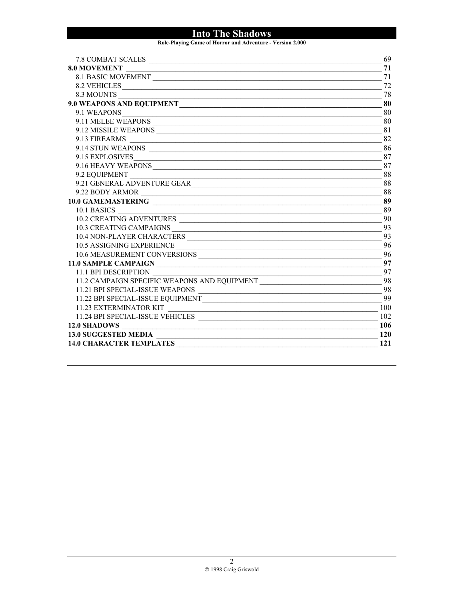Role-Playing Game of Horror and Adventure - Version 2.000

| 7.8 COMBAT SCALES                                                                                                                                        | 69  |
|----------------------------------------------------------------------------------------------------------------------------------------------------------|-----|
| <b>8.0 MOVEMENT</b>                                                                                                                                      | 71  |
| 8.1 BASIC MOVEMENT                                                                                                                                       | 71  |
| 8.2 VEHICLES                                                                                                                                             | 72  |
|                                                                                                                                                          | 78  |
| 9.0 WEAPONS AND EQUIPMENT                                                                                                                                | 80  |
| 9.1 WEAPONS                                                                                                                                              | 80  |
| 9.11 MELEE WEAPONS                                                                                                                                       | 80  |
| 9.12 MISSILE WEAPONS                                                                                                                                     | 81  |
|                                                                                                                                                          | 82  |
| 9.14 STUN WEAPONS                                                                                                                                        | 86  |
| 9.15 EXPLOSIVES<br><u> 1989 - Jan James James, martin amerikan basar dan berasal dalam basa dalam basar dalam basar dalam basa dala</u>                  | 87  |
|                                                                                                                                                          | 87  |
| 9.2 EQUIPMENT                                                                                                                                            | 88  |
|                                                                                                                                                          | 88  |
|                                                                                                                                                          | 88  |
|                                                                                                                                                          | 89  |
|                                                                                                                                                          | 89  |
|                                                                                                                                                          | 90  |
| 10.3 CREATING CAMPAIGNS                                                                                                                                  | 93  |
|                                                                                                                                                          | 93  |
| 10.5 ASSIGNING EXPERIENCE                                                                                                                                | 96  |
| 10.6 MEASUREMENT CONVERSIONS                                                                                                                             | 96  |
|                                                                                                                                                          | 97  |
| 11.1 BPI DESCRIPTION                                                                                                                                     | 97  |
| 11.2 CAMPAIGN SPECIFIC WEAPONS AND EQUIPMENT                                                                                                             | 98  |
| 11.21 BPI SPECIAL-ISSUE WEAPONS<br><u> 1989 - Johann Barn, mars ann an t-Amhain an t-Amhain an t-Amhain an t-Amhain an t-Amhain an t-Amhain an t-Amh</u> | 98  |
| 11.22 BPI SPECIAL-ISSUE EQUIPMENT                                                                                                                        | 99  |
| 11.23 EXTERMINATOR KIT                                                                                                                                   | 100 |
| 11.24 BPI SPECIAL-ISSUE VEHICLES                                                                                                                         | 102 |
| <b>12.0 SHADOWS</b>                                                                                                                                      | 106 |
| <b>13.0 SUGGESTED MEDIA</b>                                                                                                                              | 120 |
| <b>14.0 CHARACTER TEMPLATES</b>                                                                                                                          | 121 |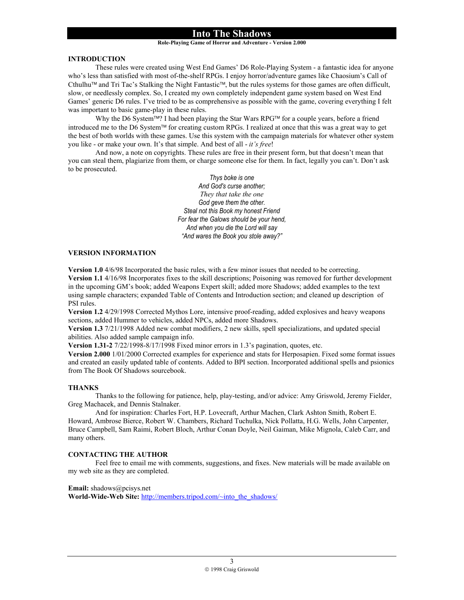#### **Role-Playing Game of Horror and Adventure - Version 2.000**

# **INTRODUCTION**

These rules were created using West End Games' D6 Role-Playing System - a fantastic idea for anyone who's less than satisfied with most of-the-shelf RPGs. I enjoy horror/adventure games like Chaosium's Call of Cthulhu<sup>™</sup> and Tri Tac's Stalking the Night Fantastic™, but the rules systems for those games are often difficult, slow, or needlessly complex. So, I created my own completely independent game system based on West End Games' generic D6 rules. I've tried to be as comprehensive as possible with the game, covering everything I felt was important to basic game-play in these rules.

Why the D6 System<sup> $\text{TM}$ </sup>? I had been playing the Star Wars RPG<sup> $\text{TM}$ </sup> for a couple years, before a friend introduced me to the D6 System<sup>™</sup> for creating custom RPGs. I realized at once that this was a great way to get the best of both worlds with these games. Use this system with the campaign materials for whatever other system you like - or make your own. It's that simple. And best of all - *it's free*!

And now, a note on copyrights. These rules are free in their present form, but that doesn't mean that you can steal them, plagiarize from them, or charge someone else for them. In fact, legally you can't. Don't ask to be prosecuted.

> *Thys boke is one And God's curse another; They that take the one God geve them the other. Steal not this Book my honest Friend For fear the Galows should be your hend, And when you die the Lord will say "And wares the Book you stole away?"*

#### **VERSION INFORMATION**

**Version 1.0** 4/6/98 Incorporated the basic rules, with a few minor issues that needed to be correcting. **Version 1.1** 4/16/98 Incorporates fixes to the skill descriptions; Poisoning was removed for further development in the upcoming GM's book; added Weapons Expert skill; added more Shadows; added examples to the text using sample characters; expanded Table of Contents and Introduction section; and cleaned up description of PSI rules.

**Version 1.2** 4/29/1998 Corrected Mythos Lore, intensive proof-reading, added explosives and heavy weapons sections, added Hummer to vehicles, added NPCs, added more Shadows.

**Version 1.3** 7/21/1998 Added new combat modifiers, 2 new skills, spell specializations, and updated special abilities. Also added sample campaign info.

**Version 1.31-2** 7/22/1998-8/17/1998 Fixed minor errors in 1.3's pagination, quotes, etc.

**Version 2.000** 1/01/2000 Corrected examples for experience and stats for Herposapien. Fixed some format issues and created an easily updated table of contents. Added to BPI section. Incorporated additional spells and psionics from The Book Of Shadows sourcebook.

#### **THANKS**

Thanks to the following for patience, help, play-testing, and/or advice: Amy Griswold, Jeremy Fielder, Greg Machacek, and Dennis Stalnaker.

And for inspiration: Charles Fort, H.P. Lovecraft, Arthur Machen, Clark Ashton Smith, Robert E. Howard, Ambrose Bierce, Robert W. Chambers, Richard Tuchulka, Nick Pollatta, H.G. Wells, John Carpenter, Bruce Campbell, Sam Raimi, Robert Bloch, Arthur Conan Doyle, Neil Gaiman, Mike Mignola, Caleb Carr, and many others.

# **CONTACTING THE AUTHOR**

 Feel free to email me with comments, suggestions, and fixes. New materials will be made available on my web site as they are completed.

**Email:** shadows@pcisys.net

World-Wide-Web Site: http://members.tripod.com/~into\_the\_shadows/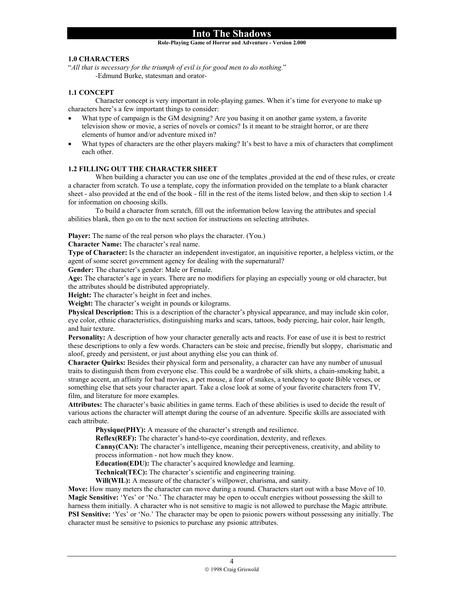#### **Role-Playing Game of Horror and Adventure - Version 2.000**

# **1.0 CHARACTERS**

"*All that is necessary for the triumph of evil is for good men to do nothing.*" *-*Edmund Burke, statesman and orator*-*

# **1.1 CONCEPT**

Character concept is very important in role-playing games. When it's time for everyone to make up characters here's a few important things to consider:

- What type of campaign is the GM designing? Are you basing it on another game system, a favorite television show or movie, a series of novels or comics? Is it meant to be straight horror, or are there elements of humor and/or adventure mixed in?
- What types of characters are the other players making? It's best to have a mix of characters that compliment each other.

## **1.2 FILLING OUT THE CHARACTER SHEET**

When building a character you can use one of the templates , provided at the end of these rules, or create a character from scratch. To use a template, copy the information provided on the template to a blank character sheet - also provided at the end of the book - fill in the rest of the items listed below, and then skip to section 1.4 for information on choosing skills.

To build a character from scratch, fill out the information below leaving the attributes and special abilities blank, then go on to the next section for instructions on selecting attributes.

**Player:** The name of the real person who plays the character. (You.)

**Character Name:** The character's real name.

**Type of Character:** Is the character an independent investigator, an inquisitive reporter, a helpless victim, or the agent of some secret government agency for dealing with the supernatural?

**Gender:** The character's gender: Male or Female.

**Age:** The character's age in years. There are no modifiers for playing an especially young or old character, but the attributes should be distributed appropriately.

**Height:** The character's height in feet and inches.

**Weight:** The character's weight in pounds or kilograms.

**Physical Description:** This is a description of the character's physical appearance, and may include skin color, eye color, ethnic characteristics, distinguishing marks and scars, tattoos, body piercing, hair color, hair length, and hair texture.

**Personality:** A description of how your character generally acts and reacts. For ease of use it is best to restrict these descriptions to only a few words. Characters can be stoic and precise, friendly but sloppy, charismatic and aloof, greedy and persistent, or just about anything else you can think of.

**Character Quirks:** Besides their physical form and personality, a character can have any number of unusual traits to distinguish them from everyone else. This could be a wardrobe of silk shirts, a chain-smoking habit, a strange accent, an affinity for bad movies, a pet mouse, a fear of snakes, a tendency to quote Bible verses, or something else that sets your character apart. Take a close look at some of your favorite characters from TV, film, and literature for more examples.

**Attributes:** The character's basic abilities in game terms. Each of these abilities is used to decide the result of various actions the character will attempt during the course of an adventure. Specific skills are associated with each attribute.

**Physique(PHY):** A measure of the character's strength and resilience.

**Reflex(REF):** The character's hand-to-eye coordination, dexterity, and reflexes.

**Canny(CAN):** The character's intelligence, meaning their perceptiveness, creativity, and ability to process information - not how much they know.

**Education(EDU):** The character's acquired knowledge and learning.

**Technical(TEC):** The character's scientific and engineering training.

**Will(WIL):** A measure of the character's willpower, charisma, and sanity.

**Move:** How many meters the character can move during a round. Characters start out with a base Move of 10. **Magic Sensitive:** 'Yes' or 'No.' The character may be open to occult energies without possessing the skill to harness them initially. A character who is not sensitive to magic is not allowed to purchase the Magic attribute. **PSI Sensitive:** 'Yes' or 'No.' The character may be open to psionic powers without possessing any initially. The character must be sensitive to psionics to purchase any psionic attributes.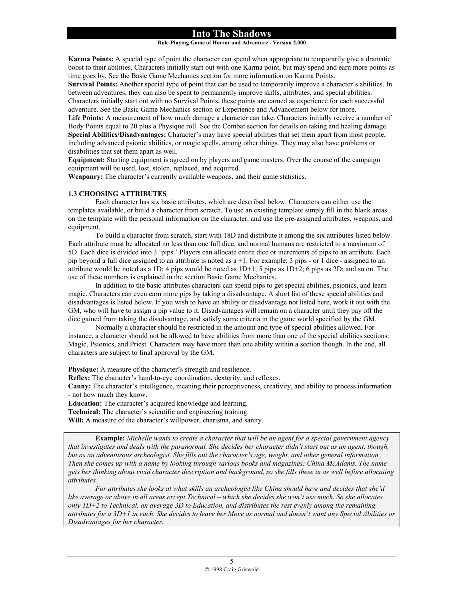# **Role-Playing Game of Horror and Adventure - Version 2.000**

**Karma Points:** A special type of point the character can spend when appropriate to temporarily give a dramatic boost to their abilities. Characters initially start out with one Karma point, but may spend and earn more points as time goes by. See the Basic Game Mechanics section for more information on Karma Points.

**Survival Points:** Another special type of point that can be used to temporarily improve a character's abilities. In between adventures, they can also be spent to permanently improve skills, attributes, and special abilities.

Characters initially start out with no Survival Points, these points are earned as experience for each successful adventure. See the Basic Game Mechanics section or Experience and Advancement below for more.

**Life Points:** A measurement of how much damage a character can take. Characters initially receive a number of Body Points equal to 20 plus a Physique roll. See the Combat section for details on taking and healing damage. **Special Abilities/Disadvantages:** Character's may have special abilities that set them apart from most people, including advanced psionic abilities, or magic spells, among other things. They may also have problems or disabilities that set them apart as well.

**Equipment:** Starting equipment is agreed on by players and game masters. Over the course of the campaign equipment will be used, lost, stolen, replaced, and acquired.

**Weaponry:** The character's currently available weapons, and their game statistics.

# **1.3 CHOOSING ATTRIBUTES**

 Each character has six basic attributes, which are described below. Characters can either use the templates available, or build a character from scratch. To use an existing template simply fill in the blank areas on the template with the personal information on the character, and use the pre-assigned attributes, weapons, and equipment.

 To build a character from scratch, start with 18D and distribute it among the six attributes listed below. Each attribute must be allocated no less than one full dice, and normal humans are restricted to a maximum of 5D. Each dice is divided into 3 'pips.' Players can allocate entire dice or increments of pips to an attribute. Each pip beyond a full dice assigned to an attribute is noted as  $a +1$ . For example: 3 pips - or 1 dice - assigned to an attribute would be noted as a 1D; 4 pips would be noted as  $1D+1$ ; 5 pips as  $1D+2$ ; 6 pips as  $2D$ ; and so on. The use of these numbers is explained in the section Basic Game Mechanics.

 In addition to the basic attributes characters can spend pips to get special abilities, psionics, and learn magic. Characters can even earn more pips by taking a disadvantage. A short list of these special abilities and disadvantages is listed below. If you wish to have an ability or disadvantage not listed here, work it out with the GM, who will have to assign a pip value to it. Disadvantages will remain on a character until they pay off the dice gained from taking the disadvantage, and satisfy some criteria in the game world specified by the GM.

 Normally a character should be restricted in the amount and type of special abilities allowed. For instance, a character should not be allowed to have abilities from more than one of the special abilities sections: Magic, Psionics, and Priest. Characters may have more than one ability within a section though. In the end, all characters are subject to final approval by the GM.

**Physique:** A measure of the character's strength and resilience.

**Reflex:** The character's hand-to-eye coordination, dexterity, and reflexes.

**Canny:** The character's intelligence, meaning their perceptiveness, creativity, and ability to process information - not how much they know.

**Education:** The character's acquired knowledge and learning.

**Technical:** The character's scientific and engineering training.

**Will:** A measure of the character's willpower, charisma, and sanity.

**Example:** *Michelle wants to create a character that will be an agent for a special government agency that investigates and deals with the paranormal. She decides her character didn't start out as an agent, though,*  but as an adventurous archeologist. She fills out the character's age, weight, and other general information. *Then she comes up with a name by looking through various books and magazines: China McAdams. The name gets her thinking about vivid character description and background, so she fills these in as well before allocating attributes.* 

 *For attributes she looks at what skills an archeologist like China should have and decides that she'd like average or above in all areas except Technical – which she decides she won't use much. So she allocates only 1D+2 to Technical, an average 3D to Education, and distributes the rest evenly among the remaining attributes for a 3D+1 in each. She decides to leave her Move as normal and doesn't want any Special Abilities or Disadvantages for her character.*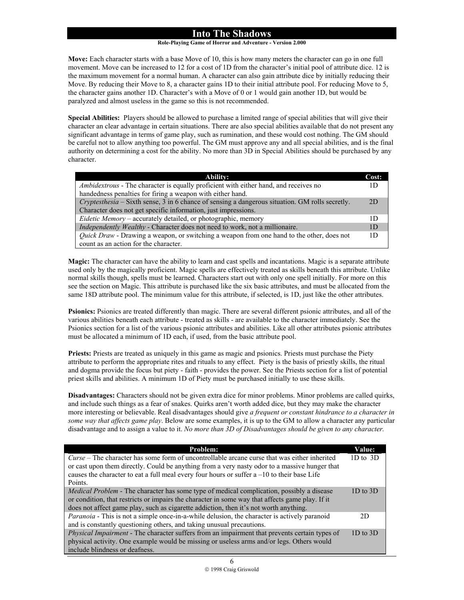#### **Role-Playing Game of Horror and Adventure - Version 2.000**

**Move:** Each character starts with a base Move of 10, this is how many meters the character can go in one full movement. Move can be increased to 12 for a cost of 1D from the character's initial pool of attribute dice. 12 is the maximum movement for a normal human. A character can also gain attribute dice by initially reducing their Move. By reducing their Move to 8, a character gains 1D to their initial attribute pool. For reducing Move to 5, the character gains another 1D. Character's with a Move of 0 or 1 would gain another 1D, but would be paralyzed and almost useless in the game so this is not recommended.

**Special Abilities:** Players should be allowed to purchase a limited range of special abilities that will give their character an clear advantage in certain situations. There are also special abilities available that do not present any significant advantage in terms of game play, such as rumination, and these would cost nothing. The GM should be careful not to allow anything too powerful. The GM must approve any and all special abilities, and is the final authority on determining a cost for the ability. No more than 3D in Special Abilities should be purchased by any character.

| Ability:                                                                                               | Cost: |
|--------------------------------------------------------------------------------------------------------|-------|
| Ambidextrous - The character is equally proficient with either hand, and receives no                   |       |
| handedness penalties for firing a weapon with either hand.                                             |       |
| <i>Cryptesthesia</i> – Sixth sense, 3 in 6 chance of sensing a dangerous situation. GM rolls secretly. | 2D    |
| Character does not get specific information, just impressions.                                         |       |
| <i>Eidetic Memory</i> – accurately detailed, or photographic, memory                                   |       |
| Independently Wealthy - Character does not need to work, not a millionaire.                            | 1D    |
| <i>Quick Draw</i> - Drawing a weapon, or switching a weapon from one hand to the other, does not       | 1D    |
| count as an action for the character.                                                                  |       |

**Magic:** The character can have the ability to learn and cast spells and incantations. Magic is a separate attribute used only by the magically proficient. Magic spells are effectively treated as skills beneath this attribute. Unlike normal skills though, spells must be learned. Characters start out with only one spell initially. For more on this see the section on Magic. This attribute is purchased like the six basic attributes, and must be allocated from the same 18D attribute pool. The minimum value for this attribute, if selected, is 1D, just like the other attributes.

**Psionics:** Psionics are treated differently than magic. There are several different psionic attributes, and all of the various abilities beneath each attribute - treated as skills - are available to the character immediately. See the Psionics section for a list of the various psionic attributes and abilities. Like all other attributes psionic attributes must be allocated a minimum of 1D each, if used, from the basic attribute pool.

**Priests:** Priests are treated as uniquely in this game as magic and psionics. Priests must purchase the Piety attribute to perform the appropriate rites and rituals to any effect. Piety is the basis of priestly skills, the ritual and dogma provide the focus but piety - faith - provides the power. See the Priests section for a list of potential priest skills and abilities. A minimum 1D of Piety must be purchased initially to use these skills.

**Disadvantages:** Characters should not be given extra dice for minor problems. Minor problems are called quirks, and include such things as a fear of snakes. Quirks aren't worth added dice, but they may make the character more interesting or believable. Real disadvantages should give *a frequent or constant hindrance to a character in some way that affects game play*. Below are some examples, it is up to the GM to allow a character any particular disadvantage and to assign a value to it. *No more than 3D of Disadvantages should be given to any character.* 

| <b>Problem:</b>                                                                                                                                                                                                                                                                                            | <b>Value:</b> |
|------------------------------------------------------------------------------------------------------------------------------------------------------------------------------------------------------------------------------------------------------------------------------------------------------------|---------------|
| Curse – The character has some form of uncontrollable arcane curse that was either inherited<br>or cast upon them directly. Could be anything from a very nasty odor to a massive hunger that<br>causes the character to eat a full meal every four hours or suffer $a - 10$ to their base Life<br>Points. | $1D$ to $3D$  |
| <i>Medical Problem</i> - The character has some type of medical complication, possibly a disease<br>or condition, that restricts or impairs the character in some way that affects game play. If it<br>does not affect game play, such as cigarette addiction, then it's not worth anything.               | 1D to $3D$    |
| <i>Paranoia</i> - This is not a simple once-in-a-while delusion, the character is actively paranoid<br>and is constantly questioning others, and taking unusual precautions.                                                                                                                               | 2D            |
| <i>Physical Impairment</i> - The character suffers from an impairment that prevents certain types of<br>physical activity. One example would be missing or useless arms and/or legs. Others would<br>include blindness or deafness.                                                                        | $1D$ to $3D$  |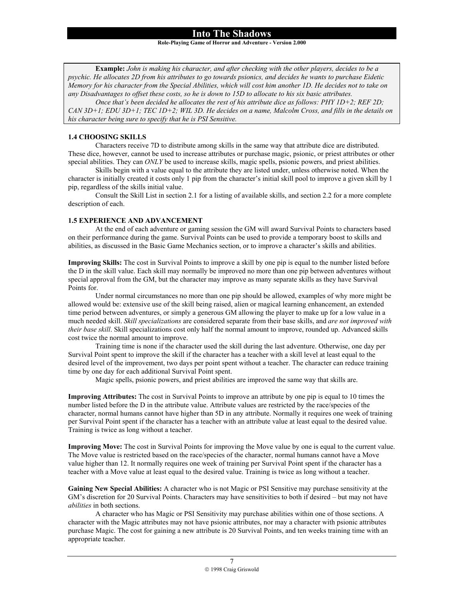## **Role-Playing Game of Horror and Adventure - Version 2.000**

**Example:** *John is making his character, and after checking with the other players, decides to be a psychic. He allocates 2D from his attributes to go towards psionics, and decides he wants to purchase Eidetic Memory for his character from the Special Abilities, which will cost him another 1D. He decides not to take on any Disadvantages to offset these costs, so he is down to 15D to allocate to his six basic attributes.* 

*Once that's been decided he allocates the rest of his attribute dice as follows: PHY 1D+2; REF 2D; CAN 3D+1; EDU 3D+1; TEC 1D+2; WIL 3D. He decides on a name, Malcolm Cross, and fills in the details on his character being sure to specify that he is PSI Sensitive.* 

# **1.4 CHOOSING SKILLS**

 Characters receive 7D to distribute among skills in the same way that attribute dice are distributed. These dice, however, cannot be used to increase attributes or purchase magic, psionic, or priest attributes or other special abilities. They can *ONLY* be used to increase skills, magic spells, psionic powers, and priest abilities.

 Skills begin with a value equal to the attribute they are listed under, unless otherwise noted. When the character is initially created it costs only 1 pip from the character's initial skill pool to improve a given skill by 1 pip, regardless of the skills initial value.

 Consult the Skill List in section 2.1 for a listing of available skills, and section 2.2 for a more complete description of each.

# **1.5 EXPERIENCE AND ADVANCEMENT**

 At the end of each adventure or gaming session the GM will award Survival Points to characters based on their performance during the game. Survival Points can be used to provide a temporary boost to skills and abilities, as discussed in the Basic Game Mechanics section, or to improve a character's skills and abilities.

**Improving Skills:** The cost in Survival Points to improve a skill by one pip is equal to the number listed before the D in the skill value. Each skill may normally be improved no more than one pip between adventures without special approval from the GM, but the character may improve as many separate skills as they have Survival Points for.

Under normal circumstances no more than one pip should be allowed, examples of why more might be allowed would be: extensive use of the skill being raised, alien or magical learning enhancement, an extended time period between adventures, or simply a generous GM allowing the player to make up for a low value in a much needed skill. *Skill specializations* are considered separate from their base skills, and *are not improved with their base skill*. Skill specializations cost only half the normal amount to improve, rounded up. Advanced skills cost twice the normal amount to improve.

Training time is none if the character used the skill during the last adventure. Otherwise, one day per Survival Point spent to improve the skill if the character has a teacher with a skill level at least equal to the desired level of the improvement, two days per point spent without a teacher. The character can reduce training time by one day for each additional Survival Point spent.

Magic spells, psionic powers, and priest abilities are improved the same way that skills are.

**Improving Attributes:** The cost in Survival Points to improve an attribute by one pip is equal to 10 times the number listed before the D in the attribute value. Attribute values are restricted by the race/species of the character, normal humans cannot have higher than 5D in any attribute. Normally it requires one week of training per Survival Point spent if the character has a teacher with an attribute value at least equal to the desired value. Training is twice as long without a teacher.

**Improving Move:** The cost in Survival Points for improving the Move value by one is equal to the current value. The Move value is restricted based on the race/species of the character, normal humans cannot have a Move value higher than 12. It normally requires one week of training per Survival Point spent if the character has a teacher with a Move value at least equal to the desired value. Training is twice as long without a teacher.

**Gaining New Special Abilities:** A character who is not Magic or PSI Sensitive may purchase sensitivity at the GM's discretion for 20 Survival Points. Characters may have sensitivities to both if desired – but may not have *abilities* in both sections.

A character who has Magic or PSI Sensitivity may purchase abilities within one of those sections. A character with the Magic attributes may not have psionic attributes, nor may a character with psionic attributes purchase Magic. The cost for gaining a new attribute is 20 Survival Points, and ten weeks training time with an appropriate teacher.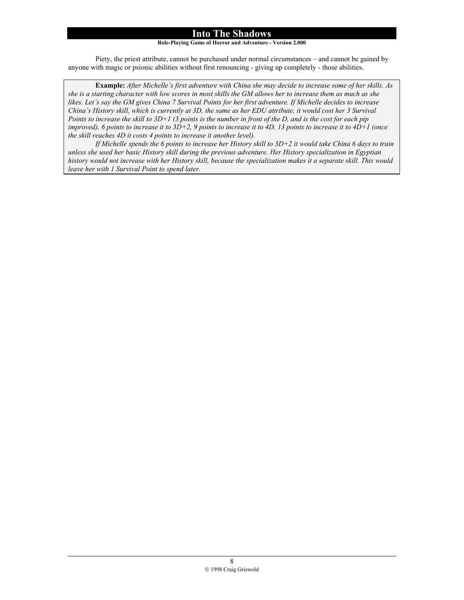# **Role-Playing Game of Horror and Adventure - Version 2.000**

Piety, the priest attribute, cannot be purchased under normal circumstances – and cannot be gained by anyone with magic or psionic abilities without first renouncing - giving up completely - those abilities.

**Example:** *After Michelle's first adventure with China she may decide to increase some of her skills. As she is a starting character with low scores in most skills the GM allows her to increase them as much as she likes. Let's say the GM gives China 7 Survival Points for her first adventure. If Michelle decides to increase China's History skill, which is currently at 3D, the same as her EDU attribute, it would cost her 3 Survival Points to increase the skill to 3D+1 (3 points is the number in front of the D, and is the cost for each pip improved), 6 points to increase it to 3D+2, 9 points to increase it to 4D, 13 points to increase it to 4D+1 (once the skill reaches 4D it costs 4 points to increase it another level).* 

*If Michelle spends the 6 points to increase her History skill to 3D+2 it would take China 6 days to train unless she used her basic History skill during the previous adventure. Her History specialization in Egyptian history would not increase with her History skill, because the specialization makes it a separate skill. This would leave her with 1 Survival Point to spend later.*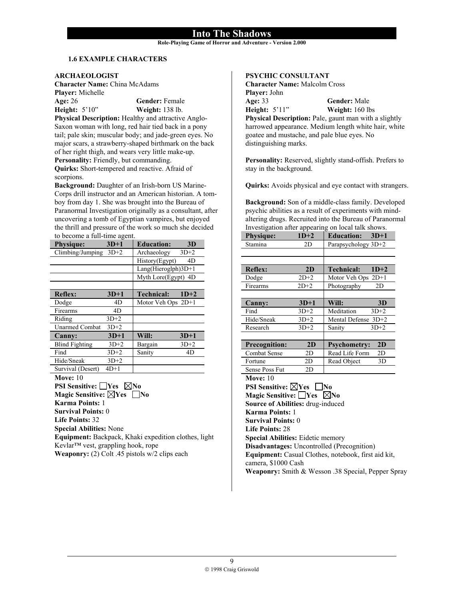**Role-Playing Game of Horror and Adventure - Version 2.000**

# **1.6 EXAMPLE CHARACTERS**

#### **ARCHAEOLOGIST**

**Character Name:** China McAdams **Player:** Michelle **Age:** 26 **Gender:** Female **Height:** 5'10" **Weight:** 138 lb.

**Physical Description:** Healthy and attractive Anglo-Saxon woman with long, red hair tied back in a pony tail; pale skin; muscular body; and jade-green eyes. No major scars, a strawberry-shaped birthmark on the back of her right thigh, and wears very little make-up. Personality: Friendly, but commanding.

**Quirks:** Short-tempered and reactive. Afraid of scorpions.

**Background:** Daughter of an Irish-born US Marine-Corps drill instructor and an American historian. A tomboy from day 1. She was brought into the Bureau of Paranormal Investigation originally as a consultant, after uncovering a tomb of Egyptian vampires, but enjoyed the thrill and pressure of the work so much she decided to become a full-time agent.

| <b>Physique:</b>                     | $3D+1$             | <b>Education:</b>    | 3D     |
|--------------------------------------|--------------------|----------------------|--------|
| Climbing/Jumping                     | $3D+2$             | Archaeology          | $3D+2$ |
|                                      |                    | History(Egypt)       | 4D     |
|                                      |                    | Lang(Hieroglph)3D+1  |        |
|                                      |                    | Myth Lore(Egypt) 4D  |        |
|                                      |                    |                      |        |
| <b>Reflex:</b>                       | $3D+1$             | <b>Technical:</b>    | $1D+2$ |
| Dodge                                | 4D                 | Motor Veh Ops $2D+1$ |        |
| Firearms                             | 4D                 |                      |        |
| Riding                               | $3D+2$             |                      |        |
| <b>Unarmed Combat</b>                | $3D+2$             |                      |        |
| <b>Canny:</b>                        | $3D+1$             | Will:                | $3D+1$ |
| <b>Blind Fighting</b>                | $3D+2$             | Bargain              | $3D+2$ |
| Find                                 | $3D+2$             | Sanity               | 4D     |
| Hide/Sneak                           | $3D+2$             |                      |        |
| Survival (Desert)                    | $4D+1$             |                      |        |
| <b>Move:</b> 10                      |                    |                      |        |
| $DCT$ $C_{\alpha}$ $\ldots$ $\ldots$ | $V_{\alpha\alpha}$ | Mn.                  |        |

**PSI Sensitive:** Nes  $\boxtimes N$ **Magic Sensitive:**  $\boxtimes$ **Yes**  $\Box$ **No Karma Points:** 1 **Survival Points:** 0 **Life Points:** 32 **Special Abilities:** None **Equipment:** Backpack, Khaki expedition clothes, light Kevlar™ vest, grappling hook, rope **Weaponry:** (2) Colt .45 pistols w/2 clips each

#### **PSYCHIC CONSULTANT**

**Character Name:** Malcolm Cross **Player:** John **Age:** 33 **Gender:** Male **Height:** 5'11" **Weight:** 160 lbs **Physical Description:** Pale, gaunt man with a slightly harrowed appearance. Medium length white hair, white goatee and mustache, and pale blue eyes. No distinguishing marks.

**Personality:** Reserved, slightly stand-offish. Prefers to stay in the background.

**Quirks:** Avoids physical and eye contact with strangers.

**Background:** Son of a middle-class family. Developed psychic abilities as a result of experiments with mindaltering drugs. Recruited into the Bureau of Paranormal Investigation after appearing on local talk shows.

| <b>Physique:</b>                                    | $1D+2$                                             | <b>Education:</b>   | $3D+1$ |
|-----------------------------------------------------|----------------------------------------------------|---------------------|--------|
| Stamina                                             | 2D                                                 | Parapsychology 3D+2 |        |
|                                                     |                                                    |                     |        |
|                                                     |                                                    |                     |        |
| <b>Reflex:</b>                                      | 2D                                                 | <b>Technical:</b>   | $1D+2$ |
| Dodge                                               | $2D+2$                                             | Motor Veh Ops 2D+1  |        |
| Firearms                                            | $2D+2$                                             | Photography         | 2D     |
|                                                     |                                                    |                     |        |
| <b>Canny:</b>                                       | $3D+1$                                             | Will:               | 3D     |
| Find                                                | $3D+2$                                             | Meditation          | $3D+2$ |
| Hide/Sneak                                          | $3D+2$                                             | Mental Defense 3D+2 |        |
| Research                                            | $3D+2$                                             | Sanity              | $3D+2$ |
|                                                     |                                                    |                     |        |
| <b>Precognition:</b>                                | 2D                                                 | <b>Psychometry:</b> | 2D     |
| <b>Combat Sense</b>                                 | 2D                                                 | Read Life Form      | 2D     |
| Fortune                                             | 2D                                                 | Read Object         | 3D     |
| <b>Sense Poss Fut</b>                               | 2D                                                 |                     |        |
| <b>Move: 10</b>                                     |                                                    |                     |        |
| <b>PSI Sensitive:</b> $\boxtimes$ Yes               |                                                    | lNo                 |        |
| Magic Sensitive: Yes                                |                                                    | $\boxtimes$ No      |        |
| Source of Abilities: drug-induced                   |                                                    |                     |        |
| Karma Points: 1                                     |                                                    |                     |        |
| <b>Survival Points: 0</b>                           |                                                    |                     |        |
| <b>Life Points: 28</b>                              |                                                    |                     |        |
| <b>Special Abilities:</b> Eidetic memory            |                                                    |                     |        |
| <b>Disadvantages:</b> Uncontrolled (Precognition)   |                                                    |                     |        |
| Equipment: Casual Clothes, notebook, first aid kit, |                                                    |                     |        |
| camera, \$1000 Cash                                 |                                                    |                     |        |
|                                                     | Weaponry: Smith & Wesson .38 Special, Pepper Spray |                     |        |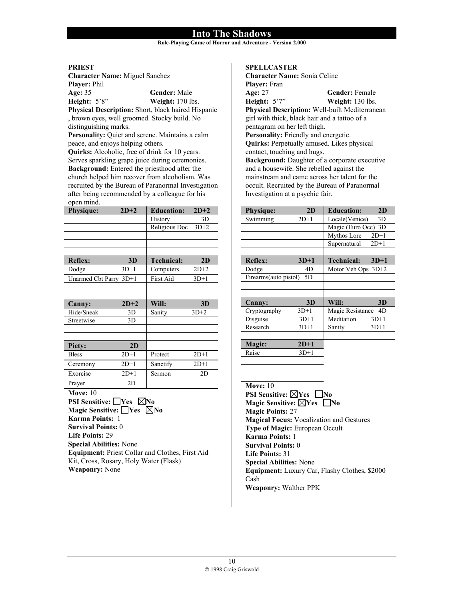#### **Role-Playing Game of Horror and Adventure - Version 2.000**

#### **PRIEST**

**Character Name:** Miguel Sanchez **Player: Phil**<br>**Age: 35 Age: 35**<br> **Age: 378<sup>7</sup><br>
<b>Age: 578**<sup>7</sup><br> **Age: 678**<br> **Age: 170** lb **Weight:** 170 lbs. **Physical Description:** Short, black haired Hispanic , brown eyes, well groomed. Stocky build. No distinguishing marks.

**Personality:** Quiet and serene. Maintains a calm peace, and enjoys helping others.

**Quirks:** Alcoholic, free of drink for 10 years. Serves sparkling grape juice during ceremonies. **Background:** Entered the priesthood after the church helped him recover from alcoholism. Was recruited by the Bureau of Paranormal Investigation after being recommended by a colleague for his open mind.

| <b>Physique:</b>           | $2D+2$ | <b>Education:</b> | $2D+2$ |
|----------------------------|--------|-------------------|--------|
|                            |        | History           | 3D     |
|                            |        | Religious Doc     | $3D+2$ |
|                            |        |                   |        |
|                            |        |                   |        |
|                            |        |                   |        |
| <b>Reflex:</b>             | 3D     | <b>Technical:</b> | 2D     |
| Dodge                      | $3D+1$ | Computers         | $2D+2$ |
| Unarmed Cbt Parry 3D+1     |        | <b>First Aid</b>  | $3D+1$ |
|                            |        |                   |        |
|                            |        |                   |        |
| Canny:                     | $2D+2$ | Will:             | 3D     |
| Hide/Sneak                 | 3D     | Sanity            | $3D+2$ |
| Streetwise                 | 3D     |                   |        |
|                            |        |                   |        |
|                            |        |                   |        |
| <b>Piety:</b>              | 2D     |                   |        |
| <b>Bless</b>               | $2D+1$ | Protect           | $2D+1$ |
| Ceremony                   | $2D+1$ | Sanctify          | $2D+1$ |
| Exorcise                   | $2D+1$ | Sermon            | 2D     |
| Prayer                     | 2D     |                   |        |
| <b>Move: 10</b>            |        |                   |        |
| <b>PSI Sensitive:</b> [Yes |        | ₹lNo              |        |
| $M = 2 - C = 2C = 1$       |        | NZN⊺-             |        |

**Magic Sensitive: Yes**  $\boxtimes$ **No Karma Points:** 1 **Survival Points:** 0 **Life Points:** 29 **Special Abilities:** None **Equipment:** Priest Collar and Clothes, First Aid Kit, Cross, Rosary, Holy Water (Flask) **Weaponry:** None

# **SPELLCASTER**

**Character Name:** Sonia Celine **Player:** Fran Age: 27 **Gender:** Female<br> **Height:** 5'7" **Weight:** 130 lbs. **Weight:** 130 lbs. **Physical Description:** Well-built Mediterranean girl with thick, black hair and a tattoo of a pentagram on her left thigh. Personality: Friendly and energetic. **Quirks:** Perpetually amused. Likes physical contact, touching and hugs. **Background:** Daughter of a corporate executive and a housewife. She rebelled against the mainstream and came across her talent for the occult. Recruited by the Bureau of Paranormal Investigation at a psychic fair.

| <b>Physique:</b>      | 2D     | <b>Education:</b>    | 2D     |
|-----------------------|--------|----------------------|--------|
| Swimming              | $2D+1$ | Locale(Venice)       | 3D     |
|                       |        | Magic (Euro Occ) 3D  |        |
|                       |        | Mythos Lore          | $2D+1$ |
|                       |        | Supernatural         | $2D+1$ |
|                       |        |                      |        |
| <b>Reflex:</b>        | $3D+1$ | <b>Technical:</b>    | $3D+1$ |
| Dodge                 | 4D     | Motor Veh Ops $3D+2$ |        |
| Firearms(auto pistol) | 5D     |                      |        |
|                       |        |                      |        |
|                       |        |                      |        |
| <b>Canny:</b>         | 3D     | Will:                | 3D     |
| Cryptography          | $3D+1$ | Magic Resistance     | 4D     |
| Disguise              | $3D+1$ | Meditation           | $3D+1$ |
| Research              | $3D+1$ | Sanity               | $3D+1$ |
|                       |        |                      |        |
| Magic:                | $2D+1$ |                      |        |
| Raise                 | $3D+1$ |                      |        |

**Move:** 10 **PSI Sensitive:**  $\nabla$ **Yes**  $\nabla$ **No Magic Sensitive:**  $\boxtimes$  **Yes**  $\Box$  **No Magic Points:** 27 **Magical Focus:** Vocalization and Gestures **Type of Magic:** European Occult **Karma Points:** 1 **Survival Points:** 0 **Life Points:** 31 **Special Abilities:** None **Equipment:** Luxury Car, Flashy Clothes, \$2000 Cash **Weaponry:** Walther PPK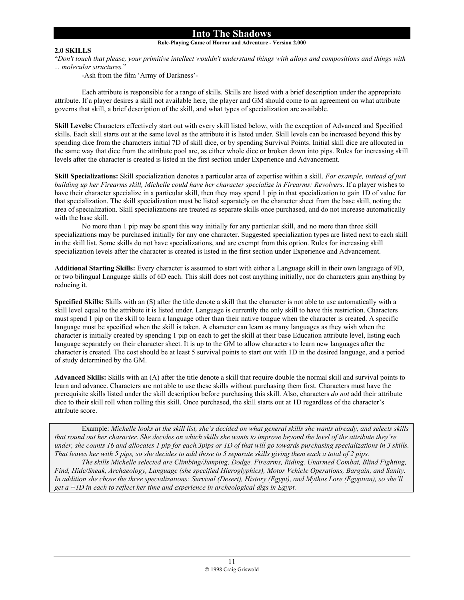# **Role-Playing Game of Horror and Adventure - Version 2.000**

# **2.0 SKILLS**

"*Don't touch that please, your primitive intellect wouldn't understand things with alloys and compositions and things with ... molecular structures.*"

-Ash from the film 'Army of Darkness'-

 Each attribute is responsible for a range of skills. Skills are listed with a brief description under the appropriate attribute. If a player desires a skill not available here, the player and GM should come to an agreement on what attribute governs that skill, a brief description of the skill, and what types of specialization are available.

**Skill Levels:** Characters effectively start out with every skill listed below, with the exception of Advanced and Specified skills. Each skill starts out at the same level as the attribute it is listed under. Skill levels can be increased beyond this by spending dice from the characters initial 7D of skill dice, or by spending Survival Points. Initial skill dice are allocated in the same way that dice from the attribute pool are, as either whole dice or broken down into pips. Rules for increasing skill levels after the character is created is listed in the first section under Experience and Advancement.

**Skill Specializations:** Skill specialization denotes a particular area of expertise within a skill. *For example, instead of just building up her Firearms skill, Michelle could have her character specialize in Firearms: Revolvers*. If a player wishes to have their character specialize in a particular skill, then they may spend 1 pip in that specialization to gain 1D of value for that specialization. The skill specialization must be listed separately on the character sheet from the base skill, noting the area of specialization. Skill specializations are treated as separate skills once purchased, and do not increase automatically with the base skill.

No more than 1 pip may be spent this way initially for any particular skill, and no more than three skill specializations may be purchased initially for any one character. Suggested specialization types are listed next to each skill in the skill list. Some skills do not have specializations, and are exempt from this option. Rules for increasing skill specialization levels after the character is created is listed in the first section under Experience and Advancement.

**Additional Starting Skills:** Every character is assumed to start with either a Language skill in their own language of 9D, or two bilingual Language skills of 6D each. This skill does not cost anything initially, nor do characters gain anything by reducing it.

**Specified Skills:** Skills with an (S) after the title denote a skill that the character is not able to use automatically with a skill level equal to the attribute it is listed under. Language is currently the only skill to have this restriction. Characters must spend 1 pip on the skill to learn a language other than their native tongue when the character is created. A specific language must be specified when the skill is taken. A character can learn as many languages as they wish when the character is initially created by spending 1 pip on each to get the skill at their base Education attribute level, listing each language separately on their character sheet. It is up to the GM to allow characters to learn new languages after the character is created. The cost should be at least 5 survival points to start out with 1D in the desired language, and a period of study determined by the GM.

**Advanced Skills:** Skills with an (A) after the title denote a skill that require double the normal skill and survival points to learn and advance. Characters are not able to use these skills without purchasing them first. Characters must have the prerequisite skills listed under the skill description before purchasing this skill. Also, characters *do not* add their attribute dice to their skill roll when rolling this skill. Once purchased, the skill starts out at 1D regardless of the character's attribute score.

 Example: *Michelle looks at the skill list, she's decided on what general skills she wants already, and selects skills that round out her character. She decides on which skills she wants to improve beyond the level of the attribute they're under, she counts 16 and allocates 1 pip for each.3pips or 1D of that will go towards purchasing specializations in 3 skills. That leaves her with 5 pips, so she decides to add those to 5 separate skills giving them each a total of 2 pips.* 

*The skills Michelle selected are Climbing/Jumping, Dodge, Firearms, Riding, Unarmed Combat, Blind Fighting, Find, Hide/Sneak, Archaeology, Language (she specified Hieroglyphics), Motor Vehicle Operations, Bargain, and Sanity. In addition she chose the three specializations: Survival (Desert), History (Egypt), and Mythos Lore (Egyptian), so she'll get a +1D in each to reflect her time and experience in archeological digs in Egypt.*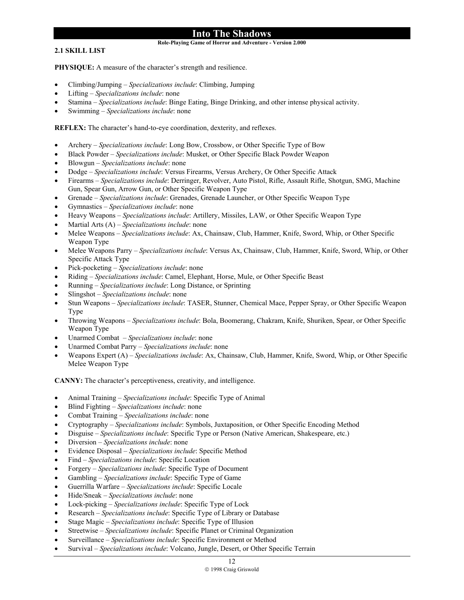#### **Into The Shadows Role-Playing Game of Horror and Adventure - Version 2.000**

**2.1 SKILL LIST** 

**PHYSIQUE:** A measure of the character's strength and resilience.

- Climbing/Jumping *Specializations include*: Climbing, Jumping
- Lifting *Specializations include*: none
- Stamina *Specializations include*: Binge Eating, Binge Drinking, and other intense physical activity.
- Swimming *Specializations include*: none

**REFLEX:** The character's hand-to-eye coordination, dexterity, and reflexes.

- Archery *Specializations include*: Long Bow, Crossbow, or Other Specific Type of Bow
- Black Powder *Specializations include*: Musket, or Other Specific Black Powder Weapon
- Blowgun *Specializations include*: none
- Dodge *Specializations include*: Versus Firearms, Versus Archery, Or Other Specific Attack
- Firearms *Specializations include*: Derringer, Revolver, Auto Pistol, Rifle, Assault Rifle, Shotgun, SMG, Machine Gun, Spear Gun, Arrow Gun, or Other Specific Weapon Type
- Grenade *Specializations include*: Grenades, Grenade Launcher, or Other Specific Weapon Type
- Gymnastics *Specializations include*: none
- Heavy Weapons *Specializations include*: Artillery, Missiles, LAW, or Other Specific Weapon Type
- Martial Arts (A) *Specializations include*: none
- Melee Weapons – *Specializations include*: Ax, Chainsaw, Club, Hammer, Knife, Sword, Whip, or Other Specific Weapon Type
- Melee Weapons Parry *Specializations include*: Versus Ax, Chainsaw, Club, Hammer, Knife, Sword, Whip, or Other Specific Attack Type
- Pick-pocketing *Specializations include*: none
- Riding *Specializations include*: Camel, Elephant, Horse, Mule, or Other Specific Beast
- Running *Specializations include*: Long Distance, or Sprinting
- Slingshot *Specializations include*: none
- Stun Weapons *Specializations include*: TASER, Stunner, Chemical Mace, Pepper Spray, or Other Specific Weapon Type
- Throwing Weapons *Specializations include*: Bola, Boomerang, Chakram, Knife, Shuriken, Spear, or Other Specific Weapon Type
- Unarmed Combat *Specializations include*: none
- Unarmed Combat Parry *Specializations include*: none
- Weapons Expert (A) – *Specializations include*: Ax, Chainsaw, Club, Hammer, Knife, Sword, Whip, or Other Specific Melee Weapon Type

**CANNY:** The character's perceptiveness, creativity, and intelligence.

- Animal Training *Specializations include*: Specific Type of Animal
- Blind Fighting *Specializations include*: none
- Combat Training *Specializations include*: none
- Cryptography *Specializations include*: Symbols, Juxtaposition, or Other Specific Encoding Method
- Disguise *Specializations include*: Specific Type or Person (Native American, Shakespeare, etc.)
- Diversion *Specializations include*: none
- Evidence Disposal *Specializations include*: Specific Method
- Find *Specializations include*: Specific Location
- Forgery *Specializations include*: Specific Type of Document
- Gambling *Specializations include*: Specific Type of Game
- Guerrilla Warfare *Specializations include*: Specific Locale
- Hide/Sneak *Specializations include*: none
- Lock-picking *Specializations include*: Specific Type of Lock
- Research *Specializations include*: Specific Type of Library or Database
- Stage Magic *Specializations include*: Specific Type of Illusion
- Streetwise *Specializations include*: Specific Planet or Criminal Organization
- Surveillance *Specializations include*: Specific Environment or Method
- Survival *Specializations include*: Volcano, Jungle, Desert, or Other Specific Terrain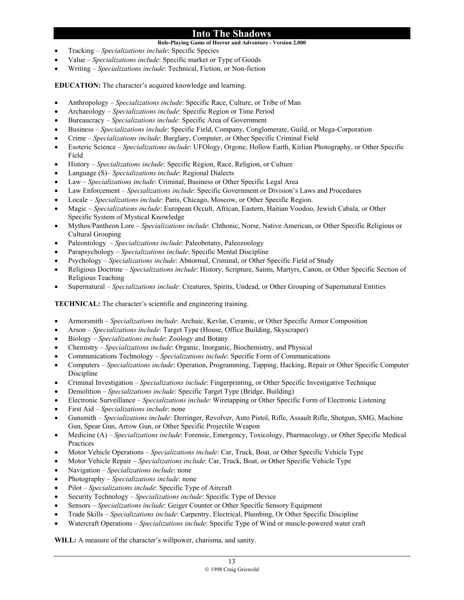- **Role-Playing Game of Horror and Adventure Version 2.000**
- Tracking *Specializations include*: Specific Species
- Value *Specializations include*: Specific market or Type of Goods
- Writing *Specializations include*: Technical, Fiction, or Non-fiction

**EDUCATION:** The character's acquired knowledge and learning.

- Anthropology *Specializations include*: Specific Race, Culture, or Tribe of Man
- Archaeology *Specializations include*: Specific Region or Time Period
- Bureaucracy *Specializations include*: Specific Area of Government
- Business *Specializations include*: Specific Field, Company, Conglomerate, Guild, or Mega-Corporation
- Crime *Specializations include*: Burglary, Computer, or Other Specific Criminal Field
- Esoteric Science *Specializations include*: UFOlogy, Orgone, Hollow Earth, Kirlian Photography, or Other Specific Field
- History *Specializations include*: Specific Region, Race, Religion, or Culture
- Language (S)– *Specializations include*: Regional Dialects
- Law *Specializations include*: Criminal, Business or Other Specific Legal Area
- Law Enforcement *Specializations include*: Specific Government or Division's Laws and Procedures
- Locale *Specializations include*: Paris, Chicago, Moscow, or Other Specific Region.
- Magic *Specializations include*: European Occult, African, Eastern, Haitian Voodoo, Jewish Cabala, or Other Specific System of Mystical Knowledge
- Mythos/Pantheon Lore *Specializations include*: Chthonic, Norse, Native American, or Other Specific Religious or Cultural Grouping
- Paleontology *Specializations include*: Paleobotany, Paleozoology
- Parapsychology *Specializations include*: Specific Mental Discipline
- Psychology *Specializations include*: Abnormal, Criminal, or Other Specific Field of Study
- Religious Doctrine *Specializations include*: History, Scripture, Saints, Martyrs, Canon, or Other Specific Section of Religious Teaching
- Supernatural *Specializations include*: Creatures, Spirits, Undead, or Other Grouping of Supernatural Entities

**TECHNICAL:** The character's scientific and engineering training.

- Armorsmith *Specializations include*: Archaic, Kevlar, Ceramic, or Other Specific Armor Composition
- Arson *Specializations include*: Target Type (House, Office Building, Skyscraper)
- Biology *Specializations include*: Zoology and Botany
- Chemistry *Specializations include*: Organic, Inorganic, Biochemistry, and Physical
- Communications Technology *Specializations include*: Specific Form of Communications
- Computers *Specializations include*: Operation, Programming, Tapping, Hacking, Repair or Other Specific Computer Discipline
- Criminal Investigation *Specializations include*: Fingerprinting, or Other Specific Investigative Technique
- Demolition *Specializations include*: Specific Target Type (Bridge, Building)
- Electronic Surveillance *Specializations include*: Wiretapping or Other Specific Form of Electronic Listening
- First Aid *Specializations include*: none
- Gunsmith *Specializations include*: Derringer, Revolver, Auto Pistol, Rifle, Assault Rifle, Shotgun, SMG, Machine Gun, Spear Gun, Arrow Gun, or Other Specific Projectile Weapon
- Medicine (A) *Specializations include*: Forensic, Emergency, Toxicology, Pharmacology, or Other Specific Medical Practices
- Motor Vehicle Operations *Specializations include*: Car, Truck, Boat, or Other Specific Vehicle Type
- Motor Vehicle Repair *Specializations include*: Car, Truck, Boat, or Other Specific Vehicle Type
- Navigation *Specializations include*: none
- Photography *Specializations include*: none
- Pilot *Specializations include*: Specific Type of Aircraft
- Security Technology *Specializations include*: Specific Type of Device
- Sensors *Specializations include*: Geiger Counter or Other Specific Sensory Equipment
- Trade Skills *Specializations include*: Carpentry, Electrical, Plumbing, Or Other Specific Discipline
- Watercraft Operations *Specializations include*: Specific Type of Wind or muscle-powered water craft

**WILL:** A measure of the character's willpower, charisma, and sanity.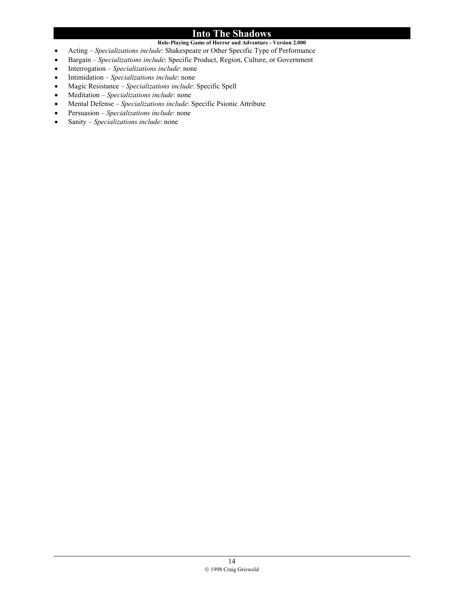**Role-Playing Game of Horror and Adventure - Version 2.000**

- Acting *Specializations include*: Shakespeare or Other Specific Type of Performance
- Bargain *Specializations include*: Specific Product, Region, Culture, or Government
- Interrogation *Specializations include*: none
- Intimidation *Specializations include*: none
- Magic Resistance *Specializations include*: Specific Spell
- Meditation *Specializations include*: none
- Mental Defense *Specializations include*: Specific Psionic Attribute
- Persuasion *Specializations include*: none
- Sanity *Specializations include*: none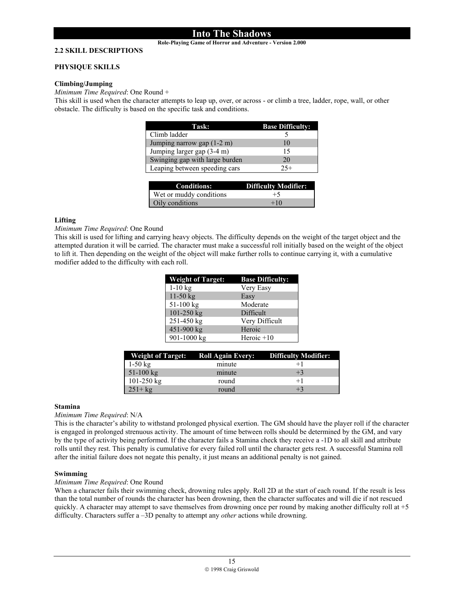## **Role-Playing Game of Horror and Adventure - Version 2.000**

# **2.2 SKILL DESCRIPTIONS**

# **PHYSIQUE SKILLS**

#### **Climbing/Jumping**

*Minimum Time Required*: One Round +

This skill is used when the character attempts to leap up, over, or across - or climb a tree, ladder, rope, wall, or other obstacle. The difficulty is based on the specific task and conditions.

| Task:                          | <b>Base Difficulty:</b> |
|--------------------------------|-------------------------|
| Climb ladder                   |                         |
| Jumping narrow gap (1-2 m)     | 10                      |
| Jumping larger gap (3-4 m)     | 15                      |
| Swinging gap with large burden | 20                      |
| Leaping between speeding cars  | $25+$                   |

| Conditions:             | <b>Difficulty Modifier:</b> |
|-------------------------|-----------------------------|
| Wet or muddy conditions | $+5$                        |
| Oily conditions         | $+10$                       |

#### **Lifting**

#### *Minimum Time Required*: One Round

This skill is used for lifting and carrying heavy objects. The difficulty depends on the weight of the target object and the attempted duration it will be carried. The character must make a successful roll initially based on the weight of the object to lift it. Then depending on the weight of the object will make further rolls to continue carrying it, with a cumulative modifier added to the difficulty with each roll.

| <b>Weight of Target:</b> | <b>Base Difficulty:</b> |
|--------------------------|-------------------------|
| $1-10$ kg                | Very Easy               |
| $11 - 50$ kg             | Easy                    |
| 51-100 kg                | Moderate                |
| 101-250 kg               | Difficult               |
| 251-450 kg               | Very Difficult          |
| 451-900 kg               | Heroic                  |
| 901-1000 kg              | Heroic $+10$            |

|              |        | Weight of Target: Roll Again Every: Difficulty Modifier: |
|--------------|--------|----------------------------------------------------------|
| 1-50 $kg$    | minute |                                                          |
| $51-100$ kg  | minute | $+3$                                                     |
| $101-250$ kg | round  | $+1$                                                     |
| $251 + kg$   | round  | $+3$                                                     |

#### **Stamina**

#### *Minimum Time Required*: N/A

This is the character's ability to withstand prolonged physical exertion. The GM should have the player roll if the character is engaged in prolonged strenuous activity. The amount of time between rolls should be determined by the GM, and vary by the type of activity being performed. If the character fails a Stamina check they receive a -1D to all skill and attribute rolls until they rest. This penalty is cumulative for every failed roll until the character gets rest. A successful Stamina roll after the initial failure does not negate this penalty, it just means an additional penalty is not gained.

#### **Swimming**

#### *Minimum Time Required*: One Round

When a character fails their swimming check, drowning rules apply. Roll 2D at the start of each round. If the result is less than the total number of rounds the character has been drowning, then the character suffocates and will die if not rescued quickly. A character may attempt to save themselves from drowning once per round by making another difficulty roll at +5 difficulty. Characters suffer a –3D penalty to attempt any *other* actions while drowning.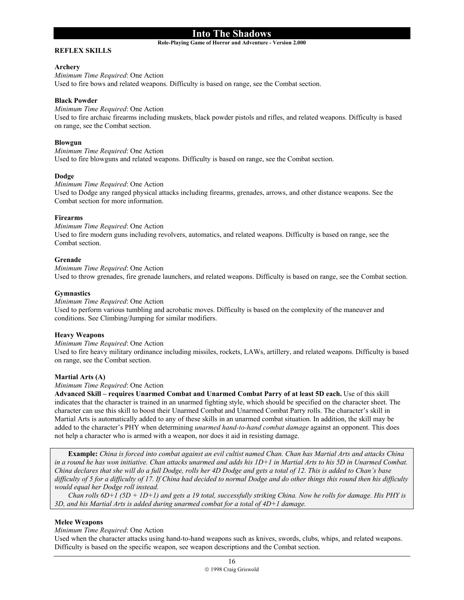#### **Into The Shadows Role-Playing Game of Horror and Adventure - Version 2.000**

# **REFLEX SKILLS**

#### **Archery**

*Minimum Time Required*: One Action

Used to fire bows and related weapons. Difficulty is based on range, see the Combat section.

# **Black Powder**

#### *Minimum Time Required*: One Action

Used to fire archaic firearms including muskets, black powder pistols and rifles, and related weapons. Difficulty is based on range, see the Combat section.

## **Blowgun**

*Minimum Time Required*: One Action Used to fire blowguns and related weapons. Difficulty is based on range, see the Combat section.

#### **Dodge**

*Minimum Time Required*: One Action Used to Dodge any ranged physical attacks including firearms, grenades, arrows, and other distance weapons. See the Combat section for more information.

# **Firearms**

*Minimum Time Required*: One Action Used to fire modern guns including revolvers, automatics, and related weapons. Difficulty is based on range, see the Combat section.

#### **Grenade**

*Minimum Time Required*: One Action Used to throw grenades, fire grenade launchers, and related weapons. Difficulty is based on range, see the Combat section.

# **Gymnastics**

#### *Minimum Time Required*: One Action

Used to perform various tumbling and acrobatic moves. Difficulty is based on the complexity of the maneuver and conditions. See Climbing/Jumping for similar modifiers.

#### **Heavy Weapons**

*Minimum Time Required*: One Action Used to fire heavy military ordinance including missiles, rockets, LAWs, artillery, and related weapons. Difficulty is based on range, see the Combat section.

#### **Martial Arts (A)**

#### *Minimum Time Required*: One Action

**Advanced Skill – requires Unarmed Combat and Unarmed Combat Parry of at least 5D each.** Use of this skill indicates that the character is trained in an unarmed fighting style, which should be specified on the character sheet. The character can use this skill to boost their Unarmed Combat and Unarmed Combat Parry rolls. The character's skill in Martial Arts is automatically added to any of these skills in an unarmed combat situation. In addition, the skill may be added to the character's PHY when determining *unarmed hand-to-hand combat damage* against an opponent. This does not help a character who is armed with a weapon, nor does it aid in resisting damage.

**Example:** *China is forced into combat against an evil cultist named Chan. Chan has Martial Arts and attacks China in a round he has won initiative. Chan attacks unarmed and adds his 1D+1 in Martial Arts to his 5D in Unarmed Combat. China declares that she will do a full Dodge, rolls her 4D Dodge and gets a total of 12. This is added to Chan's base difficulty of 5 for a difficulty of 17. If China had decided to normal Dodge and do other things this round then his difficulty would equal her Dodge roll instead.* 

 *Chan rolls 6D+1 (5D + 1D+1) and gets a 19 total, successfully striking China. Now he rolls for damage. His PHY is 3D, and his Martial Arts is added during unarmed combat for a total of 4D+1 damage.*

#### **Melee Weapons**

*Minimum Time Required*: One Action

Used when the character attacks using hand-to-hand weapons such as knives, swords, clubs, whips, and related weapons. Difficulty is based on the specific weapon, see weapon descriptions and the Combat section.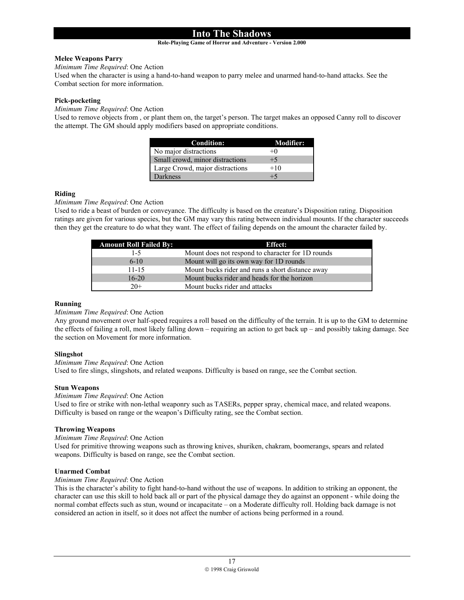## **Role-Playing Game of Horror and Adventure - Version 2.000**

# **Melee Weapons Parry**

*Minimum Time Required*: One Action

Used when the character is using a hand-to-hand weapon to parry melee and unarmed hand-to-hand attacks. See the Combat section for more information.

# **Pick-pocketing**

*Minimum Time Required*: One Action

Used to remove objects from , or plant them on, the target's person. The target makes an opposed Canny roll to discover the attempt. The GM should apply modifiers based on appropriate conditions.

| <b>Condition:</b>               | Modifier: |
|---------------------------------|-----------|
| No major distractions           | $+0$      |
| Small crowd, minor distractions | $+5$      |
| Large Crowd, major distractions | $+10$     |
| Darkness                        | $+5$      |

# **Riding**

*Minimum Time Required*: One Action

Used to ride a beast of burden or conveyance. The difficulty is based on the creature's Disposition rating. Disposition ratings are given for various species, but the GM may vary this rating between individual mounts. If the character succeeds then they get the creature to do what they want. The effect of failing depends on the amount the character failed by.

| <b>Amount Roll Failed By:</b> | <b>Effect:</b>                                    |
|-------------------------------|---------------------------------------------------|
| $1 - 5$                       | Mount does not respond to character for 1D rounds |
| $6 - 10$                      | Mount will go its own way for 1D rounds           |
| $11 - 15$                     | Mount bucks rider and runs a short distance away  |
| $16 - 20$                     | Mount bucks rider and heads for the horizon       |
| $20+$                         | Mount bucks rider and attacks                     |

# **Running**

*Minimum Time Required*: One Action

Any ground movement over half-speed requires a roll based on the difficulty of the terrain. It is up to the GM to determine the effects of failing a roll, most likely falling down – requiring an action to get back up – and possibly taking damage. See the section on Movement for more information.

#### **Slingshot**

*Minimum Time Required*: One Action

Used to fire slings, slingshots, and related weapons. Difficulty is based on range, see the Combat section.

# **Stun Weapons**

*Minimum Time Required*: One Action

Used to fire or strike with non-lethal weaponry such as TASERs, pepper spray, chemical mace, and related weapons. Difficulty is based on range or the weapon's Difficulty rating, see the Combat section.

# **Throwing Weapons**

*Minimum Time Required*: One Action

Used for primitive throwing weapons such as throwing knives, shuriken, chakram, boomerangs, spears and related weapons. Difficulty is based on range, see the Combat section.

#### **Unarmed Combat**

# *Minimum Time Required*: One Action

This is the character's ability to fight hand-to-hand without the use of weapons. In addition to striking an opponent, the character can use this skill to hold back all or part of the physical damage they do against an opponent - while doing the normal combat effects such as stun, wound or incapacitate – on a Moderate difficulty roll. Holding back damage is not considered an action in itself, so it does not affect the number of actions being performed in a round.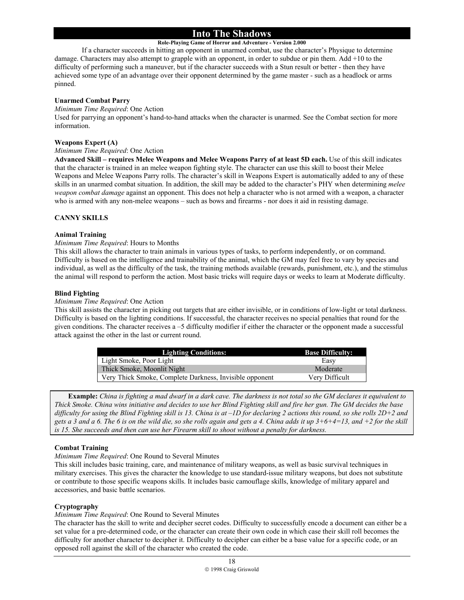# **Role-Playing Game of Horror and Adventure - Version 2.000**

If a character succeeds in hitting an opponent in unarmed combat, use the character's Physique to determine damage. Characters may also attempt to grapple with an opponent, in order to subdue or pin them. Add +10 to the difficulty of performing such a maneuver, but if the character succeeds with a Stun result or better - then they have achieved some type of an advantage over their opponent determined by the game master - such as a headlock or arms pinned.

#### **Unarmed Combat Parry**

#### *Minimum Time Required*: One Action

Used for parrying an opponent's hand-to-hand attacks when the character is unarmed. See the Combat section for more information.

#### **Weapons Expert (A)**

## *Minimum Time Required*: One Action

**Advanced Skill – requires Melee Weapons and Melee Weapons Parry of at least 5D each.** Use of this skill indicates that the character is trained in an melee weapon fighting style. The character can use this skill to boost their Melee Weapons and Melee Weapons Parry rolls. The character's skill in Weapons Expert is automatically added to any of these skills in an unarmed combat situation. In addition, the skill may be added to the character's PHY when determining *melee weapon combat damage* against an opponent. This does not help a character who is not armed with a weapon, a character who is armed with any non-melee weapons – such as bows and firearms - nor does it aid in resisting damage.

#### **CANNY SKILLS**

#### **Animal Training**

#### *Minimum Time Required*: Hours to Months

This skill allows the character to train animals in various types of tasks, to perform independently, or on command. Difficulty is based on the intelligence and trainability of the animal, which the GM may feel free to vary by species and individual, as well as the difficulty of the task, the training methods available (rewards, punishment, etc.), and the stimulus the animal will respond to perform the action. Most basic tricks will require days or weeks to learn at Moderate difficulty.

# **Blind Fighting**

#### *Minimum Time Required*: One Action

This skill assists the character in picking out targets that are either invisible, or in conditions of low-light or total darkness. Difficulty is based on the lighting conditions. If successful, the character receives no special penalties that round for the given conditions. The character receives a –5 difficulty modifier if either the character or the opponent made a successful attack against the other in the last or current round.

| <b>Lighting Conditions:</b>                             | <b>Base Difficulty:</b> |
|---------------------------------------------------------|-------------------------|
| Light Smoke, Poor Light                                 | Easy                    |
| Thick Smoke, Moonlit Night                              | Moderate                |
| Very Thick Smoke, Complete Darkness, Invisible opponent | Very Difficult          |

 **Example:** *China is fighting a mad dwarf in a dark cave. The darkness is not total so the GM declares it equivalent to Thick Smoke. China wins initiative and decides to use her Blind Fighting skill and fire her gun. The GM decides the base difficulty for using the Blind Fighting skill is 13. China is at –1D for declaring 2 actions this round, so she rolls 2D+2 and gets a 3 and a 6. The 6 is on the wild die, so she rolls again and gets a 4. China adds it up 3+6+4=13, and +2 for the skill is 15. She succeeds and then can use her Firearm skill to shoot without a penalty for darkness.*

#### **Combat Training**

#### *Minimum Time Required*: One Round to Several Minutes

This skill includes basic training, care, and maintenance of military weapons, as well as basic survival techniques in military exercises. This gives the character the knowledge to use standard-issue military weapons, but does not substitute or contribute to those specific weapons skills. It includes basic camouflage skills, knowledge of military apparel and accessories, and basic battle scenarios.

## **Cryptography**

#### *Minimum Time Required*: One Round to Several Minutes

The character has the skill to write and decipher secret codes. Difficulty to successfully encode a document can either be a set value for a pre-determined code, or the character can create their own code in which case their skill roll becomes the difficulty for another character to decipher it. Difficulty to decipher can either be a base value for a specific code, or an opposed roll against the skill of the character who created the code.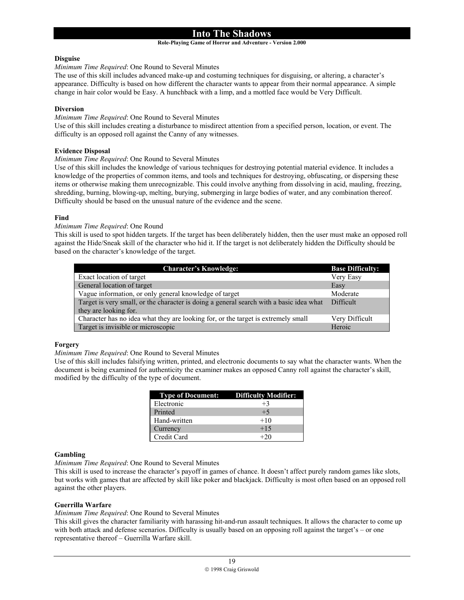## **Role-Playing Game of Horror and Adventure - Version 2.000**

# **Disguise**

*Minimum Time Required*: One Round to Several Minutes

The use of this skill includes advanced make-up and costuming techniques for disguising, or altering, a character's appearance. Difficulty is based on how different the character wants to appear from their normal appearance. A simple change in hair color would be Easy. A hunchback with a limp, and a mottled face would be Very Difficult.

# **Diversion**

*Minimum Time Required*: One Round to Several Minutes

Use of this skill includes creating a disturbance to misdirect attention from a specified person, location, or event. The difficulty is an opposed roll against the Canny of any witnesses.

# **Evidence Disposal**

# *Minimum Time Required*: One Round to Several Minutes

Use of this skill includes the knowledge of various techniques for destroying potential material evidence. It includes a knowledge of the properties of common items, and tools and techniques for destroying, obfuscating, or dispersing these items or otherwise making them unrecognizable. This could involve anything from dissolving in acid, mauling, freezing, shredding, burning, blowing-up, melting, burying, submerging in large bodies of water, and any combination thereof. Difficulty should be based on the unusual nature of the evidence and the scene.

# **Find**

# *Minimum Time Required*: One Round

This skill is used to spot hidden targets. If the target has been deliberately hidden, then the user must make an opposed roll against the Hide/Sneak skill of the character who hid it. If the target is not deliberately hidden the Difficulty should be based on the character's knowledge of the target.

| <b>Character's Knowledge:</b>                                                           | <b>Base Difficulty:</b> |
|-----------------------------------------------------------------------------------------|-------------------------|
| Exact location of target                                                                | Very Easy               |
| General location of target                                                              | Easy                    |
| Vague information, or only general knowledge of target                                  | Moderate                |
| Target is very small, or the character is doing a general search with a basic idea what | Difficult               |
| they are looking for.                                                                   |                         |
| Character has no idea what they are looking for, or the target is extremely small       | Very Difficult          |
| Target is invisible or microscopic                                                      | Heroic                  |

#### **Forgery**

*Minimum Time Required*: One Round to Several Minutes

Use of this skill includes falsifying written, printed, and electronic documents to say what the character wants. When the document is being examined for authenticity the examiner makes an opposed Canny roll against the character's skill, modified by the difficulty of the type of document.

| <b>Type of Document:</b> Difficulty Modifier: |       |
|-----------------------------------------------|-------|
| Electronic                                    | $+3$  |
| Printed                                       | $+5$  |
| Hand-written                                  | $+10$ |
| Currency                                      | $+15$ |
| Credit Card                                   | $+20$ |

#### **Gambling**

*Minimum Time Required*: One Round to Several Minutes

This skill is used to increase the character's payoff in games of chance. It doesn't affect purely random games like slots, but works with games that are affected by skill like poker and blackjack. Difficulty is most often based on an opposed roll against the other players.

# **Guerrilla Warfare**

*Minimum Time Required*: One Round to Several Minutes

This skill gives the character familiarity with harassing hit-and-run assault techniques. It allows the character to come up with both attack and defense scenarios. Difficulty is usually based on an opposing roll against the target's – or one representative thereof – Guerrilla Warfare skill.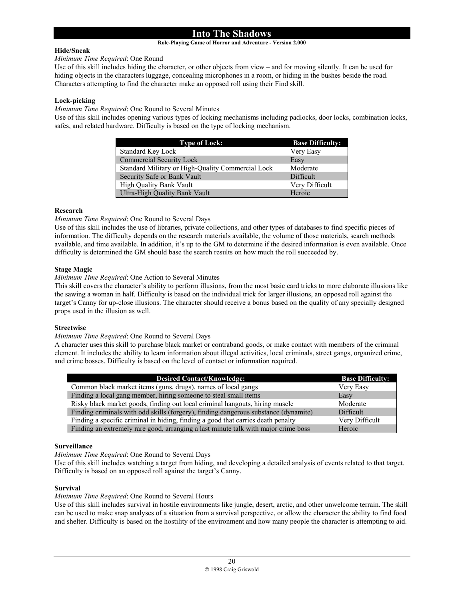# **Role-Playing Game of Horror and Adventure - Version 2.000**

# **Hide/Sneak**

#### *Minimum Time Required*: One Round

Use of this skill includes hiding the character, or other objects from view – and for moving silently. It can be used for hiding objects in the characters luggage, concealing microphones in a room, or hiding in the bushes beside the road. Characters attempting to find the character make an opposed roll using their Find skill.

## **Lock-picking**

*Minimum Time Required*: One Round to Several Minutes

Use of this skill includes opening various types of locking mechanisms including padlocks, door locks, combination locks, safes, and related hardware. Difficulty is based on the type of locking mechanism.

| <b>Type of Lock:</b>                              | <b>Base Difficulty:</b> |
|---------------------------------------------------|-------------------------|
| Standard Key Lock                                 | Very Easy               |
| <b>Commercial Security Lock</b>                   | Easy                    |
| Standard Military or High-Quality Commercial Lock | Moderate                |
| Security Safe or Bank Vault                       | Difficult               |
| High Quality Bank Vault                           | Very Difficult          |
| Ultra-High Quality Bank Vault                     | Heroic                  |

#### **Research**

*Minimum Time Required*: One Round to Several Days

Use of this skill includes the use of libraries, private collections, and other types of databases to find specific pieces of information. The difficulty depends on the research materials available, the volume of those materials, search methods available, and time available. In addition, it's up to the GM to determine if the desired information is even available. Once difficulty is determined the GM should base the search results on how much the roll succeeded by.

# **Stage Magic**

# *Minimum Time Required*: One Action to Several Minutes

This skill covers the character's ability to perform illusions, from the most basic card tricks to more elaborate illusions like the sawing a woman in half. Difficulty is based on the individual trick for larger illusions, an opposed roll against the target's Canny for up-close illusions. The character should receive a bonus based on the quality of any specially designed props used in the illusion as well.

#### **Streetwise**

#### *Minimum Time Required*: One Round to Several Days

A character uses this skill to purchase black market or contraband goods, or make contact with members of the criminal element. It includes the ability to learn information about illegal activities, local criminals, street gangs, organized crime, and crime bosses. Difficulty is based on the level of contact or information required.

| <b>Desired Contact/Knowledge:</b>                                                   | <b>Base Difficulty:</b> |
|-------------------------------------------------------------------------------------|-------------------------|
| Common black market items (guns, drugs), names of local gangs                       | Very Easy               |
| Finding a local gang member, hiring someone to steal small items                    | Easy                    |
| Risky black market goods, finding out local criminal hangouts, hiring muscle        | Moderate                |
| Finding criminals with odd skills (forgery), finding dangerous substance (dynamite) | Difficult               |
| Finding a specific criminal in hiding, finding a good that carries death penalty    | Very Difficult          |
| Finding an extremely rare good, arranging a last minute talk with major crime boss  | Heroic                  |

#### **Surveillance**

*Minimum Time Required*: One Round to Several Days

Use of this skill includes watching a target from hiding, and developing a detailed analysis of events related to that target. Difficulty is based on an opposed roll against the target's Canny.

# **Survival**

*Minimum Time Required*: One Round to Several Hours

Use of this skill includes survival in hostile environments like jungle, desert, arctic, and other unwelcome terrain. The skill can be used to make snap analyses of a situation from a survival perspective, or allow the character the ability to find food and shelter. Difficulty is based on the hostility of the environment and how many people the character is attempting to aid.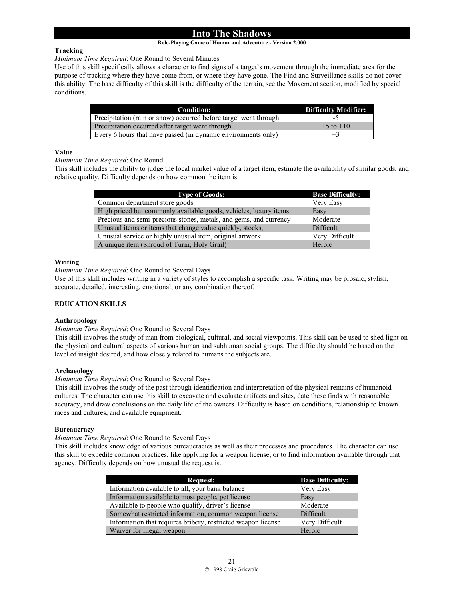## **Role-Playing Game of Horror and Adventure - Version 2.000**

# **Tracking**

*Minimum Time Required*: One Round to Several Minutes

Use of this skill specifically allows a character to find signs of a target's movement through the immediate area for the purpose of tracking where they have come from, or where they have gone. The Find and Surveillance skills do not cover this ability. The base difficulty of this skill is the difficulty of the terrain, see the Movement section, modified by special conditions.

| <b>Condition:</b>                                                | <b>Difficulty Modifier:</b> |
|------------------------------------------------------------------|-----------------------------|
| Precipitation (rain or snow) occurred before target went through | -7                          |
| Precipitation occurred after target went through                 | $+5$ to $+10$               |
| Every 6 hours that have passed (in dynamic environments only)    | $+3$                        |

# **Value**

*Minimum Time Required*: One Round

This skill includes the ability to judge the local market value of a target item, estimate the availability of similar goods, and relative quality. Difficulty depends on how common the item is.

| <b>Type of Goods:</b>                                             | <b>Base Difficulty:</b> |
|-------------------------------------------------------------------|-------------------------|
| Common department store goods                                     | Very Easy               |
| High priced but commonly available goods, vehicles, luxury items  | Easy                    |
| Precious and semi-precious stones, metals, and gems, and currency | Moderate                |
| Unusual items or items that change value quickly, stocks,         | Difficult               |
| Unusual service or highly unusual item, original artwork          | Very Difficult          |
| A unique item (Shroud of Turin, Holy Grail)                       | Heroic                  |

# **Writing**

*Minimum Time Required*: One Round to Several Days

Use of this skill includes writing in a variety of styles to accomplish a specific task. Writing may be prosaic, stylish, accurate, detailed, interesting, emotional, or any combination thereof.

# **EDUCATION SKILLS**

#### **Anthropology**

*Minimum Time Required*: One Round to Several Days

This skill involves the study of man from biological, cultural, and social viewpoints. This skill can be used to shed light on the physical and cultural aspects of various human and subhuman social groups. The difficulty should be based on the level of insight desired, and how closely related to humans the subjects are.

#### **Archaeology**

# *Minimum Time Required*: One Round to Several Days

This skill involves the study of the past through identification and interpretation of the physical remains of humanoid cultures. The character can use this skill to excavate and evaluate artifacts and sites, date these finds with reasonable accuracy, and draw conclusions on the daily life of the owners. Difficulty is based on conditions, relationship to known races and cultures, and available equipment.

#### **Bureaucracy**

# *Minimum Time Required*: One Round to Several Days

This skill includes knowledge of various bureaucracies as well as their processes and procedures. The character can use this skill to expedite common practices, like applying for a weapon license, or to find information available through that agency. Difficulty depends on how unusual the request is.

| <b>Request:</b>                                              | <b>Base Difficulty:</b> |
|--------------------------------------------------------------|-------------------------|
| Information available to all, your bank balance              | Very Easy               |
| Information available to most people, pet license            | Easy                    |
| Available to people who qualify, driver's license            | Moderate                |
| Somewhat restricted information, common weapon license       | Difficult               |
| Information that requires bribery, restricted weapon license | Very Difficult          |
| Waiver for illegal weapon                                    | Heroic                  |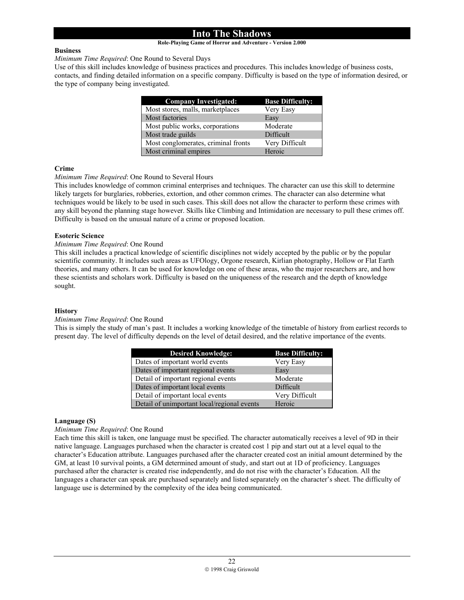# **Role-Playing Game of Horror and Adventure - Version 2.000**

#### **Business**

*Minimum Time Required*: One Round to Several Days

Use of this skill includes knowledge of business practices and procedures. This includes knowledge of business costs, contacts, and finding detailed information on a specific company. Difficulty is based on the type of information desired, or the type of company being investigated.

| <b>Company Investigated:</b>        | <b>Base Difficulty:</b> |
|-------------------------------------|-------------------------|
| Most stores, malls, marketplaces    | Very Easy               |
| Most factories                      | Easy                    |
| Most public works, corporations     | Moderate                |
| Most trade guilds                   | Difficult               |
| Most conglomerates, criminal fronts | Very Difficult          |
| Most criminal empires               | Heroic                  |

# **Crime**

# *Minimum Time Required*: One Round to Several Hours

This includes knowledge of common criminal enterprises and techniques. The character can use this skill to determine likely targets for burglaries, robberies, extortion, and other common crimes. The character can also determine what techniques would be likely to be used in such cases. This skill does not allow the character to perform these crimes with any skill beyond the planning stage however. Skills like Climbing and Intimidation are necessary to pull these crimes off. Difficulty is based on the unusual nature of a crime or proposed location.

# **Esoteric Science**

# *Minimum Time Required*: One Round

This skill includes a practical knowledge of scientific disciplines not widely accepted by the public or by the popular scientific community. It includes such areas as UFOlogy, Orgone research, Kirlian photography, Hollow or Flat Earth theories, and many others. It can be used for knowledge on one of these areas, who the major researchers are, and how these scientists and scholars work. Difficulty is based on the uniqueness of the research and the depth of knowledge sought.

#### **History**

# *Minimum Time Required*: One Round

This is simply the study of man's past. It includes a working knowledge of the timetable of history from earliest records to present day. The level of difficulty depends on the level of detail desired, and the relative importance of the events.

| <b>Desired Knowledge:</b>                   | <b>Base Difficulty:</b> |
|---------------------------------------------|-------------------------|
| Dates of important world events             | Very Easy               |
| Dates of important regional events          | Easy                    |
| Detail of important regional events         | Moderate                |
| Dates of important local events             | Difficult               |
| Detail of important local events            | Very Difficult          |
| Detail of unimportant local/regional events | Heroic                  |

#### **Language (S)**

*Minimum Time Required*: One Round

Each time this skill is taken, one language must be specified. The character automatically receives a level of 9D in their native language. Languages purchased when the character is created cost 1 pip and start out at a level equal to the character's Education attribute. Languages purchased after the character created cost an initial amount determined by the GM, at least 10 survival points, a GM determined amount of study, and start out at 1D of proficiency. Languages purchased after the character is created rise independently, and do not rise with the character's Education. All the languages a character can speak are purchased separately and listed separately on the character's sheet. The difficulty of language use is determined by the complexity of the idea being communicated.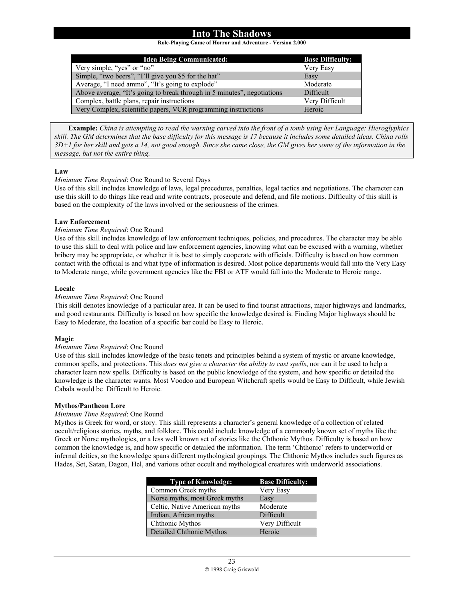**Role-Playing Game of Horror and Adventure - Version 2.000**

| <b>Idea Being Communicated:</b>                                         | <b>Base Difficulty:</b> |
|-------------------------------------------------------------------------|-------------------------|
| Very simple, "yes" or "no"                                              | Very Easy               |
| Simple, "two beers", "I'll give you \$5 for the hat"                    | Easy                    |
| Average, "I need ammo", "It's going to explode"                         | Moderate                |
| Above average, "It's going to break through in 5 minutes", negotiations | <b>Difficult</b>        |
| Complex, battle plans, repair instructions                              | Very Difficult          |
| Very Complex, scientific papers, VCR programming instructions           | Heroic                  |

**Example:** *China is attempting to read the warning carved into the front of a tomb using her Language: Hieroglyphics skill. The GM determines that the base difficulty for this message is 17 because it includes some detailed ideas. China rolls 3D+1 for her skill and gets a 14, not good enough. Since she came close, the GM gives her some of the information in the message, but not the entire thing.*

# **Law**

# *Minimum Time Required*: One Round to Several Days

Use of this skill includes knowledge of laws, legal procedures, penalties, legal tactics and negotiations. The character can use this skill to do things like read and write contracts, prosecute and defend, and file motions. Difficulty of this skill is based on the complexity of the laws involved or the seriousness of the crimes.

# **Law Enforcement**

# *Minimum Time Required*: One Round

Use of this skill includes knowledge of law enforcement techniques, policies, and procedures. The character may be able to use this skill to deal with police and law enforcement agencies, knowing what can be excused with a warning, whether bribery may be appropriate, or whether it is best to simply cooperate with officials. Difficulty is based on how common contact with the official is and what type of information is desired. Most police departments would fall into the Very Easy to Moderate range, while government agencies like the FBI or ATF would fall into the Moderate to Heroic range.

# **Locale**

## *Minimum Time Required*: One Round

This skill denotes knowledge of a particular area. It can be used to find tourist attractions, major highways and landmarks, and good restaurants. Difficulty is based on how specific the knowledge desired is. Finding Major highways should be Easy to Moderate, the location of a specific bar could be Easy to Heroic.

# **Magic**

#### *Minimum Time Required*: One Round

Use of this skill includes knowledge of the basic tenets and principles behind a system of mystic or arcane knowledge, common spells, and protections. This *does not give a character the ability to cast spells*, nor can it be used to help a character learn new spells. Difficulty is based on the public knowledge of the system, and how specific or detailed the knowledge is the character wants. Most Voodoo and European Witchcraft spells would be Easy to Difficult, while Jewish Cabala would be Difficult to Heroic.

#### **Mythos/Pantheon Lore**

#### *Minimum Time Required*: One Round

Mythos is Greek for word, or story. This skill represents a character's general knowledge of a collection of related occult/religious stories, myths, and folklore. This could include knowledge of a commonly known set of myths like the Greek or Norse mythologies, or a less well known set of stories like the Chthonic Mythos. Difficulty is based on how common the knowledge is, and how specific or detailed the information. The term 'Chthonic' refers to underworld or infernal deities, so the knowledge spans different mythological groupings. The Chthonic Mythos includes such figures as Hades, Set, Satan, Dagon, Hel, and various other occult and mythological creatures with underworld associations.

| <b>Type of Knowledge:</b>     | <b>Base Difficulty:</b> |
|-------------------------------|-------------------------|
| Common Greek myths            | Very Easy               |
| Norse myths, most Greek myths | Easy                    |
| Celtic, Native American myths | Moderate                |
| Indian, African myths         | Difficult               |
| Chthonic Mythos               | Very Difficult          |
| Detailed Chthonic Mythos      | Heroic                  |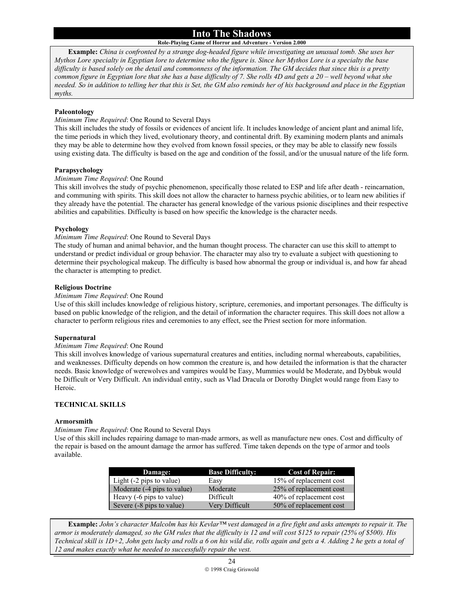# **Role-Playing Game of Horror and Adventure - Version 2.000**

**Example:** *China is confronted by a strange dog-headed figure while investigating an unusual tomb. She uses her Mythos Lore specialty in Egyptian lore to determine who the figure is. Since her Mythos Lore is a specialty the base difficulty is based solely on the detail and commonness of the information. The GM decides that since this is a pretty common figure in Egyptian lore that she has a base difficulty of 7. She rolls 4D and gets a 20 – well beyond what she needed. So in addition to telling her that this is Set, the GM also reminds her of his background and place in the Egyptian myths.* 

## **Paleontology**

#### *Minimum Time Required*: One Round to Several Days

This skill includes the study of fossils or evidences of ancient life. It includes knowledge of ancient plant and animal life, the time periods in which they lived, evolutionary theory, and continental drift. By examining modern plants and animals they may be able to determine how they evolved from known fossil species, or they may be able to classify new fossils using existing data. The difficulty is based on the age and condition of the fossil, and/or the unusual nature of the life form.

## **Parapsychology**

#### *Minimum Time Required*: One Round

This skill involves the study of psychic phenomenon, specifically those related to ESP and life after death - reincarnation, and communing with spirits. This skill does not allow the character to harness psychic abilities, or to learn new abilities if they already have the potential. The character has general knowledge of the various psionic disciplines and their respective abilities and capabilities. Difficulty is based on how specific the knowledge is the character needs.

#### **Psychology**

# *Minimum Time Required*: One Round to Several Days

The study of human and animal behavior, and the human thought process. The character can use this skill to attempt to understand or predict individual or group behavior. The character may also try to evaluate a subject with questioning to determine their psychological makeup. The difficulty is based how abnormal the group or individual is, and how far ahead the character is attempting to predict.

#### **Religious Doctrine**

#### *Minimum Time Required*: One Round

Use of this skill includes knowledge of religious history, scripture, ceremonies, and important personages. The difficulty is based on public knowledge of the religion, and the detail of information the character requires. This skill does not allow a character to perform religious rites and ceremonies to any effect, see the Priest section for more information.

#### **Supernatural**

#### *Minimum Time Required*: One Round

This skill involves knowledge of various supernatural creatures and entities, including normal whereabouts, capabilities, and weaknesses. Difficulty depends on how common the creature is, and how detailed the information is that the character needs. Basic knowledge of werewolves and vampires would be Easy, Mummies would be Moderate, and Dybbuk would be Difficult or Very Difficult. An individual entity, such as Vlad Dracula or Dorothy Dinglet would range from Easy to Heroic.

## **TECHNICAL SKILLS**

#### **Armorsmith**

#### *Minimum Time Required*: One Round to Several Days

Use of this skill includes repairing damage to man-made armors, as well as manufacture new ones. Cost and difficulty of the repair is based on the amount damage the armor has suffered. Time taken depends on the type of armor and tools available.

| Damage:                     | <b>Base Difficulty:</b> | <b>Cost of Repair:</b>  |
|-----------------------------|-------------------------|-------------------------|
| Light $(-2$ pips to value)  | Easy                    | 15% of replacement cost |
| Moderate (-4 pips to value) | Moderate                | 25% of replacement cost |
| Heavy (-6 pips to value)    | Difficult               | 40% of replacement cost |
| Severe (-8 pips to value)   | Very Difficult          | 50% of replacement cost |

**Example:** *John's character Malcolm has his Kevlar™ vest damaged in a fire fight and asks attempts to repair it. The armor is moderately damaged, so the GM rules that the difficulty is 12 and will cost \$125 to repair (25% of \$500). His Technical skill is 1D+2, John gets lucky and rolls a 6 on his wild die, rolls again and gets a 4. Adding 2 he gets a total of 12 and makes exactly what he needed to successfully repair the vest.*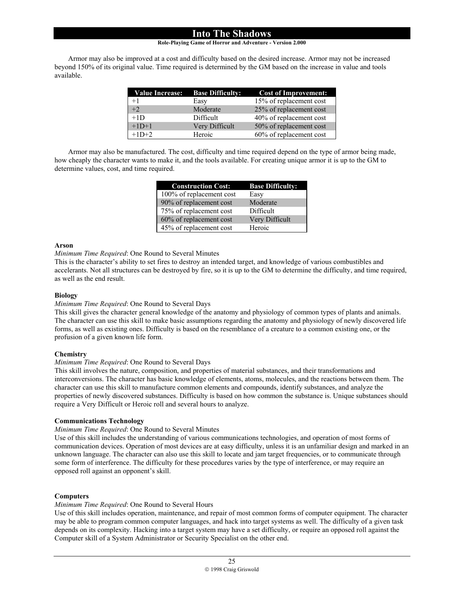## **Role-Playing Game of Horror and Adventure - Version 2.000**

 Armor may also be improved at a cost and difficulty based on the desired increase. Armor may not be increased beyond 150% of its original value. Time required is determined by the GM based on the increase in value and tools available.

| <b>Value Increase:</b> | <b>Base Difficulty:</b> | <b>Cost of Improvement:</b> |
|------------------------|-------------------------|-----------------------------|
| $+1$                   | Easy                    | 15% of replacement cost     |
| $+2$                   | Moderate                | 25% of replacement cost     |
| $+1D$                  | Difficult               | 40% of replacement cost     |
| $+1D+1$                | Very Difficult          | 50% of replacement cost     |
| $+1D+2$                | Heroic                  | 60% of replacement cost     |

 Armor may also be manufactured. The cost, difficulty and time required depend on the type of armor being made, how cheaply the character wants to make it, and the tools available. For creating unique armor it is up to the GM to determine values, cost, and time required.

| <b>Construction Cost:</b> | <b>Base Difficulty:</b> |
|---------------------------|-------------------------|
| 100% of replacement cost  | Easy                    |
| 90% of replacement cost   | Moderate                |
| 75% of replacement cost   | Difficult               |
| 60% of replacement cost   | Very Difficult          |
| 45% of replacement cost   | Heroic                  |

#### **Arson**

#### *Minimum Time Required*: One Round to Several Minutes

This is the character's ability to set fires to destroy an intended target, and knowledge of various combustibles and accelerants. Not all structures can be destroyed by fire, so it is up to the GM to determine the difficulty, and time required, as well as the end result.

#### **Biology**

#### *Minimum Time Required*: One Round to Several Days

This skill gives the character general knowledge of the anatomy and physiology of common types of plants and animals. The character can use this skill to make basic assumptions regarding the anatomy and physiology of newly discovered life forms, as well as existing ones. Difficulty is based on the resemblance of a creature to a common existing one, or the profusion of a given known life form.

#### **Chemistry**

# *Minimum Time Required*: One Round to Several Days

This skill involves the nature, composition, and properties of material substances, and their transformations and interconversions. The character has basic knowledge of elements, atoms, molecules, and the reactions between them. The character can use this skill to manufacture common elements and compounds, identify substances, and analyze the properties of newly discovered substances. Difficulty is based on how common the substance is. Unique substances should require a Very Difficult or Heroic roll and several hours to analyze.

## **Communications Technology**

#### *Minimum Time Required*: One Round to Several Minutes

Use of this skill includes the understanding of various communications technologies, and operation of most forms of communication devices. Operation of most devices are at easy difficulty, unless it is an unfamiliar design and marked in an unknown language. The character can also use this skill to locate and jam target frequencies, or to communicate through some form of interference. The difficulty for these procedures varies by the type of interference, or may require an opposed roll against an opponent's skill.

# **Computers**

# *Minimum Time Required*: One Round to Several Hours

Use of this skill includes operation, maintenance, and repair of most common forms of computer equipment. The character may be able to program common computer languages, and hack into target systems as well. The difficulty of a given task depends on its complexity. Hacking into a target system may have a set difficulty, or require an opposed roll against the Computer skill of a System Administrator or Security Specialist on the other end.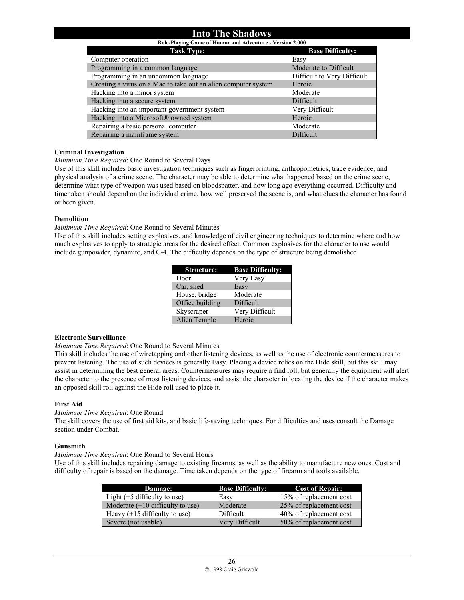## **Role-Playing Game of Horror and Adventure - Version 2.000**

| <b>Task Type:</b>                                              | <b>Base Difficulty:</b>     |
|----------------------------------------------------------------|-----------------------------|
| Computer operation                                             | Easy                        |
| Programming in a common language                               | Moderate to Difficult       |
| Programming in an uncommon language                            | Difficult to Very Difficult |
| Creating a virus on a Mac to take out an alien computer system | Heroic                      |
| Hacking into a minor system                                    | Moderate                    |
| Hacking into a secure system                                   | Difficult                   |
| Hacking into an important government system                    | Very Difficult              |
| Hacking into a Microsoft® owned system                         | Heroic                      |
| Repairing a basic personal computer                            | Moderate                    |
| Repairing a mainframe system                                   | Difficult                   |

# **Criminal Investigation**

*Minimum Time Required*: One Round to Several Days

Use of this skill includes basic investigation techniques such as fingerprinting, anthropometrics, trace evidence, and physical analysis of a crime scene. The character may be able to determine what happened based on the crime scene, determine what type of weapon was used based on bloodspatter, and how long ago everything occurred. Difficulty and time taken should depend on the individual crime, how well preserved the scene is, and what clues the character has found or been given.

# **Demolition**

# *Minimum Time Required*: One Round to Several Minutes

Use of this skill includes setting explosives, and knowledge of civil engineering techniques to determine where and how much explosives to apply to strategic areas for the desired effect. Common explosives for the character to use would include gunpowder, dynamite, and C-4. The difficulty depends on the type of structure being demolished.

| Structure:      | <b>Base Difficulty:</b> |
|-----------------|-------------------------|
| Door            | Very Easy               |
| Car, shed       | Easy                    |
| House, bridge   | Moderate                |
| Office building | Difficult               |
| Skyscraper      | Very Difficult          |
| Alien Temple    | Heroic                  |

#### **Electronic Surveillance**

*Minimum Time Required*: One Round to Several Minutes

This skill includes the use of wiretapping and other listening devices, as well as the use of electronic countermeasures to prevent listening. The use of such devices is generally Easy. Placing a device relies on the Hide skill, but this skill may assist in determining the best general areas. Countermeasures may require a find roll, but generally the equipment will alert the character to the presence of most listening devices, and assist the character in locating the device if the character makes an opposed skill roll against the Hide roll used to place it.

# **First Aid**

# *Minimum Time Required*: One Round

The skill covers the use of first aid kits, and basic life-saving techniques. For difficulties and uses consult the Damage section under Combat.

#### **Gunsmith**

# *Minimum Time Required*: One Round to Several Hours

Use of this skill includes repairing damage to existing firearms, as well as the ability to manufacture new ones. Cost and difficulty of repair is based on the damage. Time taken depends on the type of firearm and tools available.

| Damage:                            | <b>Base Difficulty:</b> | <b>Cost of Repair:</b>  |
|------------------------------------|-------------------------|-------------------------|
| Light $(+5$ difficulty to use)     | Easy                    | 15% of replacement cost |
| Moderate $(+10$ difficulty to use) | Moderate                | 25% of replacement cost |
| Heavy $(+15$ difficulty to use)    | Difficult               | 40% of replacement cost |
| Severe (not usable)                | Very Difficult          | 50% of replacement cost |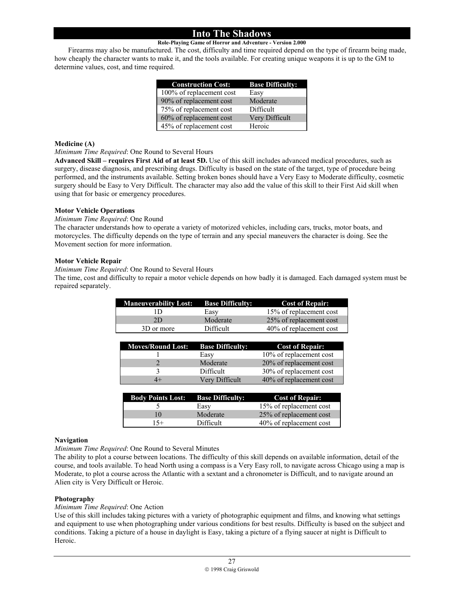# **Role-Playing Game of Horror and Adventure - Version 2.000**

 Firearms may also be manufactured. The cost, difficulty and time required depend on the type of firearm being made, how cheaply the character wants to make it, and the tools available. For creating unique weapons it is up to the GM to determine values, cost, and time required.

| <b>Construction Cost:</b> | <b>Base Difficulty:</b> |
|---------------------------|-------------------------|
| 100% of replacement cost  | Easy                    |
| 90% of replacement cost   | Moderate                |
| 75% of replacement cost   | Difficult               |
| 60% of replacement cost   | Very Difficult          |
| 45% of replacement cost   | Heroic                  |

## **Medicine (A)**

*Minimum Time Required*: One Round to Several Hours

**Advanced Skill – requires First Aid of at least 5D.** Use of this skill includes advanced medical procedures, such as surgery, disease diagnosis, and prescribing drugs. Difficulty is based on the state of the target, type of procedure being performed, and the instruments available. Setting broken bones should have a Very Easy to Moderate difficulty, cosmetic surgery should be Easy to Very Difficult. The character may also add the value of this skill to their First Aid skill when using that for basic or emergency procedures.

# **Motor Vehicle Operations**

#### *Minimum Time Required*: One Round

The character understands how to operate a variety of motorized vehicles, including cars, trucks, motor boats, and motorcycles. The difficulty depends on the type of terrain and any special maneuvers the character is doing. See the Movement section for more information.

# **Motor Vehicle Repair**

*Minimum Time Required*: One Round to Several Hours

The time, cost and difficulty to repair a motor vehicle depends on how badly it is damaged. Each damaged system must be repaired separately.

| <b>Maneuverability Lost:</b> | <b>Base Difficulty:</b> | <b>Cost of Repair:</b>  |
|------------------------------|-------------------------|-------------------------|
| l I )                        | Easy                    | 15% of replacement cost |
| 2D                           | Moderate                | 25% of replacement cost |
| 3D or more                   | Difficult               | 40% of replacement cost |
|                              |                         |                         |

| <b>Moves/Round Lost:</b> | <b>Base Difficulty:</b> | <b>Cost of Repair:</b>  |
|--------------------------|-------------------------|-------------------------|
|                          | Easy                    | 10% of replacement cost |
|                          | Moderate                | 20% of replacement cost |
|                          | Difficult               | 30% of replacement cost |
| $^{4+}$                  | Very Difficult          | 40% of replacement cost |
|                          |                         |                         |

| <b>Body Points Lost:</b> | <b>Base Difficulty:</b> | <b>Cost of Repair:</b>  |
|--------------------------|-------------------------|-------------------------|
|                          | Easy                    | 15% of replacement cost |
| 10                       | Moderate                | 25% of replacement cost |
| $15+$                    | Difficult               | 40% of replacement cost |

#### **Navigation**

*Minimum Time Required*: One Round to Several Minutes

The ability to plot a course between locations. The difficulty of this skill depends on available information, detail of the course, and tools available. To head North using a compass is a Very Easy roll, to navigate across Chicago using a map is Moderate, to plot a course across the Atlantic with a sextant and a chronometer is Difficult, and to navigate around an Alien city is Very Difficult or Heroic.

#### **Photography**

#### *Minimum Time Required*: One Action

Use of this skill includes taking pictures with a variety of photographic equipment and films, and knowing what settings and equipment to use when photographing under various conditions for best results. Difficulty is based on the subject and conditions. Taking a picture of a house in daylight is Easy, taking a picture of a flying saucer at night is Difficult to Heroic.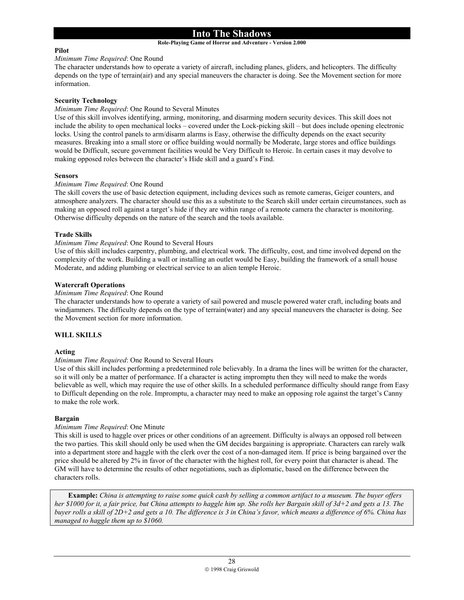# **Role-Playing Game of Horror and Adventure - Version 2.000**

# **Pilot**

#### *Minimum Time Required*: One Round

The character understands how to operate a variety of aircraft, including planes, gliders, and helicopters. The difficulty depends on the type of terrain(air) and any special maneuvers the character is doing. See the Movement section for more information.

# **Security Technology**

# *Minimum Time Required*: One Round to Several Minutes

Use of this skill involves identifying, arming, monitoring, and disarming modern security devices. This skill does not include the ability to open mechanical locks – covered under the Lock-picking skill – but does include opening electronic locks. Using the control panels to arm/disarm alarms is Easy, otherwise the difficulty depends on the exact security measures. Breaking into a small store or office building would normally be Moderate, large stores and office buildings would be Difficult, secure government facilities would be Very Difficult to Heroic. In certain cases it may devolve to making opposed roles between the character's Hide skill and a guard's Find.

# **Sensors**

# *Minimum Time Required*: One Round

The skill covers the use of basic detection equipment, including devices such as remote cameras, Geiger counters, and atmosphere analyzers. The character should use this as a substitute to the Search skill under certain circumstances, such as making an opposed roll against a target's hide if they are within range of a remote camera the character is monitoring. Otherwise difficulty depends on the nature of the search and the tools available.

# **Trade Skills**

# *Minimum Time Required*: One Round to Several Hours

Use of this skill includes carpentry, plumbing, and electrical work. The difficulty, cost, and time involved depend on the complexity of the work. Building a wall or installing an outlet would be Easy, building the framework of a small house Moderate, and adding plumbing or electrical service to an alien temple Heroic.

# **Watercraft Operations**

# *Minimum Time Required*: One Round

The character understands how to operate a variety of sail powered and muscle powered water craft, including boats and windjammers. The difficulty depends on the type of terrain(water) and any special maneuvers the character is doing. See the Movement section for more information.

# **WILL SKILLS**

# **Acting**

# *Minimum Time Required*: One Round to Several Hours

Use of this skill includes performing a predetermined role believably. In a drama the lines will be written for the character, so it will only be a matter of performance. If a character is acting impromptu then they will need to make the words believable as well, which may require the use of other skills. In a scheduled performance difficulty should range from Easy to Difficult depending on the role. Impromptu, a character may need to make an opposing role against the target's Canny to make the role work.

#### **Bargain**

# *Minimum Time Required*: One Minute

This skill is used to haggle over prices or other conditions of an agreement. Difficulty is always an opposed roll between the two parties. This skill should only be used when the GM decides bargaining is appropriate. Characters can rarely walk into a department store and haggle with the clerk over the cost of a non-damaged item. If price is being bargained over the price should be altered by 2% in favor of the character with the highest roll, for every point that character is ahead. The GM will have to determine the results of other negotiations, such as diplomatic, based on the difference between the characters rolls.

**Example:** *China is attempting to raise some quick cash by selling a common artifact to a museum. The buyer offers her \$1000 for it, a fair price, but China attempts to haggle him up. She rolls her Bargain skill of 3d+2 and gets a 13. The buyer rolls a skill of 2D+2 and gets a 10. The difference is 3 in China's favor, which means a difference of 6%. China has managed to haggle them up to \$1060.*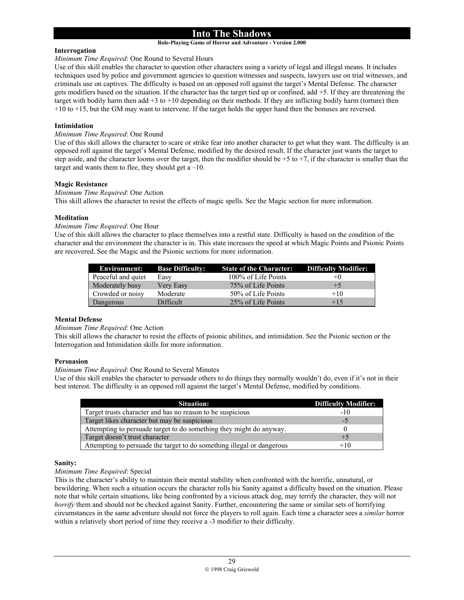#### **Role-Playing Game of Horror and Adventure - Version 2.000**

# **Interrogation**

# *Minimum Time Required*: One Round to Several Hours

Use of this skill enables the character to question other characters using a variety of legal and illegal means. It includes techniques used by police and government agencies to question witnesses and suspects, lawyers use on trial witnesses, and criminals use on captives. The difficulty is based on an opposed roll against the target's Mental Defense. The character gets modifiers based on the situation. If the character has the target tied up or confined, add +5. If they are threatening the target with bodily harm then add +3 to +10 depending on their methods. If they are inflicting bodily harm (torture) then +10 to +15, but the GM may want to intervene. If the target holds the upper hand then the bonuses are reversed.

## **Intimidation**

# *Minimum Time Required*: One Round

Use of this skill allows the character to scare or strike fear into another character to get what they want. The difficulty is an opposed roll against the target's Mental Defense, modified by the desired result. If the character just wants the target to step aside, and the character looms over the target, then the modifier should be  $+5$  to  $+7$ , if the character is smaller than the target and wants them to flee, they should get  $a - 10$ .

# **Magic Resistance**

#### *Minimum Time Required*: One Action

This skill allows the character to resist the effects of magic spells. See the Magic section for more information.

# **Meditation**

# *Minimum Time Required*: One Hour

Use of this skill allows the character to place themselves into a restful state. Difficulty is based on the condition of the character and the environment the character is in. This state increases the speed at which Magic Points and Psionic Points are recovered. See the Magic and the Psionic sections for more information.

| <b>Environment:</b> | <b>Base Difficulty:</b> | <b>State of the Character:</b> | Difficulty Modifier: |
|---------------------|-------------------------|--------------------------------|----------------------|
| Peaceful and quiet  | Easy                    | 100% of Life Points            | $+0$                 |
| Moderately busy     | Very Easy               | 75% of Life Points             | $+5$                 |
| Crowded or noisy    | Moderate                | 50% of Life Points             | $+10$                |
| Dangerous           | Difficult               | 25% of Life Points             | $+15$                |

#### **Mental Defense**

#### *Minimum Time Required*: One Action

This skill allows the character to resist the effects of psionic abilities, and intimidation. See the Psionic section or the Interrogation and Intimidation skills for more information.

# **Persuasion**

#### *Minimum Time Required*: One Round to Several Minutes

Use of this skill enables the character to persuade others to do things they normally wouldn't do, even if it's not in their best interest. The difficulty is an opposed roll against the target's Mental Defense, modified by conditions.

| <b>Situation:</b>                                                      | <b>Difficulty Modifier:</b> |
|------------------------------------------------------------------------|-----------------------------|
| Target trusts character and has no reason to be suspicious             | $-10$                       |
| Target likes character but may be suspicious                           | $-5$                        |
| Attempting to persuade target to do something they might do anyway.    |                             |
| Target doesn't trust character                                         | $+5$                        |
| Attempting to persuade the target to do something illegal or dangerous | $+10$                       |

#### **Sanity:**

# *Minimum Time Required*: Special

This is the character's ability to maintain their mental stability when confronted with the horrific, unnatural, or bewildering. When such a situation occurs the character rolls his Sanity against a difficulty based on the situation. Please note that while certain situations, like being confronted by a vicious attack dog, may terrify the character, they will not *horrify* them and should not be checked against Sanity. Further, encountering the same or similar sets of horrifying circumstances in the same adventure should not force the players to roll again. Each time a character sees a *similar* horror within a relatively short period of time they receive a -3 modifier to their difficulty.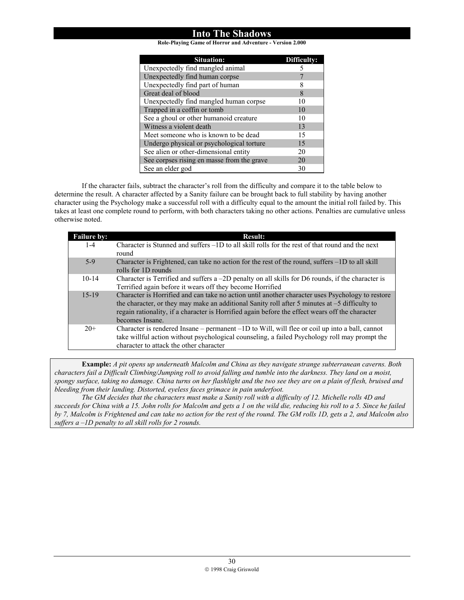**Role-Playing Game of Horror and Adventure - Version 2.000**

| <b>Situation:</b>                          | Difficulty: |
|--------------------------------------------|-------------|
| Unexpectedly find mangled animal           |             |
| Unexpectedly find human corpse             |             |
| Unexpectedly find part of human            |             |
| Great deal of blood                        | 8           |
| Unexpectedly find mangled human corpse     | 10          |
| Trapped in a coffin or tomb                | 10          |
| See a ghoul or other humanoid creature     | 10          |
| Witness a violent death                    | 13          |
| Meet someone who is known to be dead       | 15          |
| Undergo physical or psychological torture  | 15          |
| See alien or other-dimensional entity      | 20          |
| See corpses rising en masse from the grave | 20          |
| See an elder god                           | 30          |

If the character fails, subtract the character's roll from the difficulty and compare it to the table below to determine the result. A character affected by a Sanity failure can be brought back to full stability by having another character using the Psychology make a successful roll with a difficulty equal to the amount the initial roll failed by. This takes at least one complete round to perform, with both characters taking no other actions. Penalties are cumulative unless otherwise noted.

| <b>Failure by:</b> | <b>Result:</b>                                                                                                                                                                                                                                                                                                            |
|--------------------|---------------------------------------------------------------------------------------------------------------------------------------------------------------------------------------------------------------------------------------------------------------------------------------------------------------------------|
| $1 - 4$            | Character is Stunned and suffers $-1D$ to all skill rolls for the rest of that round and the next<br>round                                                                                                                                                                                                                |
| $5-9$              | Character is Frightened, can take no action for the rest of the round, suffers -1D to all skill<br>rolls for 1D rounds                                                                                                                                                                                                    |
| $10 - 14$          | Character is Terrified and suffers a -2D penalty on all skills for D6 rounds, if the character is<br>Terrified again before it wears off they become Horrified                                                                                                                                                            |
| $15 - 19$          | Character is Horrified and can take no action until another character uses Psychology to restore<br>the character, or they may make an additional Sanity roll after 5 minutes at $-5$ difficulty to<br>regain rationality, if a character is Horrified again before the effect wears off the character<br>becomes Insane. |
| $20+$              | Character is rendered Insane – permanent $-ID$ to Will, will flee or coil up into a ball, cannot<br>take willful action without psychological counseling, a failed Psychology roll may prompt the<br>character to attack the other character                                                                              |

**Example:** *A pit opens up underneath Malcolm and China as they navigate strange subterranean caverns. Both characters fail a Difficult Climbing/Jumping roll to avoid falling and tumble into the darkness. They land on a moist, spongy surface, taking no damage. China turns on her flashlight and the two see they are on a plain of flesh, bruised and bleeding from their landing. Distorted, eyeless faces grimace in pain underfoot.* 

*The GM decides that the characters must make a Sanity roll with a difficulty of 12. Michelle rolls 4D and succeeds for China with a 15. John rolls for Malcolm and gets a 1 on the wild die, reducing his roll to a 5. Since he failed by 7, Malcolm is Frightened and can take no action for the rest of the round. The GM rolls 1D, gets a 2, and Malcolm also suffers a –1D penalty to all skill rolls for 2 rounds.*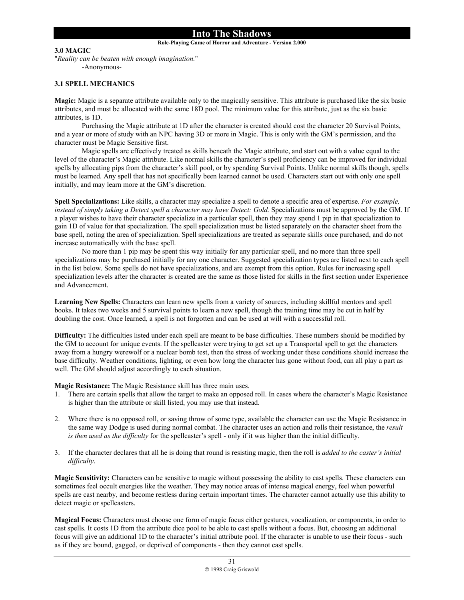#### **Role-Playing Game of Horror and Adventure - Version 2.000**

#### **3.0 MAGIC**

"*Reality can be beaten with enough imagination.*" -Anonymous-

# **3.1 SPELL MECHANICS**

**Magic:** Magic is a separate attribute available only to the magically sensitive. This attribute is purchased like the six basic attributes, and must be allocated with the same 18D pool. The minimum value for this attribute, just as the six basic attributes, is 1D.

 Purchasing the Magic attribute at 1D after the character is created should cost the character 20 Survival Points, and a year or more of study with an NPC having 3D or more in Magic. This is only with the GM's permission, and the character must be Magic Sensitive first.

Magic spells are effectively treated as skills beneath the Magic attribute, and start out with a value equal to the level of the character's Magic attribute. Like normal skills the character's spell proficiency can be improved for individual spells by allocating pips from the character's skill pool, or by spending Survival Points. Unlike normal skills though, spells must be learned. Any spell that has not specifically been learned cannot be used. Characters start out with only one spell initially, and may learn more at the GM's discretion.

**Spell Specializations:** Like skills, a character may specialize a spell to denote a specific area of expertise. *For example, instead of simply taking a Detect spell a character may have Detect: Gold.* Specializations must be approved by the GM. If a player wishes to have their character specialize in a particular spell, then they may spend 1 pip in that specialization to gain 1D of value for that specialization. The spell specialization must be listed separately on the character sheet from the base spell, noting the area of specialization. Spell specializations are treated as separate skills once purchased, and do not increase automatically with the base spell.

No more than 1 pip may be spent this way initially for any particular spell, and no more than three spell specializations may be purchased initially for any one character. Suggested specialization types are listed next to each spell in the list below. Some spells do not have specializations, and are exempt from this option. Rules for increasing spell specialization levels after the character is created are the same as those listed for skills in the first section under Experience and Advancement.

**Learning New Spells:** Characters can learn new spells from a variety of sources, including skillful mentors and spell books. It takes two weeks and 5 survival points to learn a new spell, though the training time may be cut in half by doubling the cost. Once learned, a spell is not forgotten and can be used at will with a successful roll.

**Difficulty:** The difficulties listed under each spell are meant to be base difficulties. These numbers should be modified by the GM to account for unique events. If the spellcaster were trying to get set up a Transportal spell to get the characters away from a hungry werewolf or a nuclear bomb test, then the stress of working under these conditions should increase the base difficulty. Weather conditions, lighting, or even how long the character has gone without food, can all play a part as well. The GM should adjust accordingly to each situation.

**Magic Resistance:** The Magic Resistance skill has three main uses.

- 1. There are certain spells that allow the target to make an opposed roll. In cases where the character's Magic Resistance is higher than the attribute or skill listed, you may use that instead.
- 2. Where there is no opposed roll, or saving throw of some type, available the character can use the Magic Resistance in the same way Dodge is used during normal combat. The character uses an action and rolls their resistance, the *result is then used as the difficulty* for the spellcaster's spell - only if it was higher than the initial difficulty.
- 3. If the character declares that all he is doing that round is resisting magic, then the roll is *added to the caster's initial difficulty*.

**Magic Sensitivity:** Characters can be sensitive to magic without possessing the ability to cast spells. These characters can sometimes feel occult energies like the weather. They may notice areas of intense magical energy, feel when powerful spells are cast nearby, and become restless during certain important times. The character cannot actually use this ability to detect magic or spellcasters.

**Magical Focus:** Characters must choose one form of magic focus either gestures, vocalization, or components, in order to cast spells. It costs 1D from the attribute dice pool to be able to cast spells without a focus. But, choosing an additional focus will give an additional 1D to the character's initial attribute pool. If the character is unable to use their focus - such as if they are bound, gagged, or deprived of components - then they cannot cast spells.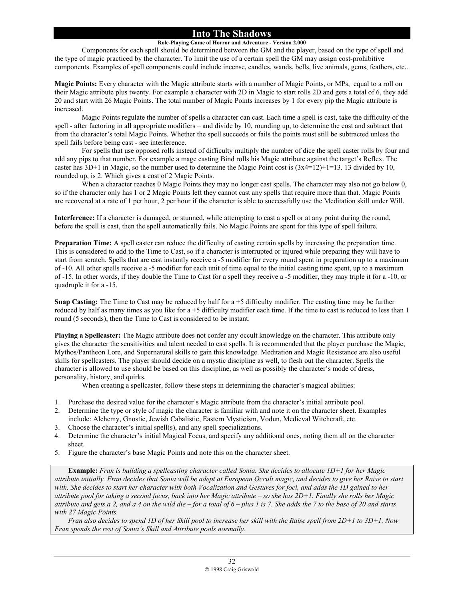# **Role-Playing Game of Horror and Adventure - Version 2.000**

 Components for each spell should be determined between the GM and the player, based on the type of spell and the type of magic practiced by the character. To limit the use of a certain spell the GM may assign cost-prohibitive components. Examples of spell components could include incense, candles, wands, bells, live animals, gems, feathers, etc..

**Magic Points:** Every character with the Magic attribute starts with a number of Magic Points, or MPs, equal to a roll on their Magic attribute plus twenty. For example a character with 2D in Magic to start rolls 2D and gets a total of 6, they add 20 and start with 26 Magic Points. The total number of Magic Points increases by 1 for every pip the Magic attribute is increased.

Magic Points regulate the number of spells a character can cast. Each time a spell is cast, take the difficulty of the spell - after factoring in all appropriate modifiers – and divide by 10, rounding up, to determine the cost and subtract that from the character's total Magic Points. Whether the spell succeeds or fails the points must still be subtracted unless the spell fails before being cast - see interference.

For spells that use opposed rolls instead of difficulty multiply the number of dice the spell caster rolls by four and add any pips to that number. For example a mage casting Bind rolls his Magic attribute against the target's Reflex. The caster has  $3D+1$  in Magic, so the number used to determine the Magic Point cost is  $(3x4=12)+1=13$ . 13 divided by 10, rounded up, is 2. Which gives a cost of 2 Magic Points.

When a character reaches 0 Magic Points they may no longer cast spells. The character may also not go below 0, so if the character only has 1 or 2 Magic Points left they cannot cast any spells that require more than that. Magic Points are recovered at a rate of 1 per hour, 2 per hour if the character is able to successfully use the Meditation skill under Will.

**Interference:** If a character is damaged, or stunned, while attempting to cast a spell or at any point during the round, before the spell is cast, then the spell automatically fails. No Magic Points are spent for this type of spell failure.

**Preparation Time:** A spell caster can reduce the difficulty of casting certain spells by increasing the preparation time. This is considered to add to the Time to Cast, so if a character is interrupted or injured while preparing they will have to start from scratch. Spells that are cast instantly receive a -5 modifier for every round spent in preparation up to a maximum of -10. All other spells receive a -5 modifier for each unit of time equal to the initial casting time spent, up to a maximum of -15. In other words, if they double the Time to Cast for a spell they receive a -5 modifier, they may triple it for a -10, or quadruple it for a -15.

**Snap Casting:** The Time to Cast may be reduced by half for a +5 difficulty modifier. The casting time may be further reduced by half as many times as you like for a +5 difficulty modifier each time. If the time to cast is reduced to less than 1 round (5 seconds), then the Time to Cast is considered to be instant.

**Playing a Spellcaster:** The Magic attribute does not confer any occult knowledge on the character. This attribute only gives the character the sensitivities and talent needed to cast spells. It is recommended that the player purchase the Magic, Mythos/Pantheon Lore, and Supernatural skills to gain this knowledge. Meditation and Magic Resistance are also useful skills for spellcasters. The player should decide on a mystic discipline as well, to flesh out the character. Spells the character is allowed to use should be based on this discipline, as well as possibly the character's mode of dress, personality, history, and quirks.

When creating a spellcaster, follow these steps in determining the character's magical abilities:

- 1. Purchase the desired value for the character's Magic attribute from the character's initial attribute pool.
- 2. Determine the type or style of magic the character is familiar with and note it on the character sheet. Examples include: Alchemy, Gnostic, Jewish Cabalistic, Eastern Mysticism, Vodun, Medieval Witchcraft, etc.
- 3. Choose the character's initial spell(s), and any spell specializations.
- 4. Determine the character's initial Magical Focus, and specify any additional ones, noting them all on the character sheet.
- 5. Figure the character's base Magic Points and note this on the character sheet.

**Example:** *Fran is building a spellcasting character called Sonia. She decides to allocate 1D+1 for her Magic attribute initially. Fran decides that Sonia will be adept at European Occult magic, and decides to give her Raise to start*  with. She decides to start her character with both Vocalization and Gestures for foci, and adds the 1D gained to her *attribute pool for taking a second focus, back into her Magic attribute – so she has 2D+1. Finally she rolls her Magic attribute and gets a 2, and a 4 on the wild die – for a total of 6 – plus 1 is 7. She adds the 7 to the base of 20 and starts with 27 Magic Points.* 

*Fran also decides to spend 1D of her Skill pool to increase her skill with the Raise spell from 2D+1 to 3D+1. Now Fran spends the rest of Sonia's Skill and Attribute pools normally.*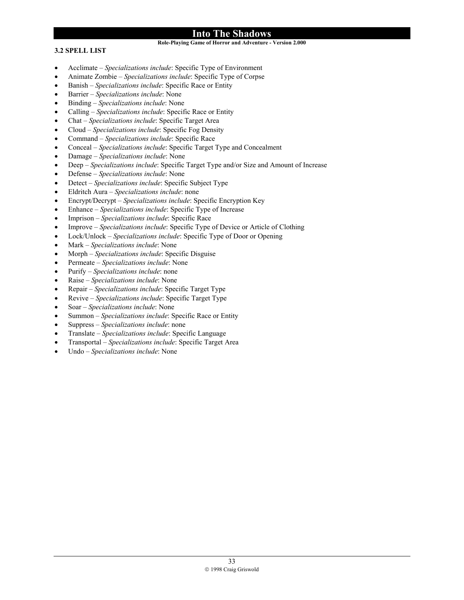# **Role-Playing Game of Horror and Adventure - Version 2.000**

# **3.2 SPELL LIST**

- Acclimate *Specializations include*: Specific Type of Environment
- Animate Zombie *Specializations include*: Specific Type of Corpse
- Banish *Specializations include*: Specific Race or Entity
- Barrier *Specializations include*: None
- Binding *Specializations include*: None
- Calling *Specializations include*: Specific Race or Entity
- Chat *Specializations include*: Specific Target Area
- Cloud *Specializations include*: Specific Fog Density
- Command *Specializations include*: Specific Race
- Conceal *Specializations include*: Specific Target Type and Concealment
- Damage *Specializations include*: None
- Deep *Specializations include*: Specific Target Type and/or Size and Amount of Increase
- Defense *Specializations include*: None
- Detect *Specializations include*: Specific Subject Type
- Eldritch Aura *Specializations include*: none
- Encrypt/Decrypt *Specializations include*: Specific Encryption Key
- Enhance *Specializations include*: Specific Type of Increase
- Imprison *Specializations include*: Specific Race
- Improve *Specializations include*: Specific Type of Device or Article of Clothing
- Lock/Unlock *Specializations include*: Specific Type of Door or Opening
- Mark *Specializations include*: None
- Morph *Specializations include*: Specific Disguise
- Permeate *Specializations include*: None
- Purify *Specializations include*: none
- Raise *Specializations include*: None
- Repair *Specializations include*: Specific Target Type
- Revive *Specializations include*: Specific Target Type
- Soar *Specializations include*: None
- Summon *Specializations include*: Specific Race or Entity
- Suppress *Specializations include*: none
- Translate *Specializations include*: Specific Language
- Transportal *Specializations include*: Specific Target Area
- Undo *Specializations include*: None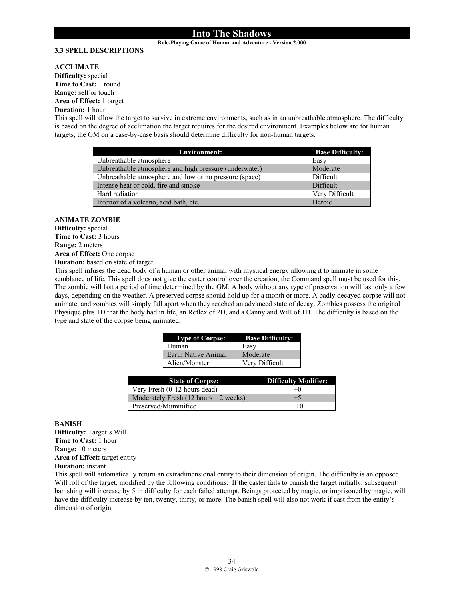# **Role-Playing Game of Horror and Adventure - Version 2.000**

# **3.3 SPELL DESCRIPTIONS**

# **ACCLIMATE**

**Difficulty:** special **Time to Cast:** 1 round **Range:** self or touch **Area of Effect:** 1 target

# **Duration:** 1 hour

This spell will allow the target to survive in extreme environments, such as in an unbreathable atmosphere. The difficulty is based on the degree of acclimation the target requires for the desired environment. Examples below are for human targets, the GM on a case-by-case basis should determine difficulty for non-human targets.

| <b>Environment:</b>                                    | <b>Base Difficulty:</b> |
|--------------------------------------------------------|-------------------------|
| Unbreathable atmosphere                                | Easy                    |
| Unbreathable atmosphere and high pressure (underwater) | Moderate                |
| Unbreathable atmosphere and low or no pressure (space) | Difficult               |
| Intense heat or cold, fire and smoke                   | Difficult               |
| Hard radiation                                         | Very Difficult          |
| Interior of a volcano, acid bath, etc.                 | Heroic                  |

#### **ANIMATE ZOMBIE**

**Difficulty:** special **Time to Cast:** 3 hours **Range:** 2 meters **Area of Effect:** One corpse **Duration:** based on state of target

This spell infuses the dead body of a human or other animal with mystical energy allowing it to animate in some semblance of life. This spell does not give the caster control over the creation, the Command spell must be used for this. The zombie will last a period of time determined by the GM. A body without any type of preservation will last only a few days, depending on the weather. A preserved corpse should hold up for a month or more. A badly decayed corpse will not animate, and zombies will simply fall apart when they reached an advanced state of decay. Zombies possess the original Physique plus 1D that the body had in life, an Reflex of 2D, and a Canny and Will of 1D. The difficulty is based on the type and state of the corpse being animated.

| <b>Base Difficulty:</b> |
|-------------------------|
| Easy                    |
| Moderate                |
| Very Difficult          |
|                         |

| <b>State of Corpse:</b>                                 | <b>Difficulty Modifier:</b> |
|---------------------------------------------------------|-----------------------------|
| Very Fresh (0-12 hours dead)                            | $+()$                       |
| Moderately Fresh $(12 \text{ hours} - 2 \text{ weeks})$ | $+5$                        |
| Preserved/Mummified                                     | $+10$                       |

#### **BANISH**

**Difficulty:** Target's Will **Time to Cast:** 1 hour **Range:** 10 meters **Area of Effect:** target entity **Duration:** instant

This spell will automatically return an extradimensional entity to their dimension of origin. The difficulty is an opposed Will roll of the target, modified by the following conditions. If the caster fails to banish the target initially, subsequent banishing will increase by 5 in difficulty for each failed attempt. Beings protected by magic, or imprisoned by magic, will have the difficulty increase by ten, twenty, thirty, or more. The banish spell will also not work if cast from the entity's dimension of origin.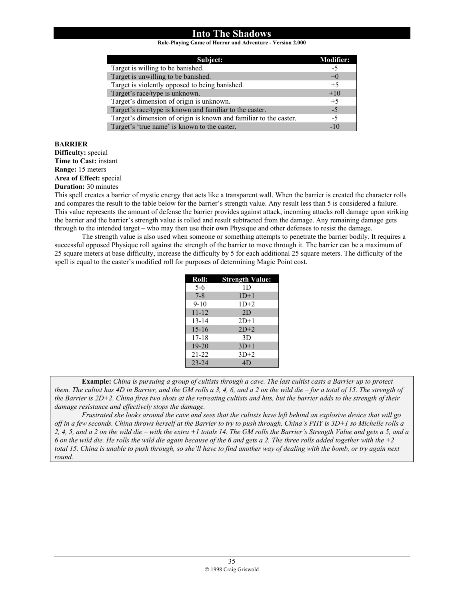**Role-Playing Game of Horror and Adventure - Version 2.000**

| Subject:                                                          | <b>Modifier:</b> |
|-------------------------------------------------------------------|------------------|
| Target is willing to be banished.                                 | -5               |
| Target is unwilling to be banished.                               | $+0$             |
| Target is violently opposed to being banished.                    | $+5$             |
| Target's race/type is unknown.                                    | $+10$            |
| Target's dimension of origin is unknown.                          | $+5$             |
| Target's race/type is known and familiar to the caster.           | $-5$             |
| Target's dimension of origin is known and familiar to the caster. | $-5$             |
| Target's 'true name' is known to the caster.                      | $-10$            |

#### **BARRIER**

**Difficulty:** special **Time to Cast:** instant **Range:** 15 meters **Area of Effect:** special **Duration:** 30 minutes

This spell creates a barrier of mystic energy that acts like a transparent wall. When the barrier is created the character rolls and compares the result to the table below for the barrier's strength value. Any result less than 5 is considered a failure. This value represents the amount of defense the barrier provides against attack, incoming attacks roll damage upon striking the barrier and the barrier's strength value is rolled and result subtracted from the damage. Any remaining damage gets through to the intended target – who may then use their own Physique and other defenses to resist the damage.

The strength value is also used when someone or something attempts to penetrate the barrier bodily. It requires a successful opposed Physique roll against the strength of the barrier to move through it. The barrier can be a maximum of 25 square meters at base difficulty, increase the difficulty by 5 for each additional 25 square meters. The difficulty of the spell is equal to the caster's modified roll for purposes of determining Magic Point cost.

| Roll:     | <b>Strength Value:</b> |
|-----------|------------------------|
| $5 - 6$   | 1D                     |
| $7 - 8$   | $1D+1$                 |
| $9 - 10$  | $1D+2$                 |
| $11 - 12$ | 2D                     |
| $13 - 14$ | $2D+1$                 |
| $15 - 16$ | $2D+2$                 |
| $17 - 18$ | 3D                     |
| 19-20     | $3D+1$                 |
| $21 - 22$ | $3D+2$                 |
| $23 - 24$ | 4D                     |

**Example:** *China is pursuing a group of cultists through a cave. The last cultist casts a Barrier up to protect them. The cultist has 4D in Barrier, and the GM rolls a 3, 4, 6, and a 2 on the wild die – for a total of 15. The strength of the Barrier is 2D+2. China fires two shots at the retreating cultists and hits, but the barrier adds to the strength of their damage resistance and effectively stops the damage.* 

 *Frustrated she looks around the cave and sees that the cultists have left behind an explosive device that will go off in a few seconds. China throws herself at the Barrier to try to push through. China's PHY is 3D+1 so Michelle rolls a 2, 4, 5, and a 2 on the wild die – with the extra +1 totals 14. The GM rolls the Barrier's Strength Value and gets a 5, and a 6 on the wild die. He rolls the wild die again because of the 6 and gets a 2. The three rolls added together with the +2 total 15. China is unable to push through, so she'll have to find another way of dealing with the bomb, or try again next round.*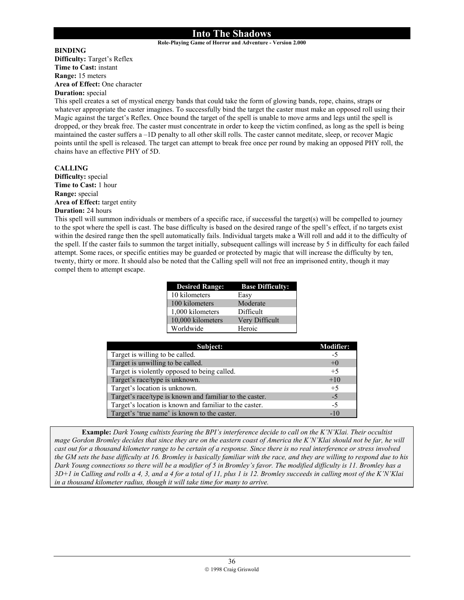#### **Role-Playing Game of Horror and Adventure - Version 2.000**

### **BINDING**

**Difficulty:** Target's Reflex **Time to Cast:** instant **Range:** 15 meters **Area of Effect:** One character

# **Duration:** special

This spell creates a set of mystical energy bands that could take the form of glowing bands, rope, chains, straps or whatever appropriate the caster imagines. To successfully bind the target the caster must make an opposed roll using their Magic against the target's Reflex. Once bound the target of the spell is unable to move arms and legs until the spell is dropped, or they break free. The caster must concentrate in order to keep the victim confined, as long as the spell is being maintained the caster suffers a -1D penalty to all other skill rolls. The caster cannot meditate, sleep, or recover Magic points until the spell is released. The target can attempt to break free once per round by making an opposed PHY roll, the chains have an effective PHY of 5D.

#### **CALLING**

**Difficulty:** special **Time to Cast:** 1 hour **Range:** special **Area of Effect:** target entity **Duration:** 24 hours

This spell will summon individuals or members of a specific race, if successful the target(s) will be compelled to journey to the spot where the spell is cast. The base difficulty is based on the desired range of the spell's effect, if no targets exist within the desired range then the spell automatically fails. Individual targets make a Will roll and add it to the difficulty of the spell. If the caster fails to summon the target initially, subsequent callings will increase by 5 in difficulty for each failed attempt. Some races, or specific entities may be guarded or protected by magic that will increase the difficulty by ten, twenty, thirty or more. It should also be noted that the Calling spell will not free an imprisoned entity, though it may compel them to attempt escape.

| <b>Desired Range:</b> | <b>Base Difficulty:</b> |
|-----------------------|-------------------------|
| 10 kilometers         | Easy                    |
| 100 kilometers        | Moderate                |
| 1,000 kilometers      | Difficult               |
| 10,000 kilometers     | Very Difficult          |
| Worldwide             | Heroic                  |

| Subject:                                                | <b>Modifier:</b> |
|---------------------------------------------------------|------------------|
| Target is willing to be called.                         | -5               |
| Target is unwilling to be called.                       | $+0$             |
| Target is violently opposed to being called.            | $+5$             |
| Target's race/type is unknown.                          | $+10$            |
| Target's location is unknown.                           | $+5$             |
| Target's race/type is known and familiar to the caster. | $-5$             |
| Target's location is known and familiar to the caster.  | -5               |
| Target's 'true name' is known to the caster.            | $-10$            |

**Example:** *Dark Young cultists fearing the BPI's interference decide to call on the K'N'Klai. Their occultist mage Gordon Bromley decides that since they are on the eastern coast of America the K'N'Klai should not be far, he will cast out for a thousand kilometer range to be certain of a response. Since there is no real interference or stress involved the GM sets the base difficulty at 16. Bromley is basically familiar with the race, and they are willing to respond due to his Dark Young connections so there will be a modifier of 5 in Bromley's favor. The modified difficulty is 11. Bromley has a 3D+1 in Calling and rolls a 4, 3, and a 4 for a total of 11, plus 1 is 12. Bromley succeeds in calling most of the K'N'Klai in a thousand kilometer radius, though it will take time for many to arrive.*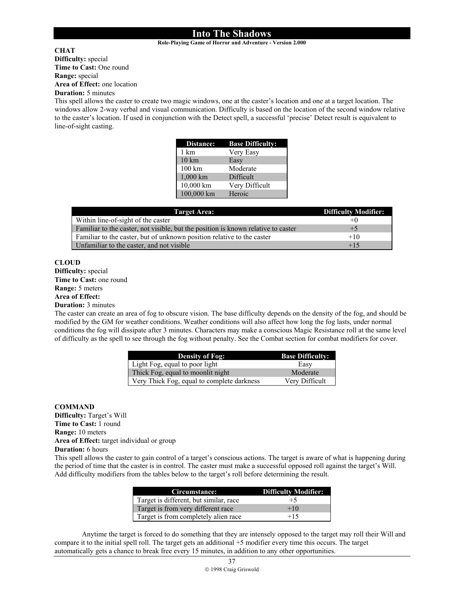#### **Role-Playing Game of Horror and Adventure - Version 2.000**

### **CHAT**

**Difficulty:** special **Time to Cast:** One round **Range:** special **Area of Effect:** one location **Duration:** 5 minutes

This spell allows the caster to create two magic windows, one at the caster's location and one at a target location. The windows allow 2-way verbal and visual communication. Difficulty is based on the location of the second window relative to the caster's location. If used in conjunction with the Detect spell, a successful 'precise' Detect result is equivalent to line-of-sight casting.

| <b>Distance:</b>  | <b>Base Difficulty:</b> |
|-------------------|-------------------------|
| 1 km              | Very Easy               |
| $10 \text{ km}$   | Easy                    |
| $100 \mathrm{km}$ | Moderate                |
| 1,000 km          | Difficult               |
| 10,000 km         | Very Difficult          |
| 100,000 km        | Heroic                  |

| <b>Target Area:</b>                                                               | <b>Difficulty Modifier:</b> |
|-----------------------------------------------------------------------------------|-----------------------------|
| Within line-of-sight of the caster                                                | $+()$                       |
| Familiar to the caster, not visible, but the position is known relative to caster | $+5$                        |
| Familiar to the caster, but of unknown position relative to the caster            | $+10$                       |
| Unfamiliar to the caster, and not visible                                         | $+15$                       |

### **CLOUD**

**Difficulty:** special **Time to Cast:** one round **Range:** 5 meters **Area of Effect: Duration:** 3 minutes

The caster can create an area of fog to obscure vision. The base difficulty depends on the density of the fog, and should be modified by the GM for weather conditions. Weather conditions will also affect how long the fog lasts, under normal conditions the fog will dissipate after 3 minutes. Characters may make a conscious Magic Resistance roll at the same level of difficulty as the spell to see through the fog without penalty. See the Combat section for combat modifiers for cover.

| <b>Density of Fog:</b>                     | <b>Base Difficulty:</b> |
|--------------------------------------------|-------------------------|
| Light Fog, equal to poor light             | Easy                    |
| Thick Fog, equal to moonlit night          | Moderate                |
| Very Thick Fog, equal to complete darkness | Very Difficult          |

#### **COMMAND**

**Difficulty:** Target's Will **Time to Cast:** 1 round **Range:** 10 meters **Area of Effect:** target individual or group

**Duration:** 6 hours

This spell allows the caster to gain control of a target's conscious actions. The target is aware of what is happening during the period of time that the caster is in control. The caster must make a successful opposed roll against the target's Will. Add difficulty modifiers from the tables below to the target's roll before determining the result.

| Circumstance:                          | <b>Difficulty Modifier:</b> |
|----------------------------------------|-----------------------------|
| Target is different, but similar, race | $+5$                        |
| Target is from very different race     | $+10$                       |
| Target is from completely alien race   | $+15$                       |

 Anytime the target is forced to do something that they are intensely opposed to the target may roll their Will and compare it to the initial spell roll. The target gets an additional +5 modifier every time this occurs. The target automatically gets a chance to break free every 15 minutes, in addition to any other opportunities.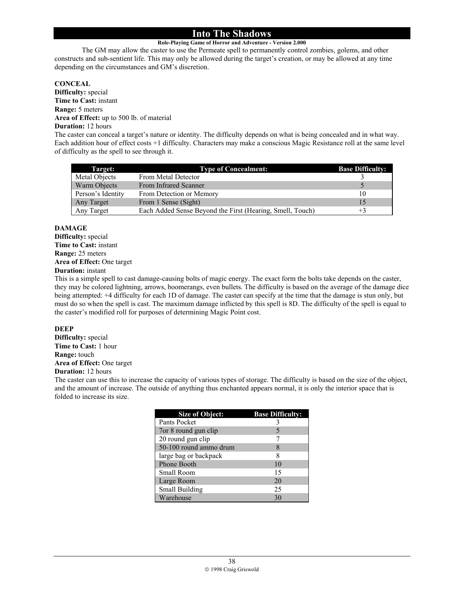### **Role-Playing Game of Horror and Adventure - Version 2.000**

 The GM may allow the caster to use the Permeate spell to permanently control zombies, golems, and other constructs and sub-sentient life. This may only be allowed during the target's creation, or may be allowed at any time depending on the circumstances and GM's discretion.

**CONCEAL Difficulty:** special **Time to Cast:** instant **Range:** 5 meters **Area of Effect:** up to 500 lb. of material **Duration:** 12 hours

The caster can conceal a target's nature or identity. The difficulty depends on what is being concealed and in what way. Each addition hour of effect costs +1 difficulty. Characters may make a conscious Magic Resistance roll at the same level of difficulty as the spell to see through it.

| Target:           | <b>Type of Concealment:</b>                               | <b>Base Difficulty:</b> |
|-------------------|-----------------------------------------------------------|-------------------------|
| Metal Objects     | From Metal Detector                                       |                         |
| Warm Objects      | From Infrared Scanner                                     |                         |
| Person's Identity | From Detection or Memory                                  | 10                      |
| Any Target        | From 1 Sense (Sight)                                      | 15                      |
| Any Target        | Each Added Sense Beyond the First (Hearing, Smell, Touch) | $+3$                    |

#### **DAMAGE**

**Difficulty:** special **Time to Cast:** instant **Range:** 25 meters **Area of Effect:** One target

# **Duration:** instant

This is a simple spell to cast damage-causing bolts of magic energy. The exact form the bolts take depends on the caster, they may be colored lightning, arrows, boomerangs, even bullets. The difficulty is based on the average of the damage dice being attempted: +4 difficulty for each 1D of damage. The caster can specify at the time that the damage is stun only, but must do so when the spell is cast. The maximum damage inflicted by this spell is 8D. The difficulty of the spell is equal to the caster's modified roll for purposes of determining Magic Point cost.

### **DEEP**

**Difficulty:** special **Time to Cast:** 1 hour **Range:** touch **Area of Effect:** One target **Duration:** 12 hours

The caster can use this to increase the capacity of various types of storage. The difficulty is based on the size of the object, and the amount of increase. The outside of anything thus enchanted appears normal, it is only the interior space that is folded to increase its size.

| <b>Size of Object:</b> | <b>Base Difficulty:</b> |
|------------------------|-------------------------|
| Pants Pocket           | 3                       |
| 7 or 8 round gun clip  | 5                       |
| 20 round gun clip      |                         |
| 50-100 round ammo drum | 8                       |
| large bag or backpack  | 8                       |
| Phone Booth            | 10                      |
| Small Room             | 15                      |
| Large Room             | 20                      |
| Small Building         | 25                      |
| Warehouse              | 30                      |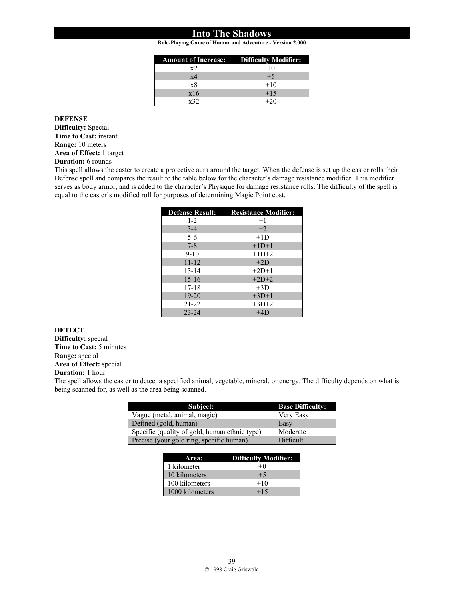**Role-Playing Game of Horror and Adventure - Version 2.000**

| <b>Amount of Increase:</b> Difficulty Modifier: |       |
|-------------------------------------------------|-------|
| x2                                              | $+0$  |
| x4                                              | $+5$  |
| x8                                              | $+10$ |
| x16                                             | $+15$ |
| x32                                             |       |

#### **DEFENSE**

**Difficulty:** Special **Time to Cast:** instant **Range:** 10 meters **Area of Effect:** 1 target **Duration:** 6 rounds

This spell allows the caster to create a protective aura around the target. When the defense is set up the caster rolls their Defense spell and compares the result to the table below for the character's damage resistance modifier. This modifier serves as body armor, and is added to the character's Physique for damage resistance rolls. The difficulty of the spell is equal to the caster's modified roll for purposes of determining Magic Point cost.

| <b>Defense Result:</b> | <b>Resistance Modifier:</b> |
|------------------------|-----------------------------|
| $1 - 2$                | $+1$                        |
| $3 - 4$                | $+2$                        |
| $5 - 6$                | $+1D$                       |
| $7 - 8$                | $+1D+1$                     |
| $9 - 10$               | $+1D+2$                     |
| $11 - 12$              | $+2D$                       |
| 13-14                  | $+2D+1$                     |
| $15 - 16$              | $+2D+2$                     |
| $17 - 18$              | $+3D$                       |
| $19 - 20$              | $+3D+1$                     |
| $21 - 22$              | $+3D+2$                     |
| $23 - 24$              | $+4D$                       |

**DETECT**

**Difficulty:** special **Time to Cast:** 5 minutes **Range:** special **Area of Effect:** special **Duration:** 1 hour

The spell allows the caster to detect a specified animal, vegetable, mineral, or energy. The difficulty depends on what is being scanned for, as well as the area being scanned.

| Subject:                                      | <b>Base Difficulty:</b> |
|-----------------------------------------------|-------------------------|
| Vague (metal, animal, magic)                  | Very Easy               |
| Defined (gold, human)                         | Easy                    |
| Specific (quality of gold, human ethnic type) | Moderate                |
| Precise (your gold ring, specific human)      | Difficult               |

| Area:           | <b>Difficulty Modifier:</b> |
|-----------------|-----------------------------|
| 1 kilometer     | $+0$                        |
| 10 kilometers   | $+5$                        |
| 100 kilometers  | $+10$                       |
| 1000 kilometers | $+15$                       |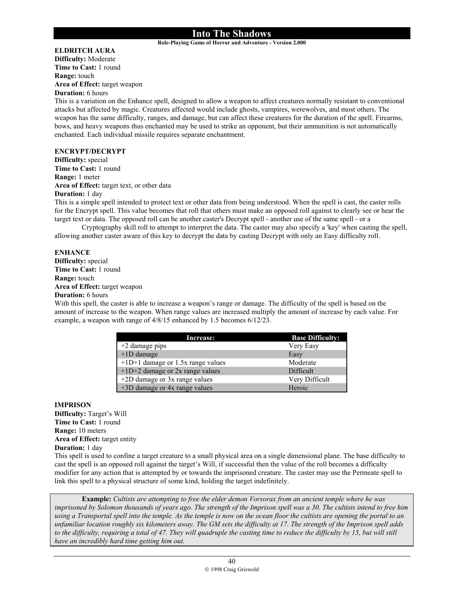**Role-Playing Game of Horror and Adventure - Version 2.000**

# **ELDRITCH AURA**

**Difficulty:** Moderate **Time to Cast:** 1 round **Range:** touch **Area of Effect:** target weapon **Duration:** 6 hours

This is a variation on the Enhance spell, designed to allow a weapon to affect creatures normally resistant to conventional attacks but affected by magic. Creatures affected would include ghosts, vampires, werewolves, and most others. The weapon has the same difficulty, ranges, and damage, but can affect these creatures for the duration of the spell. Firearms, bows, and heavy weapons thus enchanted may be used to strike an opponent, but their ammunition is not automatically enchanted. Each individual missile requires separate enchantment.

#### **ENCRYPT/DECRYPT**

**Difficulty:** special **Time to Cast:** 1 round **Range:** 1 meter **Area of Effect:** target text, or other data **Duration:** 1 day

This is a simple spell intended to protect text or other data from being understood. When the spell is cast, the caster rolls for the Encrypt spell. This value becomes that roll that others must make an opposed roll against to clearly see or hear the target text or data. The opposed roll can be another caster's Decrypt spell - another use of the same spell - or a

 Cryptography skill roll to attempt to interpret the data. The caster may also specify a 'key' when casting the spell, allowing another caster aware of this key to decrypt the data by casting Decrypt with only an Easy difficulty roll.

#### **ENHANCE**

**Difficulty:** special **Time to Cast:** 1 round **Range:** touch **Area of Effect:** target weapon **Duration:** 6 hours

With this spell, the caster is able to increase a weapon's range or damage. The difficulty of the spell is based on the amount of increase to the weapon. When range values are increased multiply the amount of increase by each value. For example, a weapon with range of 4/8/15 enhanced by 1.5 becomes 6/12/23.

| Increase:                           | <b>Base Difficulty:</b> |
|-------------------------------------|-------------------------|
| $+2$ damage pips                    | Very Easy               |
| $+1D$ damage                        | Easy                    |
| $+1D+1$ damage or 1.5x range values | Moderate                |
| $+1D+2$ damage or 2x range values   | Difficult               |
| +2D damage or 3x range values       | Very Difficult          |
| +3D damage or 4x range values       | Heroic                  |

### **IMPRISON**

**Difficulty:** Target's Will **Time to Cast:** 1 round **Range:** 10 meters **Area of Effect:** target entity **Duration:** 1 day

This spell is used to confine a target creature to a small physical area on a single dimensional plane. The base difficulty to cast the spell is an opposed roll against the target's Will, if successful then the value of the roll becomes a difficulty modifier for any action that is attempted by or towards the imprisoned creature. The caster may use the Permeate spell to link this spell to a physical structure of some kind, holding the target indefinitely.

**Example:** *Cultists are attempting to free the elder demon Vorsorax from an ancient temple where he was imprisoned by Solomon thousands of years ago. The strength of the Imprison spell was a 30. The cultists intend to free him using a Transportal spell into the temple. As the temple is now on the ocean floor the cultists are opening the portal to an unfamiliar location roughly six kilometers away. The GM sets the difficulty at 17. The strength of the Imprison spell adds*  to the difficulty, requiring a total of 47. They will quadruple the casting time to reduce the difficulty by 15, but will still *have an incredibly hard time getting him out.*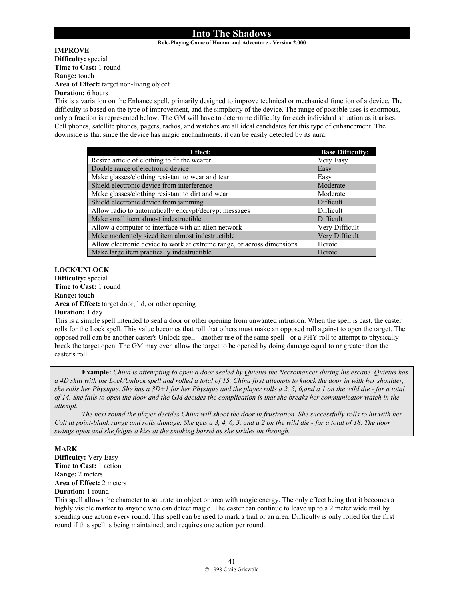#### **Role-Playing Game of Horror and Adventure - Version 2.000**

**IMPROVE Difficulty:** special **Time to Cast:** 1 round **Range:** touch **Area of Effect:** target non-living object

**Duration:** 6 hours

This is a variation on the Enhance spell, primarily designed to improve technical or mechanical function of a device. The difficulty is based on the type of improvement, and the simplicity of the device. The range of possible uses is enormous, only a fraction is represented below. The GM will have to determine difficulty for each individual situation as it arises. Cell phones, satellite phones, pagers, radios, and watches are all ideal candidates for this type of enhancement. The downside is that since the device has magic enchantments, it can be easily detected by its aura.

| <b>Effect:</b>                                                         | <b>Base Difficulty:</b> |
|------------------------------------------------------------------------|-------------------------|
| Resize article of clothing to fit the wearer                           | Very Easy               |
| Double range of electronic device                                      | Easy                    |
| Make glasses/clothing resistant to wear and tear                       | Easy                    |
| Shield electronic device from interference                             | Moderate                |
| Make glasses/clothing resistant to dirt and wear                       | Moderate                |
| Shield electronic device from jamming                                  | Difficult               |
| Allow radio to automatically encrypt/decrypt messages                  | Difficult               |
| Make small item almost indestructible                                  | Difficult               |
| Allow a computer to interface with an alien network                    | Very Difficult          |
| Make moderately sized item almost indestructible                       | Very Difficult          |
| Allow electronic device to work at extreme range, or across dimensions | Heroic                  |
| Make large item practically indestructible                             | Heroic                  |

**LOCK/UNLOCK Difficulty:** special **Time to Cast:** 1 round **Range:** touch **Area of Effect:** target door, lid, or other opening **Duration:** 1 day

This is a simple spell intended to seal a door or other opening from unwanted intrusion. When the spell is cast, the caster rolls for the Lock spell. This value becomes that roll that others must make an opposed roll against to open the target. The opposed roll can be another caster's Unlock spell - another use of the same spell - or a PHY roll to attempt to physically break the target open. The GM may even allow the target to be opened by doing damage equal to or greater than the caster's roll.

 **Example:** *China is attempting to open a door sealed by Quietus the Necromancer during his escape. Quietus has a 4D skill with the Lock/Unlock spell and rolled a total of 15. China first attempts to knock the door in with her shoulder, she rolls her Physique. She has a 3D+1 for her Physique and the player rolls a 2, 5, 6,and a 1 on the wild die - for a total of 14. She fails to open the door and the GM decides the complication is that she breaks her communicator watch in the attempt.* 

 *The next round the player decides China will shoot the door in frustration. She successfully rolls to hit with her Colt at point-blank range and rolls damage. She gets a 3, 4, 6, 3, and a 2 on the wild die - for a total of 18. The door swings open and she feigns a kiss at the smoking barrel as she strides on through.* 

**MARK** 

**Difficulty:** Very Easy **Time to Cast:** 1 action **Range:** 2 meters **Area of Effect:** 2 meters

# **Duration:** 1 round

This spell allows the character to saturate an object or area with magic energy. The only effect being that it becomes a highly visible marker to anyone who can detect magic. The caster can continue to leave up to a 2 meter wide trail by spending one action every round. This spell can be used to mark a trail or an area. Difficulty is only rolled for the first round if this spell is being maintained, and requires one action per round.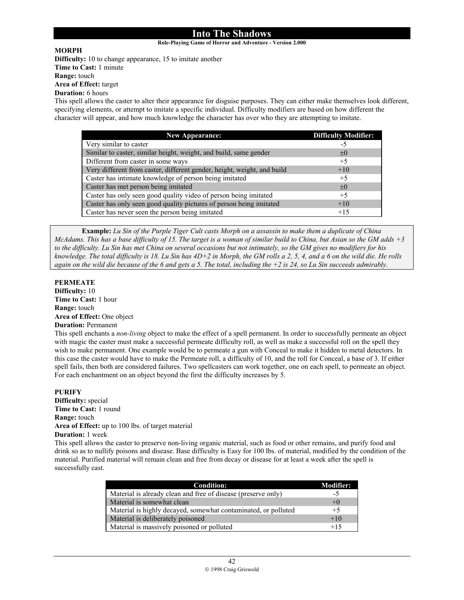#### **Role-Playing Game of Horror and Adventure - Version 2.000**

### **MORPH**

**Difficulty:** 10 to change appearance, 15 to imitate another **Time to Cast:** 1 minute **Range:** touch **Area of Effect:** target **Duration:** 6 hours

This spell allows the caster to alter their appearance for disguise purposes. They can either make themselves look different, specifying elements, or attempt to imitate a specific individual. Difficulty modifiers are based on how different the character will appear, and how much knowledge the character has over who they are attempting to imitate.

| <b>New Appearance:</b>                                                  | <b>Difficulty Modifier:</b> |
|-------------------------------------------------------------------------|-----------------------------|
| Very similar to caster                                                  | -5                          |
| Similar to caster, similar height, weight, and build, same gender       | $\pm 0$                     |
| Different from caster in some ways                                      | $+5$                        |
| Very different from caster, different gender, height, weight, and build | $+10$                       |
| Caster has intimate knowledge of person being imitated                  | $+5$                        |
| Caster has met person being imitated                                    | $\pm 0$                     |
| Caster has only seen good quality video of person being imitated        | $+5$                        |
| Caster has only seen good quality pictures of person being imitated     | $+10$                       |
| Caster has never seen the person being imitated                         | $+15$                       |

 **Example:** *Lu Sin of the Purple Tiger Cult casts Morph on a assassin to make them a duplicate of China McAdams. This has a base difficulty of 15. The target is a woman of similar build to China, but Asian so the GM adds +3 to the difficulty. Lu Sin has met China on several occasions but not intimately, so the GM gives no modifiers for his knowledge. The total difficulty is 18. Lu Sin has 4D+2 in Morph, the GM rolls a 2, 5, 4, and a 6 on the wild die. He rolls again on the wild die because of the 6 and gets a 5. The total, including the +2 is 24, so Lu Sin succeeds admirably.* 

### **PERMEATE**

**Difficulty:** 10 **Time to Cast:** 1 hour **Range:** touch **Area of Effect:** One object **Duration:** Permanent

This spell enchants a *non-living* object to make the effect of a spell permanent. In order to successfully permeate an object with magic the caster must make a successful permeate difficulty roll, as well as make a successful roll on the spell they wish to make permanent. One example would be to permeate a gun with Conceal to make it hidden to metal detectors. In this case the caster would have to make the Permeate roll, a difficulty of 10, and the roll for Conceal, a base of 3. If either spell fails, then both are considered failures. Two spellcasters can work together, one on each spell, to permeate an object. For each enchantment on an object beyond the first the difficulty increases by 5.

### **PURIFY**

**Difficulty:** special **Time to Cast:** 1 round **Range:** touch **Area of Effect:** up to 100 lbs. of target material **Duration:** 1 week

This spell allows the caster to preserve non-living organic material, such as food or other remains, and purify food and drink so as to nullify poisons and disease. Base difficulty is Easy for 100 lbs. of material, modified by the condition of the material. Purified material will remain clean and free from decay or disease for at least a week after the spell is successfully cast.

| Condition:                                                     | <b>Modifier:</b> |
|----------------------------------------------------------------|------------------|
| Material is already clean and free of disease (preserve only)  | -5               |
| Material is somewhat clean                                     | $+0$             |
| Material is highly decayed, somewhat contaminated, or polluted | $+5$             |
| Material is deliberately poisoned                              | $+10$            |
| Material is massively poisoned or polluted                     | $+15$            |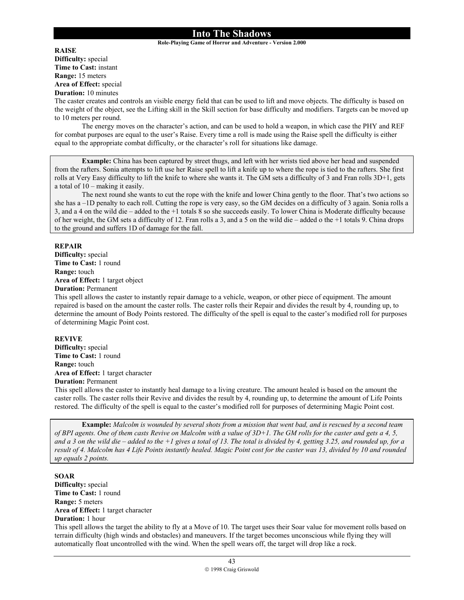#### **Role-Playing Game of Horror and Adventure - Version 2.000**

### **RAISE**

**Difficulty:** special **Time to Cast:** instant **Range:** 15 meters **Area of Effect:** special **Duration:** 10 minutes

The caster creates and controls an visible energy field that can be used to lift and move objects. The difficulty is based on the weight of the object, see the Lifting skill in the Skill section for base difficulty and modifiers. Targets can be moved up to 10 meters per round.

The energy moves on the character's action, and can be used to hold a weapon, in which case the PHY and REF for combat purposes are equal to the user's Raise. Every time a roll is made using the Raise spell the difficulty is either equal to the appropriate combat difficulty, or the character's roll for situations like damage.

**Example:** China has been captured by street thugs, and left with her wrists tied above her head and suspended from the rafters. Sonia attempts to lift use her Raise spell to lift a knife up to where the rope is tied to the rafters. She first rolls at Very Easy difficulty to lift the knife to where she wants it. The GM sets a difficulty of 3 and Fran rolls 3D+1, gets a total of 10 – making it easily.

 The next round she wants to cut the rope with the knife and lower China gently to the floor. That's two actions so she has a –1D penalty to each roll. Cutting the rope is very easy, so the GM decides on a difficulty of 3 again. Sonia rolls a 3, and a 4 on the wild die – added to the +1 totals 8 so she succeeds easily. To lower China is Moderate difficulty because of her weight, the GM sets a difficulty of 12. Fran rolls a 3, and a 5 on the wild die – added o the +1 totals 9. China drops to the ground and suffers 1D of damage for the fall.

#### **REPAIR**

**Difficulty:** special **Time to Cast:** 1 round **Range:** touch **Area of Effect:** 1 target object **Duration:** Permanent

This spell allows the caster to instantly repair damage to a vehicle, weapon, or other piece of equipment. The amount repaired is based on the amount the caster rolls. The caster rolls their Repair and divides the result by 4, rounding up, to determine the amount of Body Points restored. The difficulty of the spell is equal to the caster's modified roll for purposes of determining Magic Point cost.

#### **REVIVE**

**Difficulty:** special **Time to Cast:** 1 round **Range:** touch **Area of Effect:** 1 target character **Duration:** Permanent

This spell allows the caster to instantly heal damage to a living creature. The amount healed is based on the amount the caster rolls. The caster rolls their Revive and divides the result by 4, rounding up, to determine the amount of Life Points restored. The difficulty of the spell is equal to the caster's modified roll for purposes of determining Magic Point cost.

 **Example:** *Malcolm is wounded by several shots from a mission that went bad, and is rescued by a second team of BPI agents. One of them casts Revive on Malcolm with a value of 3D+1. The GM rolls for the caster and gets a 4, 5, and a 3 on the wild die – added to the +1 gives a total of 13. The total is divided by 4, getting 3.25, and rounded up, for a result of 4. Malcolm has 4 Life Points instantly healed. Magic Point cost for the caster was 13, divided by 10 and rounded up equals 2 points.* 

### **SOAR Difficulty:** special **Time to Cast:** 1 round **Range:** 5 meters **Area of Effect:** 1 target character **Duration:** 1 hour

This spell allows the target the ability to fly at a Move of 10. The target uses their Soar value for movement rolls based on terrain difficulty (high winds and obstacles) and maneuvers. If the target becomes unconscious while flying they will automatically float uncontrolled with the wind. When the spell wears off, the target will drop like a rock.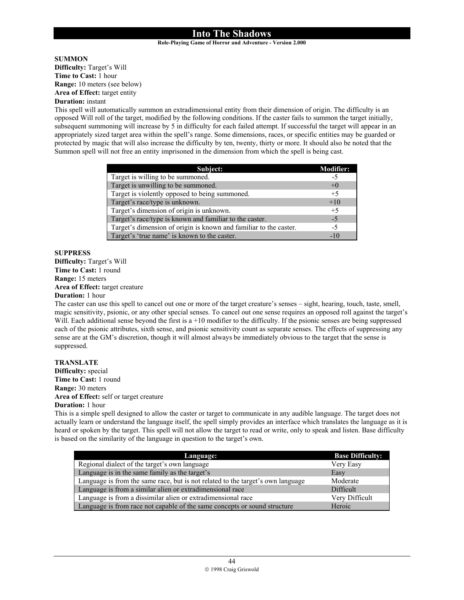#### **Role-Playing Game of Horror and Adventure - Version 2.000**

#### **SUMMON**

**Difficulty:** Target's Will **Time to Cast:** 1 hour **Range:** 10 meters (see below) **Area of Effect:** target entity

### **Duration:** instant

This spell will automatically summon an extradimensional entity from their dimension of origin. The difficulty is an opposed Will roll of the target, modified by the following conditions. If the caster fails to summon the target initially, subsequent summoning will increase by 5 in difficulty for each failed attempt. If successful the target will appear in an appropriately sized target area within the spell's range. Some dimensions, races, or specific entities may be guarded or protected by magic that will also increase the difficulty by ten, twenty, thirty or more. It should also be noted that the Summon spell will not free an entity imprisoned in the dimension from which the spell is being cast.

| Subject:                                                          | <b>Modifier:</b> |
|-------------------------------------------------------------------|------------------|
| Target is willing to be summoned.                                 | -5               |
| Target is unwilling to be summoned.                               | $+0$             |
| Target is violently opposed to being summoned.                    | $+5$             |
| Target's race/type is unknown.                                    | $+10$            |
| Target's dimension of origin is unknown.                          | $+5$             |
| Target's race/type is known and familiar to the caster.           | $-5$             |
| Target's dimension of origin is known and familiar to the caster. | -5               |
| Target's 'true name' is known to the caster.                      | -10              |

#### **SUPPRESS**

**Difficulty:** Target's Will **Time to Cast:** 1 round **Range:** 15 meters **Area of Effect:** target creature

### **Duration:** 1 hour

The caster can use this spell to cancel out one or more of the target creature's senses – sight, hearing, touch, taste, smell, magic sensitivity, psionic, or any other special senses. To cancel out one sense requires an opposed roll against the target's Will. Each additional sense beyond the first is a +10 modifier to the difficulty. If the psionic senses are being suppressed each of the psionic attributes, sixth sense, and psionic sensitivity count as separate senses. The effects of suppressing any sense are at the GM's discretion, though it will almost always be immediately obvious to the target that the sense is suppressed.

## **TRANSLATE**

**Difficulty:** special **Time to Cast:** 1 round **Range:** 30 meters **Area of Effect:** self or target creature **Duration:** 1 hour

This is a simple spell designed to allow the caster or target to communicate in any audible language. The target does not actually learn or understand the language itself, the spell simply provides an interface which translates the language as it is heard or spoken by the target. This spell will not allow the target to read or write, only to speak and listen. Base difficulty is based on the similarity of the language in question to the target's own.

| Language:                                                                       | <b>Base Difficulty:</b> |
|---------------------------------------------------------------------------------|-------------------------|
| Regional dialect of the target's own language                                   | Very Easy               |
| Language is in the same family as the target's                                  | Easy                    |
| Language is from the same race, but is not related to the target's own language | Moderate                |
| Language is from a similar alien or extradimensional race                       | Difficult               |
| Language is from a dissimilar alien or extradimensional race                    | Very Difficult          |
| Language is from race not capable of the same concepts or sound structure       | Heroic                  |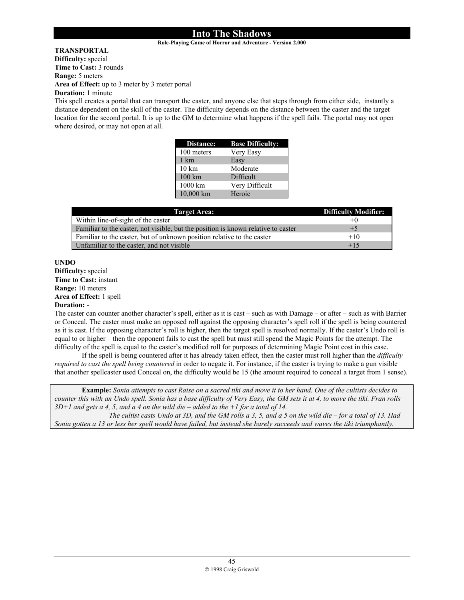#### **Role-Playing Game of Horror and Adventure - Version 2.000**

# **TRANSPORTAL**

**Difficulty:** special **Time to Cast:** 3 rounds **Range:** 5 meters **Area of Effect:** up to 3 meter by 3 meter portal

**Duration:** 1 minute

This spell creates a portal that can transport the caster, and anyone else that steps through from either side, instantly a distance dependent on the skill of the caster. The difficulty depends on the distance between the caster and the target location for the second portal. It is up to the GM to determine what happens if the spell fails. The portal may not open where desired, or may not open at all.

| Distance:         | <b>Base Difficulty:</b> |
|-------------------|-------------------------|
| 100 meters        | Very Easy               |
| 1 km              | Easy                    |
| $10 \text{ km}$   | Moderate                |
| $100 \mathrm{km}$ | Difficult               |
| 1000 km           | Very Difficult          |
| 10,000 km         | Heroic                  |

| <b>Target Area:</b>                                                               | <b>Difficulty Modifier:</b> |
|-----------------------------------------------------------------------------------|-----------------------------|
| Within line-of-sight of the caster                                                | $+()$                       |
| Familiar to the caster, not visible, but the position is known relative to caster | $+5$                        |
| Familiar to the caster, but of unknown position relative to the caster            | $+10$                       |
| Unfamiliar to the caster, and not visible                                         | $+15$                       |

### **UNDO**

**Difficulty:** special **Time to Cast:** instant **Range:** 10 meters **Area of Effect:** 1 spell **Duration:** -

The caster can counter another character's spell, either as it is cast – such as with Damage – or after – such as with Barrier or Conceal. The caster must make an opposed roll against the opposing character's spell roll if the spell is being countered as it is cast. If the opposing character's roll is higher, then the target spell is resolved normally. If the caster's Undo roll is equal to or higher – then the opponent fails to cast the spell but must still spend the Magic Points for the attempt. The difficulty of the spell is equal to the caster's modified roll for purposes of determining Magic Point cost in this case.

If the spell is being countered after it has already taken effect, then the caster must roll higher than the *difficulty required to cast the spell being countered* in order to negate it. For instance, if the caster is trying to make a gun visible that another spellcaster used Conceal on, the difficulty would be 15 (the amount required to conceal a target from 1 sense).

**Example:** *Sonia attempts to cast Raise on a sacred tiki and move it to her hand. One of the cultists decides to counter this with an Undo spell. Sonia has a base difficulty of Very Easy, the GM sets it at 4, to move the tiki. Fran rolls 3D+1 and gets a 4, 5, and a 4 on the wild die – added to the +1 for a total of 14.* 

 *The cultist casts Undo at 3D, and the GM rolls a 3, 5, and a 5 on the wild die – for a total of 13. Had Sonia gotten a 13 or less her spell would have failed, but instead she barely succeeds and waves the tiki triumphantly.*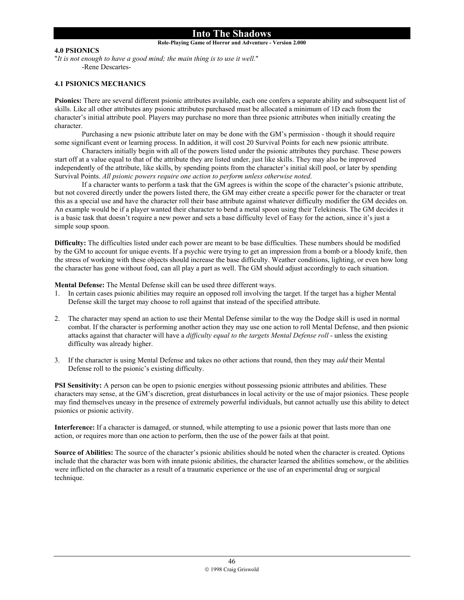#### **Role-Playing Game of Horror and Adventure - Version 2.000**

### **4.0 PSIONICS**

"*It is not enough to have a good mind; the main thing is to use it well.*" -Rene Descartes-

### **4.1 PSIONICS MECHANICS**

**Psionics:** There are several different psionic attributes available, each one confers a separate ability and subsequent list of skills. Like all other attributes any psionic attributes purchased must be allocated a minimum of 1D each from the character's initial attribute pool. Players may purchase no more than three psionic attributes when initially creating the character.

Purchasing a new psionic attribute later on may be done with the GM's permission - though it should require some significant event or learning process. In addition, it will cost 20 Survival Points for each new psionic attribute.

Characters initially begin with all of the powers listed under the psionic attributes they purchase. These powers start off at a value equal to that of the attribute they are listed under, just like skills. They may also be improved independently of the attribute, like skills, by spending points from the character's initial skill pool, or later by spending Survival Points. *All psionic powers require one action to perform unless otherwise noted*.

If a character wants to perform a task that the GM agrees is within the scope of the character's psionic attribute, but not covered directly under the powers listed there, the GM may either create a specific power for the character or treat this as a special use and have the character roll their base attribute against whatever difficulty modifier the GM decides on. An example would be if a player wanted their character to bend a metal spoon using their Telekinesis. The GM decides it is a basic task that doesn't require a new power and sets a base difficulty level of Easy for the action, since it's just a simple soup spoon.

**Difficulty:** The difficulties listed under each power are meant to be base difficulties. These numbers should be modified by the GM to account for unique events. If a psychic were trying to get an impression from a bomb or a bloody knife, then the stress of working with these objects should increase the base difficulty. Weather conditions, lighting, or even how long the character has gone without food, can all play a part as well. The GM should adjust accordingly to each situation.

**Mental Defense:** The Mental Defense skill can be used three different ways.

- 1. In certain cases psionic abilities may require an opposed roll involving the target. If the target has a higher Mental Defense skill the target may choose to roll against that instead of the specified attribute.
- 2. The character may spend an action to use their Mental Defense similar to the way the Dodge skill is used in normal combat. If the character is performing another action they may use one action to roll Mental Defense, and then psionic attacks against that character will have a *difficulty equal to the targets Mental Defense roll* - unless the existing difficulty was already higher.
- 3. If the character is using Mental Defense and takes no other actions that round, then they may *add* their Mental Defense roll to the psionic's existing difficulty.

**PSI Sensitivity:** A person can be open to psionic energies without possessing psionic attributes and abilities. These characters may sense, at the GM's discretion, great disturbances in local activity or the use of major psionics. These people may find themselves uneasy in the presence of extremely powerful individuals, but cannot actually use this ability to detect psionics or psionic activity.

**Interference:** If a character is damaged, or stunned, while attempting to use a psionic power that lasts more than one action, or requires more than one action to perform, then the use of the power fails at that point.

**Source of Abilities:** The source of the character's psionic abilities should be noted when the character is created. Options include that the character was born with innate psionic abilities, the character learned the abilities somehow, or the abilities were inflicted on the character as a result of a traumatic experience or the use of an experimental drug or surgical technique.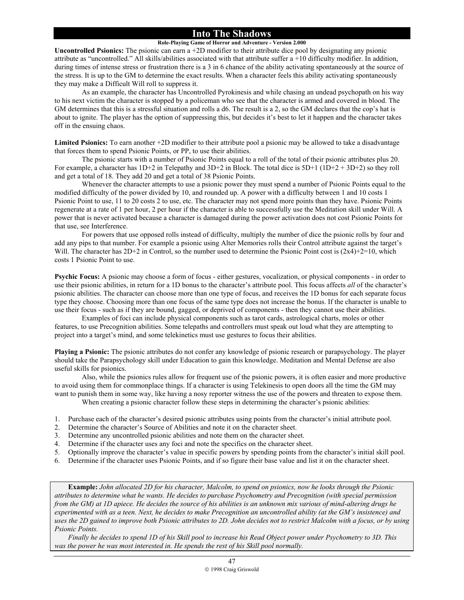#### **Role-Playing Game of Horror and Adventure - Version 2.000**

**Uncontrolled Psionics:** The psionic can earn a +2D modifier to their attribute dice pool by designating any psionic attribute as "uncontrolled." All skills/abilities associated with that attribute suffer a +10 difficulty modifier. In addition, during times of intense stress or frustration there is a 3 in 6 chance of the ability activating spontaneously at the source of the stress. It is up to the GM to determine the exact results. When a character feels this ability activating spontaneously they may make a Difficult Will roll to suppress it.

 As an example, the character has Uncontrolled Pyrokinesis and while chasing an undead psychopath on his way to his next victim the character is stopped by a policeman who see that the character is armed and covered in blood. The GM determines that this is a stressful situation and rolls a d6. The result is a 2, so the GM declares that the cop's hat is about to ignite. The player has the option of suppressing this, but decides it's best to let it happen and the character takes off in the ensuing chaos.

**Limited Psionics:** To earn another +2D modifier to their attribute pool a psionic may be allowed to take a disadvantage that forces them to spend Psionic Points, or PP, to use their abilities.

The psionic starts with a number of Psionic Points equal to a roll of the total of their psionic attributes plus 20. For example, a character has 1D+2 in Telepathy and 3D+2 in Block. The total dice is 5D+1 (1D+2 + 3D+2) so they roll and get a total of 18. They add 20 and get a total of 38 Psionic Points.

Whenever the character attempts to use a psionic power they must spend a number of Psionic Points equal to the modified difficulty of the power divided by 10, and rounded up. A power with a difficulty between 1 and 10 costs 1 Psionic Point to use, 11 to 20 costs 2 to use, etc. The character may not spend more points than they have. Psionic Points regenerate at a rate of 1 per hour, 2 per hour if the character is able to successfully use the Meditation skill under Will. A power that is never activated because a character is damaged during the power activation does not cost Psionic Points for that use, see Interference.

For powers that use opposed rolls instead of difficulty, multiply the number of dice the psionic rolls by four and add any pips to that number. For example a psionic using Alter Memories rolls their Control attribute against the target's Will. The character has  $2D+2$  in Control, so the number used to determine the Psionic Point cost is  $(2x4)+2=10$ , which costs 1 Psionic Point to use.

**Psychic Focus:** A psionic may choose a form of focus - either gestures, vocalization, or physical components - in order to use their psionic abilities, in return for a 1D bonus to the character's attribute pool. This focus affects *all* of the character's psionic abilities. The character can choose more than one type of focus, and receives the 1D bonus for each separate focus type they choose. Choosing more than one focus of the same type does not increase the bonus. If the character is unable to use their focus - such as if they are bound, gagged, or deprived of components - then they cannot use their abilities.

 Examples of foci can include physical components such as tarot cards, astrological charts, moles or other features, to use Precognition abilities. Some telepaths and controllers must speak out loud what they are attempting to project into a target's mind, and some telekinetics must use gestures to focus their abilities.

**Playing a Psionic:** The psionic attributes do not confer any knowledge of psionic research or parapsychology. The player should take the Parapsychology skill under Education to gain this knowledge. Meditation and Mental Defense are also useful skills for psionics.

Also, while the psionics rules allow for frequent use of the psionic powers, it is often easier and more productive to avoid using them for commonplace things. If a character is using Telekinesis to open doors all the time the GM may want to punish them in some way, like having a nosy reporter witness the use of the powers and threaten to expose them. When creating a psionic character follow these steps in determining the character's psionic abilities:

- 1. Purchase each of the character's desired psionic attributes using points from the character's initial attribute pool.
- 2. Determine the character's Source of Abilities and note it on the character sheet.
- 3. Determine any uncontrolled psionic abilities and note them on the character sheet.
- 4. Determine if the character uses any foci and note the specifics on the character sheet.
- 5. Optionally improve the character's value in specific powers by spending points from the character's initial skill pool.
- 6. Determine if the character uses Psionic Points, and if so figure their base value and list it on the character sheet.

**Example:** *John allocated 2D for his character, Malcolm, to spend on psionics, now he looks through the Psionic attributes to determine what he wants. He decides to purchase Psychometry and Precognition (with special permission from the GM) at 1D apiece. He decides the source of his abilities is an unknown mix various of mind-altering drugs he experimented with as a teen. Next, he decides to make Precognition an uncontrolled ability (at the GM's insistence) and uses the 2D gained to improve both Psionic attributes to 2D. John decides not to restrict Malcolm with a focus, or by using Psionic Points.* 

*Finally he decides to spend 1D of his Skill pool to increase his Read Object power under Psychometry to 3D. This was the power he was most interested in. He spends the rest of his Skill pool normally.*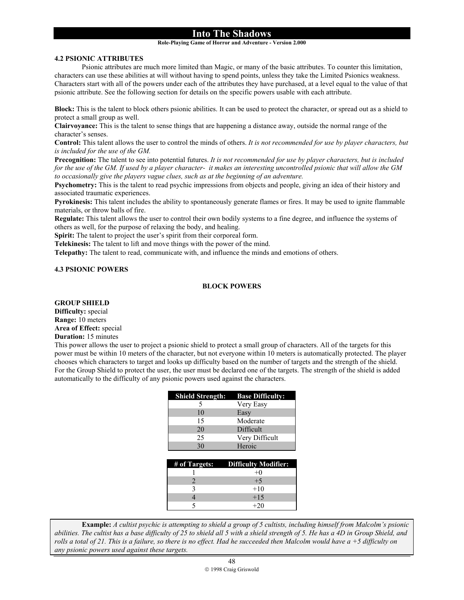#### **Role-Playing Game of Horror and Adventure - Version 2.000**

#### **4.2 PSIONIC ATTRIBUTES**

 Psionic attributes are much more limited than Magic, or many of the basic attributes. To counter this limitation, characters can use these abilities at will without having to spend points, unless they take the Limited Psionics weakness. Characters start with all of the powers under each of the attributes they have purchased, at a level equal to the value of that psionic attribute. See the following section for details on the specific powers usable with each attribute.

**Block:** This is the talent to block others psionic abilities. It can be used to protect the character, or spread out as a shield to protect a small group as well.

**Clairvoyance:** This is the talent to sense things that are happening a distance away, outside the normal range of the character's senses.

**Control:** This talent allows the user to control the minds of others. *It is not recommended for use by player characters, but is included for the use of the GM.*

**Precognition:** The talent to see into potential futures. *It is not recommended for use by player characters, but is included for the use of the GM. If used by a player character- it makes an interesting uncontrolled psionic that will allow the GM to occasionally give the players vague clues, such as at the beginning of an adventure.*

**Psychometry:** This is the talent to read psychic impressions from objects and people, giving an idea of their history and associated traumatic experiences.

**Pyrokinesis:** This talent includes the ability to spontaneously generate flames or fires. It may be used to ignite flammable materials, or throw balls of fire.

**Regulate:** This talent allows the user to control their own bodily systems to a fine degree, and influence the systems of others as well, for the purpose of relaxing the body, and healing.

Spirit: The talent to project the user's spirit from their corporeal form.

**Telekinesis:** The talent to lift and move things with the power of the mind.

**Telepathy:** The talent to read, communicate with, and influence the minds and emotions of others.

#### **4.3 PSIONIC POWERS**

#### **BLOCK POWERS**

#### **GROUP SHIELD**

**Difficulty:** special **Range:** 10 meters **Area of Effect:** special **Duration:** 15 minutes

This power allows the user to project a psionic shield to protect a small group of characters. All of the targets for this power must be within 10 meters of the character, but not everyone within 10 meters is automatically protected. The player chooses which characters to target and looks up difficulty based on the number of targets and the strength of the shield. For the Group Shield to protect the user, the user must be declared one of the targets. The strength of the shield is added automatically to the difficulty of any psionic powers used against the characters.

| <b>Shield Strength:</b> Base Difficulty: |                |
|------------------------------------------|----------------|
|                                          | Very Easy      |
| 10                                       | Easy           |
| 15                                       | Moderate       |
| 20                                       | Difficult      |
| 25                                       | Very Difficult |
| $20^{\circ}$                             | Heroic         |

| # of Targets: Difficulty Modifier: |
|------------------------------------|
| $+0$                               |
| $+5$                               |
| $+10$                              |
| $+15$                              |
| $+20$                              |

 **Example:** *A cultist psychic is attempting to shield a group of 5 cultists, including himself from Malcolm's psionic abilities. The cultist has a base difficulty of 25 to shield all 5 with a shield strength of 5. He has a 4D in Group Shield, and rolls a total of 21. This is a failure, so there is no effect. Had he succeeded then Malcolm would have a +5 difficulty on any psionic powers used against these targets.*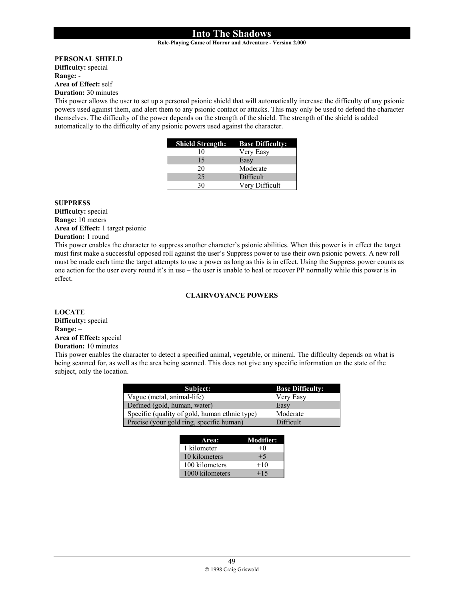#### **Role-Playing Game of Horror and Adventure - Version 2.000**

**PERSONAL SHIELD**

**Difficulty:** special **Range:** - **Area of Effect:** self **Duration:** 30 minutes

This power allows the user to set up a personal psionic shield that will automatically increase the difficulty of any psionic powers used against them, and alert them to any psionic contact or attacks. This may only be used to defend the character themselves. The difficulty of the power depends on the strength of the shield. The strength of the shield is added automatically to the difficulty of any psionic powers used against the character.

| <b>Shield Strength:</b> Base Difficulty: |                |
|------------------------------------------|----------------|
| 10                                       | Very Easy      |
| 15                                       | Easy           |
| 20                                       | Moderate       |
| 25                                       | Difficult      |
| 30                                       | Very Difficult |

#### **SUPPRESS**

**Difficulty:** special **Range:** 10 meters **Area of Effect:** 1 target psionic **Duration:** 1 round

This power enables the character to suppress another character's psionic abilities. When this power is in effect the target must first make a successful opposed roll against the user's Suppress power to use their own psionic powers. A new roll must be made each time the target attempts to use a power as long as this is in effect. Using the Suppress power counts as one action for the user every round it's in use – the user is unable to heal or recover PP normally while this power is in effect.

#### **CLAIRVOYANCE POWERS**

**LOCATE Difficulty:** special **Range:** – **Area of Effect:** special **Duration:** 10 minutes

This power enables the character to detect a specified animal, vegetable, or mineral. The difficulty depends on what is being scanned for, as well as the area being scanned. This does not give any specific information on the state of the subject, only the location.

| Subject:                                      | <b>Base Difficulty:</b> |
|-----------------------------------------------|-------------------------|
| Vague (metal, animal-life)                    | Very Easy               |
| Defined (gold, human, water)                  | Easy                    |
| Specific (quality of gold, human ethnic type) | Moderate                |
| Precise (your gold ring, specific human)      | Difficult               |

| Area:           | Modifier: |
|-----------------|-----------|
| 1 kilometer     | $+0$      |
| 10 kilometers   | $+5$      |
| 100 kilometers  | $+10$     |
| 1000 kilometers | $+15$     |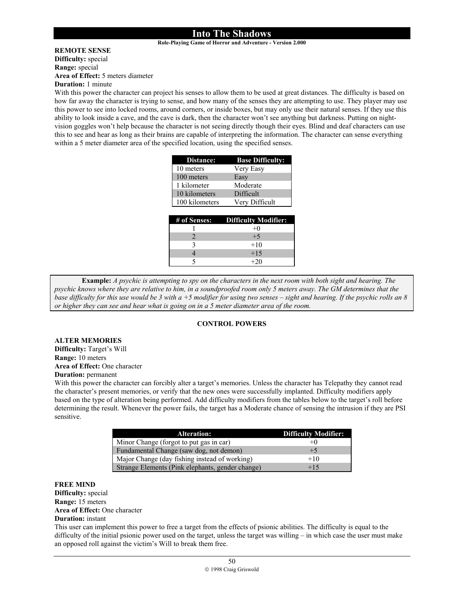#### **Role-Playing Game of Horror and Adventure - Version 2.000**

### **REMOTE SENSE**

**Difficulty:** special **Range:** special **Area of Effect:** 5 meters diameter

**Duration:** 1 minute

With this power the character can project his senses to allow them to be used at great distances. The difficulty is based on how far away the character is trying to sense, and how many of the senses they are attempting to use. They player may use this power to see into locked rooms, around corners, or inside boxes, but may only use their natural senses. If they use this ability to look inside a cave, and the cave is dark, then the character won't see anything but darkness. Putting on nightvision goggles won't help because the character is not seeing directly though their eyes. Blind and deaf characters can use this to see and hear as long as their brains are capable of interpreting the information. The character can sense everything within a 5 meter diameter area of the specified location, using the specified senses.

| Distance:      | <b>Base Difficulty:</b>     |
|----------------|-----------------------------|
| 10 meters      | Very Easy                   |
| 100 meters     | Easy                        |
| 1 kilometer    | Moderate                    |
| 10 kilometers  | Difficult                   |
| 100 kilometers | Very Difficult              |
|                |                             |
|                |                             |
| # of Senses:   | <b>Difficulty Modifier:</b> |
|                | $+0$                        |
| $\mathfrak{D}$ | $+5$                        |
| 3              | $+10$                       |
|                | $+15$                       |

 **Example:** *A psychic is attempting to spy on the characters in the next room with both sight and hearing. The psychic knows where they are relative to him, in a soundproofed room only 5 meters away. The GM determines that the base difficulty for this use would be 3 with a +5 modifier for using two senses – sight and hearing. If the psychic rolls an 8 or higher they can see and hear what is going on in a 5 meter diameter area of the room.* 

#### **CONTROL POWERS**

#### **ALTER MEMORIES**

**Difficulty:** Target's Will **Range:** 10 meters **Area of Effect:** One character

**Duration:** permanent

With this power the character can forcibly alter a target's memories. Unless the character has Telepathy they cannot read the character's present memories, or verify that the new ones were successfully implanted. Difficulty modifiers apply based on the type of alteration being performed. Add difficulty modifiers from the tables below to the target's roll before determining the result. Whenever the power fails, the target has a Moderate chance of sensing the intrusion if they are PSI sensitive.

| Alteration:                                      | <b>Difficulty Modifier:</b> |
|--------------------------------------------------|-----------------------------|
| Minor Change (forgot to put gas in car)          | $+()$                       |
| Fundamental Change (saw dog, not demon)          | $+5$                        |
| Major Change (day fishing instead of working)    | $+10$                       |
| Strange Elements (Pink elephants, gender change) | $+15$                       |

#### **FREE MIND**

**Difficulty:** special **Range:** 15 meters **Area of Effect:** One character **Duration:** instant

This user can implement this power to free a target from the effects of psionic abilities. The difficulty is equal to the difficulty of the initial psionic power used on the target, unless the target was willing  $-$  in which case the user must make an opposed roll against the victim's Will to break them free.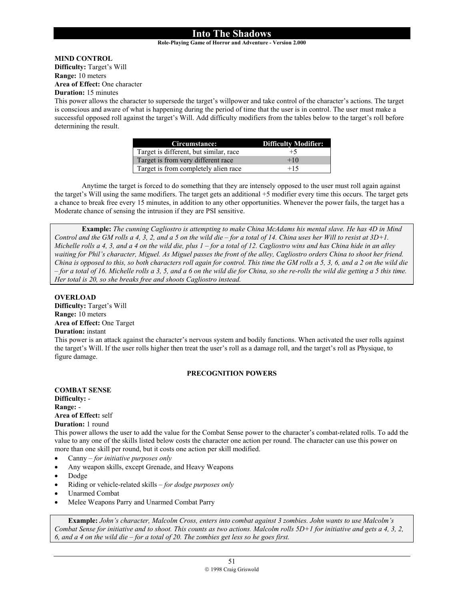#### **Role-Playing Game of Horror and Adventure - Version 2.000**

**MIND CONTROL**

**Difficulty:** Target's Will **Range:** 10 meters **Area of Effect:** One character

## **Duration:** 15 minutes

This power allows the character to supersede the target's willpower and take control of the character's actions. The target is conscious and aware of what is happening during the period of time that the user is in control. The user must make a successful opposed roll against the target's Will. Add difficulty modifiers from the tables below to the target's roll before determining the result.

| Circumstance:                          | <b>Difficulty Modifier:</b> |
|----------------------------------------|-----------------------------|
| Target is different, but similar, race | $+5$                        |
| Target is from very different race     | $+10$                       |
| Target is from completely alien race   | $+15$                       |

 Anytime the target is forced to do something that they are intensely opposed to the user must roll again against the target's Will using the same modifiers. The target gets an additional +5 modifier every time this occurs. The target gets a chance to break free every 15 minutes, in addition to any other opportunities. Whenever the power fails, the target has a Moderate chance of sensing the intrusion if they are PSI sensitive.

**Example:** *The cunning Cagliostro is attempting to make China McAdams his mental slave. He has 4D in Mind Control and the GM rolls a 4, 3, 2, and a 5 on the wild die – for a total of 14. China uses her Will to resist at 3D+1. Michelle rolls a 4, 3, and a 4 on the wild die, plus 1 – for a total of 12. Cagliostro wins and has China hide in an alley waiting for Phil's character, Miguel. As Miguel passes the front of the alley, Cagliostro orders China to shoot her friend. China is opposed to this, so both characters roll again for control. This time the GM rolls a 5, 3, 6, and a 2 on the wild die – for a total of 16. Michelle rolls a 3, 5, and a 6 on the wild die for China, so she re-rolls the wild die getting a 5 this time. Her total is 20, so she breaks free and shoots Cagliostro instead.* 

### **OVERLOAD**

**Difficulty:** Target's Will **Range:** 10 meters **Area of Effect:** One Target **Duration:** instant

This power is an attack against the character's nervous system and bodily functions. When activated the user rolls against the target's Will. If the user rolls higher then treat the user's roll as a damage roll, and the target's roll as Physique, to figure damage.

### **PRECOGNITION POWERS**

## **COMBAT SENSE Difficulty:** - **Range:** - **Area of Effect:** self

**Duration:** 1 round

This power allows the user to add the value for the Combat Sense power to the character's combat-related rolls. To add the value to any one of the skills listed below costs the character one action per round. The character can use this power on more than one skill per round, but it costs one action per skill modified.

- Canny *for initiative purposes only*
- Any weapon skills, except Grenade, and Heavy Weapons
- Dodge
- Riding or vehicle-related skills *for dodge purposes only*
- Unarmed Combat
- Melee Weapons Parry and Unarmed Combat Parry

**Example:** *John's character, Malcolm Cross, enters into combat against 3 zombies. John wants to use Malcolm's Combat Sense for initiative and to shoot. This counts as two actions. Malcolm rolls 5D+1 for initiative and gets a 4, 3, 2, 6, and a 4 on the wild die – for a total of 20. The zombies get less so he goes first.*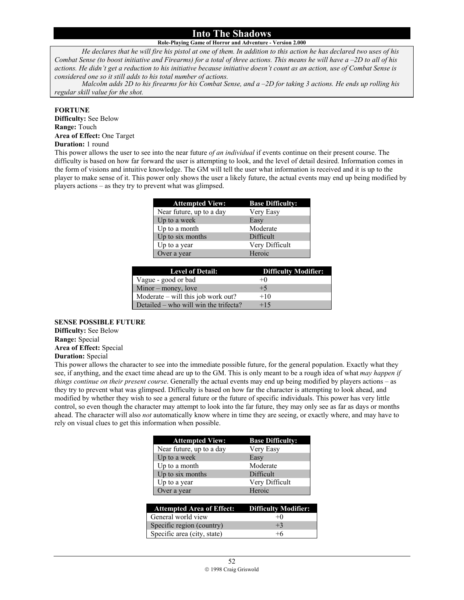#### **Role-Playing Game of Horror and Adventure - Version 2.000**

*He declares that he will fire his pistol at one of them. In addition to this action he has declared two uses of his Combat Sense (to boost initiative and Firearms) for a total of three actions. This means he will have a –2D to all of his actions. He didn't get a reduction to his initiative because initiative doesn't count as an action, use of Combat Sense is considered one so it still adds to his total number of actions.* 

*Malcolm adds 2D to his firearms for his Combat Sense, and a –2D for taking 3 actions. He ends up rolling his regular skill value for the shot.*

#### **FORTUNE**

**Difficulty:** See Below **Range:** Touch **Area of Effect:** One Target **Duration:** 1 round

This power allows the user to see into the near future *of an individual* if events continue on their present course. The difficulty is based on how far forward the user is attempting to look, and the level of detail desired. Information comes in the form of visions and intuitive knowledge. The GM will tell the user what information is received and it is up to the player to make sense of it. This power only shows the user a likely future, the actual events may end up being modified by players actions – as they try to prevent what was glimpsed.

| <b>Attempted View:</b>   | <b>Base Difficulty:</b> |
|--------------------------|-------------------------|
| Near future, up to a day | Very Easy               |
| Up to a week             | Easy                    |
| Up to a month            | Moderate                |
| Up to six months         | Difficult               |
| Up to a year             | Very Difficult          |
| Over a year              | Heroic                  |

| <b>Level of Detail:</b>               | <b>Difficulty Modifier:</b> |
|---------------------------------------|-----------------------------|
| Vague - good or bad                   | $+0$                        |
| Minor – money, love                   | $+5$                        |
| Moderate – will this job work out?    | $+10$                       |
| Detailed – who will win the trifecta? | $+15$                       |

#### **SENSE POSSIBLE FUTURE**

**Difficulty:** See Below **Range:** Special **Area of Effect:** Special

# **Duration:** Special

This power allows the character to see into the immediate possible future, for the general population. Exactly what they see, if anything, and the exact time ahead are up to the GM. This is only meant to be a rough idea of what *may happen if things continue on their present course*. Generally the actual events may end up being modified by players actions – as they try to prevent what was glimpsed. Difficulty is based on how far the character is attempting to look ahead, and modified by whether they wish to see a general future or the future of specific individuals. This power has very little control, so even though the character may attempt to look into the far future, they may only see as far as days or months ahead. The character will also *not* automatically know where in time they are seeing, or exactly where, and may have to rely on visual clues to get this information when possible.

| <b>Attempted View:</b>           | <b>Base Difficulty:</b>     |
|----------------------------------|-----------------------------|
| Near future, up to a day         | Very Easy                   |
| Up to a week                     | Easy                        |
| Up to a month                    | Moderate                    |
| Up to six months                 | Difficult                   |
| Up to a year                     | Very Difficult              |
| Over a year                      | Heroic                      |
|                                  |                             |
|                                  |                             |
| <b>Attempted Area of Effect:</b> | <b>Difficulty Modifier:</b> |
| General world view               | $+0$                        |
| Specific region (country)        | $+3$                        |
| Specific area (city, state)      | $+6$                        |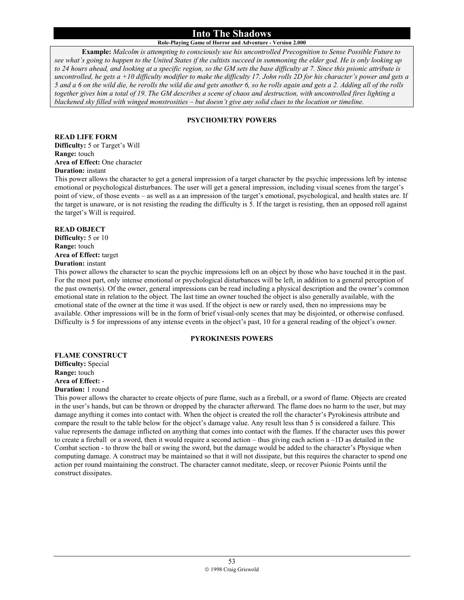#### **Role-Playing Game of Horror and Adventure - Version 2.000**

**Example:** *Malcolm is attempting to consciously use his uncontrolled Precognition to Sense Possible Future to see what's going to happen to the United States if the cultists succeed in summoning the elder god. He is only looking up to 24 hours ahead, and looking at a specific region, so the GM sets the base difficulty at 7. Since this psionic attribute is uncontrolled, he gets a +10 difficulty modifier to make the difficulty 17. John rolls 2D for his character's power and gets a 5 and a 6 on the wild die, he rerolls the wild die and gets another 6, so he rolls again and gets a 2. Adding all of the rolls together gives him a total of 19. The GM describes a scene of chaos and destruction, with uncontrolled fires lighting a blackened sky filled with winged monstrosities – but doesn't give any solid clues to the location or timeline.* 

#### **PSYCHOMETRY POWERS**

**READ LIFE FORM Difficulty:** 5 or Target's Will **Range:** touch **Area of Effect:** One character **Duration:** instant

This power allows the character to get a general impression of a target character by the psychic impressions left by intense emotional or psychological disturbances. The user will get a general impression, including visual scenes from the target's point of view, of those events – as well as a an impression of the target's emotional, psychological, and health states are. If the target is unaware, or is not resisting the reading the difficulty is 5. If the target is resisting, then an opposed roll against the target's Will is required.

#### **READ OBJECT**

**Difficulty:** 5 or 10 **Range:** touch **Area of Effect:** target **Duration:** instant

This power allows the character to scan the psychic impressions left on an object by those who have touched it in the past. For the most part, only intense emotional or psychological disturbances will be left, in addition to a general perception of the past owner(s). Of the owner, general impressions can be read including a physical description and the owner's common emotional state in relation to the object. The last time an owner touched the object is also generally available, with the emotional state of the owner at the time it was used. If the object is new or rarely used, then no impressions may be available. Other impressions will be in the form of brief visual-only scenes that may be disjointed, or otherwise confused. Difficulty is 5 for impressions of any intense events in the object's past, 10 for a general reading of the object's owner.

#### **PYROKINESIS POWERS**

**FLAME CONSTRUCT** 

**Difficulty:** Special **Range:** touch **Area of Effect:** -

**Duration:** 1 round

This power allows the character to create objects of pure flame, such as a fireball, or a sword of flame. Objects are created in the user's hands, but can be thrown or dropped by the character afterward. The flame does no harm to the user, but may damage anything it comes into contact with. When the object is created the roll the character's Pyrokinesis attribute and compare the result to the table below for the object's damage value. Any result less than 5 is considered a failure. This value represents the damage inflicted on anything that comes into contact with the flames. If the character uses this power to create a fireball or a sword, then it would require a second action – thus giving each action  $a - 1D$  as detailed in the Combat section - to throw the ball or swing the sword, but the damage would be added to the character's Physique when computing damage. A construct may be maintained so that it will not dissipate, but this requires the character to spend one action per round maintaining the construct. The character cannot meditate, sleep, or recover Psionic Points until the construct dissipates.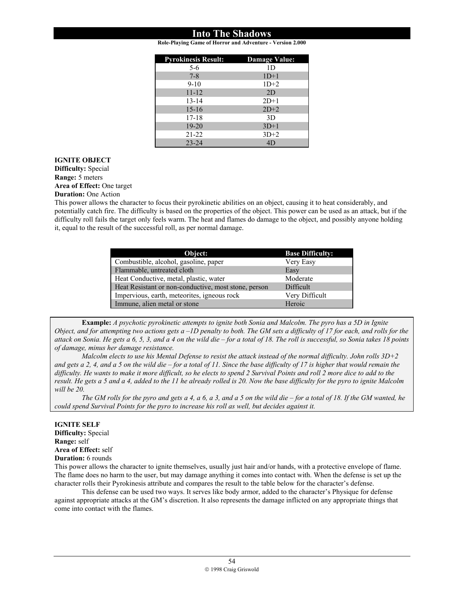**Role-Playing Game of Horror and Adventure - Version 2.000**

| <b>Pyrokinesis Result:</b> | Damage Value: |
|----------------------------|---------------|
| 5-6                        | 1D            |
| $7 - 8$                    | $1D+1$        |
| $9 - 10$                   | $1D+2$        |
| $11 - 12$                  | 2D            |
| $13 - 14$                  | $2D+1$        |
| $15 - 16$                  | $2D+2$        |
| $17 - 18$                  | 3D            |
| $19 - 20$                  | $3D+1$        |
| $21 - 22$                  | $3D+2$        |
| $23 - 24$                  |               |

#### **IGNITE OBJECT**

**Difficulty:** Special **Range:** 5 meters **Area of Effect:** One target **Duration:** One Action

This power allows the character to focus their pyrokinetic abilities on an object, causing it to heat considerably, and potentially catch fire. The difficulty is based on the properties of the object. This power can be used as an attack, but if the difficulty roll fails the target only feels warm. The heat and flames do damage to the object, and possibly anyone holding it, equal to the result of the successful roll, as per normal damage.

| Object:                                              | <b>Base Difficulty:</b> |
|------------------------------------------------------|-------------------------|
| Combustible, alcohol, gasoline, paper                | Very Easy               |
| Flammable, untreated cloth                           | Easy                    |
| Heat Conductive, metal, plastic, water               | Moderate                |
| Heat Resistant or non-conductive, most stone, person | Difficult               |
| Impervious, earth, meteorites, igneous rock          | Very Difficult          |
| Immune, alien metal or stone                         | Heroic                  |

**Example:** *A psychotic pyrokinetic attempts to ignite both Sonia and Malcolm. The pyro has a 5D in Ignite Object, and for attempting two actions gets a –1D penalty to both. The GM sets a difficulty of 17 for each, and rolls for the attack on Sonia. He gets a 6, 5, 3, and a 4 on the wild die – for a total of 18. The roll is successful, so Sonia takes 18 points of damage, minus her damage resistance.* 

 *Malcolm elects to use his Mental Defense to resist the attack instead of the normal difficulty. John rolls 3D+2 and gets a 2, 4, and a 5 on the wild die – for a total of 11. Since the base difficulty of 17 is higher that would remain the difficulty. He wants to make it more difficult, so he elects to spend 2 Survival Points and roll 2 more dice to add to the result. He gets a 5 and a 4, added to the 11 he already rolled is 20. Now the base difficulty for the pyro to ignite Malcolm will be 20.* 

 *The GM rolls for the pyro and gets a 4, a 6, a 3, and a 5 on the wild die – for a total of 18. If the GM wanted, he could spend Survival Points for the pyro to increase his roll as well, but decides against it.* 

**IGNITE SELF Difficulty:** Special **Range:** self **Area of Effect:** self **Duration:** 6 rounds

This power allows the character to ignite themselves, usually just hair and/or hands, with a protective envelope of flame. The flame does no harm to the user, but may damage anything it comes into contact with. When the defense is set up the character rolls their Pyrokinesis attribute and compares the result to the table below for the character's defense.

This defense can be used two ways. It serves like body armor, added to the character's Physique for defense against appropriate attacks at the GM's discretion. It also represents the damage inflicted on any appropriate things that come into contact with the flames.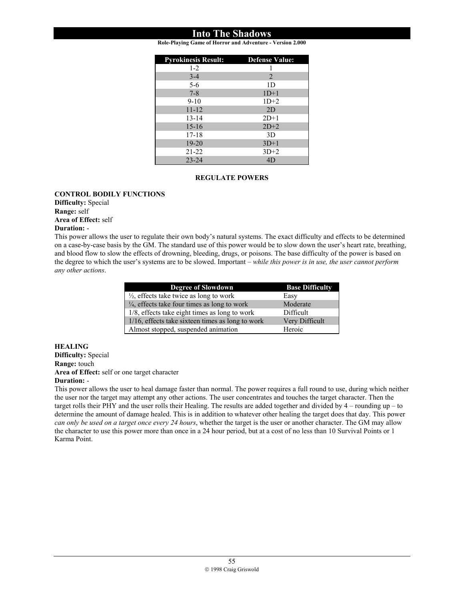**Role-Playing Game of Horror and Adventure - Version 2.000**

| <b>Pyrokinesis Result:</b> | <b>Defense Value:</b> |
|----------------------------|-----------------------|
| $1 - 2$                    |                       |
| $3 - 4$                    | $\mathfrak{D}$        |
| $5 - 6$                    | 1D                    |
| $7 - 8$                    | $1D+1$                |
| $9-10$                     | $1D+2$                |
| $11 - 12$                  | 2D                    |
| $13 - 14$                  | $2D+1$                |
| $15 - 16$                  | $2D+2$                |
| $17 - 18$                  | 3D                    |
| $19 - 20$                  | $3D+1$                |
| 21-22                      | $3D+2$                |
| $23 - 24$                  | 4D                    |

#### **REGULATE POWERS**

#### **CONTROL BODILY FUNCTIONS**

**Difficulty:** Special **Range:** self **Area of Effect:** self **Duration:** -

This power allows the user to regulate their own body's natural systems. The exact difficulty and effects to be determined on a case-by-case basis by the GM. The standard use of this power would be to slow down the user's heart rate, breathing, and blood flow to slow the effects of drowning, bleeding, drugs, or poisons. The base difficulty of the power is based on the degree to which the user's systems are to be slowed. Important – *while this power is in use, the user cannot perform any other actions*.

| <b>Degree of Slowdown</b>                               | <b>Base Difficulty</b> |
|---------------------------------------------------------|------------------------|
| $\frac{1}{2}$ , effects take twice as long to work      | Easy                   |
| $\frac{1}{4}$ , effects take four times as long to work | Moderate               |
| 1/8, effects take eight times as long to work           | Difficult              |
| $1/16$ , effects take sixteen times as long to work     | Very Difficult         |
| Almost stopped, suspended animation                     | Heroic                 |

#### **HEALING**

**Difficulty:** Special **Range:** touch **Area of Effect:** self or one target character

# **Duration:** -

This power allows the user to heal damage faster than normal. The power requires a full round to use, during which neither the user nor the target may attempt any other actions. The user concentrates and touches the target character. Then the target rolls their PHY and the user rolls their Healing. The results are added together and divided by  $4$  – rounding up – to determine the amount of damage healed. This is in addition to whatever other healing the target does that day. This power *can only be used on a target once every 24 hours*, whether the target is the user or another character. The GM may allow the character to use this power more than once in a 24 hour period, but at a cost of no less than 10 Survival Points or 1 Karma Point.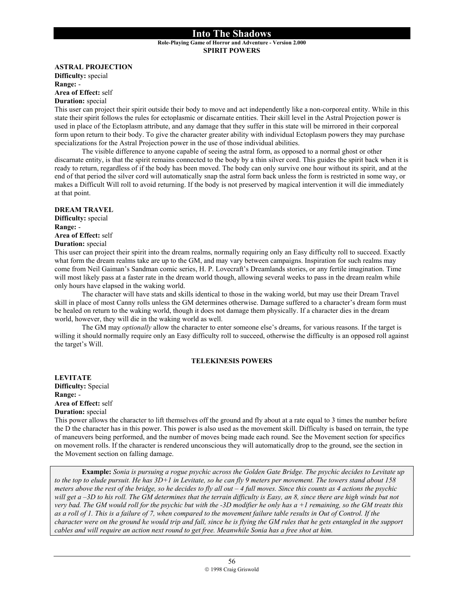### **Into The Shadows Role-Playing Game of Horror and Adventure - Version 2.000**

**SPIRIT POWERS** 

**ASTRAL PROJECTION**

**Difficulty:** special **Range:** - **Area of Effect:** self

**Duration:** special

This user can project their spirit outside their body to move and act independently like a non-corporeal entity. While in this state their spirit follows the rules for ectoplasmic or discarnate entities. Their skill level in the Astral Projection power is used in place of the Ectoplasm attribute, and any damage that they suffer in this state will be mirrored in their corporeal form upon return to their body. To give the character greater ability with individual Ectoplasm powers they may purchase specializations for the Astral Projection power in the use of those individual abilities.

 The visible difference to anyone capable of seeing the astral form, as opposed to a normal ghost or other discarnate entity, is that the spirit remains connected to the body by a thin silver cord. This guides the spirit back when it is ready to return, regardless of if the body has been moved. The body can only survive one hour without its spirit, and at the end of that period the silver cord will automatically snap the astral form back unless the form is restricted in some way, or makes a Difficult Will roll to avoid returning. If the body is not preserved by magical intervention it will die immediately at that point.

**DREAM TRAVEL Difficulty:** special **Range:** - **Area of Effect:** self **Duration:** special

This user can project their spirit into the dream realms, normally requiring only an Easy difficulty roll to succeed. Exactly what form the dream realms take are up to the GM, and may vary between campaigns. Inspiration for such realms may come from Neil Gaiman's Sandman comic series, H. P. Lovecraft's Dreamlands stories, or any fertile imagination. Time will most likely pass at a faster rate in the dream world though, allowing several weeks to pass in the dream realm while only hours have elapsed in the waking world.

 The character will have stats and skills identical to those in the waking world, but may use their Dream Travel skill in place of most Canny rolls unless the GM determines otherwise. Damage suffered to a character's dream form must be healed on return to the waking world, though it does not damage them physically. If a character dies in the dream world, however, they will die in the waking world as well.

 The GM may *optionally* allow the character to enter someone else's dreams, for various reasons. If the target is willing it should normally require only an Easy difficulty roll to succeed, otherwise the difficulty is an opposed roll against the target's Will.

### **TELEKINESIS POWERS**

**LEVITATE Difficulty:** Special **Range:** - **Area of Effect:** self **Duration:** special

This power allows the character to lift themselves off the ground and fly about at a rate equal to 3 times the number before the D the character has in this power. This power is also used as the movement skill. Difficulty is based on terrain, the type of maneuvers being performed, and the number of moves being made each round. See the Movement section for specifics on movement rolls. If the character is rendered unconscious they will automatically drop to the ground, see the section in the Movement section on falling damage.

**Example:** *Sonia is pursuing a rogue psychic across the Golden Gate Bridge. The psychic decides to Levitate up to the top to elude pursuit. He has 3D+1 in Levitate, so he can fly 9 meters per movement. The towers stand about 158 meters above the rest of the bridge, so he decides to fly all out – 4 full moves. Since this counts as 4 actions the psychic will get a –3D to his roll. The GM determines that the terrain difficulty is Easy, an 8, since there are high winds but not very bad. The GM would roll for the psychic but with the -3D modifier he only has a +1 remaining, so the GM treats this as a roll of 1. This is a failure of 7, when compared to the movement failure table results in Out of Control. If the character were on the ground he would trip and fall, since he is flying the GM rules that he gets entangled in the support cables and will require an action next round to get free. Meanwhile Sonia has a free shot at him.*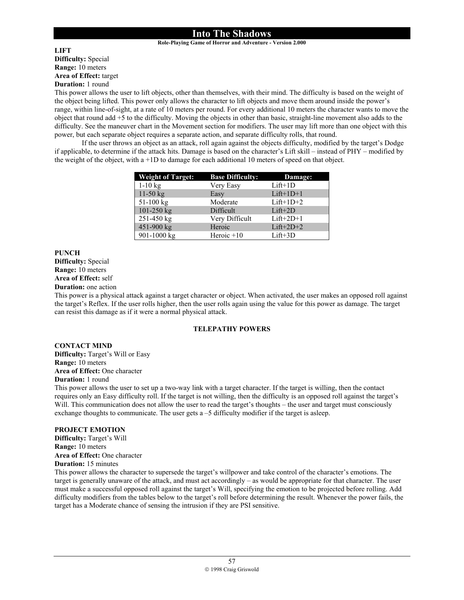#### **Role-Playing Game of Horror and Adventure - Version 2.000**

### **LIFT Difficulty:** Special **Range:** 10 meters **Area of Effect:** target **Duration:** 1 round

This power allows the user to lift objects, other than themselves, with their mind. The difficulty is based on the weight of the object being lifted. This power only allows the character to lift objects and move them around inside the power's range, within line-of-sight, at a rate of 10 meters per round. For every additional 10 meters the character wants to move the object that round add +5 to the difficulty. Moving the objects in other than basic, straight-line movement also adds to the difficulty. See the maneuver chart in the Movement section for modifiers. The user may lift more than one object with this power, but each separate object requires a separate action, and separate difficulty rolls, that round.

If the user throws an object as an attack, roll again against the objects difficulty, modified by the target's Dodge if applicable, to determine if the attack hits. Damage is based on the character's Lift skill – instead of PHY – modified by the weight of the object, with a +1D to damage for each additional 10 meters of speed on that object.

| <b>Weight of Target:</b> | <b>Base Difficulty:</b> | Damage:     |
|--------------------------|-------------------------|-------------|
| $1-10$ kg                | Very Easy               | $Lift+1D$   |
| $11-50$ kg               | Easy                    | $Lift+1D+1$ |
| $51-100$ kg              | Moderate                | $Lift+1D+2$ |
| $101 - 250$ kg           | Difficult               | $Lift+2D$   |
| 251-450 kg               | Very Difficult          | $Lift+2D+1$ |
| 451-900 kg               | Heroic                  | $Lift+2D+2$ |
| 901-1000 kg              | Heroic $+10$            | $Lift+3D$   |

### **PUNCH**

**Difficulty:** Special **Range:** 10 meters **Area of Effect:** self **Duration:** one action

This power is a physical attack against a target character or object. When activated, the user makes an opposed roll against the target's Reflex. If the user rolls higher, then the user rolls again using the value for this power as damage. The target can resist this damage as if it were a normal physical attack.

#### **TELEPATHY POWERS**

### **CONTACT MIND**

**Difficulty:** Target's Will or Easy **Range:** 10 meters **Area of Effect:** One character

### **Duration:** 1 round

This power allows the user to set up a two-way link with a target character. If the target is willing, then the contact requires only an Easy difficulty roll. If the target is not willing, then the difficulty is an opposed roll against the target's Will. This communication does not allow the user to read the target's thoughts – the user and target must consciously exchange thoughts to communicate. The user gets a –5 difficulty modifier if the target is asleep.

#### **PROJECT EMOTION**

**Difficulty:** Target's Will **Range:** 10 meters **Area of Effect:** One character **Duration:** 15 minutes

This power allows the character to supersede the target's willpower and take control of the character's emotions. The target is generally unaware of the attack, and must act accordingly – as would be appropriate for that character. The user must make a successful opposed roll against the target's Will, specifying the emotion to be projected before rolling. Add difficulty modifiers from the tables below to the target's roll before determining the result. Whenever the power fails, the target has a Moderate chance of sensing the intrusion if they are PSI sensitive.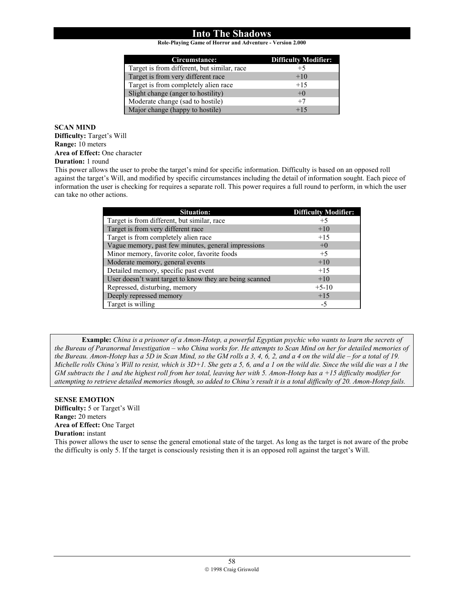**Role-Playing Game of Horror and Adventure - Version 2.000**

| Circumstance:                               | <b>Difficulty Modifier:</b> |
|---------------------------------------------|-----------------------------|
| Target is from different, but similar, race | $+5$                        |
| Target is from very different race          | $+10$                       |
| Target is from completely alien race        | $+15$                       |
| Slight change (anger to hostility)          | $+0$                        |
| Moderate change (sad to hostile)            | $+7$                        |
| Major change (happy to hostile)             | $+15$                       |

### **SCAN MIND**

**Difficulty:** Target's Will **Range:** 10 meters **Area of Effect:** One character **Duration:** 1 round

This power allows the user to probe the target's mind for specific information. Difficulty is based on an opposed roll against the target's Will, and modified by specific circumstances including the detail of information sought. Each piece of information the user is checking for requires a separate roll. This power requires a full round to perform, in which the user can take no other actions.

| <b>Situation:</b>                                       | <b>Difficulty Modifier:</b> |
|---------------------------------------------------------|-----------------------------|
| Target is from different, but similar, race             | $+5$                        |
| Target is from very different race                      | $+10$                       |
| Target is from completely alien race                    | $+15$                       |
| Vague memory, past few minutes, general impressions     | $+0$                        |
| Minor memory, favorite color, favorite foods            | $+5$                        |
| Moderate memory, general events                         | $+10$                       |
| Detailed memory, specific past event                    | $+15$                       |
| User doesn't want target to know they are being scanned | $+10$                       |
| Repressed, disturbing, memory                           | $+5-10$                     |
| Deeply repressed memory                                 | $+15$                       |
| Target is willing                                       | -5                          |

**Example:** *China is a prisoner of a Amon-Hotep, a powerful Egyptian psychic who wants to learn the secrets of the Bureau of Paranormal Investigation – who China works for. He attempts to Scan Mind on her for detailed memories of the Bureau. Amon-Hotep has a 5D in Scan Mind, so the GM rolls a 3, 4, 6, 2, and a 4 on the wild die – for a total of 19. Michelle rolls China's Will to resist, which is 3D+1. She gets a 5, 6, and a 1 on the wild die. Since the wild die was a 1 the GM subtracts the 1 and the highest roll from her total, leaving her with 5. Amon-Hotep has a +15 difficulty modifier for attempting to retrieve detailed memories though, so added to China's result it is a total difficulty of 20. Amon-Hotep fails.* 

**SENSE EMOTION Difficulty:** 5 or Target's Will **Range:** 20 meters **Area of Effect:** One Target **Duration:** instant

This power allows the user to sense the general emotional state of the target. As long as the target is not aware of the probe the difficulty is only 5. If the target is consciously resisting then it is an opposed roll against the target's Will.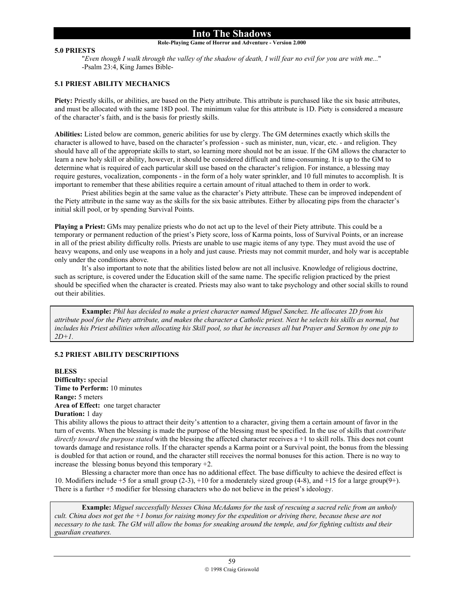### **Role-Playing Game of Horror and Adventure - Version 2.000**

#### **5.0 PRIESTS**

"*Even though I walk through the valley of the shadow of death, I will fear no evil for you are with me...*" -Psalm 23:4, King James Bible-

### **5.1 PRIEST ABILITY MECHANICS**

Piety: Priestly skills, or abilities, are based on the Piety attribute. This attribute is purchased like the six basic attributes. and must be allocated with the same 18D pool. The minimum value for this attribute is 1D. Piety is considered a measure of the character's faith, and is the basis for priestly skills.

**Abilities:** Listed below are common, generic abilities for use by clergy. The GM determines exactly which skills the character is allowed to have, based on the character's profession - such as minister, nun, vicar, etc. - and religion. They should have all of the appropriate skills to start, so learning more should not be an issue. If the GM allows the character to learn a new holy skill or ability, however, it should be considered difficult and time-consuming. It is up to the GM to determine what is required of each particular skill use based on the character's religion. For instance, a blessing may require gestures, vocalization, components - in the form of a holy water sprinkler, and 10 full minutes to accomplish. It is important to remember that these abilities require a certain amount of ritual attached to them in order to work.

 Priest abilities begin at the same value as the character's Piety attribute. These can be improved independent of the Piety attribute in the same way as the skills for the six basic attributes. Either by allocating pips from the character's initial skill pool, or by spending Survival Points.

**Playing a Priest:** GMs may penalize priests who do not act up to the level of their Piety attribute. This could be a temporary or permanent reduction of the priest's Piety score, loss of Karma points, loss of Survival Points, or an increase in all of the priest ability difficulty rolls. Priests are unable to use magic items of any type. They must avoid the use of heavy weapons, and only use weapons in a holy and just cause. Priests may not commit murder, and holy war is acceptable only under the conditions above.

 It's also important to note that the abilities listed below are not all inclusive. Knowledge of religious doctrine, such as scripture, is covered under the Education skill of the same name. The specific religion practiced by the priest should be specified when the character is created. Priests may also want to take psychology and other social skills to round out their abilities.

**Example:** *Phil has decided to make a priest character named Miguel Sanchez. He allocates 2D from his attribute pool for the Piety attribute, and makes the character a Catholic priest. Next he selects his skills as normal, but includes his Priest abilities when allocating his Skill pool, so that he increases all but Prayer and Sermon by one pip to 2D+1.* 

### **5.2 PRIEST ABILITY DESCRIPTIONS**

**BLESS Difficulty:** special **Time to Perform:** 10 minutes **Range:** 5 meters **Area of Effect:** one target character **Duration:** 1 day

This ability allows the pious to attract their deity's attention to a character, giving them a certain amount of favor in the turn of events. When the blessing is made the purpose of the blessing must be specified. In the use of skills that *contribute directly toward the purpose stated* with the blessing the affected character receives a +1 to skill rolls. This does not count towards damage and resistance rolls. If the character spends a Karma point or a Survival point, the bonus from the blessing is doubled for that action or round, and the character still receives the normal bonuses for this action. There is no way to increase the blessing bonus beyond this temporary  $+2$ .

Blessing a character more than once has no additional effect. The base difficulty to achieve the desired effect is 10. Modifiers include +5 for a small group (2-3), +10 for a moderately sized group (4-8), and +15 for a large group(9+). There is a further +5 modifier for blessing characters who do not believe in the priest's ideology.

**Example:** *Miguel successfully blesses China McAdams for the task of rescuing a sacred relic from an unholy cult. China does not get the +1 bonus for raising money for the expedition or driving there, because these are not necessary to the task. The GM will allow the bonus for sneaking around the temple, and for fighting cultists and their guardian creatures.*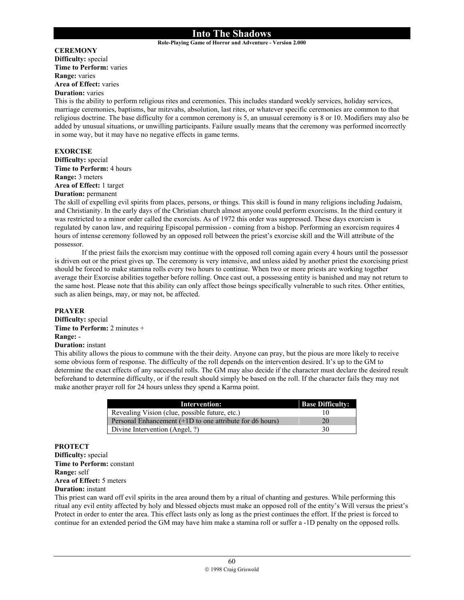#### **Role-Playing Game of Horror and Adventure - Version 2.000**

### **CEREMONY**

**Difficulty:** special **Time to Perform:** varies **Range:** varies **Area of Effect:** varies

# **Duration:** varies

This is the ability to perform religious rites and ceremonies. This includes standard weekly services, holiday services, marriage ceremonies, baptisms, bar mitzvahs, absolution, last rites, or whatever specific ceremonies are common to that religious doctrine. The base difficulty for a common ceremony is 5, an unusual ceremony is 8 or 10. Modifiers may also be added by unusual situations, or unwilling participants. Failure usually means that the ceremony was performed incorrectly in some way, but it may have no negative effects in game terms.

#### **EXORCISE**

**Difficulty:** special **Time to Perform:** 4 hours **Range:** 3 meters **Area of Effect:** 1 target **Duration:** permanent

The skill of expelling evil spirits from places, persons, or things. This skill is found in many religions including Judaism, and Christianity. In the early days of the Christian church almost anyone could perform exorcisms. In the third century it was restricted to a minor order called the exorcists. As of 1972 this order was suppressed. These days exorcism is regulated by canon law, and requiring Episcopal permission - coming from a bishop. Performing an exorcism requires 4 hours of intense ceremony followed by an opposed roll between the priest's exorcise skill and the Will attribute of the possessor.

If the priest fails the exorcism may continue with the opposed roll coming again every 4 hours until the possessor is driven out or the priest gives up. The ceremony is very intensive, and unless aided by another priest the exorcising priest should be forced to make stamina rolls every two hours to continue. When two or more priests are working together average their Exorcise abilities together before rolling. Once cast out, a possessing entity is banished and may not return to the same host. Please note that this ability can only affect those beings specifically vulnerable to such rites. Other entities, such as alien beings, may, or may not, be affected.

#### **PRAYER**

**Difficulty:** special **Time to Perform:** 2 minutes + **Range:** - **Duration:** instant

This ability allows the pious to commune with the their deity. Anyone can pray, but the pious are more likely to receive some obvious form of response. The difficulty of the roll depends on the intervention desired. It's up to the GM to determine the exact effects of any successful rolls. The GM may also decide if the character must declare the desired result beforehand to determine difficulty, or if the result should simply be based on the roll. If the character fails they may not make another prayer roll for 24 hours unless they spend a Karma point.

| Intervention:                                               | <b>Base Difficulty:</b> |
|-------------------------------------------------------------|-------------------------|
| Revealing Vision (clue, possible future, etc.)              |                         |
| Personal Enhancement $(+1D)$ to one attribute for d6 hours) | 20                      |
| Divine Intervention (Angel, ?)                              | 30                      |

### **PROTECT**

**Difficulty:** special **Time to Perform:** constant **Range:** self

# **Area of Effect:** 5 meters

### **Duration:** instant

This priest can ward off evil spirits in the area around them by a ritual of chanting and gestures. While performing this ritual any evil entity affected by holy and blessed objects must make an opposed roll of the entity's Will versus the priest's Protect in order to enter the area. This effect lasts only as long as the priest continues the effort. If the priest is forced to continue for an extended period the GM may have him make a stamina roll or suffer a -1D penalty on the opposed rolls.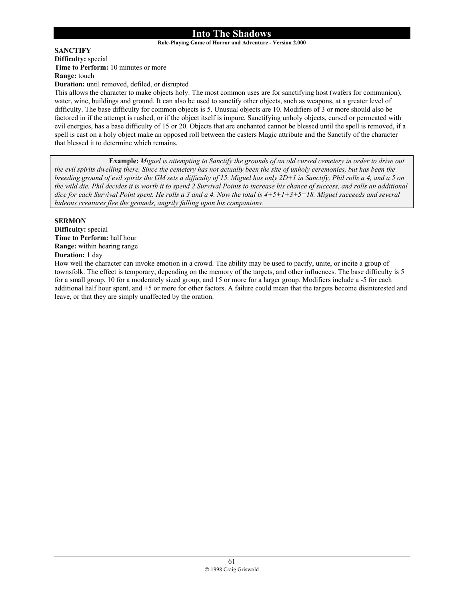#### **Role-Playing Game of Horror and Adventure - Version 2.000**

#### **SANCTIFY Difficulty:** special **Time to Perform:** 10 minutes or more **Range:** touch

**Duration:** until removed, defiled, or disrupted

This allows the character to make objects holy. The most common uses are for sanctifying host (wafers for communion), water, wine, buildings and ground. It can also be used to sanctify other objects, such as weapons, at a greater level of difficulty. The base difficulty for common objects is 5. Unusual objects are 10. Modifiers of 3 or more should also be factored in if the attempt is rushed, or if the object itself is impure. Sanctifying unholy objects, cursed or permeated with evil energies, has a base difficulty of 15 or 20. Objects that are enchanted cannot be blessed until the spell is removed, if a spell is cast on a holy object make an opposed roll between the casters Magic attribute and the Sanctify of the character that blessed it to determine which remains.

**Example:** *Miguel is attempting to Sanctify the grounds of an old cursed cemetery in order to drive out the evil spirits dwelling there. Since the cemetery has not actually been the site of unholy ceremonies, but has been the breeding ground of evil spirits the GM sets a difficulty of 15. Miguel has only 2D+1 in Sanctify, Phil rolls a 4, and a 5 on the wild die. Phil decides it is worth it to spend 2 Survival Points to increase his chance of success, and rolls an additional dice for each Survival Point spent. He rolls a 3 and a 4. Now the total is 4+5+1+3+5=18. Miguel succeeds and several hideous creatures flee the grounds, angrily falling upon his companions.* 

### **SERMON**

**Difficulty:** special **Time to Perform:** half hour **Range:** within hearing range **Duration:** 1 day

How well the character can invoke emotion in a crowd. The ability may be used to pacify, unite, or incite a group of townsfolk. The effect is temporary, depending on the memory of the targets, and other influences. The base difficulty is 5 for a small group, 10 for a moderately sized group, and 15 or more for a larger group. Modifiers include a -5 for each additional half hour spent, and +5 or more for other factors. A failure could mean that the targets become disinterested and leave, or that they are simply unaffected by the oration.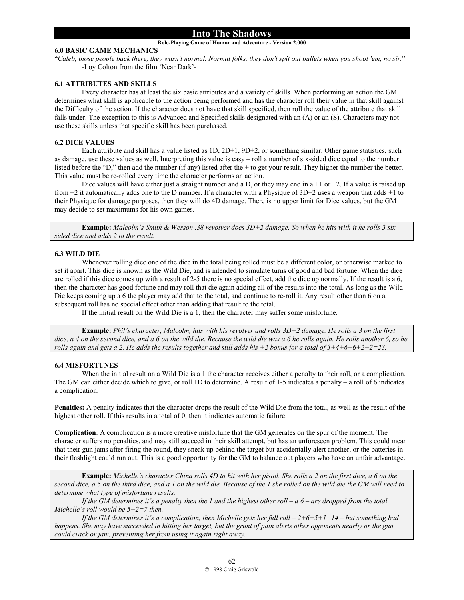#### **Role-Playing Game of Horror and Adventure - Version 2.000**

### **6.0 BASIC GAME MECHANICS**

"*Caleb, those people back there, they wasn't normal. Normal folks, they don't spit out bullets when you shoot 'em, no sir.*" -Loy Colton from the film 'Near Dark'-

### **6.1 ATTRIBUTES AND SKILLS**

Every character has at least the six basic attributes and a variety of skills. When performing an action the GM determines what skill is applicable to the action being performed and has the character roll their value in that skill against the Difficulty of the action. If the character does not have that skill specified, then roll the value of the attribute that skill falls under. The exception to this is Advanced and Specified skills designated with an (A) or an (S). Characters may not use these skills unless that specific skill has been purchased.

### **6.2 DICE VALUES**

Each attribute and skill has a value listed as 1D, 2D+1, 9D+2, or something similar. Other game statistics, such as damage, use these values as well. Interpreting this value is easy – roll a number of six-sided dice equal to the number listed before the "D," then add the number (if any) listed after the + to get your result. They higher the number the better. This value must be re-rolled every time the character performs an action.

Dice values will have either just a straight number and a D, or they may end in  $a + 1$  or  $+2$ . If a value is raised up from +2 it automatically adds one to the D number. If a character with a Physique of 3D+2 uses a weapon that adds +1 to their Physique for damage purposes, then they will do 4D damage. There is no upper limit for Dice values, but the GM may decide to set maximums for his own games.

**Example:** *Malcolm's Smith & Wesson .38 revolver does 3D+2 damage. So when he hits with it he rolls 3 sixsided dice and adds 2 to the result.*

#### **6.3 WILD DIE**

Whenever rolling dice one of the dice in the total being rolled must be a different color, or otherwise marked to set it apart. This dice is known as the Wild Die, and is intended to simulate turns of good and bad fortune. When the dice are rolled if this dice comes up with a result of 2-5 there is no special effect, add the dice up normally. If the result is a 6, then the character has good fortune and may roll that die again adding all of the results into the total. As long as the Wild Die keeps coming up a 6 the player may add that to the total, and continue to re-roll it. Any result other than 6 on a subsequent roll has no special effect other than adding that result to the total.

If the initial result on the Wild Die is a 1, then the character may suffer some misfortune.

**Example:** *Phil's character, Malcolm, hits with his revolver and rolls 3D+2 damage. He rolls a 3 on the first dice, a 4 on the second dice, and a 6 on the wild die. Because the wild die was a 6 he rolls again. He rolls another 6, so he rolls again and gets a 2. He adds the results together and still adds his +2 bonus for a total of 3+4+6+6+2+2=23.* 

#### **6.4 MISFORTUNES**

When the initial result on a Wild Die is a 1 the character receives either a penalty to their roll, or a complication. The GM can either decide which to give, or roll 1D to determine. A result of 1-5 indicates a penalty – a roll of 6 indicates a complication.

**Penalties:** A penalty indicates that the character drops the result of the Wild Die from the total, as well as the result of the highest other roll. If this results in a total of 0, then it indicates automatic failure.

**Complication**: A complication is a more creative misfortune that the GM generates on the spur of the moment. The character suffers no penalties, and may still succeed in their skill attempt, but has an unforeseen problem. This could mean that their gun jams after firing the round, they sneak up behind the target but accidentally alert another, or the batteries in their flashlight could run out. This is a good opportunity for the GM to balance out players who have an unfair advantage.

**Example:** *Michelle's character China rolls 4D to hit with her pistol. She rolls a 2 on the first dice, a 6 on the second dice, a 5 on the third dice, and a 1 on the wild die. Because of the 1 she rolled on the wild die the GM will need to determine what type of misfortune results.* 

 *If the GM determines it's a penalty then the 1 and the highest other roll – a 6 – are dropped from the total. Michelle's roll would be 5+2=7 then.* 

 *If the GM determines it's a complication, then Michelle gets her full roll – 2+6+5+1=14 – but something bad happens. She may have succeeded in hitting her target, but the grunt of pain alerts other opponents nearby or the gun could crack or jam, preventing her from using it again right away.*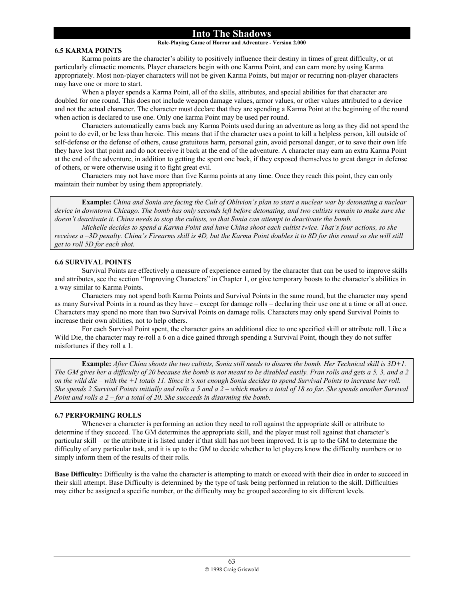# **Role-Playing Game of Horror and Adventure - Version 2.000**

### **6.5 KARMA POINTS**

Karma points are the character's ability to positively influence their destiny in times of great difficulty, or at particularly climactic moments. Player characters begin with one Karma Point, and can earn more by using Karma appropriately. Most non-player characters will not be given Karma Points, but major or recurring non-player characters may have one or more to start.

When a player spends a Karma Point, all of the skills, attributes, and special abilities for that character are doubled for one round. This does not include weapon damage values, armor values, or other values attributed to a device and not the actual character. The character must declare that they are spending a Karma Point at the beginning of the round when action is declared to use one. Only one karma Point may be used per round.

Characters automatically earns back any Karma Points used during an adventure as long as they did not spend the point to do evil, or be less than heroic. This means that if the character uses a point to kill a helpless person, kill outside of self-defense or the defense of others, cause gratuitous harm, personal gain, avoid personal danger, or to save their own life they have lost that point and do not receive it back at the end of the adventure. A character may earn an extra Karma Point at the end of the adventure, in addition to getting the spent one back, if they exposed themselves to great danger in defense of others, or were otherwise using it to fight great evil.

Characters may not have more than five Karma points at any time. Once they reach this point, they can only maintain their number by using them appropriately.

**Example:** *China and Sonia are facing the Cult of Oblivion's plan to start a nuclear war by detonating a nuclear device in downtown Chicago. The bomb has only seconds left before detonating, and two cultists remain to make sure she doesn't deactivate it. China needs to stop the cultists, so that Sonia can attempt to deactivate the bomb.* 

 *Michelle decides to spend a Karma Point and have China shoot each cultist twice. That's four actions, so she receives a –3D penalty. China's Firearms skill is 4D, but the Karma Point doubles it to 8D for this round so she will still get to roll 5D for each shot.* 

### **6.6 SURVIVAL POINTS**

Survival Points are effectively a measure of experience earned by the character that can be used to improve skills and attributes, see the section "Improving Characters" in Chapter 1, or give temporary boosts to the character's abilities in a way similar to Karma Points.

Characters may not spend both Karma Points and Survival Points in the same round, but the character may spend as many Survival Points in a round as they have – except for damage rolls – declaring their use one at a time or all at once. Characters may spend no more than two Survival Points on damage rolls. Characters may only spend Survival Points to increase their own abilities, not to help others.

For each Survival Point spent, the character gains an additional dice to one specified skill or attribute roll. Like a Wild Die, the character may re-roll a 6 on a dice gained through spending a Survival Point, though they do not suffer misfortunes if they roll a 1.

**Example:** *After China shoots the two cultists, Sonia still needs to disarm the bomb. Her Technical skill is 3D+1. The GM gives her a difficulty of 20 because the bomb is not meant to be disabled easily. Fran rolls and gets a 5, 3, and a 2 on the wild die – with the +1 totals 11. Since it's not enough Sonia decides to spend Survival Points to increase her roll. She spends 2 Survival Points initially and rolls a 5 and a 2 – which makes a total of 18 so far. She spends another Survival Point and rolls a 2 – for a total of 20. She succeeds in disarming the bomb.* 

#### **6.7 PERFORMING ROLLS**

Whenever a character is performing an action they need to roll against the appropriate skill or attribute to determine if they succeed. The GM determines the appropriate skill, and the player must roll against that character's particular skill – or the attribute it is listed under if that skill has not been improved. It is up to the GM to determine the difficulty of any particular task, and it is up to the GM to decide whether to let players know the difficulty numbers or to simply inform them of the results of their rolls.

**Base Difficulty:** Difficulty is the value the character is attempting to match or exceed with their dice in order to succeed in their skill attempt. Base Difficulty is determined by the type of task being performed in relation to the skill. Difficulties may either be assigned a specific number, or the difficulty may be grouped according to six different levels.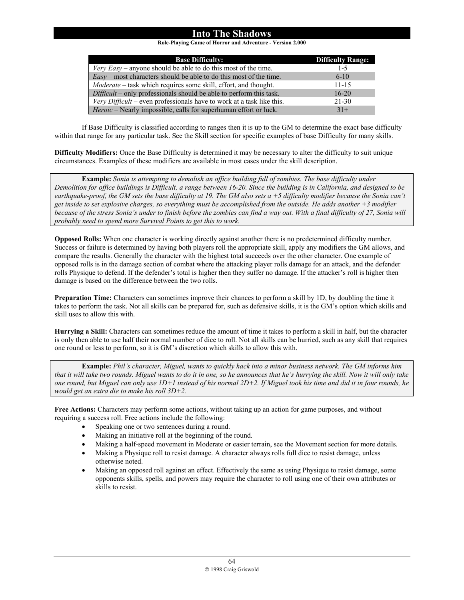**Role-Playing Game of Horror and Adventure - Version 2.000**

| <b>Base Difficulty:</b>                                                      | <b>Difficulty Range:</b> |
|------------------------------------------------------------------------------|--------------------------|
| <i>Very Easy</i> – anyone should be able to do this most of the time.        | $1 - 5$                  |
| $Easy$ – most characters should be able to do this most of the time.         | $6 - 10$                 |
| <i>Moderate</i> – task which requires some skill, effort, and thought.       | $11 - 15$                |
| $Difficult - only professionals should be able to perform this task.$        | $16 - 20$                |
| <i>Very Difficult</i> – even professionals have to work at a task like this. | $21 - 30$                |
| Heroic – Nearly impossible, calls for superhuman effort or luck.             | $31+$                    |

If Base Difficulty is classified according to ranges then it is up to the GM to determine the exact base difficulty within that range for any particular task. See the Skill section for specific examples of base Difficulty for many skills.

**Difficulty Modifiers:** Once the Base Difficulty is determined it may be necessary to alter the difficulty to suit unique circumstances. Examples of these modifiers are available in most cases under the skill description.

**Example:** *Sonia is attempting to demolish an office building full of zombies. The base difficulty under Demolition for office buildings is Difficult, a range between 16-20. Since the building is in California, and designed to be earthquake-proof, the GM sets the base difficulty at 19. The GM also sets a +5 difficulty modifier because the Sonia can't get inside to set explosive charges, so everything must be accomplished from the outside. He adds another +3 modifier because of the stress Sonia's under to finish before the zombies can find a way out. With a final difficulty of 27, Sonia will probably need to spend more Survival Points to get this to work.* 

**Opposed Rolls:** When one character is working directly against another there is no predetermined difficulty number. Success or failure is determined by having both players roll the appropriate skill, apply any modifiers the GM allows, and compare the results. Generally the character with the highest total succeeds over the other character. One example of opposed rolls is in the damage section of combat where the attacking player rolls damage for an attack, and the defender rolls Physique to defend. If the defender's total is higher then they suffer no damage. If the attacker's roll is higher then damage is based on the difference between the two rolls.

**Preparation Time:** Characters can sometimes improve their chances to perform a skill by 1D, by doubling the time it takes to perform the task. Not all skills can be prepared for, such as defensive skills, it is the GM's option which skills and skill uses to allow this with.

**Hurrying a Skill:** Characters can sometimes reduce the amount of time it takes to perform a skill in half, but the character is only then able to use half their normal number of dice to roll. Not all skills can be hurried, such as any skill that requires one round or less to perform, so it is GM's discretion which skills to allow this with.

**Example:** *Phil's character, Miguel, wants to quickly hack into a minor business network. The GM informs him that it will take two rounds. Miguel wants to do it in one, so he announces that he's hurrying the skill. Now it will only take one round, but Miguel can only use 1D+1 instead of his normal 2D+2. If Miguel took his time and did it in four rounds, he would get an extra die to make his roll 3D+2.* 

**Free Actions:** Characters may perform some actions, without taking up an action for game purposes, and without requiring a success roll. Free actions include the following:

- Speaking one or two sentences during a round.
- Making an initiative roll at the beginning of the round.
- Making a half-speed movement in Moderate or easier terrain, see the Movement section for more details.
- Making a Physique roll to resist damage. A character always rolls full dice to resist damage, unless otherwise noted.
- Making an opposed roll against an effect. Effectively the same as using Physique to resist damage, some opponents skills, spells, and powers may require the character to roll using one of their own attributes or skills to resist.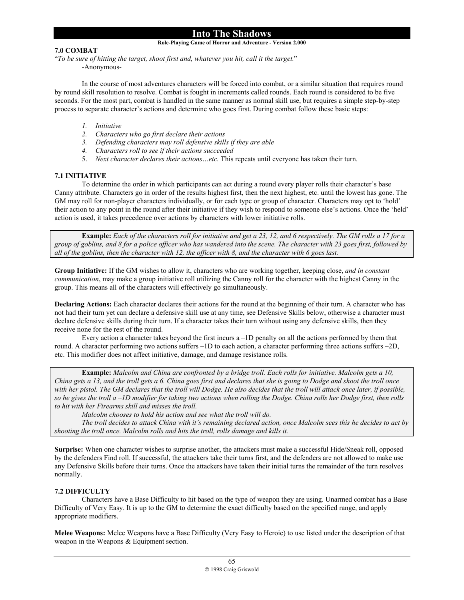**Role-Playing Game of Horror and Adventure - Version 2.000**

### **7.0 COMBAT**

"*To be sure of hitting the target, shoot first and, whatever you hit, call it the target.*" -Anonymous-

In the course of most adventures characters will be forced into combat, or a similar situation that requires round by round skill resolution to resolve. Combat is fought in increments called rounds. Each round is considered to be five seconds. For the most part, combat is handled in the same manner as normal skill use, but requires a simple step-by-step process to separate character's actions and determine who goes first. During combat follow these basic steps:

- *1. Initiative*
- *2. Characters who go first declare their actions*
- *3. Defending characters may roll defensive skills if they are able*
- *4. Characters roll to see if their actions succeeded*
- 5. *Next character declares their actions…etc.* This repeats until everyone has taken their turn.

#### **7.1 INITIATIVE**

To determine the order in which participants can act during a round every player rolls their character's base Canny attribute. Characters go in order of the results highest first, then the next highest, etc. until the lowest has gone. The GM may roll for non-player characters individually, or for each type or group of character. Characters may opt to 'hold' their action to any point in the round after their initiative if they wish to respond to someone else's actions. Once the 'held' action is used, it takes precedence over actions by characters with lower initiative rolls.

**Example:** *Each of the characters roll for initiative and get a 23, 12, and 6 respectively. The GM rolls a 17 for a group of goblins, and 8 for a police officer who has wandered into the scene. The character with 23 goes first, followed by all of the goblins, then the character with 12, the officer with 8, and the character with 6 goes last.* 

**Group Initiative:** If the GM wishes to allow it, characters who are working together, keeping close, *and in constant communication*, may make a group initiative roll utilizing the Canny roll for the character with the highest Canny in the group. This means all of the characters will effectively go simultaneously.

**Declaring Actions:** Each character declares their actions for the round at the beginning of their turn. A character who has not had their turn yet can declare a defensive skill use at any time, see Defensive Skills below, otherwise a character must declare defensive skills during their turn. If a character takes their turn without using any defensive skills, then they receive none for the rest of the round.

Every action a character takes beyond the first incurs a –1D penalty on all the actions performed by them that round. A character performing two actions suffers –1D to each action, a character performing three actions suffers –2D, etc. This modifier does not affect initiative, damage, and damage resistance rolls.

**Example:** *Malcolm and China are confronted by a bridge troll. Each rolls for initiative. Malcolm gets a 10, China gets a 13, and the troll gets a 6. China goes first and declares that she is going to Dodge and shoot the troll once with her pistol. The GM declares that the troll will Dodge. He also decides that the troll will attack once later, if possible, so he gives the troll a –1D modifier for taking two actions when rolling the Dodge. China rolls her Dodge first, then rolls to hit with her Firearms skill and misses the troll.* 

*Malcolm chooses to hold his action and see what the troll will do.* 

*The troll decides to attack China with it's remaining declared action, once Malcolm sees this he decides to act by shooting the troll once. Malcolm rolls and hits the troll, rolls damage and kills it.* 

**Surprise:** When one character wishes to surprise another, the attackers must make a successful Hide/Sneak roll, opposed by the defenders Find roll. If successful, the attackers take their turns first, and the defenders are not allowed to make use any Defensive Skills before their turns. Once the attackers have taken their initial turns the remainder of the turn resolves normally.

### **7.2 DIFFICULTY**

Characters have a Base Difficulty to hit based on the type of weapon they are using. Unarmed combat has a Base Difficulty of Very Easy. It is up to the GM to determine the exact difficulty based on the specified range, and apply appropriate modifiers.

**Melee Weapons:** Melee Weapons have a Base Difficulty (Very Easy to Heroic) to use listed under the description of that weapon in the Weapons & Equipment section.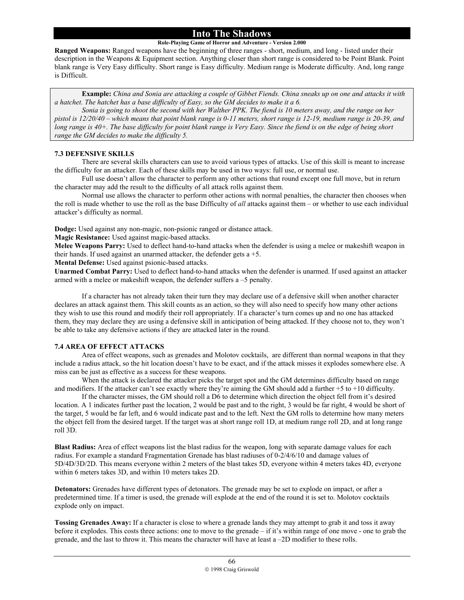#### **Role-Playing Game of Horror and Adventure - Version 2.000**

**Ranged Weapons:** Ranged weapons have the beginning of three ranges - short, medium, and long - listed under their description in the Weapons & Equipment section. Anything closer than short range is considered to be Point Blank. Point blank range is Very Easy difficulty. Short range is Easy difficulty. Medium range is Moderate difficulty. And, long range is Difficult.

**Example:** *China and Sonia are attacking a couple of Gibbet Fiends. China sneaks up on one and attacks it with a hatchet. The hatchet has a base difficulty of Easy, so the GM decides to make it a 6.* 

 *Sonia is going to shoot the second with her Walther PPK. The fiend is 10 meters away, and the range on her pistol is 12/20/40 – which means that point blank range is 0-11 meters, short range is 12-19, medium range is 20-39, and long range is 40+. The base difficulty for point blank range is Very Easy. Since the fiend is on the edge of being short range the GM decides to make the difficulty 5.* 

### **7.3 DEFENSIVE SKILLS**

There are several skills characters can use to avoid various types of attacks. Use of this skill is meant to increase the difficulty for an attacker. Each of these skills may be used in two ways: full use, or normal use.

Full use doesn't allow the character to perform any other actions that round except one full move, but in return the character may add the result to the difficulty of all attack rolls against them.

Normal use allows the character to perform other actions with normal penalties, the character then chooses when the roll is made whether to use the roll as the base Difficulty of *all* attacks against them – or whether to use each individual attacker's difficulty as normal.

**Dodge:** Used against any non-magic, non-psionic ranged or distance attack.

**Magic Resistance:** Used against magic-based attacks.

**Melee Weapons Parry:** Used to deflect hand-to-hand attacks when the defender is using a melee or makeshift weapon in their hands. If used against an unarmed attacker, the defender gets  $a + 5$ .

**Mental Defense:** Used against psionic-based attacks.

**Unarmed Combat Parry:** Used to deflect hand-to-hand attacks when the defender is unarmed. If used against an attacker armed with a melee or makeshift weapon, the defender suffers a –5 penalty.

 If a character has not already taken their turn they may declare use of a defensive skill when another character declares an attack against them. This skill counts as an action, so they will also need to specify how many other actions they wish to use this round and modify their roll appropriately. If a character's turn comes up and no one has attacked them, they may declare they are using a defensive skill in anticipation of being attacked. If they choose not to, they won't be able to take any defensive actions if they are attacked later in the round.

### **7.4 AREA OF EFFECT ATTACKS**

Area of effect weapons, such as grenades and Molotov cocktails, are different than normal weapons in that they include a radius attack, so the hit location doesn't have to be exact, and if the attack misses it explodes somewhere else. A miss can be just as effective as a success for these weapons.

When the attack is declared the attacker picks the target spot and the GM determines difficulty based on range and modifiers. If the attacker can't see exactly where they're aiming the GM should add a further  $+5$  to  $+10$  difficulty.

If the character misses, the GM should roll a D6 to determine which direction the object fell from it's desired location. A 1 indicates further past the location, 2 would be past and to the right, 3 would be far right, 4 would be short of the target, 5 would be far left, and 6 would indicate past and to the left. Next the GM rolls to determine how many meters the object fell from the desired target. If the target was at short range roll 1D, at medium range roll 2D, and at long range roll 3D.

**Blast Radius:** Area of effect weapons list the blast radius for the weapon, long with separate damage values for each radius. For example a standard Fragmentation Grenade has blast radiuses of 0-2/4/6/10 and damage values of 5D/4D/3D/2D. This means everyone within 2 meters of the blast takes 5D, everyone within 4 meters takes 4D, everyone within 6 meters takes 3D, and within 10 meters takes 2D.

**Detonators:** Grenades have different types of detonators. The grenade may be set to explode on impact, or after a predetermined time. If a timer is used, the grenade will explode at the end of the round it is set to. Molotov cocktails explode only on impact.

**Tossing Grenades Away:** If a character is close to where a grenade lands they may attempt to grab it and toss it away before it explodes. This costs three actions: one to move to the grenade – if it's within range of one move - one to grab the grenade, and the last to throw it. This means the character will have at least a –2D modifier to these rolls.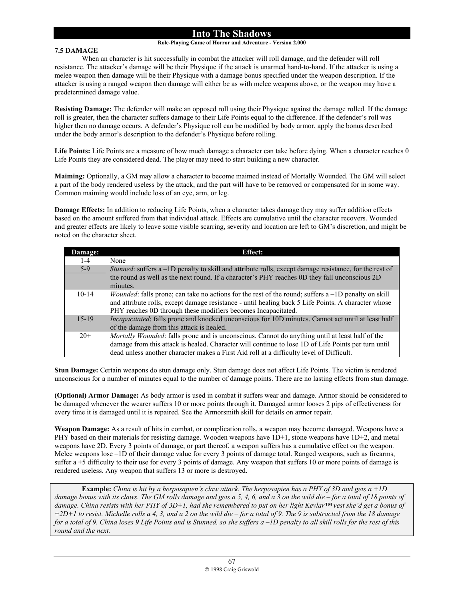#### **Role-Playing Game of Horror and Adventure - Version 2.000**

### **7.5 DAMAGE**

When an character is hit successfully in combat the attacker will roll damage, and the defender will roll resistance. The attacker's damage will be their Physique if the attack is unarmed hand-to-hand. If the attacker is using a melee weapon then damage will be their Physique with a damage bonus specified under the weapon description. If the attacker is using a ranged weapon then damage will either be as with melee weapons above, or the weapon may have a predetermined damage value.

**Resisting Damage:** The defender will make an opposed roll using their Physique against the damage rolled. If the damage roll is greater, then the character suffers damage to their Life Points equal to the difference. If the defender's roll was higher then no damage occurs. A defender's Physique roll can be modified by body armor, apply the bonus described under the body armor's description to the defender's Physique before rolling.

**Life Points:** Life Points are a measure of how much damage a character can take before dying. When a character reaches 0 Life Points they are considered dead. The player may need to start building a new character.

**Maiming:** Optionally, a GM may allow a character to become maimed instead of Mortally Wounded. The GM will select a part of the body rendered useless by the attack, and the part will have to be removed or compensated for in some way. Common maiming would include loss of an eye, arm, or leg.

**Damage Effects:** In addition to reducing Life Points, when a character takes damage they may suffer addition effects based on the amount suffered from that individual attack. Effects are cumulative until the character recovers. Wounded and greater effects are likely to leave some visible scarring, severity and location are left to GM's discretion, and might be noted on the character sheet.

| Damage:   | <b>Effect:</b>                                                                                                                                                                                                                                                                                     |
|-----------|----------------------------------------------------------------------------------------------------------------------------------------------------------------------------------------------------------------------------------------------------------------------------------------------------|
| $1 - 4$   | None                                                                                                                                                                                                                                                                                               |
| $5-9$     | <i>Stunned</i> : suffers a -1D penalty to skill and attribute rolls, except damage resistance, for the rest of<br>the round as well as the next round. If a character's PHY reaches 0D they fall unconscious 2D<br>minutes.                                                                        |
| $10 - 14$ | <i>Wounded:</i> falls prone; can take no actions for the rest of the round; suffers $a$ –1D penalty on skill<br>and attribute rolls, except damage resistance - until healing back 5 Life Points. A character whose<br>PHY reaches 0D through these modifiers becomes Incapacitated.               |
| $15 - 19$ | <i>Incapacitated:</i> falls prone and knocked unconscious for 10D minutes. Cannot act until at least half<br>of the damage from this attack is healed.                                                                                                                                             |
| $20+$     | Mortally Wounded: falls prone and is unconscious. Cannot do anything until at least half of the<br>damage from this attack is healed. Character will continue to lose 1D of Life Points per turn until<br>dead unless another character makes a First Aid roll at a difficulty level of Difficult. |

**Stun Damage:** Certain weapons do stun damage only. Stun damage does not affect Life Points. The victim is rendered unconscious for a number of minutes equal to the number of damage points. There are no lasting effects from stun damage.

**(Optional) Armor Damage:** As body armor is used in combat it suffers wear and damage. Armor should be considered to be damaged whenever the wearer suffers 10 or more points through it. Damaged armor looses 2 pips of effectiveness for every time it is damaged until it is repaired. See the Armorsmith skill for details on armor repair.

**Weapon Damage:** As a result of hits in combat, or complication rolls, a weapon may become damaged. Weapons have a PHY based on their materials for resisting damage. Wooden weapons have 1D+1, stone weapons have 1D+2, and metal weapons have 2D. Every 3 points of damage, or part thereof, a weapon suffers has a cumulative effect on the weapon. Melee weapons lose –1D of their damage value for every 3 points of damage total. Ranged weapons, such as firearms, suffer a +5 difficulty to their use for every 3 points of damage. Any weapon that suffers 10 or more points of damage is rendered useless. Any weapon that suffers 13 or more is destroyed.

**Example:** *China is hit by a herposapien's claw attack. The herposapien has a PHY of 3D and gets a +1D*  damage bonus with its claws. The GM rolls damage and gets a 5, 4, 6, and a 3 on the wild die – for a total of 18 points of *damage. China resists with her PHY of 3D+1, had she remembered to put on her light Kevlar™ vest she'd get a bonus of +2D+1 to resist. Michelle rolls a 4, 3, and a 2 on the wild die – for a total of 9. The 9 is subtracted from the 18 damage for a total of 9. China loses 9 Life Points and is Stunned, so she suffers a –1D penalty to all skill rolls for the rest of this round and the next.*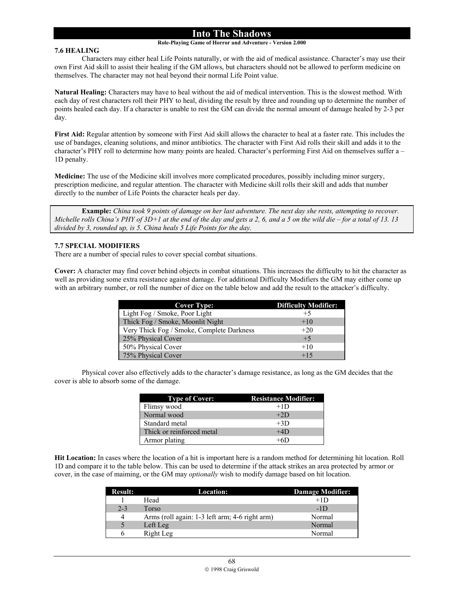### **Into The Shadows Role-Playing Game of Horror and Adventure - Version 2.000**

# **7.6 HEALING**

Characters may either heal Life Points naturally, or with the aid of medical assistance. Character's may use their own First Aid skill to assist their healing if the GM allows, but characters should not be allowed to perform medicine on themselves. The character may not heal beyond their normal Life Point value.

**Natural Healing:** Characters may have to heal without the aid of medical intervention. This is the slowest method. With each day of rest characters roll their PHY to heal, dividing the result by three and rounding up to determine the number of points healed each day. If a character is unable to rest the GM can divide the normal amount of damage healed by 2-3 per day.

**First Aid:** Regular attention by someone with First Aid skill allows the character to heal at a faster rate. This includes the use of bandages, cleaning solutions, and minor antibiotics. The character with First Aid rolls their skill and adds it to the character's PHY roll to determine how many points are healed. Character's performing First Aid on themselves suffer a – 1D penalty.

**Medicine:** The use of the Medicine skill involves more complicated procedures, possibly including minor surgery, prescription medicine, and regular attention. The character with Medicine skill rolls their skill and adds that number directly to the number of Life Points the character heals per day.

**Example:** *China took 9 points of damage on her last adventure. The next day she rests, attempting to recover. Michelle rolls China's PHY of 3D+1 at the end of the day and gets a 2, 6, and a 5 on the wild die – for a total of 13. 13 divided by 3, rounded up, is 5. China heals 5 Life Points for the day.* 

### **7.7 SPECIAL MODIFIERS**

There are a number of special rules to cover special combat situations.

**Cover:** A character may find cover behind objects in combat situations. This increases the difficulty to hit the character as well as providing some extra resistance against damage. For additional Difficulty Modifiers the GM may either come up with an arbitrary number, or roll the number of dice on the table below and add the result to the attacker's difficulty.

| <b>Cover Type:</b>                        | <b>Difficulty Modifier:</b> |
|-------------------------------------------|-----------------------------|
| Light Fog / Smoke, Poor Light             | $+5$                        |
| Thick Fog / Smoke, Moonlit Night          | $+10$                       |
| Very Thick Fog / Smoke, Complete Darkness | $+20$                       |
| 25% Physical Cover                        | $+5$                        |
| 50% Physical Cover                        | $+10$                       |
| 75% Physical Cover                        | $+15$                       |

Physical cover also effectively adds to the character's damage resistance, as long as the GM decides that the cover is able to absorb some of the damage.

| <b>Type of Cover:</b>     | <b>Resistance Modifier:</b> |
|---------------------------|-----------------------------|
| Flimsy wood               | $+1D$                       |
| Normal wood               | $+2D$                       |
| Standard metal            | $+3D$                       |
| Thick or reinforced metal | $+4D$                       |
| Armor plating             |                             |

**Hit Location:** In cases where the location of a hit is important here is a random method for determining hit location. Roll 1D and compare it to the table below. This can be used to determine if the attack strikes an area protected by armor or cover, in the case of maiming, or the GM may *optionally* wish to modify damage based on hit location.

| <b>Result:</b> | <b>Location:</b>                               | Damage Modifier: |
|----------------|------------------------------------------------|------------------|
|                | Head                                           | $+1D$            |
| $2 - 3$        | Torso                                          | $-1D$            |
| $\overline{4}$ | Arms (roll again: 1-3 left arm; 4-6 right arm) | Normal           |
| 5              | Left Leg                                       | Normal           |
|                | Right Leg                                      | Normal           |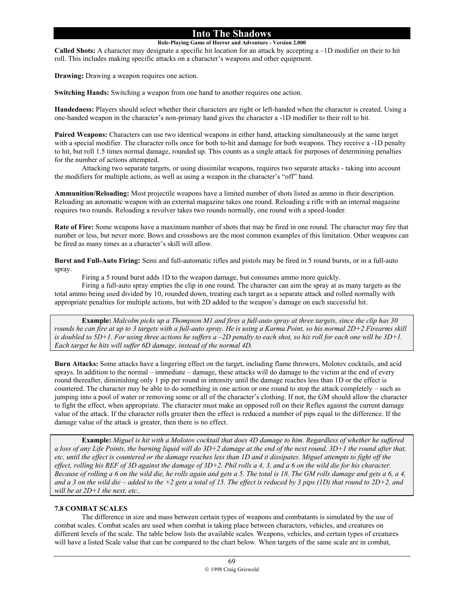### **Role-Playing Game of Horror and Adventure - Version 2.000**

**Called Shots:** A character may designate a specific hit location for an attack by accepting a –1D modifier on their to hit roll. This includes making specific attacks on a character's weapons and other equipment.

**Drawing:** Drawing a weapon requires one action.

**Switching Hands:** Switching a weapon from one hand to another requires one action.

**Handedness:** Players should select whether their characters are right or left-handed when the character is created. Using a one-handed weapon in the character's non-primary hand gives the character a -1D modifier to their roll to hit.

**Paired Weapons:** Characters can use two identical weapons in either hand, attacking simultaneously at the same target with a special modifier. The character rolls once for both to-hit and damage for both weapons. They receive a -1D penalty to hit, but roll 1.5 times normal damage, rounded up. This counts as a single attack for purposes of determining penalties for the number of actions attempted.

 Attacking two separate targets, or using dissimilar weapons, requires two separate attacks - taking into account the modifiers for multiple actions, as well as using a weapon in the character's "off" hand.

**Ammunition/Reloading:** Most projectile weapons have a limited number of shots listed as ammo in their description. Reloading an automatic weapon with an external magazine takes one round. Reloading a rifle with an internal magazine requires two rounds. Reloading a revolver takes two rounds normally, one round with a speed-loader.

**Rate of Fire:** Some weapons have a maximum number of shots that may be fired in one round. The character may fire that number or less, but never more. Bows and crossbows are the most common examples of this limitation. Other weapons can be fired as many times as a character's skill will allow.

**Burst and Full-Auto Firing:** Semi and full-automatic rifles and pistols may be fired in 5 round bursts, or in a full-auto spray.

Firing a 5 round burst adds 1D to the weapon damage, but consumes ammo more quickly.

Firing a full-auto spray empties the clip in one round. The character can aim the spray at as many targets as the total ammo being used divided by 10, rounded down, treating each target as a separate attack and rolled normally with appropriate penalties for multiple actions, but with 2D added to the weapon's damage on each successful hit.

**Example:** *Malcolm picks up a Thompson M1 and fires a full-auto spray at three targets, since the clip has 30 rounds he can fire at up to 3 targets with a full-auto spray. He is using a Karma Point, so his normal 2D+2 Firearms skill is doubled to 5D+1. For using three actions he suffers a –2D penalty to each shot, so his roll for each one will be 3D+1. Each target he hits will suffer 6D damage, instead of the normal 4D.* 

**Burn Attacks:** Some attacks have a lingering effect on the target, including flame throwers, Molotov cocktails, and acid sprays. In addition to the normal – immediate – damage, these attacks will do damage to the victim at the end of every round thereafter, diminishing only 1 pip per round in intensity until the damage reaches less than 1D or the effect is countered. The character may be able to do something in one action or one round to stop the attack completely – such as jumping into a pool of water or removing some or all of the character's clothing. If not, the GM should allow the character to fight the effect, when appropriate. The character must make an opposed roll on their Reflex against the current damage value of the attack. If the character rolls greater then the effect is reduced a number of pips equal to the difference. If the damage value of the attack is greater, then there is no effect.

**Example:** *Miguel is hit with a Molotov cocktail that does 4D damage to him. Regardless of whether he suffered a loss of any Life Points, the burning liquid will do 3D+2 damage at the end of the next round, 3D+1 the round after that, etc. until the effect is countered or the damage reaches less than 1D and it dissipates. Miguel attempts to fight off the effect, rolling his REF of 3D against the damage of 3D+2. Phil rolls a 4, 3, and a 6 on the wild die for his character. Because of rolling a 6 on the wild die, he rolls again and gets a 5. The total is 18. The GM rolls damage and gets a 6, a 4, and a 3 on the wild die – added to the +2 gets a total of 15. The effect is reduced by 3 pips (1D) that round to 2D+2, and will be at 2D+1 the next, etc..* 

### **7.8 COMBAT SCALES**

The difference in size and mass between certain types of weapons and combatants is simulated by the use of combat scales. Combat scales are used when combat is taking place between characters, vehicles, and creatures on different levels of the scale. The table below lists the available scales. Weapons, vehicles, and certain types of creatures will have a listed Scale value that can be compared to the chart below. When targets of the same scale are in combat,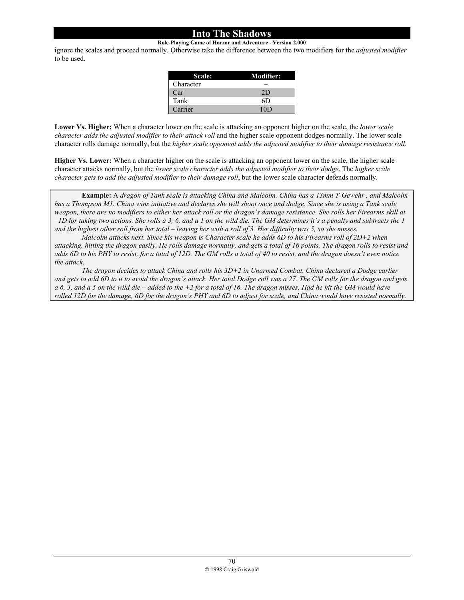**Role-Playing Game of Horror and Adventure - Version 2.000**

ignore the scales and proceed normally. Otherwise take the difference between the two modifiers for the *adjusted modifier* to be used.

| Scale:    | <b>Modifier:</b> |
|-----------|------------------|
| Character |                  |
| Car       | 2D               |
| Tank      | 6D               |
| Carrier   | 10D              |

**Lower Vs. Higher:** When a character lower on the scale is attacking an opponent higher on the scale, the *lower scale character adds the adjusted modifier to their attack roll* and the higher scale opponent dodges normally. The lower scale character rolls damage normally, but the *higher scale opponent adds the adjusted modifier to their damage resistance roll*.

**Higher Vs. Lower:** When a character higher on the scale is attacking an opponent lower on the scale, the higher scale character attacks normally, but the *lower scale character adds the adjusted modifier to their dodge*. The *higher scale character gets to add the adjusted modifier to their damage roll*, but the lower scale character defends normally.

**Example:** A *dragon of Tank scale is attacking China and Malcolm. China has a 13mm T-Gewehr , and Malcolm*  has a Thompson M1. China wins initiative and declares she will shoot once and dodge. Since she is using a Tank scale *weapon, there are no modifiers to either her attack roll or the dragon's damage resistance. She rolls her Firearms skill at –1D for taking two actions. She rolls a 3, 6, and a 1 on the wild die. The GM determines it's a penalty and subtracts the 1 and the highest other roll from her total – leaving her with a roll of 3. Her difficulty was 5, so she misses.* 

 *Malcolm attacks next. Since his weapon is Character scale he adds 6D to his Firearms roll of 2D+2 when attacking, hitting the dragon easily. He rolls damage normally, and gets a total of 16 points. The dragon rolls to resist and adds 6D to his PHY to resist, for a total of 12D. The GM rolls a total of 40 to resist, and the dragon doesn't even notice the attack.* 

 *The dragon decides to attack China and rolls his 3D+2 in Unarmed Combat. China declared a Dodge earlier and gets to add 6D to it to avoid the dragon's attack. Her total Dodge roll was a 27. The GM rolls for the dragon and gets a 6, 3, and a 5 on the wild die – added to the +2 for a total of 16. The dragon misses. Had he hit the GM would have rolled 12D for the damage, 6D for the dragon's PHY and 6D to adjust for scale, and China would have resisted normally.*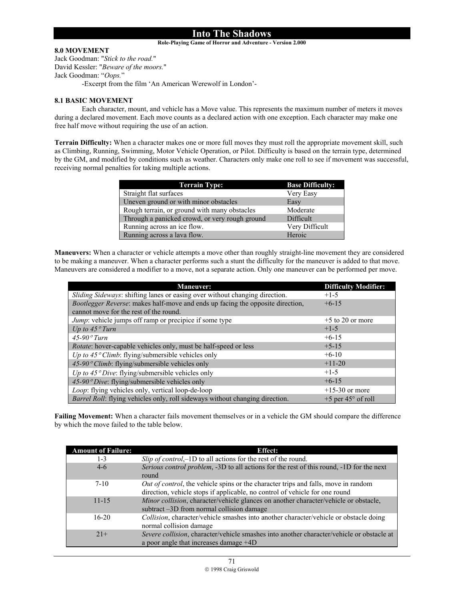### **Role-Playing Game of Horror and Adventure - Version 2.000**

## **8.0 MOVEMENT**

Jack Goodman: "*Stick to the road.*" David Kessler: "*Beware of the moors.*" Jack Goodman: "*Oops.*" -Excerpt from the film 'An American Werewolf in London'-

## **8.1 BASIC MOVEMENT**

Each character, mount, and vehicle has a Move value. This represents the maximum number of meters it moves during a declared movement. Each move counts as a declared action with one exception. Each character may make one free half move without requiring the use of an action.

**Terrain Difficulty:** When a character makes one or more full moves they must roll the appropriate movement skill, such as Climbing, Running, Swimming, Motor Vehicle Operation, or Pilot. Difficulty is based on the terrain type, determined by the GM, and modified by conditions such as weather. Characters only make one roll to see if movement was successful, receiving normal penalties for taking multiple actions.

| <b>Terrain Type:</b>                           | <b>Base Difficulty:</b> |
|------------------------------------------------|-------------------------|
| Straight flat surfaces                         | Very Easy               |
| Uneven ground or with minor obstacles          | Easy                    |
| Rough terrain, or ground with many obstacles   | Moderate                |
| Through a panicked crowd, or very rough ground | Difficult               |
| Running across an ice flow.                    | Very Difficult          |
| Running across a lava flow.                    | Heroic                  |

**Maneuvers:** When a character or vehicle attempts a move other than roughly straight-line movement they are considered to be making a maneuver. When a character performs such a stunt the difficulty for the maneuver is added to that move. Maneuvers are considered a modifier to a move, not a separate action. Only one maneuver can be performed per move.

| <b>Maneuver:</b>                                                                                                         | <b>Difficulty Modifier:</b>   |
|--------------------------------------------------------------------------------------------------------------------------|-------------------------------|
| Sliding Sideways: shifting lanes or easing over without changing direction.                                              | $+1-5$                        |
| Bootlegger Reverse: makes half-move and ends up facing the opposite direction,<br>cannot move for the rest of the round. | $+6-15$                       |
| Jump: vehicle jumps off ramp or precipice if some type                                                                   | $+5$ to 20 or more            |
| Up to $45^\circ$ Turn                                                                                                    | $+1-5$                        |
| $45-90^\circ$ Turn                                                                                                       | $+6-15$                       |
| <i>Rotate:</i> hover-capable vehicles only, must be half-speed or less                                                   | $+5-15$                       |
| Up to 45 $\degree$ Climb: flying/submersible vehicles only                                                               | $+6-10$                       |
| 45-90 $^{\circ}$ Climb: flying/submersible vehicles only                                                                 | $+11-20$                      |
| Up to 45 $^{\circ}$ Dive: flying/submersible vehicles only                                                               | $+1-5$                        |
| 45-90 $^{\circ}$ Dive: flying/submersible vehicles only                                                                  | $+6-15$                       |
| Loop: flying vehicles only, vertical loop-de-loop                                                                        | $+15-30$ or more              |
| Barrel Roll: flying vehicles only, roll sideways without changing direction.                                             | $+5$ per 45 $\degree$ of roll |

**Failing Movement:** When a character fails movement themselves or in a vehicle the GM should compare the difference by which the move failed to the table below.

| <b>Amount of Failure:</b> | <b>Effect:</b>                                                                                                                                                    |
|---------------------------|-------------------------------------------------------------------------------------------------------------------------------------------------------------------|
| $1 - 3$                   | Slip of control, -1D to all actions for the rest of the round.                                                                                                    |
| $4-6$                     | Serious control problem, -3D to all actions for the rest of this round, -1D for the next<br>round                                                                 |
| $7-10$                    | Out of control, the vehicle spins or the character trips and falls, move in random<br>direction, vehicle stops if applicable, no control of vehicle for one round |
| $11 - 15$                 | Minor collision, character/vehicle glances on another character/vehicle or obstacle,<br>subtract -3D from normal collision damage                                 |
| $16 - 20$                 | Collision, character/vehicle smashes into another character/vehicle or obstacle doing<br>normal collision damage                                                  |
| $21+$                     | Severe collision, character/vehicle smashes into another character/vehicle or obstacle at<br>a poor angle that increases damage $+4D$                             |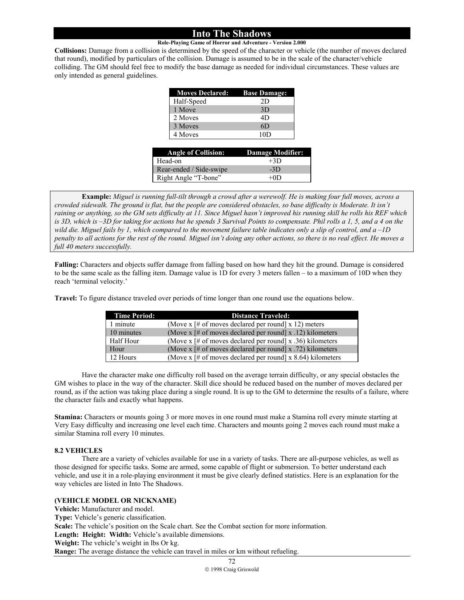## **Role-Playing Game of Horror and Adventure - Version 2.000**

**Collisions:** Damage from a collision is determined by the speed of the character or vehicle (the number of moves declared that round), modified by particulars of the collision. Damage is assumed to be in the scale of the character/vehicle colliding. The GM should feel free to modify the base damage as needed for individual circumstances. These values are only intended as general guidelines.

| <b>Moves Declared:</b> Base Damage: |     |
|-------------------------------------|-----|
| Half-Speed                          | 2D  |
| 1 Move                              | 3D  |
| 2 Moves                             | 4D  |
| 3 Moves                             | 6D  |
| 4 Moves                             | 10D |

| <b>Angle of Collision:</b> | <b>Damage Modifier:</b> |
|----------------------------|-------------------------|
| Head-on                    | $+3D$                   |
| Rear-ended / Side-swipe    | $-3D$                   |
| Right Angle "T-bone"       | $+0D$                   |
|                            |                         |

**Example:** *Miguel is running full-tilt through a crowd after a werewolf. He is making four full moves, across a crowded sidewalk. The ground is flat, but the people are considered obstacles, so base difficulty is Moderate. It isn't raining or anything, so the GM sets difficulty at 11. Since Miguel hasn't improved his running skill he rolls his REF which is 3D, which is –3D for taking for actions but he spends 3 Survival Points to compensate. Phil rolls a 1, 5, and a 4 on the wild die. Miguel fails by 1, which compared to the movement failure table indicates only a slip of control, and a –1D penalty to all actions for the rest of the round. Miguel isn't doing any other actions, so there is no real effect. He moves a full 40 meters successfully.* 

**Falling:** Characters and objects suffer damage from falling based on how hard they hit the ground. Damage is considered to be the same scale as the falling item. Damage value is 1D for every 3 meters fallen – to a maximum of 10D when they reach 'terminal velocity.'

**Travel:** To figure distance traveled over periods of time longer than one round use the equations below.

| <b>Time Period:</b> | <b>Distance Traveled:</b>                                                                      |
|---------------------|------------------------------------------------------------------------------------------------|
| 1 minute            | (Move x $\lceil \# \text{ of moves declared per round} \rceil \times 12$ ) meters              |
| 10 minutes          | (Move x $\lceil \# \text{ of moves declared per round} \rceil$ x .12) kilometers               |
| Half Hour           | (Move $x \neq 0$ of moves declared per round] x .36) kilometers                                |
| Hour                | (Move x $\left[\frac{\text{H}}{\text{H}}\right]$ of moves declared per round x .72) kilometers |
| 12 Hours            | (Move $x \neq 0$ f moves declared per round $x \ge 64$ ) kilometers                            |

Have the character make one difficulty roll based on the average terrain difficulty, or any special obstacles the GM wishes to place in the way of the character. Skill dice should be reduced based on the number of moves declared per round, as if the action was taking place during a single round. It is up to the GM to determine the results of a failure, where the character fails and exactly what happens.

**Stamina:** Characters or mounts going 3 or more moves in one round must make a Stamina roll every minute starting at Very Easy difficulty and increasing one level each time. Characters and mounts going 2 moves each round must make a similar Stamina roll every 10 minutes.

## **8.2 VEHICLES**

 There are a variety of vehicles available for use in a variety of tasks. There are all-purpose vehicles, as well as those designed for specific tasks. Some are armed, some capable of flight or submersion. To better understand each vehicle, and use it in a role-playing environment it must be give clearly defined statistics. Here is an explanation for the way vehicles are listed in Into The Shadows.

#### **(VEHICLE MODEL OR NICKNAME)**

**Vehicle:** Manufacturer and model. **Type:** Vehicle's generic classification. **Scale:** The vehicle's position on the Scale chart. See the Combat section for more information. **Length: Height: Width:** Vehicle's available dimensions. **Weight:** The vehicle's weight in lbs Or kg. **Range:** The average distance the vehicle can travel in miles or km without refueling.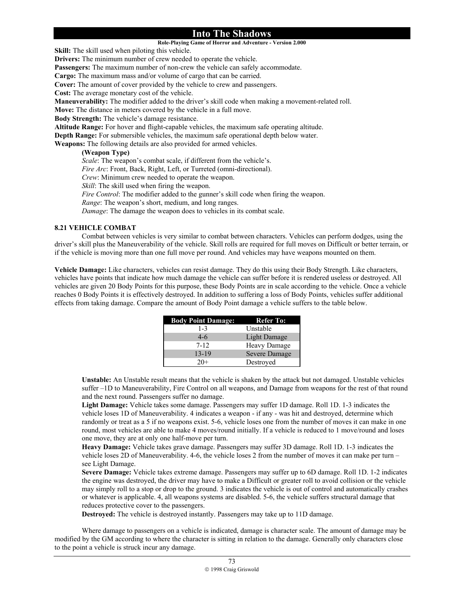#### **Role-Playing Game of Horror and Adventure - Version 2.000**

**Skill:** The skill used when piloting this vehicle.

**Drivers:** The minimum number of crew needed to operate the vehicle.

**Passengers:** The maximum number of non-crew the vehicle can safely accommodate.

**Cargo:** The maximum mass and/or volume of cargo that can be carried.

**Cover:** The amount of cover provided by the vehicle to crew and passengers.

**Cost:** The average monetary cost of the vehicle.

**Maneuverability:** The modifier added to the driver's skill code when making a movement-related roll.

**Move:** The distance in meters covered by the vehicle in a full move.

**Body Strength:** The vehicle's damage resistance.

**Altitude Range:** For hover and flight-capable vehicles, the maximum safe operating altitude.

**Depth Range:** For submersible vehicles, the maximum safe operational depth below water.

**Weapons:** The following details are also provided for armed vehicles.

## **(Weapon Type)**

*Scale*: The weapon's combat scale, if different from the vehicle's. *Fire Arc*: Front, Back, Right, Left, or Turreted (omni-directional). *Crew*: Minimum crew needed to operate the weapon. *Skill*: The skill used when firing the weapon. *Fire Control*: The modifier added to the gunner's skill code when firing the weapon. *Range*: The weapon's short, medium, and long ranges. *Damage*: The damage the weapon does to vehicles in its combat scale.

#### **8.21 VEHICLE COMBAT**

Combat between vehicles is very similar to combat between characters. Vehicles can perform dodges, using the driver's skill plus the Maneuverability of the vehicle. Skill rolls are required for full moves on Difficult or better terrain, or if the vehicle is moving more than one full move per round. And vehicles may have weapons mounted on them.

**Vehicle Damage:** Like characters, vehicles can resist damage. They do this using their Body Strength. Like characters, vehicles have points that indicate how much damage the vehicle can suffer before it is rendered useless or destroyed. All vehicles are given 20 Body Points for this purpose, these Body Points are in scale according to the vehicle. Once a vehicle reaches 0 Body Points it is effectively destroyed. In addition to suffering a loss of Body Points, vehicles suffer additional effects from taking damage. Compare the amount of Body Point damage a vehicle suffers to the table below.

| <b>Body Point Damage:</b> | <b>Refer To:</b> |
|---------------------------|------------------|
| $1 - 3$                   | Unstable         |
| $4-6$                     | Light Damage     |
| $7 - 12$                  | Heavy Damage     |
| $13 - 19$                 | Severe Damage    |
| $20+$                     | Destroyed        |

**Unstable:** An Unstable result means that the vehicle is shaken by the attack but not damaged. Unstable vehicles suffer –1D to Maneuverability, Fire Control on all weapons, and Damage from weapons for the rest of that round and the next round. Passengers suffer no damage.

**Light Damage:** Vehicle takes some damage. Passengers may suffer 1D damage. Roll 1D. 1-3 indicates the vehicle loses 1D of Maneuverability. 4 indicates a weapon - if any - was hit and destroyed, determine which randomly or treat as a 5 if no weapons exist. 5-6, vehicle loses one from the number of moves it can make in one round, most vehicles are able to make 4 moves/round initially. If a vehicle is reduced to 1 move/round and loses one move, they are at only one half-move per turn.

**Heavy Damage:** Vehicle takes grave damage. Passengers may suffer 3D damage. Roll 1D. 1-3 indicates the vehicle loses 2D of Maneuverability. 4-6, the vehicle loses 2 from the number of moves it can make per turn – see Light Damage.

**Severe Damage:** Vehicle takes extreme damage. Passengers may suffer up to 6D damage. Roll 1D. 1-2 indicates the engine was destroyed, the driver may have to make a Difficult or greater roll to avoid collision or the vehicle may simply roll to a stop or drop to the ground. 3 indicates the vehicle is out of control and automatically crashes or whatever is applicable. 4, all weapons systems are disabled. 5-6, the vehicle suffers structural damage that reduces protective cover to the passengers.

**Destroyed:** The vehicle is destroyed instantly. Passengers may take up to 11D damage.

 Where damage to passengers on a vehicle is indicated, damage is character scale. The amount of damage may be modified by the GM according to where the character is sitting in relation to the damage. Generally only characters close to the point a vehicle is struck incur any damage.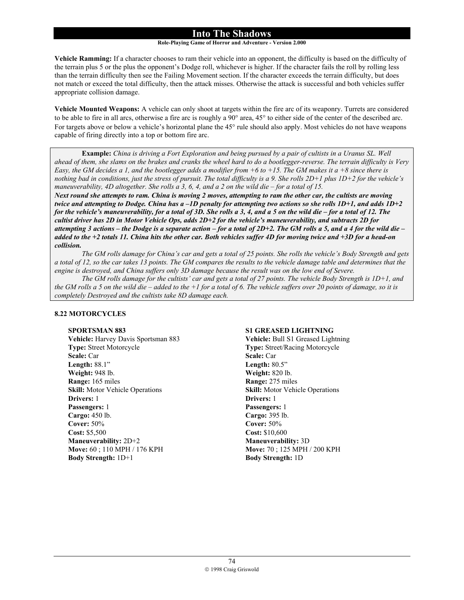## **Role-Playing Game of Horror and Adventure - Version 2.000**

**Vehicle Ramming:** If a character chooses to ram their vehicle into an opponent, the difficulty is based on the difficulty of the terrain plus 5 or the plus the opponent's Dodge roll, whichever is higher. If the character fails the roll by rolling less than the terrain difficulty then see the Failing Movement section. If the character exceeds the terrain difficulty, but does not match or exceed the total difficulty, then the attack misses. Otherwise the attack is successful and both vehicles suffer appropriate collision damage.

**Vehicle Mounted Weapons:** A vehicle can only shoot at targets within the fire arc of its weaponry. Turrets are considered to be able to fire in all arcs, otherwise a fire arc is roughly a 90° area, 45° to either side of the center of the described arc. For targets above or below a vehicle's horizontal plane the 45° rule should also apply. Most vehicles do not have weapons capable of firing directly into a top or bottom fire arc.

 **Example:** *China is driving a Fort Exploration and being pursued by a pair of cultists in a Uranus SL. Well ahead of them, she slams on the brakes and cranks the wheel hard to do a bootlegger-reverse. The terrain difficulty is Very Easy, the GM decides a 1, and the bootlegger adds a modifier from +6 to +15. The GM makes it a +8 since there is nothing bad in conditions, just the stress of pursuit. The total difficulty is a 9. She rolls 2D+1 plus 1D+2 for the vehicle's maneuverability, 4D altogether. She rolls a 3, 6, 4, and a 2 on the wild die – for a total of 15.* 

*Next round she attempts to ram. China is moving 2 moves, attempting to ram the other car, the cultists are moving twice and attempting to Dodge. China has a –1D penalty for attempting two actions so she rolls 1D+1, and adds 1D+2 for the vehicle's maneuverability, for a total of 3D. She rolls a 3, 4, and a 5 on the wild die – for a total of 12. The cultist driver has 2D in Motor Vehicle Ops, adds 2D+2 for the vehicle's maneuverability, and subtracts 2D for attempting 3 actions – the Dodge is a separate action – for a total of 2D+2. The GM rolls a 5, and a 4 for the wild die – added to the +2 totals 11. China hits the other car. Both vehicles suffer 4D for moving twice and +3D for a head-on collision.* 

 *The GM rolls damage for China's car and gets a total of 25 points. She rolls the vehicle's Body Strength and gets a total of 12, so the car takes 13 points. The GM compares the results to the vehicle damage table and determines that the engine is destroyed, and China suffers only 3D damage because the result was on the low end of Severe.* 

 *The GM rolls damage for the cultists' car and gets a total of 27 points. The vehicle Body Strength is 1D+1, and the GM rolls a 5 on the wild die – added to the +1 for a total of 6. The vehicle suffers over 20 points of damage, so it is completely Destroyed and the cultists take 8D damage each.* 

#### **8.22 MOTORCYCLES**

## **SPORTSMAN 883**

**Vehicle:** Harvey Davis Sportsman 883 **Type:** Street Motorcycle **Scale:** Car **Length:** 88.1" **Weight:** 948 lb. **Range:** 165 miles **Skill:** Motor Vehicle Operations **Drivers:** 1 **Passengers:** 1 **Cargo:** 450 lb. **Cover:** 50% **Cost:** \$5,500 **Maneuverability:** 2D+2 **Move:** 60 ; 110 MPH / 176 KPH **Body Strength:** 1D+1

## **S1 GREASED LIGHTNING**

**Vehicle:** Bull S1 Greased Lightning **Type:** Street/Racing Motorcycle **Scale:** Car **Length:** 80.5" **Weight:** 820 lb. **Range:** 275 miles **Skill:** Motor Vehicle Operations **Drivers:** 1 **Passengers:** 1 **Cargo:** 395 lb. **Cover:** 50% **Cost:** \$10,600 **Maneuverability:** 3D **Move:** 70 ; 125 MPH / 200 KPH **Body Strength:** 1D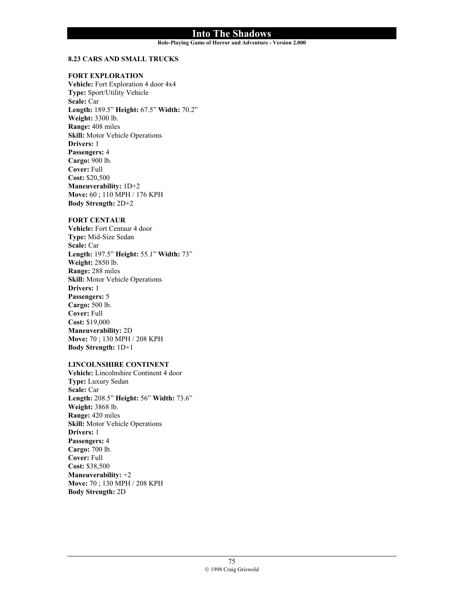**Role-Playing Game of Horror and Adventure - Version 2.000**

#### **8.23 CARS AND SMALL TRUCKS**

#### **FORT EXPLORATION**

**Vehicle:** Fort Exploration 4 door 4x4 **Type:** Sport/Utility Vehicle **Scale:** Car **Length:** 189.5" **Height:** 67.5" **Width:** 70.2" **Weight:** 3300 lb. **Range:** 408 miles **Skill:** Motor Vehicle Operations **Drivers:** 1 **Passengers:** 4 **Cargo:** 900 lb. **Cover:** Full **Cost:** \$20,500 **Maneuverability:** 1D+2 **Move:** 60 ; 110 MPH / 176 KPH **Body Strength:** 2D+2

## **FORT CENTAUR**

**Vehicle:** Fort Centaur 4 door **Type:** Mid-Size Sedan **Scale:** Car **Length:** 197.5" **Height:** 55.1" **Width:** 73" **Weight:** 2850 lb. **Range:** 288 miles **Skill:** Motor Vehicle Operations **Drivers:** 1 **Passengers:** 5 **Cargo:** 500 lb. **Cover:** Full **Cost:** \$19,000 **Maneuverability:** 2D **Move:** 70 ; 130 MPH / 208 KPH **Body Strength:** 1D+1

#### **LINCOLNSHIRE CONTINENT**

**Vehicle:** Lincolnshire Continent 4 door **Type:** Luxury Sedan **Scale:** Car **Length:** 208.5" **Height:** 56" **Width:** 73.6" **Weight:** 3868 lb. **Range:** 420 miles **Skill:** Motor Vehicle Operations **Drivers:** 1 **Passengers:** 4 **Cargo:** 700 lb. **Cover:** Full **Cost:** \$38,500 **Maneuverability:** +2 **Move:** 70 ; 130 MPH / 208 KPH **Body Strength:** 2D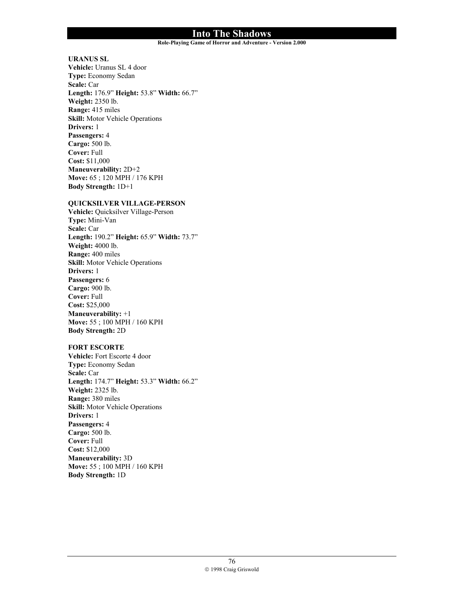**Role-Playing Game of Horror and Adventure - Version 2.000**

**URANUS SL** 

**Vehicle:** Uranus SL 4 door **Type:** Economy Sedan **Scale:** Car **Length:** 176.9" **Height:** 53.8" **Width:** 66.7" **Weight:** 2350 lb. **Range:** 415 miles **Skill:** Motor Vehicle Operations **Drivers:** 1 **Passengers:** 4 **Cargo:** 500 lb. **Cover:** Full **Cost:** \$11,000 **Maneuverability:** 2D+2 **Move:** 65 ; 120 MPH / 176 KPH **Body Strength:** 1D+1

## **QUICKSILVER VILLAGE-PERSON**

**Vehicle:** Quicksilver Village-Person **Type:** Mini-Van **Scale:** Car **Length:** 190.2" **Height:** 65.9" **Width:** 73.7" **Weight:** 4000 lb. **Range:** 400 miles **Skill:** Motor Vehicle Operations **Drivers:** 1 **Passengers:** 6 **Cargo:** 900 lb. **Cover:** Full **Cost:** \$25,000 **Maneuverability:** +1 **Move:** 55 ; 100 MPH / 160 KPH **Body Strength:** 2D

## **FORT ESCORTE**

**Vehicle:** Fort Escorte 4 door **Type:** Economy Sedan **Scale:** Car **Length:** 174.7" **Height:** 53.3" **Width:** 66.2" **Weight:** 2325 lb. **Range:** 380 miles **Skill:** Motor Vehicle Operations **Drivers:** 1 **Passengers:** 4 **Cargo:** 500 lb. **Cover:** Full **Cost:** \$12,000 **Maneuverability:** 3D **Move:** 55 ; 100 MPH / 160 KPH **Body Strength:** 1D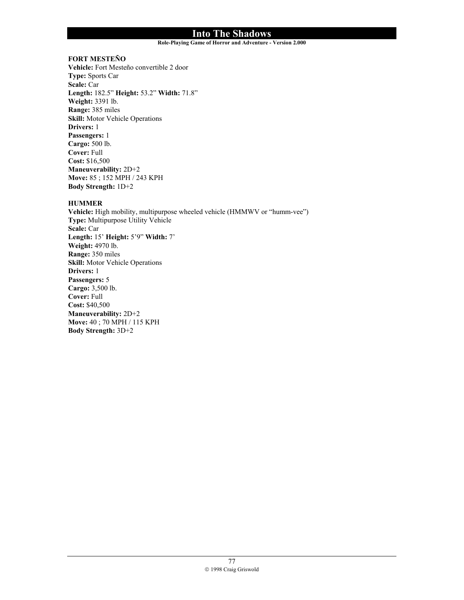## **Role-Playing Game of Horror and Adventure - Version 2.000**

## **FORT MESTEÑO**

**Vehicle:** Fort Mesteño convertible 2 door **Type:** Sports Car **Scale:** Car **Length:** 182.5" **Height:** 53.2" **Width:** 71.8" **Weight:** 3391 lb. **Range:** 385 miles **Skill:** Motor Vehicle Operations **Drivers:** 1 **Passengers:** 1 **Cargo:** 500 lb. **Cover:** Full **Cost:** \$16,500 **Maneuverability:** 2D+2 **Move:** 85 ; 152 MPH / 243 KPH **Body Strength:** 1D+2

## **HUMMER**

**Vehicle:** High mobility, multipurpose wheeled vehicle (HMMWV or "humm-vee") **Type:** Multipurpose Utility Vehicle **Scale:** Car **Length:** 15' **Height:** 5'9" **Width:** 7' **Weight:** 4970 lb. **Range:** 350 miles **Skill:** Motor Vehicle Operations **Drivers:** 1 **Passengers:** 5 **Cargo:** 3,500 lb. **Cover:** Full **Cost:** \$40,500 **Maneuverability:** 2D+2 **Move:** 40 ; 70 MPH / 115 KPH **Body Strength:** 3D+2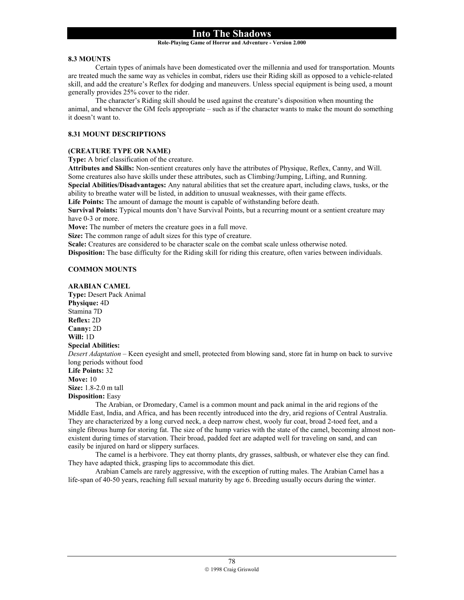#### **Role-Playing Game of Horror and Adventure - Version 2.000**

#### **8.3 MOUNTS**

Certain types of animals have been domesticated over the millennia and used for transportation. Mounts are treated much the same way as vehicles in combat, riders use their Riding skill as opposed to a vehicle-related skill, and add the creature's Reflex for dodging and maneuvers. Unless special equipment is being used, a mount generally provides 25% cover to the rider.

 The character's Riding skill should be used against the creature's disposition when mounting the animal, and whenever the GM feels appropriate – such as if the character wants to make the mount do something it doesn't want to.

### **8.31 MOUNT DESCRIPTIONS**

#### **(CREATURE TYPE OR NAME)**

**Type:** A brief classification of the creature.

**Attributes and Skills:** Non-sentient creatures only have the attributes of Physique, Reflex, Canny, and Will. Some creatures also have skills under these attributes, such as Climbing/Jumping, Lifting, and Running. **Special Abilities/Disadvantages:** Any natural abilities that set the creature apart, including claws, tusks, or the ability to breathe water will be listed, in addition to unusual weaknesses, with their game effects.

**Life Points:** The amount of damage the mount is capable of withstanding before death.

**Survival Points:** Typical mounts don't have Survival Points, but a recurring mount or a sentient creature may have 0-3 or more.

**Move:** The number of meters the creature goes in a full move.

**Size:** The common range of adult sizes for this type of creature.

**Scale:** Creatures are considered to be character scale on the combat scale unless otherwise noted.

**Disposition:** The base difficulty for the Riding skill for riding this creature, often varies between individuals.

#### **COMMON MOUNTS**

#### **ARABIAN CAMEL**

**Type:** Desert Pack Animal **Physique:** 4D Stamina 7D **Reflex:** 2D **Canny:** 2D **Will:** 1D **Special Abilities:** *Desert Adaptation* – Keen eyesight and smell, protected from blowing sand, store fat in hump on back to survive long periods without food **Life Points:** 32 **Move:** 10 **Size:** 1.8-2.0 m tall **Disposition:** Easy

The Arabian, or Dromedary, Camel is a common mount and pack animal in the arid regions of the Middle East, India, and Africa, and has been recently introduced into the dry, arid regions of Central Australia. They are characterized by a long curved neck, a deep narrow chest, wooly fur coat, broad 2-toed feet, and a single fibrous hump for storing fat. The size of the hump varies with the state of the camel, becoming almost nonexistent during times of starvation. Their broad, padded feet are adapted well for traveling on sand, and can easily be injured on hard or slippery surfaces.

The camel is a herbivore. They eat thorny plants, dry grasses, saltbush, or whatever else they can find. They have adapted thick, grasping lips to accommodate this diet.

Arabian Camels are rarely aggressive, with the exception of rutting males. The Arabian Camel has a life-span of 40-50 years, reaching full sexual maturity by age 6. Breeding usually occurs during the winter.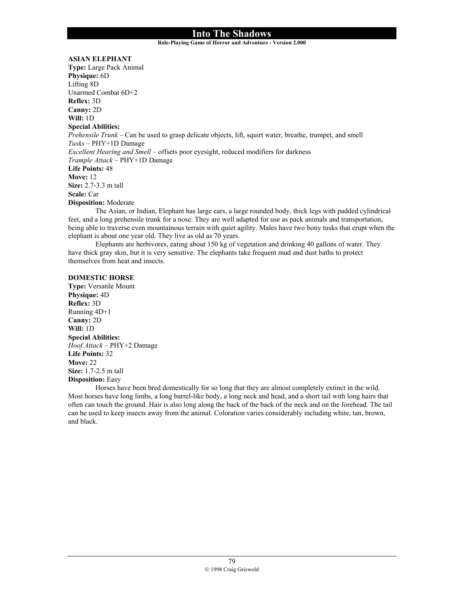**Role-Playing Game of Horror and Adventure - Version 2.000**

**ASIAN ELEPHANT** 

**Type:** Large Pack Animal **Physique:** 6D Lifting 8D Unarmed Combat 6D+2 **Reflex:** 3D **Canny:** 2D **Will:** 1D **Special Abilities:** *Prehensile Trunk* – Can be used to grasp delicate objects, lift, squirt water, breathe, trumpet, and smell *Tusks* – PHY+1D Damage *Excellent Hearing and Smell* – offsets poor eyesight, reduced modifiers for darkness *Trample Attack* – PHY+1D Damage **Life Points:** 48 **Move:** 12 **Size:** 2.7-3.3 m tall **Scale:** Car **Disposition:** Moderate

 The Asian, or Indian, Elephant has large ears, a large rounded body, thick legs with padded cylindrical feet, and a long prehensile trunk for a nose. They are well adapted for use as pack animals and transportation, being able to traverse even mountainous terrain with quiet agility. Males have two bony tusks that erupt when the elephant is about one year old. They live as old as 70 years.

 Elephants are herbivores, eating about 150 kg of vegetation and drinking 40 gallons of water. They have thick gray skin, but it is very sensitive. The elephants take frequent mud and dust baths to protect themselves from heat and insects.

#### **DOMESTIC HORSE**

**Type:** Versatile Mount **Physique:** 4D **Reflex:** 3D Running 4D+1 **Canny:** 2D **Will:** 1D **Special Abilities:** *Hoof Attack* – PHY+2 Damage **Life Points:** 32 **Move:** 22 **Size:** 1.7-2.5 m tall **Disposition:** Easy

Horses have been bred domestically for so long that they are almost completely extinct in the wild. Most horses have long limbs, a long barrel-like body, a long neck and head, and a short tail with long hairs that often can touch the ground. Hair is also long along the back of the back of the neck and on the forehead. The tail can be used to keep insects away from the animal. Coloration varies considerably including white, tan, brown, and black.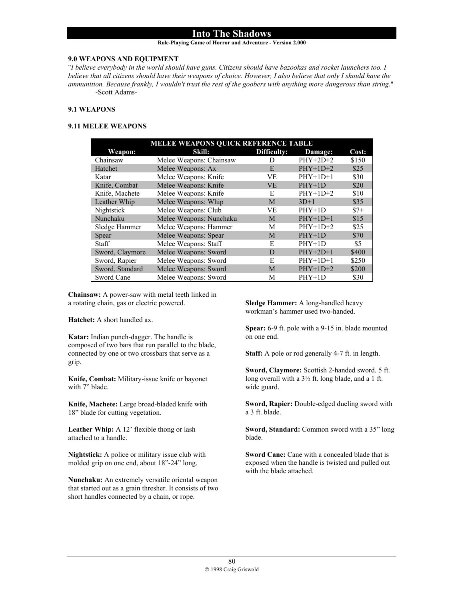#### **Role-Playing Game of Horror and Adventure - Version 2.000**

## **9.0 WEAPONS AND EQUIPMENT**

"*I believe everybody in the world should have guns. Citizens should have bazookas and rocket launchers too. I believe that all citizens should have their weapons of choice. However, I also believe that only I should have the ammunition. Because frankly, I wouldn't trust the rest of the goobers with anything more dangerous than string.*" -Scott Adams-

## **9.1 WEAPONS**

#### **9.11 MELEE WEAPONS**

| MELEE WEAPONS QUICK REFERENCE TABLE |                         |             |            |       |
|-------------------------------------|-------------------------|-------------|------------|-------|
| Weapon:                             | Skill:                  | Difficulty: | Damage:    | Cost: |
| Chainsaw                            | Melee Weapons: Chainsaw | Ð           | $PHY+2D+2$ | \$150 |
| Hatchet                             | Melee Weapons: Ax       | E           | $PHY+1D+2$ | \$25  |
| Katar                               | Melee Weapons: Knife    | VE          | $PHY+1D+1$ | \$30  |
| Knife, Combat                       | Melee Weapons: Knife    | VE          | $PHY+1D$   | \$20  |
| Knife, Machete                      | Melee Weapons: Knife    | E           | $PHY+1D+2$ | \$10  |
| Leather Whip                        | Melee Weapons: Whip     | M           | $3D+1$     | \$35  |
| Nightstick                          | Melee Weapons: Club     | VE          | $PHY+1D$   | $$7+$ |
| Nunchaku                            | Melee Weapons: Nunchaku | M           | $PHY+1D+1$ | \$15  |
| Sledge Hammer                       | Melee Weapons: Hammer   | М           | $PHY+1D+2$ | \$25  |
| Spear                               | Melee Weapons: Spear    | M           | $PHY+1D$   | \$70  |
| <b>Staff</b>                        | Melee Weapons: Staff    | E           | $PHY+1D$   | \$5   |
| Sword, Claymore                     | Melee Weapons: Sword    | D           | $PHY+2D+1$ | \$400 |
| Sword, Rapier                       | Melee Weapons: Sword    | E           | $PHY+1D+1$ | \$250 |
| Sword, Standard                     | Melee Weapons: Sword    | M           | $PHY+1D+2$ | \$200 |
| Sword Cane                          | Melee Weapons: Sword    | M           | $PHY+1D$   | \$30  |

**Chainsaw:** A power-saw with metal teeth linked in a rotating chain, gas or electric powered.

**Hatchet:** A short handled ax.

**Katar:** Indian punch-dagger. The handle is composed of two bars that run parallel to the blade, connected by one or two crossbars that serve as a grip.

**Knife, Combat:** Military-issue knife or bayonet with 7" blade.

**Knife, Machete:** Large broad-bladed knife with 18" blade for cutting vegetation.

Leather Whip: A 12' flexible thong or lash attached to a handle.

**Nightstick:** A police or military issue club with molded grip on one end, about 18"-24" long.

**Nunchaku:** An extremely versatile oriental weapon that started out as a grain thresher. It consists of two short handles connected by a chain, or rope.

**Sledge Hammer:** A long-handled heavy workman's hammer used two-handed.

**Spear:** 6-9 ft. pole with a 9-15 in. blade mounted on one end.

**Staff:** A pole or rod generally 4-7 ft. in length.

**Sword, Claymore:** Scottish 2-handed sword. 5 ft. long overall with a 3½ ft. long blade, and a 1 ft. wide guard.

**Sword, Rapier:** Double-edged dueling sword with a 3 ft. blade.

**Sword, Standard:** Common sword with a 35" long blade.

**Sword Cane:** Cane with a concealed blade that is exposed when the handle is twisted and pulled out with the blade attached.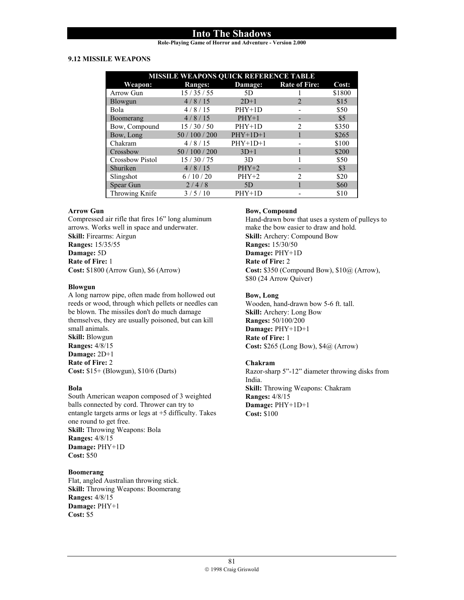**Role-Playing Game of Horror and Adventure - Version 2.000**

#### **9.12 MISSILE WEAPONS**

| <b>MISSILE WEAPONS QUICK REFERENCE TABLE</b> |                |            |                      |        |
|----------------------------------------------|----------------|------------|----------------------|--------|
| Weapon:                                      | <b>Ranges:</b> | Damage:    | <b>Rate of Fire:</b> | Cost:  |
| Arrow Gun                                    | 15/35/55       | 5D         |                      | \$1800 |
| <b>Blowgun</b>                               | 4/8/15         | $2D+1$     | $\mathcal{D}$        | \$15   |
| Bola                                         | 4/8/15         | $PHY+1D$   |                      | \$50   |
| Boomerang                                    | 4/8/15         | $PHY+1$    |                      | \$5    |
| Bow, Compound                                | 15/30/50       | $PHY+1D$   | $\mathfrak{D}$       | \$350  |
| Bow, Long                                    | 50/100/200     | $PHY+1D+1$ |                      | \$265  |
| Chakram                                      | 4/8/15         | $PHY+1D+1$ |                      | \$100  |
| Crossbow                                     | 50/100/200     | $3D+1$     |                      | \$200  |
| <b>Crossbow Pistol</b>                       | 15/30/75       | 3D         |                      | \$50   |
| Shuriken                                     | 4/8/15         | $PHY+2$    |                      | \$3    |
| Slingshot                                    | 6/10/20        | $PHY+2$    | $\mathfrak{D}$       | \$20   |
| Spear Gun                                    | 2/4/8          | 5D         |                      | \$60   |
| Throwing Knife                               | 3/5/10         | $PHY+1D$   |                      | \$10   |

## **Arrow Gun**

Compressed air rifle that fires 16" long aluminum arrows. Works well in space and underwater. **Skill:** Firearms: Airgun **Ranges:** 15/35/55 **Damage:** 5D **Rate of Fire:** 1 **Cost:** \$1800 (Arrow Gun), \$6 (Arrow)

## **Blowgun**

A long narrow pipe, often made from hollowed out reeds or wood, through which pellets or needles can be blown. The missiles don't do much damage themselves, they are usually poisoned, but can kill small animals. **Skill:** Blowgun **Ranges:** 4/8/15 **Damage:** 2D+1 **Rate of Fire:** 2 **Cost:** \$15+ (Blowgun), \$10/6 (Darts)

## **Bola**

South American weapon composed of 3 weighted balls connected by cord. Thrower can try to entangle targets arms or legs at +5 difficulty. Takes one round to get free. **Skill:** Throwing Weapons: Bola **Ranges:** 4/8/15 **Damage:** PHY+1D **Cost:** \$50

## **Boomerang**

Flat, angled Australian throwing stick. **Skill:** Throwing Weapons: Boomerang **Ranges:** 4/8/15 **Damage:** PHY+1 **Cost:** \$5

## **Bow, Compound**

Hand-drawn bow that uses a system of pulleys to make the bow easier to draw and hold. **Skill:** Archery: Compound Bow **Ranges:** 15/30/50 **Damage:** PHY+1D **Rate of Fire:** 2 **Cost:** \$350 (Compound Bow), \$10@ (Arrow), \$80 (24 Arrow Quiver)

## **Bow, Long**

Wooden, hand-drawn bow 5-6 ft. tall. **Skill:** Archery: Long Bow **Ranges:** 50/100/200 **Damage:** PHY+1D+1 **Rate of Fire:** 1 **Cost:** \$265 (Long Bow), \$4@ (Arrow)

## **Chakram**

Razor-sharp 5"-12" diameter throwing disks from India. **Skill:** Throwing Weapons: Chakram **Ranges:** 4/8/15 **Damage:** PHY+1D+1 **Cost:** \$100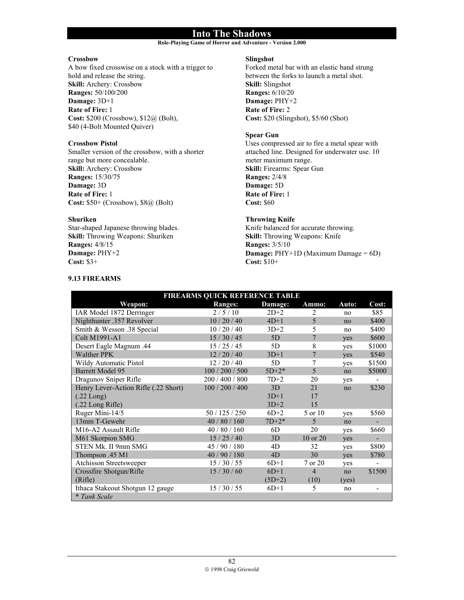## **Role-Playing Game of Horror and Adventure - Version 2.000**

## **Crossbow**

A bow fixed crosswise on a stock with a trigger to hold and release the string. **Skill:** Archery: Crossbow **Ranges:** 50/100/200 **Damage:** 3D+1 **Rate of Fire:** 1 **Cost:** \$200 (Crossbow), \$12@ (Bolt), \$40 (4-Bolt Mounted Quiver)

## **Crossbow Pistol**

Smaller version of the crossbow, with a shorter range but more concealable. **Skill:** Archery: Crossbow **Ranges:** 15/30/75 **Damage:** 3D **Rate of Fire:** 1 **Cost:** \$50+ (Crossbow), \$8@ (Bolt)

## **Shuriken**

Star-shaped Japanese throwing blades. **Skill:** Throwing Weapons: Shuriken **Ranges:** 4/8/15 **Damage:** PHY+2 **Cost:** \$3+

## **Slingshot**

Forked metal bar with an elastic band strung between the forks to launch a metal shot. **Skill:** Slingshot **Ranges:** 6/10/20 **Damage:** PHY+2 **Rate of Fire:** 2 **Cost:** \$20 (Slingshot), \$5/60 (Shot)

## **Spear Gun**

Uses compressed air to fire a metal spear with attached line. Designed for underwater use. 10 meter maximum range. **Skill:** Firearms: Spear Gun **Ranges:** 2/4/8 **Damage:** 5D **Rate of Fire:** 1 **Cost:** \$60

## **Throwing Knife**

Knife balanced for accurate throwing. **Skill:** Throwing Weapons: Knife **Ranges:** 3/5/10 **Damage:** PHY+1D (Maximum Damage = 6D) **Cost:** \$10+

| FIREARMS QUICK REFERENCE TABLE                |                |          |                |       |                |
|-----------------------------------------------|----------------|----------|----------------|-------|----------------|
| Weapon:                                       | <b>Ranges:</b> | Damage:  | Ammo:          | Auto: | Cost:          |
| IAR Model 1872 Derringer                      | 2/5/10         | $2D+2$   | 2              | no    | \$85           |
| Nighthunter .357 Revolver                     | 10/20/40       | $4D+1$   | 5              | no    | \$400          |
| Smith & Wesson .38 Special                    | 10/20/40       | $3D+2$   | 5              | no    | \$400          |
| Colt M1991-A1                                 | 15/30/45       | 5D       | 7              | yes   | \$600          |
| Desert Eagle Magnum .44                       | 15/25/45       | 5D       | 8              | yes   | \$1000         |
| <b>Walther PPK</b>                            | 12/20/40       | $3D+1$   | $\overline{7}$ | yes   | \$540          |
| Wildy Automatic Pistol                        | 12/20/40       | 5D       | 7              | yes   | \$1500         |
| <b>Barrett Model 95</b>                       | 100/200/500    | $5D+2*$  | 5              | no    | \$5000         |
| Dragunov Sniper Rifle                         | 200/400/800    | $7D+2$   | 20             | yes   |                |
| Henry Lever-Action Rifle (.22 Short)          | 100/200/400    | 3D       | 2.1            | no    | \$230          |
| $(.22$ Long)                                  |                | $3D+1$   | 17             |       |                |
| $(.22$ Long Rifle)                            |                | $3D+2$   | 15             |       |                |
| Ruger Mini-14/5                               | 50 / 125 / 250 | $6D+2$   | 5 or 10        | yes   | \$560          |
| 13mm T-Gewehr                                 | 40 / 80 / 160  | $7D+2*$  | 5              | no    |                |
| M <sub>16</sub> -A <sub>2</sub> Assault Rifle | 40/80/160      | 6D       | 20             | yes   | \$660          |
| M61 Skorpion SMG                              | 15/25/40       | 3D       | 10 or 20       | yes   |                |
| STEN Mk. II 9mm SMG                           | 45 / 90 / 180  | 4D       | 32             | yes   | \$800          |
| Thompson .45 M1                               | 40/90/180      | 4D       | 30             | yes   | \$780          |
| Atchisson Streetsweeper                       | 15/30/55       | $6D+1$   | 7 or 20        | yes   |                |
| Crossfire Shotgun/Rifle                       | 15/30/60       | $6D+1$   | 4              | no    | \$1500         |
| (Rifle)                                       |                | $(5D+2)$ | (10)           | (yes) |                |
| Ithaca Stakeout Shotgun 12 gauge              | 15/30/55       | $6D+1$   | 5              | no    | $\blacksquare$ |
| * Tank Scale                                  |                |          |                |       |                |

## **9.13 FIREARMS**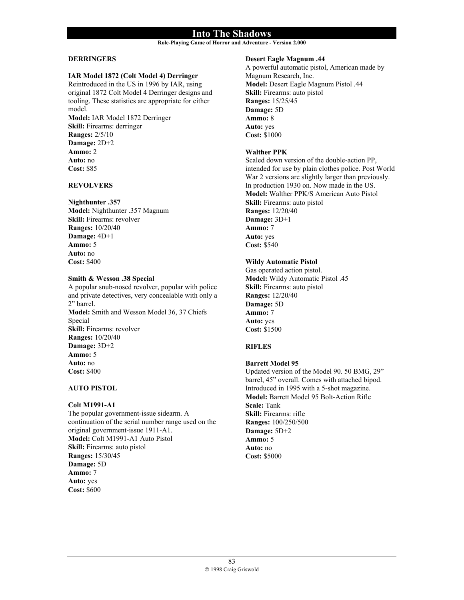**Role-Playing Game of Horror and Adventure - Version 2.000**

## **DERRINGERS**

## **IAR Model 1872 (Colt Model 4) Derringer**

Reintroduced in the US in 1996 by IAR, using original 1872 Colt Model 4 Derringer designs and tooling. These statistics are appropriate for either model.

**Model:** IAR Model 1872 Derringer **Skill:** Firearms: derringer **Ranges:** 2/5/10 **Damage:** 2D+2 **Ammo:** 2 **Auto:** no **Cost:** \$85

## **REVOLVERS**

## **Nighthunter .357**

**Model:** Nighthunter .357 Magnum **Skill:** Firearms: revolver **Ranges:** 10/20/40 **Damage:** 4D+1 **Ammo:** 5 **Auto:** no **Cost:** \$400

## **Smith & Wesson .38 Special**

A popular snub-nosed revolver, popular with police and private detectives, very concealable with only a 2" barrel. **Model:** Smith and Wesson Model 36, 37 Chiefs Special **Skill:** Firearms: revolver **Ranges:** 10/20/40 **Damage:** 3D+2 **Ammo:** 5 **Auto:** no **Cost:** \$400

## **AUTO PISTOL**

### **Colt M1991-A1**

The popular government-issue sidearm. A continuation of the serial number range used on the original government-issue 1911-A1. **Model:** Colt M1991-A1 Auto Pistol **Skill:** Firearms: auto pistol **Ranges:** 15/30/45 **Damage:** 5D **Ammo:** 7 **Auto:** yes **Cost:** \$600

## **Desert Eagle Magnum .44**

A powerful automatic pistol, American made by Magnum Research, Inc. **Model:** Desert Eagle Magnum Pistol .44 **Skill:** Firearms: auto pistol **Ranges:** 15/25/45 **Damage:** 5D **Ammo:** 8 **Auto:** yes **Cost:** \$1000

## **Walther PPK**

Scaled down version of the double-action PP, intended for use by plain clothes police. Post World War 2 versions are slightly larger than previously. In production 1930 on. Now made in the US. **Model:** Walther PPK/S American Auto Pistol **Skill:** Firearms: auto pistol **Ranges:** 12/20/40 **Damage:** 3D+1 **Ammo:** 7 **Auto:** yes **Cost:** \$540

## **Wildy Automatic Pistol**

Gas operated action pistol. **Model:** Wildy Automatic Pistol .45 **Skill:** Firearms: auto pistol **Ranges:** 12/20/40 **Damage:** 5D **Ammo:** 7 **Auto:** yes **Cost:** \$1500

## **RIFLES**

## **Barrett Model 95**

Updated version of the Model 90. 50 BMG, 29" barrel, 45" overall. Comes with attached bipod. Introduced in 1995 with a 5-shot magazine. **Model:** Barrett Model 95 Bolt-Action Rifle **Scale:** Tank **Skill:** Firearms: rifle **Ranges:** 100/250/500 **Damage:** 5D+2 **Ammo:** 5 **Auto:** no **Cost:** \$5000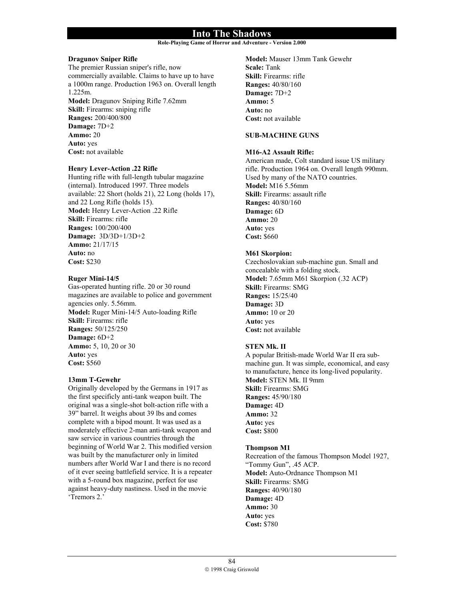#### **Role-Playing Game of Horror and Adventure - Version 2.000**

#### **Dragunov Sniper Rifle**

The premier Russian sniper's rifle, now commercially available. Claims to have up to have a 1000m range. Production 1963 on. Overall length 1.225m. **Model:** Dragunov Sniping Rifle 7.62mm **Skill:** Firearms: sniping rifle **Ranges:** 200/400/800 **Damage:** 7D+2 **Ammo:** 20 **Auto:** yes **Cost:** not available

## **Henry Lever-Action .22 Rifle**

Hunting rifle with full-length tubular magazine (internal). Introduced 1997. Three models available: 22 Short (holds 21), 22 Long (holds 17), and 22 Long Rifle (holds 15). **Model:** Henry Lever-Action .22 Rifle **Skill:** Firearms: rifle **Ranges:** 100/200/400 **Damage:** 3D/3D+1/3D+2 **Ammo:** 21/17/15 **Auto:** no **Cost:** \$230

## **Ruger Mini-14/5**

Gas-operated hunting rifle. 20 or 30 round magazines are available to police and government agencies only. 5.56mm. **Model:** Ruger Mini-14/5 Auto-loading Rifle **Skill:** Firearms: rifle **Ranges:** 50/125/250 **Damage:** 6D+2 **Ammo:** 5, 10, 20 or 30 **Auto:** yes **Cost:** \$560

## **13mm T-Gewehr**

Originally developed by the Germans in 1917 as the first specificly anti-tank weapon built. The original was a single-shot bolt-action rifle with a 39" barrel. It weighs about 39 lbs and comes complete with a bipod mount. It was used as a moderately effective 2-man anti-tank weapon and saw service in various countries through the beginning of World War 2. This modified version was built by the manufacturer only in limited numbers after World War I and there is no record of it ever seeing battlefield service. It is a repeater with a 5-round box magazine, perfect for use against heavy-duty nastiness. Used in the movie 'Tremors 2.'

**Model:** Mauser 13mm Tank Gewehr **Scale:** Tank **Skill:** Firearms: rifle **Ranges:** 40/80/160 **Damage:** 7D+2 **Ammo:** 5 **Auto:** no **Cost:** not available

## **SUB-MACHINE GUNS**

## **M16-A2 Assault Rifle:**

American made, Colt standard issue US military rifle. Production 1964 on. Overall length 990mm. Used by many of the NATO countries. **Model:** M16 5.56mm **Skill:** Firearms: assault rifle **Ranges:** 40/80/160 **Damage:** 6D **Ammo:** 20 **Auto:** yes **Cost:** \$660

## **M61 Skorpion:**

Czechoslovakian sub-machine gun. Small and concealable with a folding stock. **Model:** 7.65mm M61 Skorpion (.32 ACP) **Skill:** Firearms: SMG **Ranges:** 15/25/40 **Damage:** 3D **Ammo:** 10 or 20 **Auto:** yes **Cost:** not available

## **STEN Mk. II**

A popular British-made World War II era submachine gun. It was simple, economical, and easy to manufacture, hence its long-lived popularity. **Model:** STEN Mk. II 9mm **Skill:** Firearms: SMG **Ranges:** 45/90/180 **Damage:** 4D **Ammo:** 32 **Auto:** yes **Cost:** \$800

#### **Thompson M1**

Recreation of the famous Thompson Model 1927, "Tommy Gun", .45 ACP. **Model:** Auto-Ordnance Thompson M1 **Skill:** Firearms: SMG **Ranges:** 40/90/180 **Damage:** 4D **Ammo:** 30 **Auto:** yes **Cost:** \$780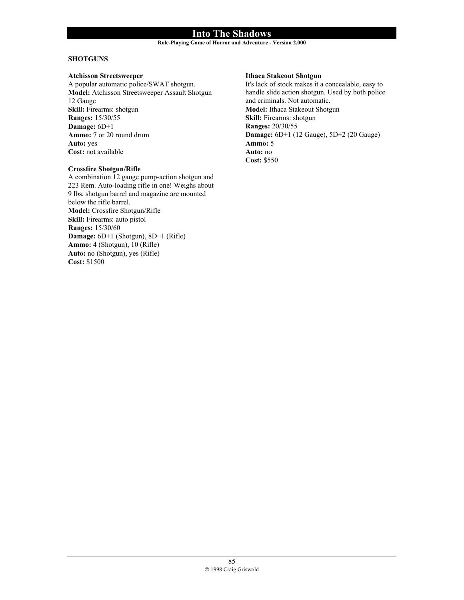#### **Role-Playing Game of Horror and Adventure - Version 2.000**

## **SHOTGUNS**

## **Atchisson Streetsweeper**

A popular automatic police/SWAT shotgun. **Model:** Atchisson Streetsweeper Assault Shotgun 12 Gauge **Skill:** Firearms: shotgun **Ranges:** 15/30/55 **Damage:** 6D+1 **Ammo:** 7 or 20 round drum **Auto:** yes **Cost:** not available

## **Crossfire Shotgun/Rifle**

A combination 12 gauge pump-action shotgun and 223 Rem. Auto-loading rifle in one! Weighs about 9 lbs, shotgun barrel and magazine are mounted below the rifle barrel. **Model:** Crossfire Shotgun/Rifle **Skill:** Firearms: auto pistol **Ranges:** 15/30/60 **Damage:** 6D+1 (Shotgun), 8D+1 (Rifle) **Ammo:** 4 (Shotgun), 10 (Rifle) **Auto:** no (Shotgun), yes (Rifle) **Cost:** \$1500

#### **Ithaca Stakeout Shotgun**

It's lack of stock makes it a concealable, easy to handle slide action shotgun. Used by both police and criminals. Not automatic. **Model:** Ithaca Stakeout Shotgun **Skill:** Firearms: shotgun **Ranges:** 20/30/55 **Damage:** 6D+1 (12 Gauge), 5D+2 (20 Gauge) **Ammo:** 5 **Auto:** no **Cost:** \$550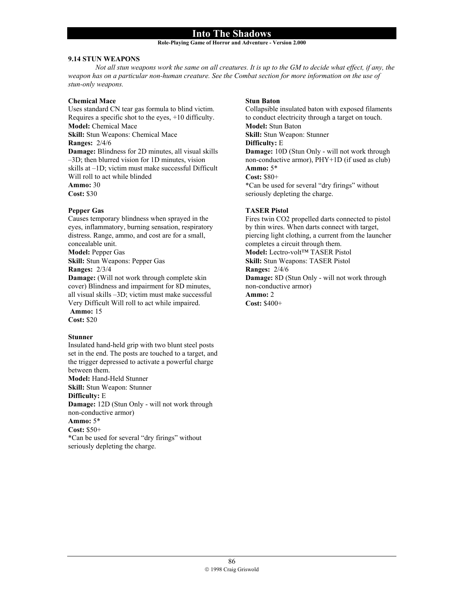**Role-Playing Game of Horror and Adventure - Version 2.000**

### **9.14 STUN WEAPONS**

*Not all stun weapons work the same on all creatures. It is up to the GM to decide what effect, if any, the weapon has on a particular non-human creature. See the Combat section for more information on the use of stun-only weapons.* 

### **Chemical Mace**

Uses standard CN tear gas formula to blind victim. Requires a specific shot to the eyes, +10 difficulty. **Model:** Chemical Mace **Skill:** Stun Weapons: Chemical Mace **Ranges:** 2/4/6 **Damage:** Blindness for 2D minutes, all visual skills –3D; then blurred vision for 1D minutes, vision skills at –1D; victim must make successful Difficult Will roll to act while blinded **Ammo:** 30 **Cost:** \$30

## **Pepper Gas**

Causes temporary blindness when sprayed in the eyes, inflammatory, burning sensation, respiratory distress. Range, ammo, and cost are for a small, concealable unit. **Model:** Pepper Gas

**Skill:** Stun Weapons: Pepper Gas **Ranges:** 2/3/4

**Damage:** (Will not work through complete skin cover) Blindness and impairment for 8D minutes, all visual skills –3D; victim must make successful Very Difficult Will roll to act while impaired. **Ammo:** 15 **Cost:** \$20

#### **Stunner**

Insulated hand-held grip with two blunt steel posts set in the end. The posts are touched to a target, and the trigger depressed to activate a powerful charge between them. **Model:** Hand-Held Stunner **Skill:** Stun Weapon: Stunner **Difficulty:** E **Damage:** 12D (Stun Only - will not work through non-conductive armor) **Ammo:** 5\* **Cost:** \$50+ \*Can be used for several "dry firings" without seriously depleting the charge.

### **Stun Baton**

Collapsible insulated baton with exposed filaments to conduct electricity through a target on touch. **Model:** Stun Baton **Skill:** Stun Weapon: Stunner **Difficulty:** E **Damage:** 10D (Stun Only - will not work through non-conductive armor), PHY+1D (if used as club) **Ammo:** 5\* **Cost:** \$80+

\*Can be used for several "dry firings" without seriously depleting the charge.

## **TASER Pistol**

Fires twin CO2 propelled darts connected to pistol by thin wires. When darts connect with target, piercing light clothing, a current from the launcher completes a circuit through them. **Model:** Lectro-volt™ TASER Pistol **Skill:** Stun Weapons: TASER Pistol **Ranges:** 2/4/6 **Damage:** 8D (Stun Only - will not work through non-conductive armor) **Ammo:** 2 **Cost:** \$400+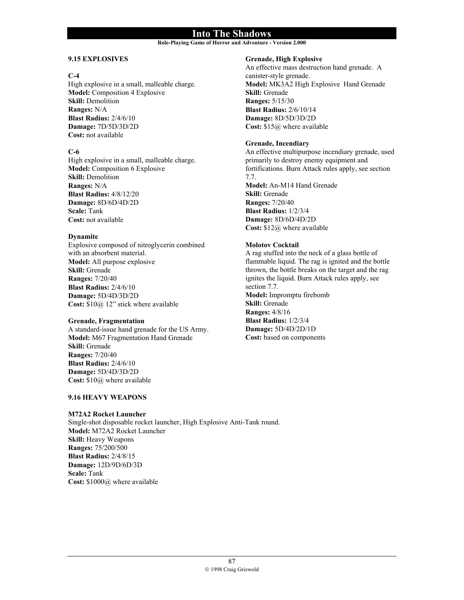**Role-Playing Game of Horror and Adventure - Version 2.000**

## **9.15 EXPLOSIVES**

## **C-4**

High explosive in a small, malleable charge. **Model:** Composition 4 Explosive **Skill:** Demolition **Ranges:** N/A **Blast Radius:** 2/4/6/10 **Damage:** 7D/5D/3D/2D **Cost:** not available

## **C-6**

High explosive in a small, malleable charge. **Model:** Composition 6 Explosive **Skill:** Demolition **Ranges:** N/A **Blast Radius:** 4/8/12/20 **Damage:** 8D/6D/4D/2D **Scale:** Tank **Cost:** not available

## **Dynamite**

Explosive composed of nitroglycerin combined with an absorbent material. **Model:** All purpose explosive **Skill:** Grenade **Ranges:** 7/20/40 **Blast Radius:** 2/4/6/10 **Damage:** 5D/4D/3D/2D **Cost:** \$10@ 12" stick where available

## **Grenade, Fragmentation**

A standard-issue hand grenade for the US Army. **Model:** M67 Fragmentation Hand Grenade **Skill:** Grenade **Ranges:** 7/20/40 **Blast Radius:** 2/4/6/10 **Damage:** 5D/4D/3D/2D **Cost:** \$10@ where available

## **9.16 HEAVY WEAPONS**

## **M72A2 Rocket Launcher**

Single-shot disposable rocket launcher, High Explosive Anti-Tank round. **Model:** M72A2 Rocket Launcher **Skill:** Heavy Weapons **Ranges:** 75/200/500 **Blast Radius:** 2/4/8/15 **Damage:** 12D/9D/6D/3D **Scale:** Tank **Cost:** \$1000@ where available

## **Grenade, High Explosive**

An effective mass destruction hand grenade. A canister-style grenade. **Model:** MK3A2 High Explosive Hand Grenade **Skill:** Grenade **Ranges:** 5/15/30 **Blast Radius:** 2/6/10/14 **Damage:** 8D/5D/3D/2D **Cost:** \$15@ where available

## **Grenade, Incendiary**

An effective multipurpose incendiary grenade, used primarily to destroy enemy equipment and fortifications. Burn Attack rules apply, see section 7.7. **Model:** An-M14 Hand Grenade **Skill:** Grenade **Ranges:** 7/20/40 **Blast Radius:** 1/2/3/4 **Damage:** 8D/6D/4D/2D **Cost:** \$12@ where available

## **Molotov Cocktail**

A rag stuffed into the neck of a glass bottle of flammable liquid. The rag is ignited and the bottle thrown, the bottle breaks on the target and the rag ignites the liquid. Burn Attack rules apply, see section 7.7. **Model:** Impromptu firebomb **Skill:** Grenade **Ranges:** 4/8/16 **Blast Radius:** 1/2/3/4 **Damage:** 5D/4D/2D/1D **Cost:** based on components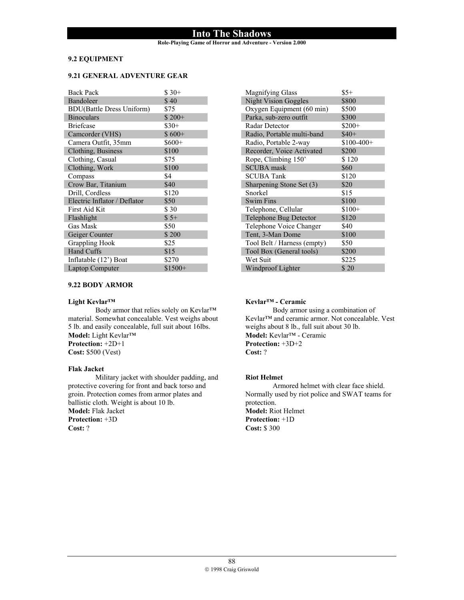**Role-Playing Game of Horror and Adventure - Version 2.000**

## **9.2 EQUIPMENT**

### **9.21 GENERAL ADVENTURE GEAR**

| <b>Back Pack</b>                 | $$30+$   |
|----------------------------------|----------|
| Bandoleer                        | \$40     |
| <b>BDU(Battle Dress Uniform)</b> | \$75     |
| <b>Binoculars</b>                | $$200+$  |
| <b>Briefcase</b>                 | $$30+$   |
| Camcorder (VHS)                  | $$600+$  |
| Camera Outfit, 35mm              | $$600+$  |
| Clothing, Business               | \$100    |
| Clothing, Casual                 | \$75     |
| Clothing, Work                   | \$100    |
| Compass                          | \$4      |
| Crow Bar, Titanium               | \$40     |
| Drill, Cordless                  | \$120    |
| Electric Inflator / Deflator     | \$50     |
| First Aid Kit                    | \$ 30    |
| Flashlight                       | $$5+$    |
| Gas Mask                         | \$50     |
| Geiger Counter                   | \$200    |
| <b>Grappling Hook</b>            | \$25     |
| <b>Hand Cuffs</b>                | \$15     |
| Inflatable (12') Boat            | \$270    |
| Laptop Computer                  | $$1500+$ |

## **9.22 BODY ARMOR**

## **Light Kevlar™**

 Body armor that relies solely on Kevlar™ material. Somewhat concealable. Vest weighs about 5 lb. and easily concealable, full suit about 16lbs. **Model:** Light Kevlar™ **Protection:** +2D+1 **Cost:** \$500 (Vest)

## **Flak Jacket**

 Military jacket with shoulder padding, and protective covering for front and back torso and groin. Protection comes from armor plates and ballistic cloth. Weight is about 10 lb. **Model:** Flak Jacket

**Protection:** +3D **Cost:** ?

| <b>Magnifying Glass</b>     | $$5+$       |
|-----------------------------|-------------|
| <b>Night Vision Goggles</b> | \$800       |
| Oxygen Equipment (60 min)   | \$500       |
| Parka, sub-zero outfit      | \$300       |
| Radar Detector              | $$200+$     |
| Radio, Portable multi-band  | $$40+$      |
| Radio, Portable 2-way       | $$100-400+$ |
| Recorder, Voice Activated   | \$200       |
| Rope, Climbing 150'         | \$120       |
| <b>SCUBA</b> mask           | \$60        |
| <b>SCUBA Tank</b>           | \$120       |
| Sharpening Stone Set (3)    | \$20        |
| Snorkel                     | \$15        |
| <b>Swim Fins</b>            | \$100       |
| Telephone, Cellular         | $$100+$     |
| Telephone Bug Detector      | \$120       |
| Telephone Voice Changer     | \$40        |
| Tent, 3-Man Dome            | \$100       |
| Tool Belt / Harness (empty) | \$50        |
| Tool Box (General tools)    | \$200       |
| Wet Suit                    | \$225       |
| Windproof Lighter           | \$20        |

## **Kevlar™ - Ceramic**

 Body armor using a combination of Kevlar™ and ceramic armor. Not concealable. Vest weighs about 8 lb., full suit about 30 lb. **Model:** Kevlar™ - Ceramic **Protection:** +3D+2 **Cost:** ?

#### **Riot Helmet**

 Armored helmet with clear face shield. Normally used by riot police and SWAT teams for protection. **Model:** Riot Helmet **Protection:** +1D **Cost:** \$ 300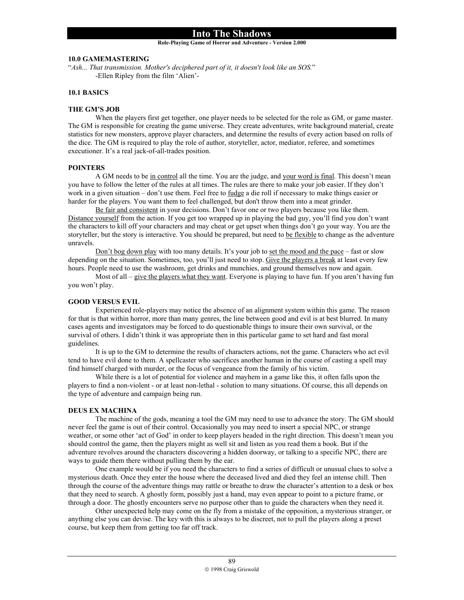**Role-Playing Game of Horror and Adventure - Version 2.000**

## **10.0 GAMEMASTERING**

"*Ash... That transmission. Mother's deciphered part of it, it doesn't look like an SOS.*" -Ellen Ripley from the film 'Alien'-

## **10.1 BASICS**

#### **THE GM'S JOB**

 When the players first get together, one player needs to be selected for the role as GM, or game master. The GM is responsible for creating the game universe. They create adventures, write background material, create statistics for new monsters, approve player characters, and determine the results of every action based on rolls of the dice. The GM is required to play the role of author, storyteller, actor, mediator, referee, and sometimes executioner. It's a real jack-of-all-trades position.

#### **POINTERS**

 A GM needs to be in control all the time. You are the judge, and your word is final. This doesn't mean you have to follow the letter of the rules at all times. The rules are there to make your job easier. If they don't work in a given situation – don't use them. Feel free to fudge a die roll if necessary to make things easier or harder for the players. You want them to feel challenged, but don't throw them into a meat grinder.

Be fair and consistent in your decisions. Don't favor one or two players because you like them. Distance yourself from the action. If you get too wrapped up in playing the bad guy, you'll find you don't want the characters to kill off your characters and may cheat or get upset when things don't go your way. You are the storyteller, but the story is interactive. You should be prepared, but need to be flexible to change as the adventure unravels.

Don't bog down play with too many details. It's your job to set the mood and the pace – fast or slow depending on the situation. Sometimes, too, you'll just need to stop. Give the players a break at least every few hours. People need to use the washroom, get drinks and munchies, and ground themselves now and again.

Most of all – give the players what they want. Everyone is playing to have fun. If you aren't having fun you won't play.

### **GOOD VERSUS EVIL**

 Experienced role-players may notice the absence of an alignment system within this game. The reason for that is that within horror, more than many genres, the line between good and evil is at best blurred. In many cases agents and investigators may be forced to do questionable things to insure their own survival, or the survival of others. I didn't think it was appropriate then in this particular game to set hard and fast moral guidelines.

 It is up to the GM to determine the results of characters actions, not the game. Characters who act evil tend to have evil done to them. A spellcaster who sacrifices another human in the course of casting a spell may find himself charged with murder, or the focus of vengeance from the family of his victim.

 While there is a lot of potential for violence and mayhem in a game like this, it often falls upon the players to find a non-violent - or at least non-lethal - solution to many situations. Of course, this all depends on the type of adventure and campaign being run.

#### **DEUS EX MACHINA**

 The machine of the gods, meaning a tool the GM may need to use to advance the story. The GM should never feel the game is out of their control. Occasionally you may need to insert a special NPC, or strange weather, or some other 'act of God' in order to keep players headed in the right direction. This doesn't mean you should control the game, then the players might as well sit and listen as you read them a book. But if the adventure revolves around the characters discovering a hidden doorway, or talking to a specific NPC, there are ways to guide them there without pulling them by the ear.

 One example would be if you need the characters to find a series of difficult or unusual clues to solve a mysterious death. Once they enter the house where the deceased lived and died they feel an intense chill. Then through the course of the adventure things may rattle or breathe to draw the character's attention to a desk or box that they need to search. A ghostly form, possibly just a hand, may even appear to point to a picture frame, or through a door. The ghostly encounters serve no purpose other than to guide the characters when they need it.

 Other unexpected help may come on the fly from a mistake of the opposition, a mysterious stranger, or anything else you can devise. The key with this is always to be discreet, not to pull the players along a preset course, but keep them from getting too far off track.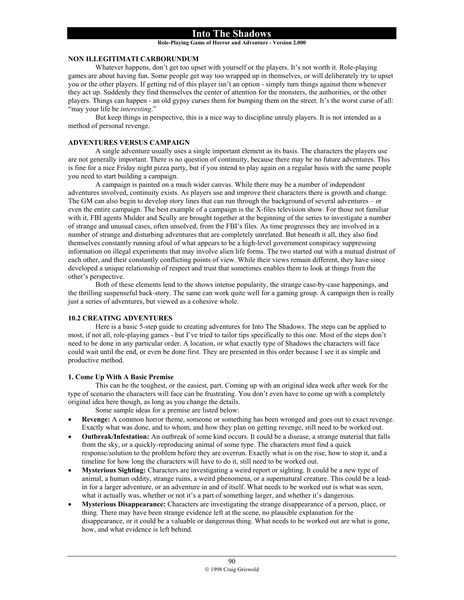#### **Role-Playing Game of Horror and Adventure - Version 2.000**

### **NON ILLEGITIMATI CARBORUNDUM**

 Whatever happens, don't get too upset with yourself or the players. It's not worth it. Role-playing games are about having fun. Some people get way too wrapped up in themselves, or will deliberately try to upset you or the other players. If getting rid of this player isn't an option - simply turn things against them whenever they act up. Suddenly they find themselves the center of attention for the monsters, the authorities, or the other players. Things can happen - an old gypsy curses them for bumping them on the street. It's the worst curse of all: "may your life be *interesting*."

 But keep things in perspective, this is a nice way to discipline unruly players. It is not intended as a method of personal revenge.

### **ADVENTURES VERSUS CAMPAIGN**

 A single adventure usually uses a single important element as its basis. The characters the players use are not generally important. There is no question of continuity, because there may be no future adventures. This is fine for a nice Friday night pizza party, but if you intend to play again on a regular basis with the same people you need to start building a campaign.

 A campaign is painted on a much wider canvas. While there may be a number of independent adventures involved, continuity exists. As players use and improve their characters there is growth and change. The GM can also begin to develop story lines that can run through the background of several adventures – or even the entire campaign. The best example of a campaign is the X-files television show. For those not familiar with it, FBI agents Mulder and Scully are brought together at the beginning of the series to investigate a number of strange and unusual cases, often unsolved, from the FBI's files. As time progresses they are involved in a number of strange and disturbing adventures that are completely unrelated. But beneath it all, they also find themselves constantly running afoul of what appears to be a high-level government conspiracy suppressing information on illegal experiments that may involve alien life forms. The two started out with a mutual distrust of each other, and their constantly conflicting points of view. While their views remain different, they have since developed a unique relationship of respect and trust that sometimes enables them to look at things from the other's perspective.

 Both of these elements lend to the shows intense popularity, the strange case-by-case happenings, and the thrilling suspenseful back-story. The same can work quite well for a gaming group. A campaign then is really just a series of adventures, but viewed as a cohesive whole.

### **10.2 CREATING ADVENTURES**

Here is a basic 5-step guide to creating adventures for Into The Shadows. The steps can be applied to most, if not all, role-playing games - but I've tried to tailor tips specifically to this one. Most of the steps don't need to be done in any particular order. A location, or what exactly type of Shadows the characters will face could wait until the end, or even be done first. They are presented in this order because I see it as simple and productive method.

#### **1. Come Up With A Basic Premise**

 This can be the toughest, or the easiest, part. Coming up with an original idea week after week for the type of scenario the characters will face can be frustrating. You don't even have to come up with a completely original idea here though, as long as you change the details.

Some sample ideas for a premise are listed below:

- **Revenge:** A common horror theme, someone or something has been wronged and goes out to exact revenge. Exactly what was done, and to whom, and how they plan on getting revenge, still need to be worked out.
- **Outbreak/Infestation:** An outbreak of some kind occurs. It could be a disease, a strange material that falls from the sky, or a quickly-reproducing animal of some type. The characters must find a quick response/solution to the problem before they are overrun. Exactly what is on the rise, how to stop it, and a timeline for how long the characters will have to do it, still need to be worked out.
- **Mysterious Sighting:** Characters are investigating a weird report or sighting. It could be a new type of animal, a human oddity, strange ruins, a weird phenomena, or a supernatural creature. This could be a leadin for a larger adventure, or an adventure in and of itself. What needs to be worked out is what was seen, what it actually was, whether or not it's a part of something larger, and whether it's dangerous.
- **Mysterious Disappearance:** Characters are investigating the strange disappearance of a person, place, or thing. There may have been strange evidence left at the scene, no plausible explanation for the disappearance, or it could be a valuable or dangerous thing. What needs to be worked out are what is gone, how, and what evidence is left behind.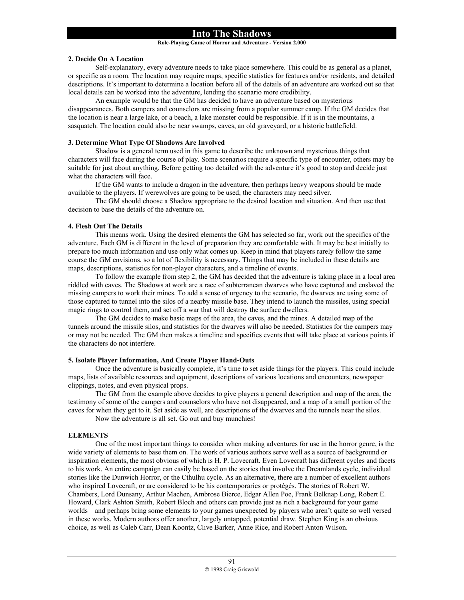## **Role-Playing Game of Horror and Adventure - Version 2.000**

## **2. Decide On A Location**

 Self-explanatory, every adventure needs to take place somewhere. This could be as general as a planet, or specific as a room. The location may require maps, specific statistics for features and/or residents, and detailed descriptions. It's important to determine a location before all of the details of an adventure are worked out so that local details can be worked into the adventure, lending the scenario more credibility.

 An example would be that the GM has decided to have an adventure based on mysterious disappearances. Both campers and counselors are missing from a popular summer camp. If the GM decides that the location is near a large lake, or a beach, a lake monster could be responsible. If it is in the mountains, a sasquatch. The location could also be near swamps, caves, an old graveyard, or a historic battlefield.

## **3. Determine What Type Of Shadows Are Involved**

 Shadow is a general term used in this game to describe the unknown and mysterious things that characters will face during the course of play. Some scenarios require a specific type of encounter, others may be suitable for just about anything. Before getting too detailed with the adventure it's good to stop and decide just what the characters will face.

 If the GM wants to include a dragon in the adventure, then perhaps heavy weapons should be made available to the players. If werewolves are going to be used, the characters may need silver.

 The GM should choose a Shadow appropriate to the desired location and situation. And then use that decision to base the details of the adventure on.

## **4. Flesh Out The Details**

 This means work. Using the desired elements the GM has selected so far, work out the specifics of the adventure. Each GM is different in the level of preparation they are comfortable with. It may be best initially to prepare too much information and use only what comes up. Keep in mind that players rarely follow the same course the GM envisions, so a lot of flexibility is necessary. Things that may be included in these details are maps, descriptions, statistics for non-player characters, and a timeline of events.

 To follow the example from step 2, the GM has decided that the adventure is taking place in a local area riddled with caves. The Shadows at work are a race of subterranean dwarves who have captured and enslaved the missing campers to work their mines. To add a sense of urgency to the scenario, the dwarves are using some of those captured to tunnel into the silos of a nearby missile base. They intend to launch the missiles, using special magic rings to control them, and set off a war that will destroy the surface dwellers.

 The GM decides to make basic maps of the area, the caves, and the mines. A detailed map of the tunnels around the missile silos, and statistics for the dwarves will also be needed. Statistics for the campers may or may not be needed. The GM then makes a timeline and specifies events that will take place at various points if the characters do not interfere.

#### **5. Isolate Player Information, And Create Player Hand-Outs**

 Once the adventure is basically complete, it's time to set aside things for the players. This could include maps, lists of available resources and equipment, descriptions of various locations and encounters, newspaper clippings, notes, and even physical props.

 The GM from the example above decides to give players a general description and map of the area, the testimony of some of the campers and counselors who have not disappeared, and a map of a small portion of the caves for when they get to it. Set aside as well, are descriptions of the dwarves and the tunnels near the silos.

Now the adventure is all set. Go out and buy munchies!

## **ELEMENTS**

 One of the most important things to consider when making adventures for use in the horror genre, is the wide variety of elements to base them on. The work of various authors serve well as a source of background or inspiration elements, the most obvious of which is H. P. Lovecraft. Even Lovecraft has different cycles and facets to his work. An entire campaign can easily be based on the stories that involve the Dreamlands cycle, individual stories like the Dunwich Horror, or the Cthulhu cycle. As an alternative, there are a number of excellent authors who inspired Lovecraft, or are considered to be his contemporaries or protégés. The stories of Robert W. Chambers, Lord Dunsany, Arthur Machen, Ambrose Bierce, Edgar Allen Poe, Frank Belknap Long, Robert E. Howard, Clark Ashton Smith, Robert Bloch and others can provide just as rich a background for your game worlds – and perhaps bring some elements to your games unexpected by players who aren't quite so well versed in these works. Modern authors offer another, largely untapped, potential draw. Stephen King is an obvious choice, as well as Caleb Carr, Dean Koontz, Clive Barker, Anne Rice, and Robert Anton Wilson.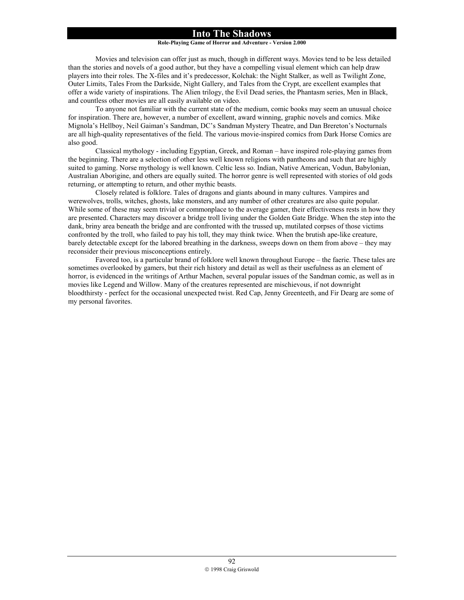#### **Role-Playing Game of Horror and Adventure - Version 2.000**

 Movies and television can offer just as much, though in different ways. Movies tend to be less detailed than the stories and novels of a good author, but they have a compelling visual element which can help draw players into their roles. The X-files and it's predecessor, Kolchak: the Night Stalker, as well as Twilight Zone, Outer Limits, Tales From the Darkside, Night Gallery, and Tales from the Crypt, are excellent examples that offer a wide variety of inspirations. The Alien trilogy, the Evil Dead series, the Phantasm series, Men in Black, and countless other movies are all easily available on video.

 To anyone not familiar with the current state of the medium, comic books may seem an unusual choice for inspiration. There are, however, a number of excellent, award winning, graphic novels and comics. Mike Mignola's Hellboy, Neil Gaiman's Sandman, DC's Sandman Mystery Theatre, and Dan Brereton's Nocturnals are all high-quality representatives of the field. The various movie-inspired comics from Dark Horse Comics are also good.

 Classical mythology - including Egyptian, Greek, and Roman – have inspired role-playing games from the beginning. There are a selection of other less well known religions with pantheons and such that are highly suited to gaming. Norse mythology is well known. Celtic less so. Indian, Native American, Vodun, Babylonian, Australian Aborigine, and others are equally suited. The horror genre is well represented with stories of old gods returning, or attempting to return, and other mythic beasts.

 Closely related is folklore. Tales of dragons and giants abound in many cultures. Vampires and werewolves, trolls, witches, ghosts, lake monsters, and any number of other creatures are also quite popular. While some of these may seem trivial or commonplace to the average gamer, their effectiveness rests in how they are presented. Characters may discover a bridge troll living under the Golden Gate Bridge. When the step into the dank, briny area beneath the bridge and are confronted with the trussed up, mutilated corpses of those victims confronted by the troll, who failed to pay his toll, they may think twice. When the brutish ape-like creature, barely detectable except for the labored breathing in the darkness, sweeps down on them from above – they may reconsider their previous misconceptions entirely.

 Favored too, is a particular brand of folklore well known throughout Europe – the faerie. These tales are sometimes overlooked by gamers, but their rich history and detail as well as their usefulness as an element of horror, is evidenced in the writings of Arthur Machen, several popular issues of the Sandman comic, as well as in movies like Legend and Willow. Many of the creatures represented are mischievous, if not downright bloodthirsty - perfect for the occasional unexpected twist. Red Cap, Jenny Greenteeth, and Fir Dearg are some of my personal favorites.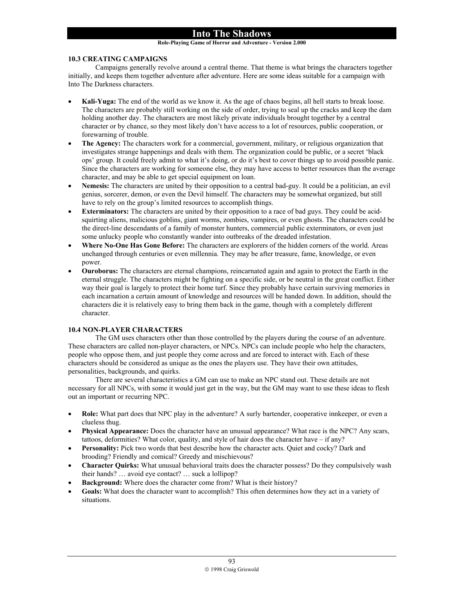### **Role-Playing Game of Horror and Adventure - Version 2.000**

## **10.3 CREATING CAMPAIGNS**

 Campaigns generally revolve around a central theme. That theme is what brings the characters together initially, and keeps them together adventure after adventure. Here are some ideas suitable for a campaign with Into The Darkness characters.

- **Kali-Yuga:** The end of the world as we know it. As the age of chaos begins, all hell starts to break loose. The characters are probably still working on the side of order, trying to seal up the cracks and keep the dam holding another day. The characters are most likely private individuals brought together by a central character or by chance, so they most likely don't have access to a lot of resources, public cooperation, or forewarning of trouble.
- **The Agency:** The characters work for a commercial, government, military, or religious organization that investigates strange happenings and deals with them. The organization could be public, or a secret 'black ops' group. It could freely admit to what it's doing, or do it's best to cover things up to avoid possible panic. Since the characters are working for someone else, they may have access to better resources than the average character, and may be able to get special equipment on loan.
- **Nemesis:** The characters are united by their opposition to a central bad-guy. It could be a politician, an evil genius, sorcerer, demon, or even the Devil himself. The characters may be somewhat organized, but still have to rely on the group's limited resources to accomplish things.
- **Exterminators:** The characters are united by their opposition to a race of bad guys. They could be acidsquirting aliens, malicious goblins, giant worms, zombies, vampires, or even ghosts. The characters could be the direct-line descendants of a family of monster hunters, commercial public exterminators, or even just some unlucky people who constantly wander into outbreaks of the dreaded infestation.
- **Where No-One Has Gone Before:** The characters are explorers of the hidden corners of the world. Areas unchanged through centuries or even millennia. They may be after treasure, fame, knowledge, or even power.
- **Ouroborus:** The characters are eternal champions, reincarnated again and again to protect the Earth in the eternal struggle. The characters might be fighting on a specific side, or be neutral in the great conflict. Either way their goal is largely to protect their home turf. Since they probably have certain surviving memories in each incarnation a certain amount of knowledge and resources will be handed down. In addition, should the characters die it is relatively easy to bring them back in the game, though with a completely different character.

## **10.4 NON-PLAYER CHARACTERS**

 The GM uses characters other than those controlled by the players during the course of an adventure. These characters are called non-player characters, or NPCs. NPCs can include people who help the characters, people who oppose them, and just people they come across and are forced to interact with. Each of these characters should be considered as unique as the ones the players use. They have their own attitudes, personalities, backgrounds, and quirks.

There are several characteristics a GM can use to make an NPC stand out. These details are not necessary for all NPCs, with some it would just get in the way, but the GM may want to use these ideas to flesh out an important or recurring NPC.

- **Role:** What part does that NPC play in the adventure? A surly bartender, cooperative innkeeper, or even a clueless thug.
- **Physical Appearance:** Does the character have an unusual appearance? What race is the NPC? Any scars, tattoos, deformities? What color, quality, and style of hair does the character have – if any?
- **Personality:** Pick two words that best describe how the character acts. Quiet and cocky? Dark and brooding? Friendly and comical? Greedy and mischievous?
- **Character Quirks:** What unusual behavioral traits does the character possess? Do they compulsively wash their hands? … avoid eye contact? … suck a lollipop?
- Background: Where does the character come from? What is their history?
- Goals: What does the character want to accomplish? This often determines how they act in a variety of situations.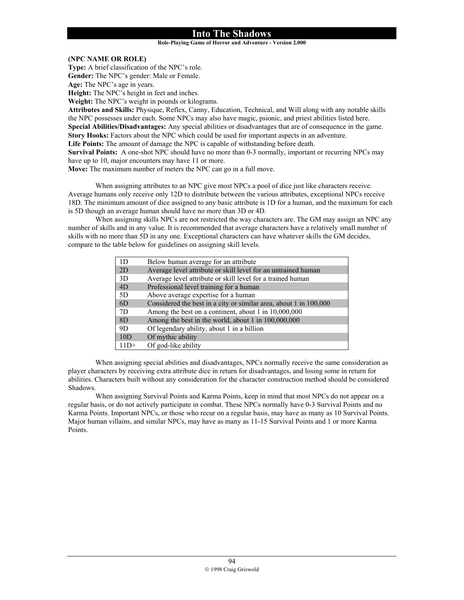**Role-Playing Game of Horror and Adventure - Version 2.000**

## **(NPC NAME OR ROLE)**

**Type:** A brief classification of the NPC's role. **Gender:** The NPC's gender: Male or Female.

**Age:** The NPC's age in years.

**Height:** The NPC's height in feet and inches.

**Weight:** The NPC's weight in pounds or kilograms.

**Attributes and Skills:** Physique, Reflex, Canny, Education, Technical, and Will along with any notable skills the NPC possesses under each. Some NPCs may also have magic, psionic, and priest abilities listed here. **Special Abilities/Disadvantages:** Any special abilities or disadvantages that are of consequence in the game. **Story Hooks:** Factors about the NPC which could be used for important aspects in an adventure.

**Life Points:** The amount of damage the NPC is capable of withstanding before death.

**Survival Points:** A one-shot NPC should have no more than 0-3 normally, important or recurring NPCs may have up to 10, major encounters may have 11 or more.

**Move:** The maximum number of meters the NPC can go in a full move.

When assigning attributes to an NPC give most NPCs a pool of dice just like characters receive. Average humans only receive only 12D to distribute between the various attributes, exceptional NPCs receive 18D. The minimum amount of dice assigned to any basic attribute is 1D for a human, and the maximum for each is 5D though an average human should have no more than 3D or 4D.

When assigning skills NPCs are not restricted the way characters are. The GM may assign an NPC any number of skills and in any value. It is recommended that average characters have a relatively small number of skills with no more than 5D in any one. Exceptional characters can have whatever skills the GM decides, compare to the table below for guidelines on assigning skill levels.

| 1D     | Below human average for an attribute                              |
|--------|-------------------------------------------------------------------|
| 2D     | Average level attribute or skill level for an untrained human     |
| 3D     | Average level attribute or skill level for a trained human        |
| 4D     | Professional level training for a human                           |
| 5D     | Above average expertise for a human                               |
| 6D     | Considered the best in a city or similar area, about 1 in 100,000 |
| 7D     | Among the best on a continent, about 1 in 10,000,000              |
| 8D     | Among the best in the world, about 1 in 100,000,000               |
| 9D     | Of legendary ability, about 1 in a billion                        |
| 10D    | Of mythic ability                                                 |
| $11D+$ | Of god-like ability                                               |

 When assigning special abilities and disadvantages, NPCs normally receive the same consideration as player characters by receiving extra attribute dice in return for disadvantages, and losing some in return for abilities. Characters built without any consideration for the character construction method should be considered Shadows.

 When assigning Survival Points and Karma Points, keep in mind that most NPCs do not appear on a regular basis, or do not actively participate in combat. These NPCs normally have 0-3 Survival Points and no Karma Points. Important NPCs, or those who recur on a regular basis, may have as many as 10 Survival Points. Major human villains, and similar NPCs, may have as many as 11-15 Survival Points and 1 or more Karma Points.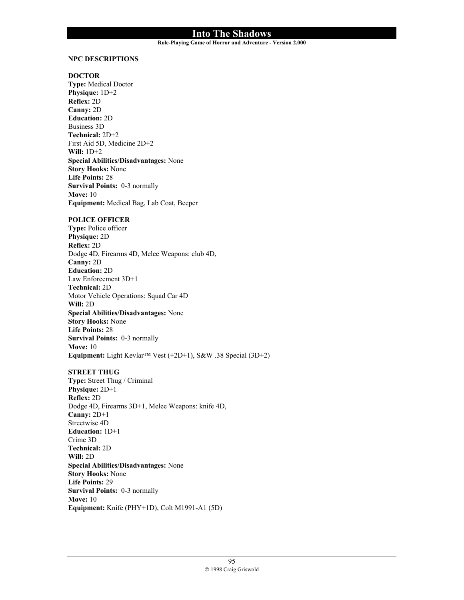**Role-Playing Game of Horror and Adventure - Version 2.000**

## **NPC DESCRIPTIONS**

#### **DOCTOR**

**Type:** Medical Doctor **Physique:** 1D+2 **Reflex:** 2D **Canny:** 2D **Education:** 2D Business 3D **Technical:** 2D+2 First Aid 5D, Medicine 2D+2 **Will:** 1D+2 **Special Abilities/Disadvantages:** None **Story Hooks:** None **Life Points:** 28 **Survival Points:** 0-3 normally **Move:** 10 **Equipment:** Medical Bag, Lab Coat, Beeper

#### **POLICE OFFICER**

**Type:** Police officer **Physique:** 2D **Reflex:** 2D Dodge 4D, Firearms 4D, Melee Weapons: club 4D, **Canny:** 2D **Education:** 2D Law Enforcement 3D+1 **Technical:** 2D Motor Vehicle Operations: Squad Car 4D **Will:** 2D **Special Abilities/Disadvantages:** None **Story Hooks:** None **Life Points:** 28 **Survival Points:** 0-3 normally **Move:** 10 **Equipment:** Light Kevlar™ Vest (+2D+1), S&W .38 Special (3D+2)

#### **STREET THUG**

**Type:** Street Thug / Criminal **Physique:** 2D+1 **Reflex:** 2D Dodge 4D, Firearms 3D+1, Melee Weapons: knife 4D, **Canny:** 2D+1 Streetwise 4D **Education:** 1D+1 Crime 3D **Technical:** 2D **Will:** 2D **Special Abilities/Disadvantages:** None **Story Hooks:** None **Life Points:** 29 **Survival Points:** 0-3 normally **Move:** 10 **Equipment:** Knife (PHY+1D), Colt M1991-A1 (5D)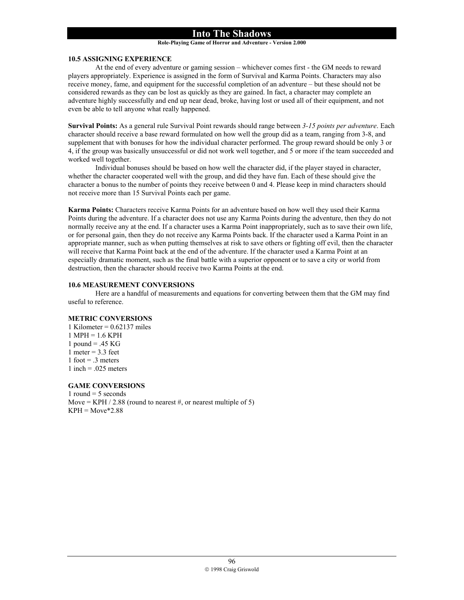#### **Role-Playing Game of Horror and Adventure - Version 2.000**

## **10.5 ASSIGNING EXPERIENCE**

 At the end of every adventure or gaming session – whichever comes first - the GM needs to reward players appropriately. Experience is assigned in the form of Survival and Karma Points. Characters may also receive money, fame, and equipment for the successful completion of an adventure – but these should not be considered rewards as they can be lost as quickly as they are gained. In fact, a character may complete an adventure highly successfully and end up near dead, broke, having lost or used all of their equipment, and not even be able to tell anyone what really happened.

**Survival Points:** As a general rule Survival Point rewards should range between *3-15 points per adventure*. Each character should receive a base reward formulated on how well the group did as a team, ranging from 3-8, and supplement that with bonuses for how the individual character performed. The group reward should be only 3 or 4, if the group was basically unsuccessful or did not work well together, and 5 or more if the team succeeded and worked well together.

 Individual bonuses should be based on how well the character did, if the player stayed in character, whether the character cooperated well with the group, and did they have fun. Each of these should give the character a bonus to the number of points they receive between 0 and 4. Please keep in mind characters should not receive more than 15 Survival Points each per game.

**Karma Points:** Characters receive Karma Points for an adventure based on how well they used their Karma Points during the adventure. If a character does not use any Karma Points during the adventure, then they do not normally receive any at the end. If a character uses a Karma Point inappropriately, such as to save their own life, or for personal gain, then they do not receive any Karma Points back. If the character used a Karma Point in an appropriate manner, such as when putting themselves at risk to save others or fighting off evil, then the character will receive that Karma Point back at the end of the adventure. If the character used a Karma Point at an especially dramatic moment, such as the final battle with a superior opponent or to save a city or world from destruction, then the character should receive two Karma Points at the end.

## **10.6 MEASUREMENT CONVERSIONS**

 Here are a handful of measurements and equations for converting between them that the GM may find useful to reference.

### **METRIC CONVERSIONS**

1 Kilometer =  $0.62137$  miles  $1 \text{ MPH} = 1.6 \text{ KPH}$ 1 pound =  $.45$  KG 1 meter =  $3.3$  feet 1 foot =  $.3$  meters 1 inch =  $.025$  meters

## **GAME CONVERSIONS**

1 round  $=$  5 seconds Move = KPH  $/$  2.88 (round to nearest #, or nearest multiple of 5)  $KPH = Move*2.88$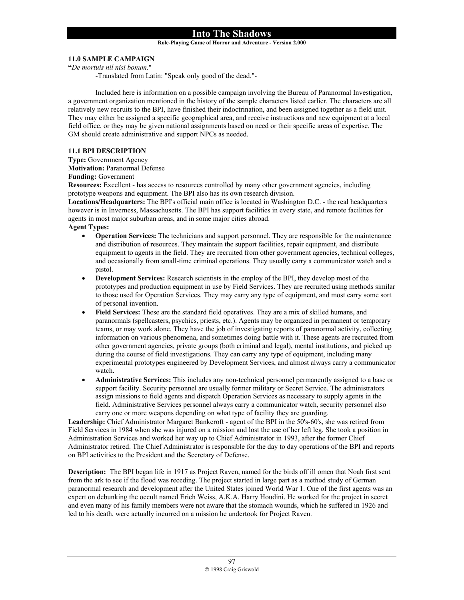**Role-Playing Game of Horror and Adventure - Version 2.000**

## **11.0 SAMPLE CAMPAIGN**

**"***De mortuis nil nisi bonum.*"

-Translated from Latin: "Speak only good of the dead."-

 Included here is information on a possible campaign involving the Bureau of Paranormal Investigation, a government organization mentioned in the history of the sample characters listed earlier. The characters are all relatively new recruits to the BPI, have finished their indoctrination, and been assigned together as a field unit. They may either be assigned a specific geographical area, and receive instructions and new equipment at a local field office, or they may be given national assignments based on need or their specific areas of expertise. The GM should create administrative and support NPCs as needed.

## **11.1 BPI DESCRIPTION**

**Type:** Government Agency

**Motivation:** Paranormal Defense

**Funding:** Government

**Resources:** Excellent - has access to resources controlled by many other government agencies, including prototype weapons and equipment. The BPI also has its own research division.

**Locations/Headquarters:** The BPI's official main office is located in Washington D.C. - the real headquarters however is in Inverness, Massachusetts. The BPI has support facilities in every state, and remote facilities for agents in most major suburban areas, and in some major cities abroad.

**Agent Types:** 

- **Operation Services:** The technicians and support personnel. They are responsible for the maintenance and distribution of resources. They maintain the support facilities, repair equipment, and distribute equipment to agents in the field. They are recruited from other government agencies, technical colleges, and occasionally from small-time criminal operations. They usually carry a communicator watch and a pistol.
- **Development Services:** Research scientists in the employ of the BPI, they develop most of the prototypes and production equipment in use by Field Services. They are recruited using methods similar to those used for Operation Services. They may carry any type of equipment, and most carry some sort of personal invention.
- **Field Services:** These are the standard field operatives. They are a mix of skilled humans, and paranormals (spellcasters, psychics, priests, etc.). Agents may be organized in permanent or temporary teams, or may work alone. They have the job of investigating reports of paranormal activity, collecting information on various phenomena, and sometimes doing battle with it. These agents are recruited from other government agencies, private groups (both criminal and legal), mental institutions, and picked up during the course of field investigations. They can carry any type of equipment, including many experimental prototypes engineered by Development Services, and almost always carry a communicator watch.
- **Administrative Services:** This includes any non-technical personnel permanently assigned to a base or support facility. Security personnel are usually former military or Secret Service. The administrators assign missions to field agents and dispatch Operation Services as necessary to supply agents in the field. Administrative Services personnel always carry a communicator watch, security personnel also carry one or more weapons depending on what type of facility they are guarding.

**Leadership:** Chief Administrator Margaret Bankcroft - agent of the BPI in the 50's-60's, she was retired from Field Services in 1984 when she was injured on a mission and lost the use of her left leg. She took a position in Administration Services and worked her way up to Chief Administrator in 1993, after the former Chief Administrator retired. The Chief Administrator is responsible for the day to day operations of the BPI and reports on BPI activities to the President and the Secretary of Defense.

**Description:** The BPI began life in 1917 as Project Raven, named for the birds off ill omen that Noah first sent from the ark to see if the flood was receding. The project started in large part as a method study of German paranormal research and development after the United States joined World War 1. One of the first agents was an expert on debunking the occult named Erich Weiss, A.K.A. Harry Houdini. He worked for the project in secret and even many of his family members were not aware that the stomach wounds, which he suffered in 1926 and led to his death, were actually incurred on a mission he undertook for Project Raven.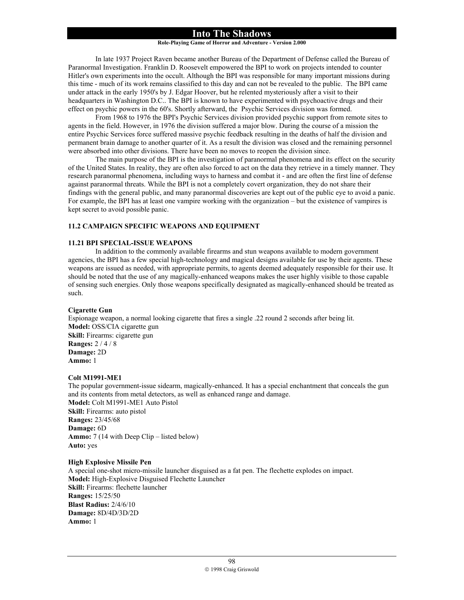#### **Role-Playing Game of Horror and Adventure - Version 2.000**

 In late 1937 Project Raven became another Bureau of the Department of Defense called the Bureau of Paranormal Investigation. Franklin D. Roosevelt empowered the BPI to work on projects intended to counter Hitler's own experiments into the occult. Although the BPI was responsible for many important missions during this time - much of its work remains classified to this day and can not be revealed to the public. The BPI came under attack in the early 1950's by J. Edgar Hoover, but he relented mysteriously after a visit to their headquarters in Washington D.C.. The BPI is known to have experimented with psychoactive drugs and their effect on psychic powers in the 60's. Shortly afterward, the Psychic Services division was formed.

 From 1968 to 1976 the BPI's Psychic Services division provided psychic support from remote sites to agents in the field. However, in 1976 the division suffered a major blow. During the course of a mission the entire Psychic Services force suffered massive psychic feedback resulting in the deaths of half the division and permanent brain damage to another quarter of it. As a result the division was closed and the remaining personnel were absorbed into other divisions. There have been no moves to reopen the division since.

 The main purpose of the BPI is the investigation of paranormal phenomena and its effect on the security of the United States. In reality, they are often also forced to act on the data they retrieve in a timely manner. They research paranormal phenomena, including ways to harness and combat it - and are often the first line of defense against paranormal threats. While the BPI is not a completely covert organization, they do not share their findings with the general public, and many paranormal discoveries are kept out of the public eye to avoid a panic. For example, the BPI has at least one vampire working with the organization – but the existence of vampires is kept secret to avoid possible panic.

## **11.2 CAMPAIGN SPECIFIC WEAPONS AND EQUIPMENT**

#### **11.21 BPI SPECIAL-ISSUE WEAPONS**

 In addition to the commonly available firearms and stun weapons available to modern government agencies, the BPI has a few special high-technology and magical designs available for use by their agents. These weapons are issued as needed, with appropriate permits, to agents deemed adequately responsible for their use. It should be noted that the use of any magically-enhanced weapons makes the user highly visible to those capable of sensing such energies. Only those weapons specifically designated as magically-enhanced should be treated as such.

#### **Cigarette Gun**

Espionage weapon, a normal looking cigarette that fires a single .22 round 2 seconds after being lit. **Model:** OSS/CIA cigarette gun **Skill:** Firearms: cigarette gun **Ranges:** 2 / 4 / 8 **Damage:** 2D **Ammo:** 1

#### **Colt M1991-ME1**

The popular government-issue sidearm, magically-enhanced. It has a special enchantment that conceals the gun and its contents from metal detectors, as well as enhanced range and damage. **Model:** Colt M1991-ME1 Auto Pistol **Skill:** Firearms: auto pistol **Ranges:** 23/45/68 **Damage:** 6D **Ammo:** 7 (14 with Deep Clip – listed below) **Auto:** yes

## **High Explosive Missile Pen**

A special one-shot micro-missile launcher disguised as a fat pen. The flechette explodes on impact. **Model:** High-Explosive Disguised Flechette Launcher **Skill:** Firearms: flechette launcher **Ranges:** 15/25/50 **Blast Radius:** 2/4/6/10 **Damage:** 8D/4D/3D/2D **Ammo:** 1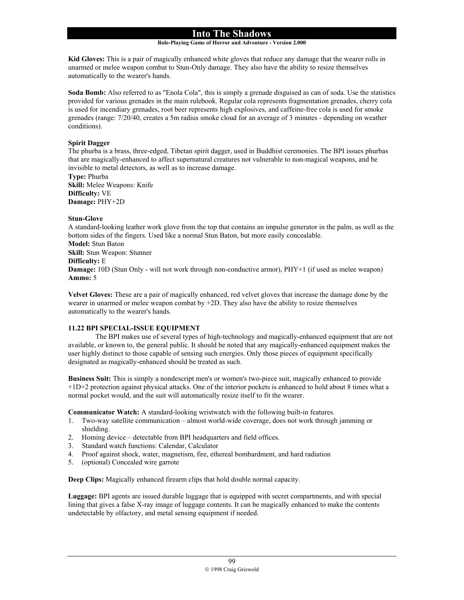## **Role-Playing Game of Horror and Adventure - Version 2.000**

**Kid Gloves:** This is a pair of magically enhanced white gloves that reduce any damage that the wearer rolls in unarmed or melee weapon combat to Stun-Only damage. They also have the ability to resize themselves automatically to the wearer's hands.

**Soda Bomb:** Also referred to as "Enola Cola", this is simply a grenade disguised as can of soda. Use the statistics provided for various grenades in the main rulebook. Regular cola represents fragmentation grenades, cherry cola is used for incendiary grenades, root beer represents high explosives, and caffeine-free cola is used for smoke grenades (range: 7/20/40, creates a 5m radius smoke cloud for an average of 3 minutes - depending on weather conditions).

### **Spirit Dagger**

The phurba is a brass, three-edged, Tibetan spirit dagger, used in Buddhist ceremonies. The BPI issues phurbas that are magically-enhanced to affect supernatural creatures not vulnerable to non-magical weapons, and be invisible to metal detectors, as well as to increase damage.

**Type:** Phurba **Skill:** Melee Weapons: Knife **Difficulty:** VE **Damage:** PHY+2D

## **Stun-Glove**

A standard-looking leather work glove from the top that contains an impulse generator in the palm, as well as the bottom sides of the fingers. Used like a normal Stun Baton, but more easily concealable. **Model:** Stun Baton **Skill:** Stun Weapon: Stunner **Difficulty:** E **Damage:** 10D (Stun Only - will not work through non-conductive armor), PHY+1 (if used as melee weapon) **Ammo:** 5

**Velvet Gloves:** These are a pair of magically enhanced, red velvet gloves that increase the damage done by the wearer in unarmed or melee weapon combat by +2D. They also have the ability to resize themselves automatically to the wearer's hands.

## **11.22 BPI SPECIAL-ISSUE EQUIPMENT**

 The BPI makes use of several types of high-technology and magically-enhanced equipment that are not available, or known to, the general public. It should be noted that any magically-enhanced equipment makes the user highly distinct to those capable of sensing such energies. Only those pieces of equipment specifically designated as magically-enhanced should be treated as such.

**Business Suit:** This is simply a nondescript men's or women's two-piece suit, magically enhanced to provide +1D+2 protection against physical attacks. One of the interior pockets is enhanced to hold about 8 times what a normal pocket would, and the suit will automatically resize itself to fit the wearer.

**Communicator Watch:** A standard-looking wristwatch with the following built-in features.

- 1. Two-way satellite communication almost world-wide coverage, does not work through jamming or shielding.
- 2. Homing device detectable from BPI headquarters and field offices.
- 3. Standard watch functions: Calendar, Calculator
- 4. Proof against shock, water, magnetism, fire, ethereal bombardment, and hard radiation
- 5. (optional) Concealed wire garrote

**Deep Clips:** Magically enhanced firearm clips that hold double normal capacity.

**Luggage:** BPI agents are issued durable luggage that is equipped with secret compartments, and with special lining that gives a false X-ray image of luggage contents. It can be magically enhanced to make the contents undetectable by olfactory, and metal sensing equipment if needed.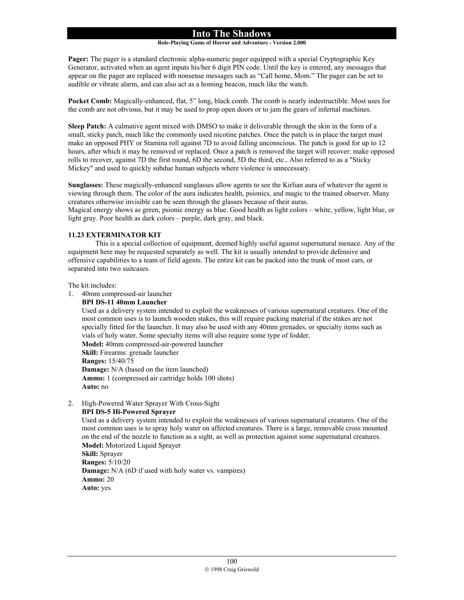## **Role-Playing Game of Horror and Adventure - Version 2.000**

**Pager:** The pager is a standard electronic alpha-numeric pager equipped with a special Cryptographic Key Generator, activated when an agent inputs his/her 6 digit PIN code. Until the key is entered, any messages that appear on the pager are replaced with nonsense messages such as "Call home, Mom." The pager can be set to audible or vibrate alarm, and can also act as a homing beacon, much like the watch.

**Pocket Comb:** Magically-enhanced, flat, 5" long, black comb. The comb is nearly indestructible. Most uses for the comb are not obvious, but it may be used to prop open doors or to jam the gears of infernal machines.

**Sleep Patch:** A calmative agent mixed with DMSO to make it deliverable through the skin in the form of a small, sticky patch, much like the commonly used nicotine patches. Once the patch is in place the target must make an opposed PHY or Stamina roll against 7D to avoid falling unconscious. The patch is good for up to 12 hours, after which it may be removed or replaced. Once a patch is removed the target will recover: make opposed rolls to recover, against 7D the first round, 6D the second, 5D the third, etc.. Also referred to as a "Sticky Mickey" and used to quickly subdue human subjects where violence is unnecessary.

**Sunglasses:** These magically-enhanced sunglasses allow agents to see the Kirlian aura of whatever the agent is viewing through them. The color of the aura indicates health, psionics, and magic to the trained observer. Many creatures otherwise invisible can be seen through the glasses because of their auras.

Magical energy shows as green, psionic energy as blue. Good health as light colors – white, yellow, light blue, or light gray. Poor health as dark colors – purple, dark gray, and black.

## **11.23 EXTERMINATOR KIT**

 This is a special collection of equipment, deemed highly useful against supernatural menace. Any of the equipment here may be requested separately as well. The kit is usually intended to provide defensive and offensive capabilities to a team of field agents. The entire kit can be packed into the trunk of most cars, or separated into two suitcases.

The kit includes:

1. 40mm compressed-air launcher

#### **BPI DS-11 40mm Launcher**

Used as a delivery system intended to exploit the weaknesses of various supernatural creatures. One of the most common uses is to launch wooden stakes, this will require packing material if the stakes are not specially fitted for the launcher. It may also be used with any 40mm grenades, or specialty items such as vials of holy water. Some specialty items will also require some type of fodder. **Model:** 40mm compressed-air-powered launcher

**Skill:** Firearms: grenade launcher **Ranges:** 15/40/75 **Damage:** N/A (based on the item launched) **Ammo:** 1 (compressed air cartridge holds 100 shots) **Auto:** no

2. High-Powered Water Sprayer With Cross-Sight

#### **BPI DS-5 Hi-Powered Sprayer**

Used as a delivery system intended to exploit the weaknesses of various supernatural creatures. One of the most common uses is to spray holy water on affected creatures. There is a large, removable cross mounted on the end of the nozzle to function as a sight, as well as protection against some supernatural creatures. **Model:** Motorized Liquid Sprayer **Skill:** Sprayer **Ranges:** 5/10/20

**Damage:** N/A (6D if used with holy water vs. vampires) **Ammo:** 20 **Auto:** yes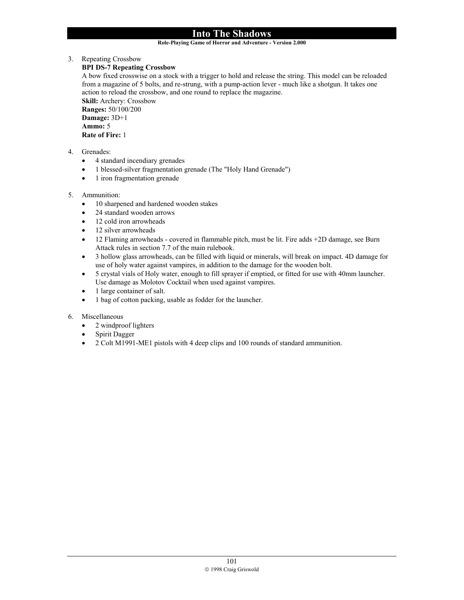## **Role-Playing Game of Horror and Adventure - Version 2.000**

3. Repeating Crossbow

## **BPI DS-7 Repeating Crossbow**

A bow fixed crosswise on a stock with a trigger to hold and release the string. This model can be reloaded from a magazine of 5 bolts, and re-strung, with a pump-action lever - much like a shotgun. It takes one action to reload the crossbow, and one round to replace the magazine.

**Skill:** Archery: Crossbow **Ranges:** 50/100/200 **Damage:** 3D+1 **Ammo:** 5 **Rate of Fire:** 1

- 4. Grenades:
	- 4 standard incendiary grenades
	- 1 blessed-silver fragmentation grenade (The "Holy Hand Grenade")
	- 1 iron fragmentation grenade
- 5. Ammunition:
	- 10 sharpened and hardened wooden stakes
	- 24 standard wooden arrows
	- 12 cold iron arrowheads
	- 12 silver arrowheads
	- 12 Flaming arrowheads covered in flammable pitch, must be lit. Fire adds +2D damage, see Burn Attack rules in section 7.7 of the main rulebook.
	- 3 hollow glass arrowheads, can be filled with liquid or minerals, will break on impact. 4D damage for use of holy water against vampires, in addition to the damage for the wooden bolt.
	- 5 crystal vials of Holy water, enough to fill sprayer if emptied, or fitted for use with 40mm launcher. Use damage as Molotov Cocktail when used against vampires.
	- 1 large container of salt.
	- 1 bag of cotton packing, usable as fodder for the launcher.

## 6. Miscellaneous

- 2 windproof lighters
- Spirit Dagger
- 2 Colt M1991-ME1 pistols with 4 deep clips and 100 rounds of standard ammunition.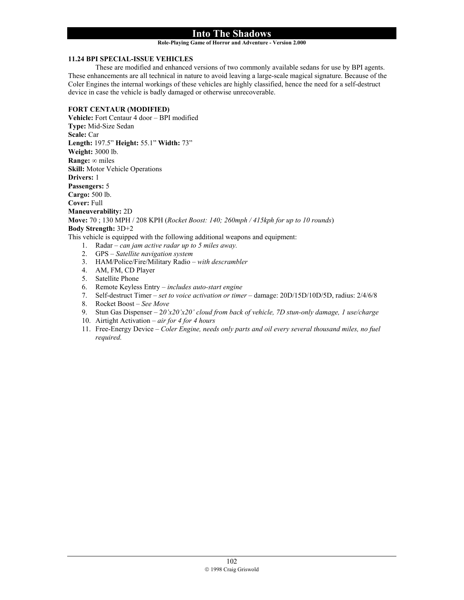#### **Role-Playing Game of Horror and Adventure - Version 2.000**

## **11.24 BPI SPECIAL-ISSUE VEHICLES**

 These are modified and enhanced versions of two commonly available sedans for use by BPI agents. These enhancements are all technical in nature to avoid leaving a large-scale magical signature. Because of the Coler Engines the internal workings of these vehicles are highly classified, hence the need for a self-destruct device in case the vehicle is badly damaged or otherwise unrecoverable.

## **FORT CENTAUR (MODIFIED)**

**Vehicle:** Fort Centaur 4 door – BPI modified **Type:** Mid-Size Sedan **Scale:** Car **Length:** 197.5" **Height:** 55.1" **Width:** 73" **Weight:** 3000 lb. **Range:** ∞ miles **Skill:** Motor Vehicle Operations **Drivers:** 1 **Passengers:** 5 **Cargo:** 500 lb. **Cover:** Full **Maneuverability:** 2D **Move:** 70 ; 130 MPH / 208 KPH (*Rocket Boost: 140; 260mph / 415kph for up to 10 rounds*) **Body Strength:** 3D+2 This vehicle is equipped with the following additional weapons and equipment: 1. Radar – *can jam active radar up to 5 miles away.* 2. GPS – *Satellite navigation system*

- 3. HAM/Police/Fire/Military Radio *with descrambler*
- 4. AM, FM, CD Player
- 5. Satellite Phone
- 6. Remote Keyless Entry *includes auto-start engine*
- 7. Self-destruct Timer *set to voice activation or timer* damage: 20D/15D/10D/5D, radius: 2/4/6/8
- 8. Rocket Boost *See Move*
- 9. Stun Gas Dispenser 2*0'x20'x20' cloud from back of vehicle, 7D stun-only damage, 1 use/charge*
- 10. Airtight Activation *air for 4 for 4 hours*
- 11. Free-Energy Device *Coler Engine, needs only parts and oil every several thousand miles, no fuel required.*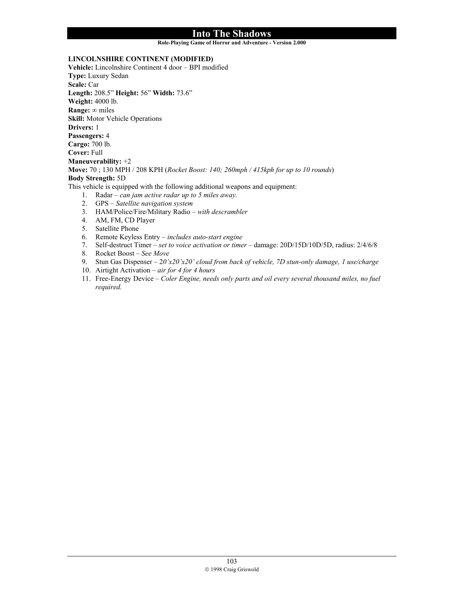#### **Role-Playing Game of Horror and Adventure - Version 2.000**

## **LINCOLNSHIRE CONTINENT (MODIFIED)**

**Vehicle:** Lincolnshire Continent 4 door – BPI modified **Type:** Luxury Sedan **Scale:** Car **Length:** 208.5" **Height:** 56" **Width:** 73.6" **Weight:** 4000 lb. **Range:** ∞ miles **Skill:** Motor Vehicle Operations **Drivers:** 1 **Passengers:** 4 **Cargo:** 700 lb. **Cover:** Full **Maneuverability:** +2 **Move:** 70 ; 130 MPH / 208 KPH (*Rocket Boost: 140; 260mph / 415kph for up to 10 rounds*) **Body Strength:** 5D This vehicle is equipped with the following additional weapons and equipment: 1. Radar – *can jam active radar up to 5 miles away.*

- 2. GPS *Satellite navigation system*
- 3. HAM/Police/Fire/Military Radio *with descrambler*
- 4. AM, FM, CD Player
- 5. Satellite Phone
- 6. Remote Keyless Entry *includes auto-start engine*
- 7. Self-destruct Timer *set to voice activation or timer* damage: 20D/15D/10D/5D, radius: 2/4/6/8
- 8. Rocket Boost *See Move*
- 9. Stun Gas Dispenser 2*0'x20'x20' cloud from back of vehicle, 7D stun-only damage, 1 use/charge*
- 10. Airtight Activation *air for 4 for 4 hours*
- 11. Free-Energy Device *Coler Engine, needs only parts and oil every several thousand miles, no fuel required.*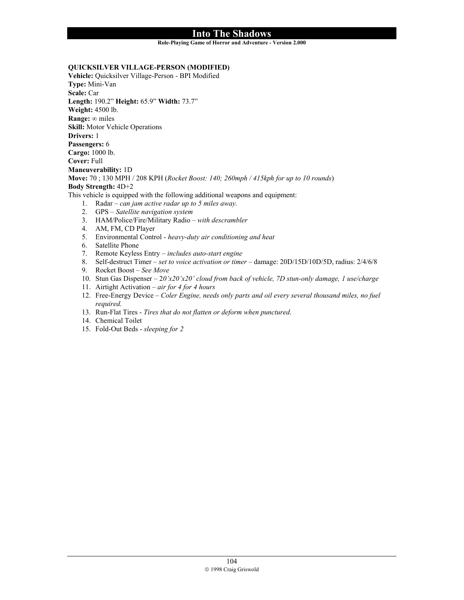#### **Role-Playing Game of Horror and Adventure - Version 2.000**

## **QUICKSILVER VILLAGE-PERSON (MODIFIED)**

**Vehicle:** Quicksilver Village-Person - BPI Modified **Type:** Mini-Van **Scale:** Car **Length:** 190.2" **Height:** 65.9" **Width:** 73.7" **Weight:** 4500 lb. **Range:** ∞ miles **Skill:** Motor Vehicle Operations **Drivers:** 1 **Passengers:** 6 **Cargo:** 1000 lb. **Cover:** Full **Maneuverability:** 1D **Move:** 70 ; 130 MPH / 208 KPH (*Rocket Boost: 140; 260mph / 415kph for up to 10 rounds*) **Body Strength:** 4D+2 This vehicle is equipped with the following additional weapons and equipment: 1. Radar – *can jam active radar up to 5 miles away.*

- 2. GPS *Satellite navigation system*
- 3. HAM/Police/Fire/Military Radio *with descrambler*
- 4. AM, FM, CD Player
- 5. Environmental Control *heavy-duty air conditioning and heat*
- 6. Satellite Phone
- 7. Remote Keyless Entry *includes auto-start engine*
- 8. Self-destruct Timer *set to voice activation or timer* damage: 20D/15D/10D/5D, radius: 2/4/6/8
- 9. Rocket Boost *See Move*
- 10. Stun Gas Dispenser 2*0'x20'x20' cloud from back of vehicle, 7D stun-only damage, 1 use/charge*
- 11. Airtight Activation *air for 4 for 4 hours*
- 12. Free-Energy Device *Coler Engine, needs only parts and oil every several thousand miles, no fuel required.*
- 13. Run-Flat Tires *Tires that do not flatten or deform when punctured*.
- 14. Chemical Toilet
- 15. Fold-Out Beds *sleeping for 2*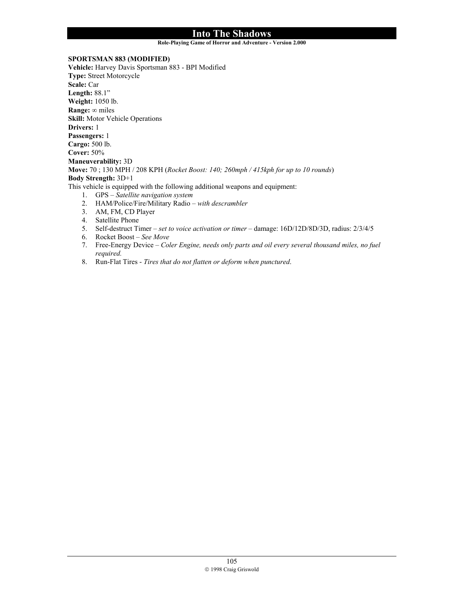#### **Role-Playing Game of Horror and Adventure - Version 2.000**

## **SPORTSMAN 883 (MODIFIED)**

**Vehicle:** Harvey Davis Sportsman 883 - BPI Modified **Type:** Street Motorcycle **Scale:** Car **Length:** 88.1" **Weight:** 1050 lb. **Range:** ∞ miles **Skill:** Motor Vehicle Operations **Drivers:** 1 **Passengers:** 1 **Cargo:** 500 lb. **Cover:** 50% **Maneuverability:** 3D **Move:** 70 ; 130 MPH / 208 KPH (*Rocket Boost: 140; 260mph / 415kph for up to 10 rounds*) **Body Strength:** 3D+1 This vehicle is equipped with the following additional weapons and equipment: 1. GPS – *Satellite navigation system* 2. HAM/Police/Fire/Military Radio – *with descrambler*

- 
- 3. AM, FM, CD Player
- 4. Satellite Phone
- 5. Self-destruct Timer *set to voice activation or timer* damage: 16D/12D/8D/3D, radius: 2/3/4/5
- 6. Rocket Boost *See Move*
- 7. Free-Energy Device *Coler Engine, needs only parts and oil every several thousand miles, no fuel required.*
- 8. Run-Flat Tires *Tires that do not flatten or deform when punctured*.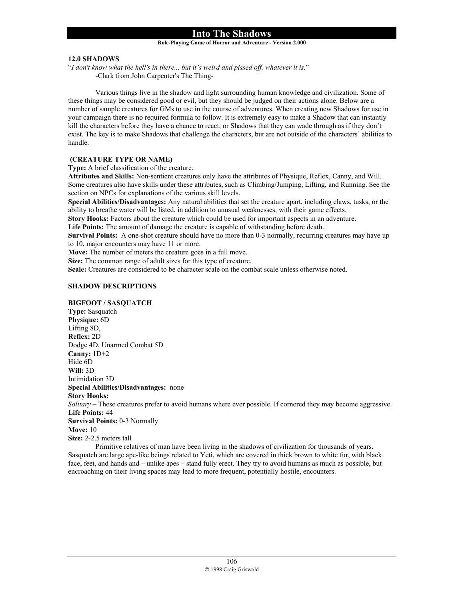**Role-Playing Game of Horror and Adventure - Version 2.000**

## **12.0 SHADOWS**

"*I don't know what the hell's in there... but it's weird and pissed off, whatever it is.*" -Clark from John Carpenter's The Thing-

 Various things live in the shadow and light surrounding human knowledge and civilization. Some of these things may be considered good or evil, but they should be judged on their actions alone. Below are a number of sample creatures for GMs to use in the course of adventures. When creating new Shadows for use in your campaign there is no required formula to follow. It is extremely easy to make a Shadow that can instantly kill the characters before they have a chance to react, or Shadows that they can wade through as if they don't exist. The key is to make Shadows that challenge the characters, but are not outside of the characters' abilities to handle.

#### **(CREATURE TYPE OR NAME)**

**Type:** A brief classification of the creature.

**Attributes and Skills:** Non-sentient creatures only have the attributes of Physique, Reflex, Canny, and Will. Some creatures also have skills under these attributes, such as Climbing/Jumping, Lifting, and Running. See the section on NPCs for explanations of the various skill levels.

**Special Abilities/Disadvantages:** Any natural abilities that set the creature apart, including claws, tusks, or the ability to breathe water will be listed, in addition to unusual weaknesses, with their game effects.

**Story Hooks:** Factors about the creature which could be used for important aspects in an adventure.

**Life Points:** The amount of damage the creature is capable of withstanding before death.

**Survival Points:** A one-shot creature should have no more than 0-3 normally, recurring creatures may have up to 10, major encounters may have 11 or more.

**Move:** The number of meters the creature goes in a full move.

**Size:** The common range of adult sizes for this type of creature.

**Scale:** Creatures are considered to be character scale on the combat scale unless otherwise noted.

#### **SHADOW DESCRIPTIONS**

#### **BIGFOOT / SASQUATCH**

**Type:** Sasquatch **Physique:** 6D Lifting 8D, **Reflex:** 2D Dodge 4D, Unarmed Combat 5D **Canny:** 1D+2 Hide 6D **Will:** 3D Intimidation 3D **Special Abilities/Disadvantages:** none **Story Hooks:** *Solitary* – These creatures prefer to avoid humans where ever possible. If cornered they may become aggressive. **Life Points:** 44 **Survival Points:** 0-3 Normally **Move:** 10 **Size:** 2-2.5 meters tall

 Primitive relatives of man have been living in the shadows of civilization for thousands of years. Sasquatch are large ape-like beings related to Yeti, which are covered in thick brown to white fur, with black face, feet, and hands and – unlike apes – stand fully erect. They try to avoid humans as much as possible, but encroaching on their living spaces may lead to more frequent, potentially hostile, encounters.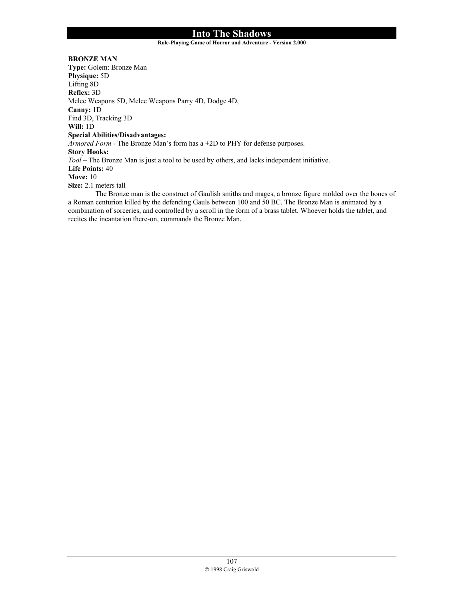### **Role-Playing Game of Horror and Adventure - Version 2.000**

**BRONZE MAN Type:** Golem: Bronze Man **Physique:** 5D Lifting 8D **Reflex:** 3D Melee Weapons 5D, Melee Weapons Parry 4D, Dodge 4D, **Canny:** 1D Find 3D, Tracking 3D **Will:** 1D **Special Abilities/Disadvantages:** *Armored Form* - The Bronze Man's form has a +2D to PHY for defense purposes. **Story Hooks:** *Tool* – The Bronze Man is just a tool to be used by others, and lacks independent initiative. **Life Points:** 40 **Move:** 10 **Size:** 2.1 meters tall The Bronze man is the construct of Gaulish smiths and mages, a bronze figure molded over the bones of

a Roman centurion killed by the defending Gauls between 100 and 50 BC. The Bronze Man is animated by a combination of sorceries, and controlled by a scroll in the form of a brass tablet. Whoever holds the tablet, and recites the incantation there-on, commands the Bronze Man.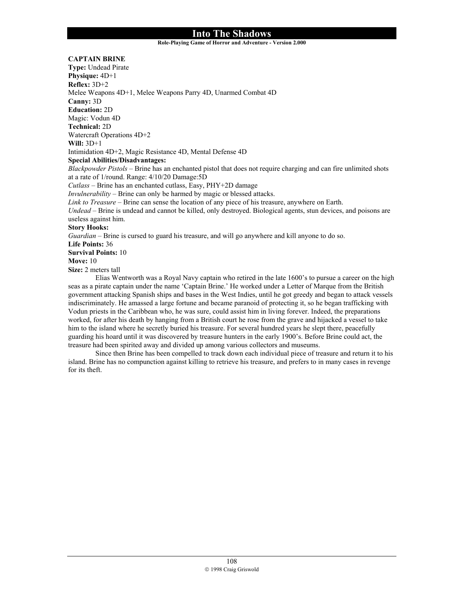**Role-Playing Game of Horror and Adventure - Version 2.000**

**CAPTAIN BRINE** 

**Type:** Undead Pirate **Physique:** 4D+1 **Reflex:** 3D+2 Melee Weapons 4D+1, Melee Weapons Parry 4D, Unarmed Combat 4D **Canny:** 3D **Education:** 2D Magic: Vodun 4D **Technical:** 2D Watercraft Operations 4D+2 **Will:** 3D+1 Intimidation 4D+2, Magic Resistance 4D, Mental Defense 4D **Special Abilities/Disadvantages:** *Blackpowder Pistols* – Brine has an enchanted pistol that does not require charging and can fire unlimited shots at a rate of 1/round. Range: 4/10/20 Damage:5D *Cutlass* – Brine has an enchanted cutlass, Easy, PHY+2D damage *Invulnerability* – Brine can only be harmed by magic or blessed attacks. *Link to Treasure* – Brine can sense the location of any piece of his treasure, anywhere on Earth. *Undead* – Brine is undead and cannot be killed, only destroyed. Biological agents, stun devices, and poisons are useless against him. **Story Hooks:** *Guardian* – Brine is cursed to guard his treasure, and will go anywhere and kill anyone to do so. **Life Points:** 36 **Survival Points:** 10 **Move:** 10 **Size:** 2 meters tall Elias Wentworth was a Royal Navy captain who retired in the late 1600's to pursue a career on the high seas as a pirate captain under the name 'Captain Brine.' He worked under a Letter of Marque from the British

government attacking Spanish ships and bases in the West Indies, until he got greedy and began to attack vessels indiscriminately. He amassed a large fortune and became paranoid of protecting it, so he began trafficking with Vodun priests in the Caribbean who, he was sure, could assist him in living forever. Indeed, the preparations worked, for after his death by hanging from a British court he rose from the grave and hijacked a vessel to take him to the island where he secretly buried his treasure. For several hundred years he slept there, peacefully guarding his hoard until it was discovered by treasure hunters in the early 1900's. Before Brine could act, the treasure had been spirited away and divided up among various collectors and museums.

 Since then Brine has been compelled to track down each individual piece of treasure and return it to his island. Brine has no compunction against killing to retrieve his treasure, and prefers to in many cases in revenge for its theft.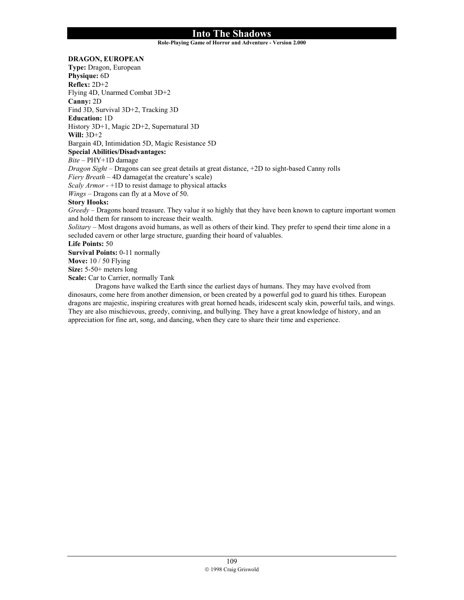#### **Role-Playing Game of Horror and Adventure - Version 2.000**

**DRAGON, EUROPEAN Type:** Dragon, European **Physique:** 6D **Reflex:** 2D+2 Flying 4D, Unarmed Combat 3D+2 **Canny:** 2D Find 3D, Survival 3D+2, Tracking 3D **Education:** 1D History 3D+1, Magic 2D+2, Supernatural 3D **Will:** 3D+2 Bargain 4D, Intimidation 5D, Magic Resistance 5D **Special Abilities/Disadvantages:** *Bite* – PHY+1D damage *Dragon Sight* – Dragons can see great details at great distance, +2D to sight-based Canny rolls *Fiery Breath* – 4D damage(at the creature's scale) *Scaly Armor* - +1D to resist damage to physical attacks *Wings* – Dragons can fly at a Move of 50. **Story Hooks:** *Greedy* – Dragons hoard treasure. They value it so highly that they have been known to capture important women and hold them for ransom to increase their wealth. *Solitary* – Most dragons avoid humans, as well as others of their kind. They prefer to spend their time alone in a secluded cavern or other large structure, guarding their hoard of valuables. **Life Points:** 50 **Survival Points:** 0-11 normally **Move:** 10 / 50 Flying **Size:** 5-50+ meters long **Scale:** Car to Carrier, normally Tank Dragons have walked the Earth since the earliest days of humans. They may have evolved from

dinosaurs, come here from another dimension, or been created by a powerful god to guard his tithes. European dragons are majestic, inspiring creatures with great horned heads, iridescent scaly skin, powerful tails, and wings. They are also mischievous, greedy, conniving, and bullying. They have a great knowledge of history, and an appreciation for fine art, song, and dancing, when they care to share their time and experience.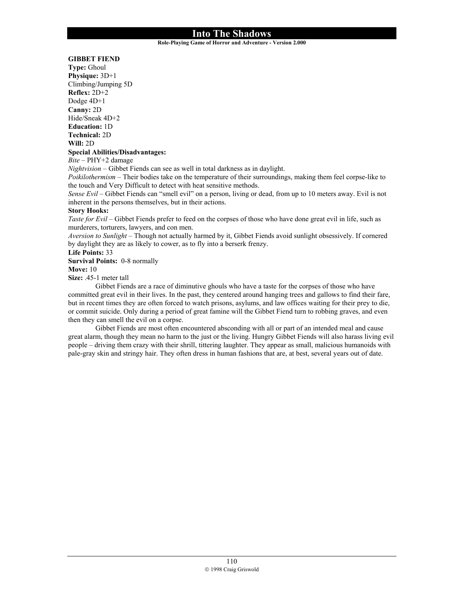#### **Role-Playing Game of Horror and Adventure - Version 2.000**

#### **GIBBET FIEND**

**Type:** Ghoul **Physique:** 3D+1 Climbing/Jumping 5D **Reflex:** 2D+2 Dodge 4D+1 **Canny:** 2D Hide/Sneak 4D+2 **Education:** 1D **Technical:** 2D **Will:** 2D **Special Abilities/Disadvantages:** *Bite* – PHY+2 damage *Nightvision* – Gibbet Fiends can see as well in total darkness as in daylight.

*Poikilothermism* – Their bodies take on the temperature of their surroundings, making them feel corpse-like to the touch and Very Difficult to detect with heat sensitive methods.

*Sense Evil* – Gibbet Fiends can "smell evil" on a person, living or dead, from up to 10 meters away. Evil is not inherent in the persons themselves, but in their actions.

#### **Story Hooks:**

*Taste for Evil* – Gibbet Fiends prefer to feed on the corpses of those who have done great evil in life, such as murderers, torturers, lawyers, and con men.

*Aversion to Sunlight* – Though not actually harmed by it, Gibbet Fiends avoid sunlight obsessively. If cornered by daylight they are as likely to cower, as to fly into a berserk frenzy.

#### **Life Points:** 33

**Survival Points:** 0-8 normally

**Move:** 10

**Size:** .45-1 meter tall

Gibbet Fiends are a race of diminutive ghouls who have a taste for the corpses of those who have committed great evil in their lives. In the past, they centered around hanging trees and gallows to find their fare, but in recent times they are often forced to watch prisons, asylums, and law offices waiting for their prey to die, or commit suicide. Only during a period of great famine will the Gibbet Fiend turn to robbing graves, and even then they can smell the evil on a corpse.

Gibbet Fiends are most often encountered absconding with all or part of an intended meal and cause great alarm, though they mean no harm to the just or the living. Hungry Gibbet Fiends will also harass living evil people – driving them crazy with their shrill, tittering laughter. They appear as small, malicious humanoids with pale-gray skin and stringy hair. They often dress in human fashions that are, at best, several years out of date.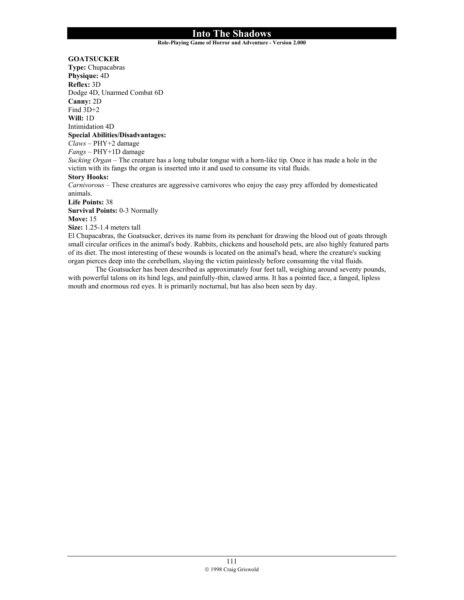#### **Role-Playing Game of Horror and Adventure - Version 2.000**

**GOATSUCKER** 

**Type:** Chupacabras **Physique:** 4D **Reflex:** 3D Dodge 4D, Unarmed Combat 6D **Canny:** 2D Find 3D+2 **Will:** 1D Intimidation 4D **Special Abilities/Disadvantages:** *Claws* – PHY+2 damage *Fangs* – PHY+1D damage *Sucking Organ* – The creature has a long tubular tongue with a horn-like tip. Once it has made a hole in the victim with its fangs the organ is inserted into it and used to consume its vital fluids. **Story Hooks:** *Carnivorous* – These creatures are aggressive carnivores who enjoy the easy prey afforded by domesticated animals. **Life Points:** 38 **Survival Points:** 0-3 Normally **Move:** 15 **Size:** 1.25-1.4 meters tall El Chupacabras, the Goatsucker, derives its name from its penchant for drawing the blood out of goats through

small circular orifices in the animal's body. Rabbits, chickens and household pets, are also highly featured parts of its diet. The most interesting of these wounds is located on the animal's head, where the creature's sucking organ pierces deep into the cerebellum, slaying the victim painlessly before consuming the vital fluids.

The Goatsucker has been described as approximately four feet tall, weighing around seventy pounds, with powerful talons on its hind legs, and painfully-thin, clawed arms. It has a pointed face, a fanged, lipless mouth and enormous red eyes. It is primarily nocturnal, but has also been seen by day.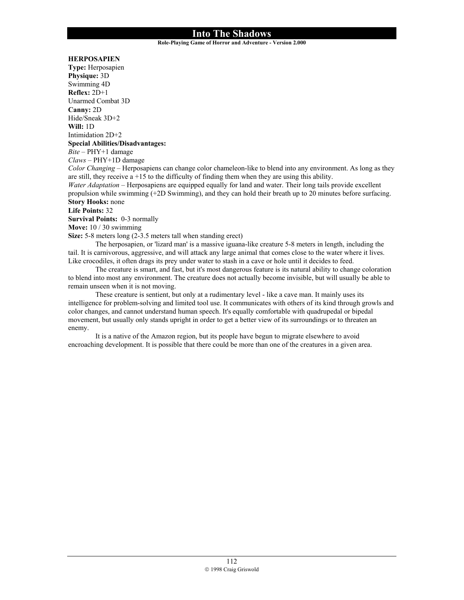**Role-Playing Game of Horror and Adventure - Version 2.000**

**HERPOSAPIEN**

**Type:** Herposapien **Physique:** 3D Swimming 4D **Reflex:** 2D+1 Unarmed Combat 3D **Canny:** 2D Hide/Sneak 3D+2 **Will:** 1D Intimidation 2D+2 **Special Abilities/Disadvantages:** *Bite* – PHY+1 damage *Claws* – PHY+1D damage *Color Changing* – Herposapiens can change color chameleon-like to blend into any environment. As long as they are still, they receive  $a + 15$  to the difficulty of finding them when they are using this ability. *Water Adaptation* – Herposapiens are equipped equally for land and water. Their long tails provide excellent propulsion while swimming (+2D Swimming), and they can hold their breath up to 20 minutes before surfacing. **Story Hooks:** none **Life Points:** 32 **Survival Points:** 0-3 normally **Move:** 10 / 30 swimming **Size:** 5-8 meters long (2-3.5 meters tall when standing erect) The herposapien, or 'lizard man' is a massive iguana-like creature 5-8 meters in length, including the tail. It is carnivorous, aggressive, and will attack any large animal that comes close to the water where it lives.

Like crocodiles, it often drags its prey under water to stash in a cave or hole until it decides to feed. The creature is smart, and fast, but it's most dangerous feature is its natural ability to change coloration to blend into most any environment. The creature does not actually become invisible, but will usually be able to remain unseen when it is not moving.

These creature is sentient, but only at a rudimentary level - like a cave man. It mainly uses its intelligence for problem-solving and limited tool use. It communicates with others of its kind through growls and color changes, and cannot understand human speech. It's equally comfortable with quadrupedal or bipedal movement, but usually only stands upright in order to get a better view of its surroundings or to threaten an enemy.

It is a native of the Amazon region, but its people have begun to migrate elsewhere to avoid encroaching development. It is possible that there could be more than one of the creatures in a given area.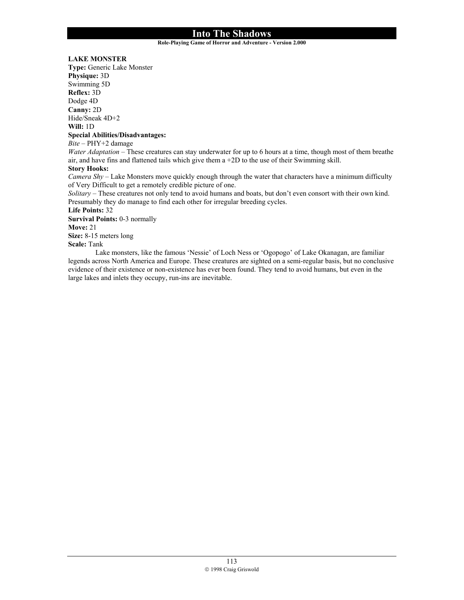#### **Role-Playing Game of Horror and Adventure - Version 2.000**

## **LAKE MONSTER**

**Type:** Generic Lake Monster **Physique:** 3D Swimming 5D **Reflex:** 3D Dodge 4D **Canny:** 2D Hide/Sneak 4D+2 **Will:** 1D **Special Abilities/Disadvantages:** *Bite* – PHY+2 damage *Water Adaptation* – These creatures can stay underwater for up to 6 hours at a time, though most of them breathe air, and have fins and flattened tails which give them  $a + 2D$  to the use of their Swimming skill. **Story Hooks:** *Camera Shy* – Lake Monsters move quickly enough through the water that characters have a minimum difficulty of Very Difficult to get a remotely credible picture of one. *Solitary* – These creatures not only tend to avoid humans and boats, but don't even consort with their own kind. Presumably they do manage to find each other for irregular breeding cycles. **Life Points:** 32 **Survival Points:** 0-3 normally **Move:** 21

**Size:** 8-15 meters long

**Scale:** Tank

 Lake monsters, like the famous 'Nessie' of Loch Ness or 'Ogopogo' of Lake Okanagan, are familiar legends across North America and Europe. These creatures are sighted on a semi-regular basis, but no conclusive evidence of their existence or non-existence has ever been found. They tend to avoid humans, but even in the large lakes and inlets they occupy, run-ins are inevitable.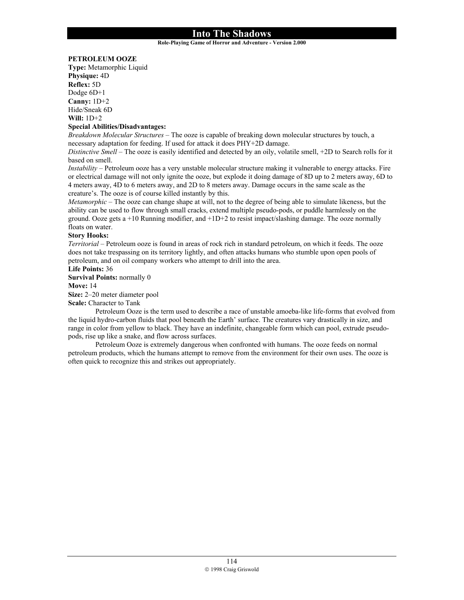**Role-Playing Game of Horror and Adventure - Version 2.000**

### **PETROLEUM OOZE**

**Type:** Metamorphic Liquid **Physique:** 4D **Reflex:** 5D Dodge 6D+1 **Canny:** 1D+2 Hide/Sneak 6D **Will:** 1D+2

#### **Special Abilities/Disadvantages:**

*Breakdown Molecular Structures* – The ooze is capable of breaking down molecular structures by touch, a necessary adaptation for feeding. If used for attack it does PHY+2D damage.

*Distinctive Smell* – The ooze is easily identified and detected by an oily, volatile smell, +2D to Search rolls for it based on smell.

*Instability* – Petroleum ooze has a very unstable molecular structure making it vulnerable to energy attacks. Fire or electrical damage will not only ignite the ooze, but explode it doing damage of 8D up to 2 meters away, 6D to 4 meters away, 4D to 6 meters away, and 2D to 8 meters away. Damage occurs in the same scale as the creature's. The ooze is of course killed instantly by this.

*Metamorphic* – The ooze can change shape at will, not to the degree of being able to simulate likeness, but the ability can be used to flow through small cracks, extend multiple pseudo-pods, or puddle harmlessly on the ground. Ooze gets a +10 Running modifier, and +1D+2 to resist impact/slashing damage. The ooze normally floats on water.

### **Story Hooks:**

*Territorial* – Petroleum ooze is found in areas of rock rich in standard petroleum, on which it feeds. The ooze does not take trespassing on its territory lightly, and often attacks humans who stumble upon open pools of petroleum, and on oil company workers who attempt to drill into the area.

#### **Life Points:** 36

**Survival Points:** normally 0

**Move:** 14

**Size:** 2–20 meter diameter pool

**Scale:** Character to Tank

 Petroleum Ooze is the term used to describe a race of unstable amoeba-like life-forms that evolved from the liquid hydro-carbon fluids that pool beneath the Earth' surface. The creatures vary drastically in size, and range in color from yellow to black. They have an indefinite, changeable form which can pool, extrude pseudopods, rise up like a snake, and flow across surfaces.

 Petroleum Ooze is extremely dangerous when confronted with humans. The ooze feeds on normal petroleum products, which the humans attempt to remove from the environment for their own uses. The ooze is often quick to recognize this and strikes out appropriately.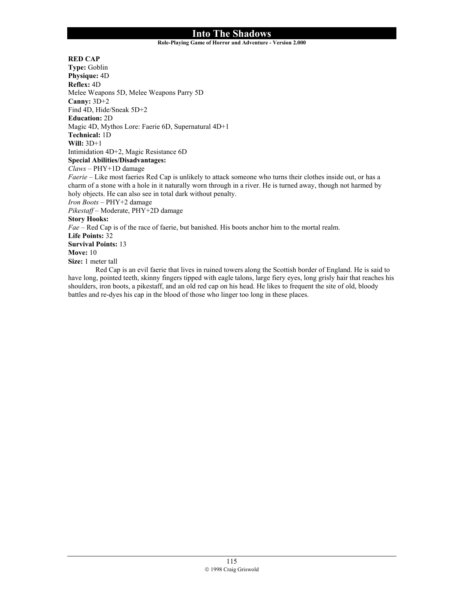#### **Role-Playing Game of Horror and Adventure - Version 2.000**

**RED CAP Type:** Goblin **Physique:** 4D **Reflex:** 4D Melee Weapons 5D, Melee Weapons Parry 5D **Canny:** 3D+2 Find 4D, Hide/Sneak 5D+2 **Education:** 2D Magic 4D, Mythos Lore: Faerie 6D, Supernatural 4D+1 **Technical:** 1D **Will:** 3D+1 Intimidation 4D+2, Magic Resistance 6D **Special Abilities/Disadvantages:** *Claws* – PHY+1D damage *Faerie* – Like most faeries Red Cap is unlikely to attack someone who turns their clothes inside out, or has a charm of a stone with a hole in it naturally worn through in a river. He is turned away, though not harmed by holy objects. He can also see in total dark without penalty. *Iron Boots* – PHY+2 damage *Pikestaff* – Moderate, PHY+2D damage **Story Hooks:** *Fae* – Red Cap is of the race of faerie, but banished. His boots anchor him to the mortal realm. **Life Points:** 32 **Survival Points:** 13 **Move:** 10 **Size:** 1 meter tall Red Cap is an evil faerie that lives in ruined towers along the Scottish border of England. He is said to

have long, pointed teeth, skinny fingers tipped with eagle talons, large fiery eyes, long grisly hair that reaches his shoulders, iron boots, a pikestaff, and an old red cap on his head. He likes to frequent the site of old, bloody battles and re-dyes his cap in the blood of those who linger too long in these places.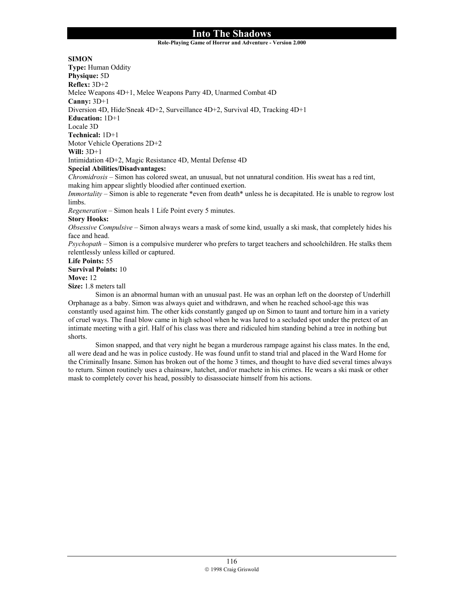#### **Role-Playing Game of Horror and Adventure - Version 2.000**

### **SIMON**

**Type:** Human Oddity **Physique:** 5D **Reflex:** 3D+2 Melee Weapons 4D+1, Melee Weapons Parry 4D, Unarmed Combat 4D **Canny:** 3D+1 Diversion 4D, Hide/Sneak 4D+2, Surveillance 4D+2, Survival 4D, Tracking 4D+1 **Education:** 1D+1 Locale 3D **Technical:** 1D+1 Motor Vehicle Operations 2D+2 **Will:** 3D+1 Intimidation 4D+2, Magic Resistance 4D, Mental Defense 4D **Special Abilities/Disadvantages:** *Chromidrosis* – Simon has colored sweat, an unusual, but not unnatural condition. His sweat has a red tint, making him appear slightly bloodied after continued exertion. *Immortality* – Simon is able to regenerate \*even from death\* unless he is decapitated. He is unable to regrow lost limbs. *Regeneration* – Simon heals 1 Life Point every 5 minutes. **Story Hooks:** *Obsessive Compulsive* – Simon always wears a mask of some kind, usually a ski mask, that completely hides his face and head. *Psychopath* – Simon is a compulsive murderer who prefers to target teachers and schoolchildren. He stalks them relentlessly unless killed or captured. **Life Points:** 55 **Survival Points:** 10 **Move:** 12 **Size:** 1.8 meters tall

 Simon is an abnormal human with an unusual past. He was an orphan left on the doorstep of Underhill Orphanage as a baby. Simon was always quiet and withdrawn, and when he reached school-age this was constantly used against him. The other kids constantly ganged up on Simon to taunt and torture him in a variety of cruel ways. The final blow came in high school when he was lured to a secluded spot under the pretext of an intimate meeting with a girl. Half of his class was there and ridiculed him standing behind a tree in nothing but shorts.

 Simon snapped, and that very night he began a murderous rampage against his class mates. In the end, all were dead and he was in police custody. He was found unfit to stand trial and placed in the Ward Home for the Criminally Insane. Simon has broken out of the home 3 times, and thought to have died several times always to return. Simon routinely uses a chainsaw, hatchet, and/or machete in his crimes. He wears a ski mask or other mask to completely cover his head, possibly to disassociate himself from his actions.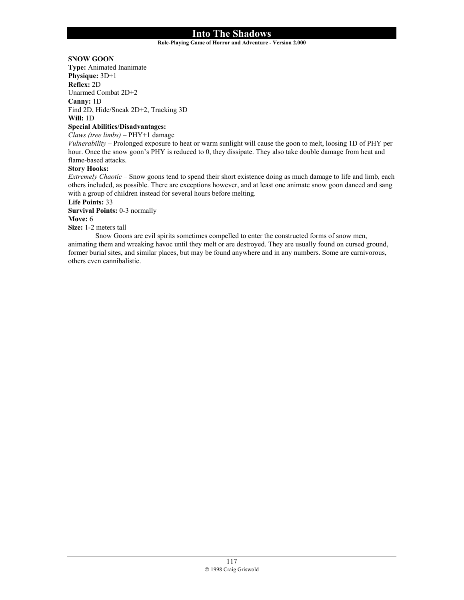#### **Role-Playing Game of Horror and Adventure - Version 2.000**

## **SNOW GOON**

**Type:** Animated Inanimate **Physique:** 3D+1 **Reflex:** 2D Unarmed Combat 2D+2 **Canny:** 1D Find 2D, Hide/Sneak 2D+2, Tracking 3D **Will:** 1D

### **Special Abilities/Disadvantages:**

#### *Claws (tree limbs)* – PHY+1 damage

*Vulnerability* – Prolonged exposure to heat or warm sunlight will cause the goon to melt, loosing 1D of PHY per hour. Once the snow goon's PHY is reduced to 0, they dissipate. They also take double damage from heat and flame-based attacks.

## **Story Hooks:**

*Extremely Chaotic* – Snow goons tend to spend their short existence doing as much damage to life and limb, each others included, as possible. There are exceptions however, and at least one animate snow goon danced and sang with a group of children instead for several hours before melting.

### **Life Points:** 33

**Survival Points:** 0-3 normally

### **Move:** 6

**Size:** 1-2 meters tall

 Snow Goons are evil spirits sometimes compelled to enter the constructed forms of snow men, animating them and wreaking havoc until they melt or are destroyed. They are usually found on cursed ground, former burial sites, and similar places, but may be found anywhere and in any numbers. Some are carnivorous, others even cannibalistic.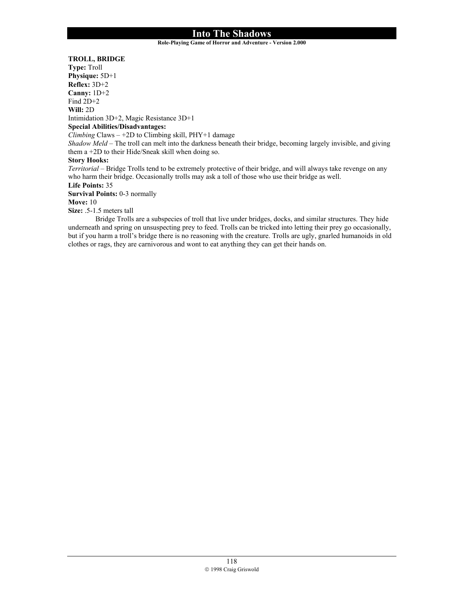#### **Role-Playing Game of Horror and Adventure - Version 2.000**

### **TROLL, BRIDGE**

**Type:** Troll **Physique:** 5D+1 **Reflex:** 3D+2 **Canny:** 1D+2 Find  $2D+2$ **Will:** 2D Intimidation 3D+2, Magic Resistance 3D+1 **Special Abilities/Disadvantages:**  $Climbing$  Claws  $-+2D$  to Climbing skill, PHY $+1$  damage *Shadow Meld* – The troll can melt into the darkness beneath their bridge, becoming largely invisible, and giving them a +2D to their Hide/Sneak skill when doing so. **Story Hooks:** *Territorial* – Bridge Trolls tend to be extremely protective of their bridge, and will always take revenge on any who harm their bridge. Occasionally trolls may ask a toll of those who use their bridge as well.

**Life Points:** 35

**Survival Points:** 0-3 normally

**Move:** 10

**Size:** .5-1.5 meters tall

 Bridge Trolls are a subspecies of troll that live under bridges, docks, and similar structures. They hide underneath and spring on unsuspecting prey to feed. Trolls can be tricked into letting their prey go occasionally, but if you harm a troll's bridge there is no reasoning with the creature. Trolls are ugly, gnarled humanoids in old clothes or rags, they are carnivorous and wont to eat anything they can get their hands on.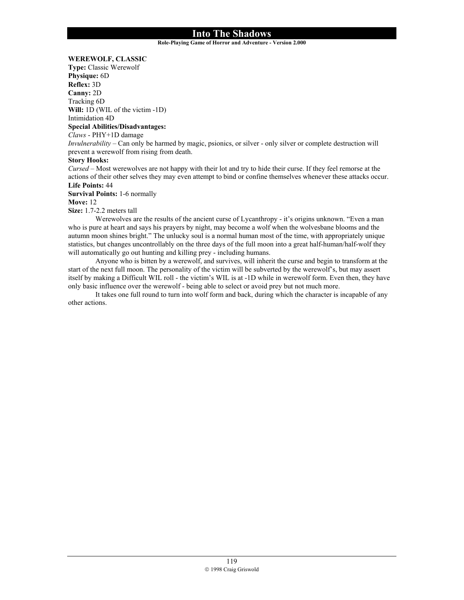#### **Role-Playing Game of Horror and Adventure - Version 2.000**

#### **WEREWOLF, CLASSIC**

**Type:** Classic Werewolf **Physique:** 6D **Reflex:** 3D **Canny:** 2D Tracking 6D **Will:** 1D (WIL of the victim -1D) Intimidation 4D

## **Special Abilities/Disadvantages:**

### *Claws* - PHY+1D damage

*Invulnerability –* Can only be harmed by magic, psionics, or silver - only silver or complete destruction will prevent a werewolf from rising from death.

#### **Story Hooks:**

*Cursed* – Most werewolves are not happy with their lot and try to hide their curse. If they feel remorse at the actions of their other selves they may even attempt to bind or confine themselves whenever these attacks occur. **Life Points:** 44

**Survival Points:** 1-6 normally

**Move:** 12

**Size:** 1.7-2.2 meters tall

Werewolves are the results of the ancient curse of Lycanthropy - it's origins unknown. "Even a man who is pure at heart and says his prayers by night, may become a wolf when the wolvesbane blooms and the autumn moon shines bright." The unlucky soul is a normal human most of the time, with appropriately unique statistics, but changes uncontrollably on the three days of the full moon into a great half-human/half-wolf they will automatically go out hunting and killing prey - including humans.

 Anyone who is bitten by a werewolf, and survives, will inherit the curse and begin to transform at the start of the next full moon. The personality of the victim will be subverted by the werewolf's, but may assert itself by making a Difficult WIL roll - the victim's WIL is at -1D while in werewolf form. Even then, they have only basic influence over the werewolf - being able to select or avoid prey but not much more.

 It takes one full round to turn into wolf form and back, during which the character is incapable of any other actions.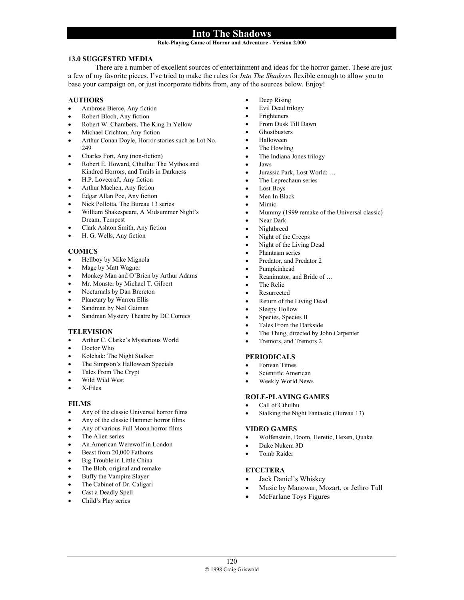#### **Role-Playing Game of Horror and Adventure - Version 2.000**

#### **13.0 SUGGESTED MEDIA**

 There are a number of excellent sources of entertainment and ideas for the horror gamer. These are just a few of my favorite pieces. I've tried to make the rules for *Into The Shadows* flexible enough to allow you to base your campaign on, or just incorporate tidbits from, any of the sources below. Enjoy!

#### **AUTHORS**

- Ambrose Bierce, Any fiction
- Robert Bloch, Any fiction
- Robert W. Chambers, The King In Yellow
- Michael Crichton, Any fiction
- Arthur Conan Doyle, Horror stories such as Lot No. 249
- Charles Fort, Any (non-fiction)
- Robert E. Howard, Cthulhu: The Mythos and Kindred Horrors, and Trails in Darkness
- H.P. Lovecraft, Any fiction
- Arthur Machen, Any fiction
- Edgar Allan Poe, Any fiction
- Nick Pollotta, The Bureau 13 series
- William Shakespeare, A Midsummer Night's Dream, Tempest
- Clark Ashton Smith, Any fiction
- H. G. Wells, Any fiction

#### **COMICS**

- Hellboy by Mike Mignola
- Mage by Matt Wagner
- Monkey Man and O'Brien by Arthur Adams
- Mr. Monster by Michael T. Gilbert
- Nocturnals by Dan Brereton
- Planetary by Warren Ellis
- Sandman by Neil Gaiman
- Sandman Mystery Theatre by DC Comics

#### **TELEVISION**

- Arthur C. Clarke's Mysterious World
- Doctor Who
- Kolchak: The Night Stalker
- The Simpson's Halloween Specials
- Tales From The Crypt
- Wild Wild West
- X-Files

#### **FILMS**

- Any of the classic Universal horror films
- Any of the classic Hammer horror films
- Any of various Full Moon horror films
- The Alien series
- An American Werewolf in London
- Beast from 20,000 Fathoms
- Big Trouble in Little China
- The Blob, original and remake
- Buffy the Vampire Slayer
- The Cabinet of Dr. Caligari
- Cast a Deadly Spell
- Child's Play series
- Deep Rising
- Evil Dead trilogy
- **Frighteners**
- From Dusk Till Dawn
- Ghostbusters
- Halloween
- The Howling
- The Indiana Jones trilogy
- Jaws
- Jurassic Park, Lost World: ...
- The Leprechaun series
- Lost Boys
- Men In Black
- Mimic
- Mummy (1999 remake of the Universal classic)
- Near Dark
- Nightbreed
- Night of the Creeps
- Night of the Living Dead
- Phantasm series
- Predator, and Predator 2
- Pumpkinhead
- Reanimator, and Bride of ...
- The Relic
- **Resurrected**
- Return of the Living Dead
- Sleepy Hollow
- Species, Species II
- Tales From the Darkside
- The Thing, directed by John Carpenter
- Tremors, and Tremors 2

### **PERIODICALS**

- Fortean Times
- Scientific American
- Weekly World News

#### **ROLE-PLAYING GAMES**

- Call of Cthulhu
- Stalking the Night Fantastic (Bureau 13)

#### **VIDEO GAMES**

- Wolfenstein, Doom, Heretic, Hexen, Quake
- Duke Nukem 3D
- Tomb Raider

### **ETCETERA**

- Jack Daniel's Whiskey
- Music by Manowar, Mozart, or Jethro Tull
- McFarlane Toys Figures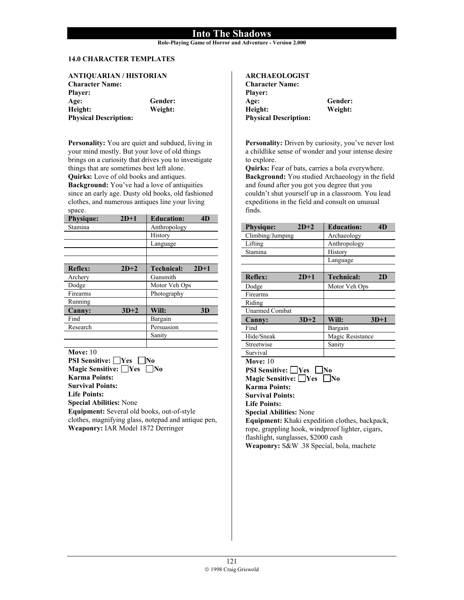#### **Role-Playing Game of Horror and Adventure - Version 2.000**

### **14.0 CHARACTER TEMPLATES**

| <b>ANTIQUARIAN / HISTORIAN</b> |         |
|--------------------------------|---------|
| <b>Character Name:</b>         |         |
| <b>Player:</b>                 |         |
| Age:                           | Gender: |
| Height:                        | Weight: |
| <b>Physical Description:</b>   |         |

**Personality:** You are quiet and subdued, living in your mind mostly. But your love of old things brings on a curiosity that drives you to investigate things that are sometimes best left alone. **Quirks:** Love of old books and antiques. **Background:** You've had a love of antiquities since an early age. Dusty old books, old fashioned clothes, and numerous antiques line your living space.

| <b>Physique:</b> | $2D+1$ | <b>Education:</b><br>4D     |
|------------------|--------|-----------------------------|
| Stamina          |        | Anthropology                |
|                  |        | History                     |
|                  |        | Language                    |
|                  |        |                             |
|                  |        |                             |
| <b>Reflex:</b>   | $2D+2$ | $2D+1$<br><b>Technical:</b> |
| Archery          |        | Gunsmith                    |
| Dodge            |        | Motor Veh Ops               |
| Firearms         |        | Photography                 |
| Running          |        |                             |
| Canny:           | $3D+2$ | Will:<br>3D                 |
| Find             |        | Bargain                     |
| Research         |        | Persuasion                  |
|                  |        | Sanity                      |
|                  |        |                             |

**Move:** 10

**PSI Sensitive:** Yes  $N_0$ **Magic Sensitive:** Yes No **Karma Points: Survival Points: Life Points: Special Abilities:** None **Equipment:** Several old books, out-of-style clothes, magnifying glass, notepad and antique pen,

**Weaponry:** IAR Model 1872 Derringer

#### **ARCHAEOLOGIST**

**Character Name: Player: Age: Gender: Height: Weight: Physical Description:** 

Personality: Driven by curiosity, you've never lost a childlike sense of wonder and your intense desire to explore.

**Quirks:** Fear of bats, carries a bola everywhere. **Background:** You studied Archaeology in the field and found after you got you degree that you couldn't shut yourself up in a classroom. You lead expeditions in the field and consult on unusual finds.

| <b>Physique:</b>                                 | $2D+2$ | <b>Education:</b> | 4D     |
|--------------------------------------------------|--------|-------------------|--------|
| Climbing/Jumping                                 |        | Archaeology       |        |
| Lifting                                          |        | Anthropology      |        |
| Stamina                                          |        | History           |        |
|                                                  |        | Language          |        |
|                                                  |        |                   |        |
| <b>Reflex:</b>                                   | $2D+1$ | Technical:        | 2D     |
| Dodge                                            |        | Motor Veh Ops     |        |
| Firearms                                         |        |                   |        |
| Riding                                           |        |                   |        |
| <b>Unarmed Combat</b>                            |        |                   |        |
| <b>Canny:</b>                                    | $3D+2$ | Will:             | $3D+1$ |
| Find                                             |        | Bargain           |        |
| Hide/Sneak                                       |        | Magic Resistance  |        |
| Streetwise                                       |        | Sanity            |        |
| Survival                                         |        |                   |        |
| <b>Move: 10</b>                                  |        |                   |        |
| <b>PSI Sensitive:</b> Yes                        |        | lNo               |        |
| Magic Sensitive: Yes<br>lNo                      |        |                   |        |
| <b>Karma Points:</b>                             |        |                   |        |
| <b>Survival Points:</b>                          |        |                   |        |
| <b>Life Points:</b>                              |        |                   |        |
| <b>Special Abilities: None</b>                   |        |                   |        |
| Equipment: Khaki expedition clothes, backpack,   |        |                   |        |
| rope, grappling hook, windproof lighter, cigars, |        |                   |        |
| flashlight, sunglasses, \$2000 cash              |        |                   |        |
| Weaponry: S&W .38 Special, bola, machete         |        |                   |        |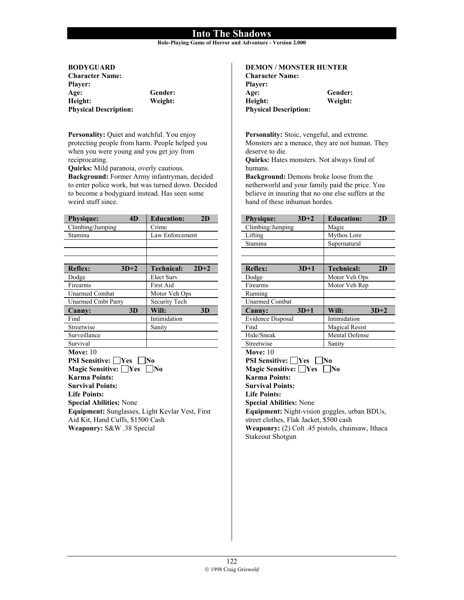**Role-Playing Game of Horror and Adventure - Version 2.000**

## **BODYGUARD**

**Character Name: Player: Height: Weight: Physical Description:** 

Gender:

**Personality:** Quiet and watchful. You enjoy protecting people from harm. People helped you when you were young and you get joy from reciprocating.

**Quirks:** Mild paranoia, overly cautious. **Background:** Former Army infantryman, decided to enter police work, but was turned down. Decided to become a bodyguard instead. Has seen some weird stuff since.

| <b>Physique:</b>                                | 4D     | <b>Education:</b> | 2D     |
|-------------------------------------------------|--------|-------------------|--------|
| Climbing/Jumping                                |        | Crime             |        |
| Stamina                                         |        | Law Enforcement   |        |
|                                                 |        |                   |        |
|                                                 |        |                   |        |
|                                                 |        |                   |        |
| <b>Reflex:</b>                                  | $3D+2$ | <b>Technical:</b> | $2D+2$ |
| Dodge                                           |        | <b>Elect Surv</b> |        |
| Firearms                                        |        | <b>First Aid</b>  |        |
| <b>Unarmed Combat</b>                           |        | Motor Veh Ops     |        |
| <b>Unarmed Cmbt Parry</b>                       |        | Security Tech     |        |
| <b>Canny:</b>                                   | 3D     | Will:             | 3D     |
| Find                                            |        | Intimidation      |        |
| Streetwise                                      |        | Sanity            |        |
| Surveillance                                    |        |                   |        |
| Survival                                        |        |                   |        |
| <b>Move: 10</b>                                 |        |                   |        |
| <b>PSI Sensitive:</b> Yes<br><b>No</b>          |        |                   |        |
| Magic Sensitive: □Yes<br>   No                  |        |                   |        |
| <b>Karma Points:</b>                            |        |                   |        |
| <b>Survival Points:</b>                         |        |                   |        |
| <b>Life Points:</b>                             |        |                   |        |
| <b>Special Abilities: None</b>                  |        |                   |        |
| Equipment: Sunglasses, Light Kevlar Vest, First |        |                   |        |
| Aid Kit, Hand Cuffs, \$1500 Cash                |        |                   |        |
| Weaponry: S&W .38 Special                       |        |                   |        |

### **DEMON / MONSTER HUNTER**

| <b>Character Name:</b>       |         |
|------------------------------|---------|
| <b>Player:</b>               |         |
| Age:                         | Gender: |
| Height:                      | Weight: |
| <b>Physical Description:</b> |         |

**Personality:** Stoic, vengeful, and extreme. Monsters are a menace, they are not human. They deserve to die.

**Quirks:** Hates monsters. Not always fond of humans.

**Background:** Demons broke loose from the netherworld and your family paid the price. You believe in insuring that no one else suffers at the hand of these inhuman hordes.

| <b>Physique:</b>                                 | $3D+2$ | <b>Education:</b>     | 2D     |
|--------------------------------------------------|--------|-----------------------|--------|
| Climbing/Jumping                                 |        | Magic                 |        |
| Lifting                                          |        | Mythos Lore           |        |
| Stamina                                          |        | Supernatural          |        |
|                                                  |        |                       |        |
|                                                  |        |                       |        |
| <b>Reflex:</b>                                   | $3D+1$ | <b>Technical:</b>     | 2D     |
| Dodge                                            |        | Motor Veh Ops         |        |
| Firearms                                         |        | Motor Veh Rep         |        |
| Running                                          |        |                       |        |
| <b>Unarmed Combat</b>                            |        |                       |        |
| <b>Canny:</b>                                    | $3D+1$ | Will:                 | $3D+2$ |
| Evidence Disposal                                |        | Intimidation          |        |
| Find                                             |        | <b>Magical Resist</b> |        |
| Hide/Sneak                                       |        | <b>Mental Defense</b> |        |
| Streetwise                                       |        | Sanity                |        |
| <b>Move: 10</b>                                  |        |                       |        |
| <b>PSI Sensitive:</b>   Yes                      |        | N٥                    |        |
| Magic Sensitive: Yes                             |        | ]No                   |        |
| <b>Karma Points:</b>                             |        |                       |        |
| <b>Survival Points:</b>                          |        |                       |        |
| <b>Life Points:</b>                              |        |                       |        |
| <b>Special Abilities: None</b>                   |        |                       |        |
| Equipment: Night-vision goggles, urban BDUs,     |        |                       |        |
| street clothes, Flak Jacket, \$500 cash          |        |                       |        |
| Weaponry: (2) Colt .45 pistols, chainsaw, Ithaca |        |                       |        |
| <b>Stakeout Shotgun</b>                          |        |                       |        |
|                                                  |        |                       |        |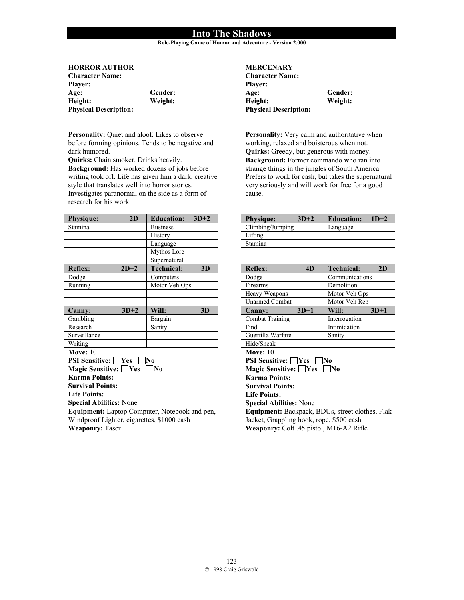**Role-Playing Game of Horror and Adventure - Version 2.000**

### **HORROR AUTHOR**

**Character Name: Player: Height: Weight: Physical Description:** 

Gender:

Personality: Quiet and aloof. Likes to observe before forming opinions. Tends to be negative and dark humored.

**Quirks:** Chain smoker. Drinks heavily. **Background:** Has worked dozens of jobs before writing took off. Life has given him a dark, creative style that translates well into horror stories. Investigates paranormal on the side as a form of research for his work.

| Stamina<br><b>Business</b><br><b>History</b><br>Language<br>Mythos Lore |  |  |  |
|-------------------------------------------------------------------------|--|--|--|
|                                                                         |  |  |  |
|                                                                         |  |  |  |
|                                                                         |  |  |  |
|                                                                         |  |  |  |
| Supernatural                                                            |  |  |  |
| <b>Technical:</b><br><b>Reflex:</b><br>$2D+2$<br>3D                     |  |  |  |
| Dodge<br>Computers                                                      |  |  |  |
| Running<br>Motor Veh Ops                                                |  |  |  |
|                                                                         |  |  |  |
|                                                                         |  |  |  |
| $3D+2$<br>Will:<br>Canny:<br>3D                                         |  |  |  |
| Gambling<br>Bargain                                                     |  |  |  |
| Research<br>Sanity                                                      |  |  |  |
| Surveillance                                                            |  |  |  |
| Writing                                                                 |  |  |  |
| <b>Move: 10</b>                                                         |  |  |  |
| <b>PSI Sensitive:</b> Yes<br>N <sub>0</sub>                             |  |  |  |
| Magic Sensitive: Yes<br>l No                                            |  |  |  |
| <b>Karma Points:</b>                                                    |  |  |  |
| <b>Survival Points:</b>                                                 |  |  |  |
| <b>Life Points:</b>                                                     |  |  |  |
| <b>Special Abilities: None</b>                                          |  |  |  |
| Equipment: Laptop Computer, Notebook and pen,                           |  |  |  |
| Windproof Lighter, cigarettes, \$1000 cash                              |  |  |  |
| <b>Weaponry: Taser</b>                                                  |  |  |  |

## **MERCENARY**

| <b>Character Name:</b>       |
|------------------------------|
| <b>Player:</b>               |
| Age:                         |
| Height:                      |
| <b>Physical Description:</b> |

Gender: **Height: Weight:** 

**Personality:** Very calm and authoritative when working, relaxed and boisterous when not. **Quirks:** Greedy, but generous with money. **Background:** Former commando who ran into strange things in the jungles of South America. Prefers to work for cash, but takes the supernatural very seriously and will work for free for a good cause.

| <b>Physique:</b>                                | $3D+2$ | <b>Education:</b> | $1D+2$ |
|-------------------------------------------------|--------|-------------------|--------|
| Climbing/Jumping                                |        | Language          |        |
| Lifting                                         |        |                   |        |
| Stamina                                         |        |                   |        |
|                                                 |        |                   |        |
|                                                 |        |                   |        |
| <b>Reflex:</b>                                  | 4D     | Technical:        | 2D     |
| Dodge                                           |        | Communications    |        |
| Firearms                                        |        | Demolition        |        |
| Heavy Weapons                                   |        | Motor Veh Ops     |        |
| <b>Unarmed Combat</b>                           |        | Motor Veh Rep     |        |
| Canny:                                          | $3D+1$ | Will:             | $3D+1$ |
| Combat Training                                 |        | Interrogation     |        |
| Find                                            |        | Intimidation      |        |
| Guerrilla Warfare                               |        | Sanity            |        |
| Hide/Sneak                                      |        |                   |        |
| <b>Move: 10</b>                                 |        |                   |        |
| <b>PSI Sensitive:</b> □Yes<br>lNo               |        |                   |        |
| Magic Sensitive: Yes                            |        | 'No               |        |
| Karma Points:                                   |        |                   |        |
| <b>Survival Points:</b>                         |        |                   |        |
| <b>Life Points:</b>                             |        |                   |        |
| <b>Special Abilities: None</b>                  |        |                   |        |
| Equipment: Backpack, BDUs, street clothes, Flak |        |                   |        |
| Jacket, Grappling hook, rope, \$500 cash        |        |                   |        |
| Weaponry: Colt .45 pistol, M16-A2 Rifle         |        |                   |        |
|                                                 |        |                   |        |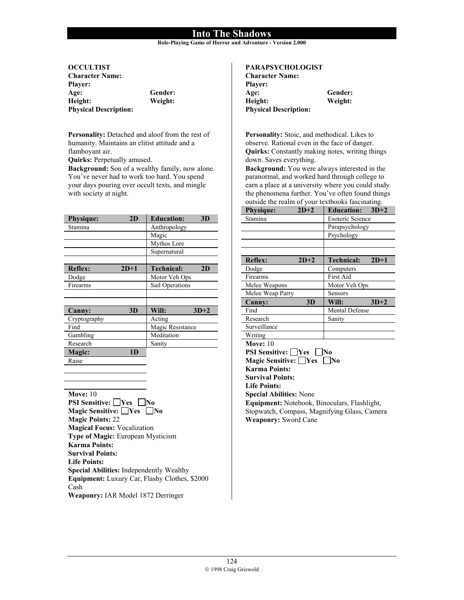**Role-Playing Game of Horror and Adventure - Version 2.000**

# **OCCULTIST**

**Character Name: Player: Age: Gender: Height: Weight: Physical Description:** 

**Personality:** Detached and aloof from the rest of humanity. Maintains an elitist attitude and a flamboyant air.

**Quirks:** Perpetually amused.

**Background:** Son of a wealthy family, now alone. You've never had to work too hard. You spend your days pouring over occult texts, and mingle with society at night.

| <b>Physique:</b> | 2D     | <b>Education:</b> | 3D     |
|------------------|--------|-------------------|--------|
| Stamina          |        | Anthropology      |        |
|                  |        | Magic             |        |
|                  |        | Mythos Lore       |        |
|                  |        | Supernatural      |        |
|                  |        |                   |        |
| <b>Reflex:</b>   | $2D+1$ | <b>Technical:</b> | 2D     |
| Dodge            |        | Motor Veh Ops     |        |
| Firearms         |        | Sail Operations   |        |
|                  |        |                   |        |
|                  |        |                   |        |
| Canny:           | 3D     | Will:             | $3D+2$ |
| Cryptography     |        | Acting            |        |
| Find             |        | Magic Resistance  |        |
| Gambling         |        | Meditation        |        |
| Research         |        | Sanity            |        |
| Magic:           | 1D     |                   |        |
| Raise            |        |                   |        |

**Move:** 10 **PSI Sensitive:** Yes  $\Box$  No **Magic Sensitive:** Yes No **Magic Points:** 22 **Magical Focus:** Vocalization **Type of Magic:** European Mysticism **Karma Points: Survival Points: Life Points: Special Abilities:** Independently Wealthy **Equipment:** Luxury Car, Flashy Clothes, \$2000 Cash **Weaponry:** IAR Model 1872 Derringer

### **PARAPSYCHOLOGIST**

| <b>Character Name:</b>       |         |
|------------------------------|---------|
| <b>Player:</b>               |         |
| Age:                         | Gender: |
| Height:                      | Weight: |
| <b>Physical Description:</b> |         |

**Personality:** Stoic, and methodical. Likes to observe. Rational even in the face of danger. **Quirks:** Constantly making notes, writing things down. Saves everything.

**Background:** You were always interested in the paranormal, and worked hard through college to earn a place at a university where you could study the phenomena further. You've often found things outside the realm of your textbooks fascinating.

| Stamina<br><b>Esoteric Science</b><br>Parapsychology<br>Psychology<br>Technical:<br><b>Reflex:</b><br>$2D+2$<br>$2D+1$<br>Dodge<br>Computers<br>First Aid<br>Firearms<br>Melee Weapons<br>Motor Veh Ops<br>Melee Weap Parry<br><b>Sensors</b><br>Will:<br><b>Canny:</b><br>$3D+2$<br>3D<br>Find<br><b>Mental Defense</b><br>Research<br>Sanity<br>Surveillance<br>Writing<br><b>Move: 10</b><br><b>PSI Sensitive:</b> Yes<br>lNo<br>Magic Sensitive: Yes<br>N0<br>Karma Points:<br><b>Survival Points:</b><br><b>Life Points:</b> | <b>Physique:</b><br>$2D+2$ | <b>Education:</b> | $3D+2$ |  |
|-----------------------------------------------------------------------------------------------------------------------------------------------------------------------------------------------------------------------------------------------------------------------------------------------------------------------------------------------------------------------------------------------------------------------------------------------------------------------------------------------------------------------------------|----------------------------|-------------------|--------|--|
|                                                                                                                                                                                                                                                                                                                                                                                                                                                                                                                                   |                            |                   |        |  |
|                                                                                                                                                                                                                                                                                                                                                                                                                                                                                                                                   |                            |                   |        |  |
|                                                                                                                                                                                                                                                                                                                                                                                                                                                                                                                                   |                            |                   |        |  |
|                                                                                                                                                                                                                                                                                                                                                                                                                                                                                                                                   |                            |                   |        |  |
|                                                                                                                                                                                                                                                                                                                                                                                                                                                                                                                                   |                            |                   |        |  |
|                                                                                                                                                                                                                                                                                                                                                                                                                                                                                                                                   |                            |                   |        |  |
|                                                                                                                                                                                                                                                                                                                                                                                                                                                                                                                                   |                            |                   |        |  |
|                                                                                                                                                                                                                                                                                                                                                                                                                                                                                                                                   |                            |                   |        |  |
|                                                                                                                                                                                                                                                                                                                                                                                                                                                                                                                                   |                            |                   |        |  |
|                                                                                                                                                                                                                                                                                                                                                                                                                                                                                                                                   |                            |                   |        |  |
|                                                                                                                                                                                                                                                                                                                                                                                                                                                                                                                                   |                            |                   |        |  |
|                                                                                                                                                                                                                                                                                                                                                                                                                                                                                                                                   |                            |                   |        |  |
|                                                                                                                                                                                                                                                                                                                                                                                                                                                                                                                                   |                            |                   |        |  |
|                                                                                                                                                                                                                                                                                                                                                                                                                                                                                                                                   |                            |                   |        |  |
|                                                                                                                                                                                                                                                                                                                                                                                                                                                                                                                                   |                            |                   |        |  |
|                                                                                                                                                                                                                                                                                                                                                                                                                                                                                                                                   |                            |                   |        |  |
|                                                                                                                                                                                                                                                                                                                                                                                                                                                                                                                                   |                            |                   |        |  |
|                                                                                                                                                                                                                                                                                                                                                                                                                                                                                                                                   |                            |                   |        |  |
|                                                                                                                                                                                                                                                                                                                                                                                                                                                                                                                                   |                            |                   |        |  |
|                                                                                                                                                                                                                                                                                                                                                                                                                                                                                                                                   |                            |                   |        |  |
|                                                                                                                                                                                                                                                                                                                                                                                                                                                                                                                                   |                            |                   |        |  |
| <b>Special Abilities: None</b>                                                                                                                                                                                                                                                                                                                                                                                                                                                                                                    |                            |                   |        |  |
| <b>Equipment:</b> Notebook, Binoculars, Flashlight,                                                                                                                                                                                                                                                                                                                                                                                                                                                                               |                            |                   |        |  |
| Stopwatch, Compass, Magnifying Glass, Camera                                                                                                                                                                                                                                                                                                                                                                                                                                                                                      |                            |                   |        |  |
| <b>Weaponry: Sword Cane</b>                                                                                                                                                                                                                                                                                                                                                                                                                                                                                                       |                            |                   |        |  |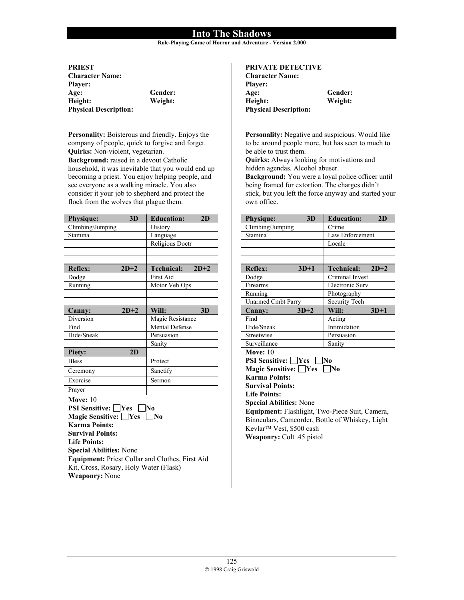**Role-Playing Game of Horror and Adventure - Version 2.000**

### **PRIEST**

**Character Name: Player: Height: Weight: Physical Description:** 

Gender:

**Personality:** Boisterous and friendly. Enjoys the company of people, quick to forgive and forget. **Quirks:** Non-violent, vegetarian. **Background:** raised in a devout Catholic household, it was inevitable that you would end up becoming a priest. You enjoy helping people, and see everyone as a walking miracle. You also consider it your job to shepherd and protect the flock from the wolves that plague them.

| <b>Physique:</b>                                | 3D     | <b>Education:</b>      | 2D     |
|-------------------------------------------------|--------|------------------------|--------|
| Climbing/Jumping                                |        | History                |        |
| Stamina                                         |        | Language               |        |
|                                                 |        | Religious Doctr        |        |
|                                                 |        |                        |        |
|                                                 |        |                        |        |
| <b>Reflex:</b>                                  | $2D+2$ | <b>Technical:</b>      | $2D+2$ |
| Dodge                                           |        | First Aid              |        |
| Running                                         |        | Motor Veh Ops          |        |
|                                                 |        |                        |        |
|                                                 |        |                        |        |
| Canny:                                          | $2D+2$ | Will:                  | 3D     |
| Diversion                                       |        | Magic Resistance       |        |
| Find                                            |        | Mental Defense         |        |
| Hide/Sneak                                      |        | Persuasion             |        |
|                                                 |        | Sanity                 |        |
| <b>Piety:</b>                                   | 2D     |                        |        |
| <b>Bless</b>                                    |        | Protect                |        |
| Ceremony                                        |        | Sanctify               |        |
| Exorcise                                        | Sermon |                        |        |
| Prayer                                          |        |                        |        |
| <b>Move: 10</b>                                 |        |                        |        |
| <b>PSI Sensitive:</b> Yes                       |        | $\overline{\text{No}}$ |        |
| Magic Sensitive: Yes                            |        | $\mathbf{N_0}$         |        |
| <b>Karma Points:</b>                            |        |                        |        |
| <b>Survival Points:</b>                         |        |                        |        |
| <b>Life Points:</b>                             |        |                        |        |
| <b>Special Abilities: None</b>                  |        |                        |        |
| Equipment: Priest Collar and Clothes, First Aid |        |                        |        |
| Kit, Cross, Rosary, Holy Water (Flask)          |        |                        |        |
| <b>Weaponry: None</b>                           |        |                        |        |

### **PRIVATE DETECTIVE**

| <b>Character Name:</b>       |  |
|------------------------------|--|
| <b>Player:</b>               |  |
| Age:                         |  |
| Height:                      |  |
| <b>Physical Description:</b> |  |

Gender: **Height: Weight:** 

**Personality:** Negative and suspicious. Would like to be around people more, but has seen to much to be able to trust them.

**Quirks:** Always looking for motivations and hidden agendas. Alcohol abuser.

**Background:** You were a loyal police officer until being framed for extortion. The charges didn't stick, but you left the force anyway and started your own office.

| <b>Physique:</b>                                | 3D     | <b>Education:</b> | 2D     |
|-------------------------------------------------|--------|-------------------|--------|
| Climbing/Jumping                                |        | Crime             |        |
| Stamina                                         |        | Law Enforcement   |        |
|                                                 |        | Locale            |        |
|                                                 |        |                   |        |
|                                                 |        |                   |        |
| <b>Reflex:</b>                                  | $3D+1$ | <b>Technical:</b> | $2D+2$ |
| Dodge                                           |        | Criminal Invest   |        |
| Firearms                                        |        | Electronic Surv   |        |
| Running                                         |        | Photography       |        |
| <b>Unarmed Cmbt Parry</b>                       |        | Security Tech     |        |
| <b>Canny:</b>                                   | $3D+2$ | Will:             | $3D+1$ |
| Find                                            |        | Acting            |        |
| Hide/Sneak                                      |        | Intimidation      |        |
| Streetwise                                      |        | Persuasion        |        |
| Surveillance                                    |        | Sanity            |        |
| <b>Move: 10</b>                                 |        |                   |        |
| <b>PSI Sensitive:</b> Yes                       |        | lNo               |        |
| Magic Sensitive: Yes                            |        | No                |        |
| Karma Points:                                   |        |                   |        |
| <b>Survival Points:</b>                         |        |                   |        |
| <b>Life Points:</b>                             |        |                   |        |
| <b>Special Abilities: None</b>                  |        |                   |        |
| Equipment: Flashlight, Two-Piece Suit, Camera,  |        |                   |        |
| Binoculars, Camcorder, Bottle of Whiskey, Light |        |                   |        |
| Kevlar <sup>™</sup> Vest, \$500 cash            |        |                   |        |
| Weaponry: Colt .45 pistol                       |        |                   |        |
|                                                 |        |                   |        |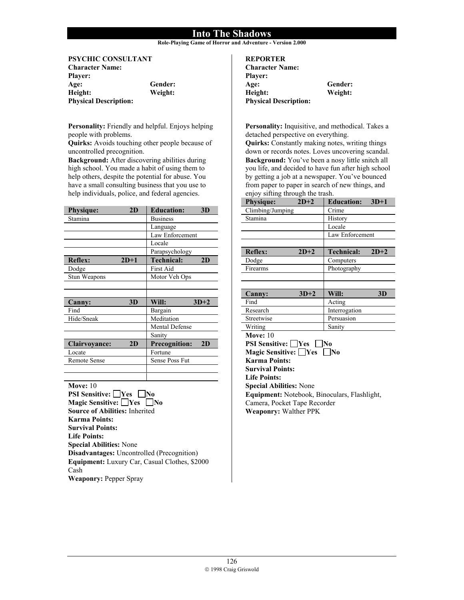**Role-Playing Game of Horror and Adventure - Version 2.000**

# **PSYCHIC CONSULTANT Character Name:**

| <b>Player:</b>               |         |
|------------------------------|---------|
| Age:                         | Gender: |
| Height:                      | Weight: |
| <b>Physical Description:</b> |         |

**Personality:** Friendly and helpful. Enjoys helping people with problems.

**Quirks:** Avoids touching other people because of uncontrolled precognition.

**Background:** After discovering abilities during high school. You made a habit of using them to help others, despite the potential for abuse. You have a small consulting business that you use to help individuals, police, and federal agencies.

| <b>Physique:</b>     | 2D     | <b>Education:</b><br>3D    |  |
|----------------------|--------|----------------------------|--|
| Stamina              |        | <b>Business</b>            |  |
|                      |        | Language                   |  |
|                      |        | Law Enforcement            |  |
|                      |        | Locale                     |  |
|                      |        | Parapsychology             |  |
| <b>Reflex:</b>       | $2D+1$ | <b>Technical:</b><br>2D    |  |
| Dodge                |        | First Aid                  |  |
| Stun Weapons         |        | Motor Veh Ops              |  |
|                      |        |                            |  |
|                      |        |                            |  |
|                      |        |                            |  |
| Canny:               | 3D     | Will:<br>$3D+2$            |  |
| Find                 |        | Bargain                    |  |
| Hide/Sneak           |        | Meditation                 |  |
|                      |        | <b>Mental Defense</b>      |  |
|                      |        | Sanity                     |  |
| <b>Clairvoyance:</b> | 2D     | <b>Precognition:</b><br>2D |  |
| Locate               |        | Fortune                    |  |
| <b>Remote Sense</b>  |        | Sense Poss Fut             |  |

**Move:** 10

**PSI Sensitive:** Yes  $N_0$ **Magic Sensitive:** Yes  $\Box$  No **Source of Abilities:** Inherited **Karma Points: Survival Points: Life Points: Special Abilities:** None **Disadvantages:** Uncontrolled (Precognition) **Equipment:** Luxury Car, Casual Clothes, \$2000 Cash **Weaponry:** Pepper Spray

### **REPORTER**

| <b>Character Name:</b>       |         |
|------------------------------|---------|
| <b>Player:</b>               |         |
| Age:                         | Gender: |
| Height:                      | Weight: |
| <b>Physical Description:</b> |         |

**Personality:** Inquisitive, and methodical. Takes a detached perspective on everything.

**Quirks:** Constantly making notes, writing things down or records notes. Loves uncovering scandal. **Background:** You've been a nosy little snitch all you life, and decided to have fun after high school by getting a job at a newspaper. You've bounced from paper to paper in search of new things, and enjoy sifting through the trash.

| <b>Physique:</b>                             | $2D+2$ | <b>Education:</b> | $3D+1$ |
|----------------------------------------------|--------|-------------------|--------|
| Climbing/Jumping                             |        | Crime             |        |
| Stamina                                      |        | History           |        |
|                                              |        | Locale            |        |
|                                              |        | Law Enforcement   |        |
|                                              |        |                   |        |
| <b>Reflex:</b>                               | $2D+2$ | Technical:        | $2D+2$ |
| Dodge                                        |        | Computers         |        |
| Firearms                                     |        | Photography       |        |
|                                              |        |                   |        |
|                                              |        |                   |        |
| <b>Canny:</b>                                | $3D+2$ | Will:             | 3D     |
| Find                                         |        | Acting            |        |
| Research                                     |        | Interrogation     |        |
| Streetwise                                   |        | Persuasion        |        |
| Writing                                      |        | Sanity            |        |
| <b>Move: 10</b>                              |        |                   |        |
| <b>PSI Sensitive:</b> Yes                    |        | lNo               |        |
| Magic Sensitive: Yes                         |        | No                |        |
| <b>Karma Points:</b>                         |        |                   |        |
| <b>Survival Points:</b>                      |        |                   |        |
| <b>Life Points:</b>                          |        |                   |        |
| <b>Special Abilities: None</b>               |        |                   |        |
| Equipment: Notebook, Binoculars, Flashlight, |        |                   |        |
| Camera, Pocket Tape Recorder                 |        |                   |        |
| <b>Weaponry: Walther PPK</b>                 |        |                   |        |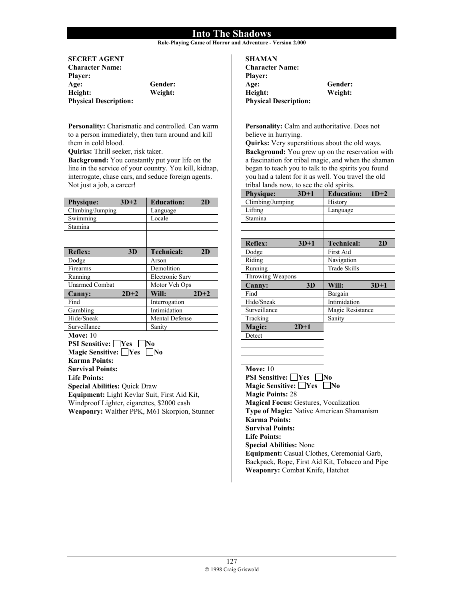**Role-Playing Game of Horror and Adventure - Version 2.000**

#### **SECRET AGENT Character Name: Player: Age: Gender: Height: Weight: Physical Description:**

**Personality:** Charismatic and controlled. Can warm to a person immediately, then turn around and kill them in cold blood.

**Quirks:** Thrill seeker, risk taker.

**Background:** You constantly put your life on the line in the service of your country. You kill, kidnap, interrogate, chase cars, and seduce foreign agents. Not just a job, a career!

| <b>Physique:</b>                     | $3D+2$ | <b>Education:</b> | 2D     |
|--------------------------------------|--------|-------------------|--------|
| Climbing/Jumping                     |        | Language          |        |
| Swimming                             |        | Locale            |        |
| Stamina                              |        |                   |        |
|                                      |        |                   |        |
|                                      |        |                   |        |
| <b>Reflex:</b>                       | 3D     | <b>Technical:</b> | 2D     |
| Dodge                                |        | Arson             |        |
| Firearms                             |        | Demolition        |        |
| Running                              |        | Electronic Surv   |        |
| <b>Unarmed Combat</b>                |        | Motor Veh Ops     |        |
| <b>Canny:</b>                        | $2D+2$ | Will:             | $2D+2$ |
| Find                                 |        | Interrogation     |        |
| Gambling                             |        | Intimidation      |        |
| Hide/Sneak                           |        | Mental Defense    |        |
| Surveillance                         |        | Sanity            |        |
| Move: $10$                           |        |                   |        |
| <b>PSI Sensitive:</b> Yes            |        | No                |        |
| Magic Sensitive: Yes                 |        | No                |        |
| <b>Karma Points:</b>                 |        |                   |        |
| <b>Survival Points:</b>              |        |                   |        |
| <b>Life Points:</b>                  |        |                   |        |
| <b>Special Abilities: Quick Draw</b> |        |                   |        |
|                                      |        |                   |        |

**Equipment:** Light Kevlar Suit, First Aid Kit, Windproof Lighter, cigarettes, \$2000 cash **Weaponry:** Walther PPK, M61 Skorpion, Stunner

| SHAMAN                       |         |
|------------------------------|---------|
| <b>Character Name:</b>       |         |
| <b>Player:</b>               |         |
| Age:                         | Gender: |
| Height:                      | Weight: |
| <b>Physical Description:</b> |         |

**Personality:** Calm and authoritative. Does not believe in hurrying.

**Quirks:** Very superstitious about the old ways. **Background:** You grew up on the reservation with a fascination for tribal magic, and when the shaman began to teach you to talk to the spirits you found you had a talent for it as well. You travel the old tribal lands now, to see the old spirits.

| <b>Physique:</b> | $3D+1$ | <b>Education:</b>   | $1D+2$ |
|------------------|--------|---------------------|--------|
| Climbing/Jumping |        | History             |        |
| Lifting          |        | Language            |        |
| Stamina          |        |                     |        |
|                  |        |                     |        |
|                  |        |                     |        |
| <b>Reflex:</b>   | $3D+1$ | <b>Technical:</b>   | 2D     |
| Dodge            |        | <b>First Aid</b>    |        |
| Riding           |        | Navigation          |        |
| Running          |        | <b>Trade Skills</b> |        |
| Throwing Weapons |        |                     |        |
| Canny:           | 3D     | Will:               | $3D+1$ |
| Find             |        | Bargain             |        |
| Hide/Sneak       |        | Intimidation        |        |
| Surveillance     |        | Magic Resistance    |        |
| Tracking         |        | Sanity              |        |
| Magic:           | $2D+1$ |                     |        |
| Detect           |        |                     |        |
|                  |        |                     |        |

| <b>Move: 10</b>                                    |
|----------------------------------------------------|
| <b>PSI Sensitive:</b>   Yes  <br>lNo               |
| Magic Sensitive: □Yes □No                          |
| <b>Magic Points: 28</b>                            |
| <b>Magical Focus: Gestures, Vocalization</b>       |
| <b>Type of Magic:</b> Native American Shamanism    |
| Karma Points:                                      |
| <b>Survival Points:</b>                            |
| <b>Life Points:</b>                                |
| <b>Special Abilities:</b> None                     |
| <b>Equipment:</b> Casual Clothes, Ceremonial Garb, |
| Backpack, Rope, First Aid Kit, Tobacco and Pipe    |
| <b>Weaponry: Combat Knife, Hatchet</b>             |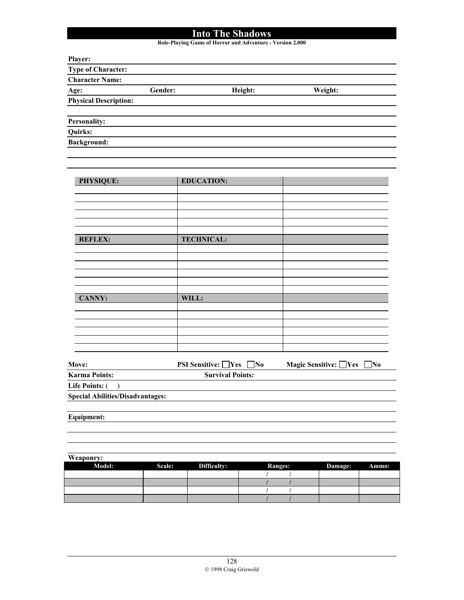**Role-Playing Game of Horror and Adventure - Version 2.000**

| Player:                      |         |         |         |  |
|------------------------------|---------|---------|---------|--|
| <b>Type of Character:</b>    |         |         |         |  |
| <b>Character Name:</b>       |         |         |         |  |
| Age:                         | Gender: | Height: | Weight: |  |
| <b>Physical Description:</b> |         |         |         |  |
| <b>Personality:</b>          |         |         |         |  |
| Quirks:                      |         |         |         |  |
| <b>Background:</b>           |         |         |         |  |
|                              |         |         |         |  |

| PHYSIQUE:            | <b>EDUCATION:</b>       |                         |
|----------------------|-------------------------|-------------------------|
|                      |                         |                         |
|                      |                         |                         |
|                      |                         |                         |
|                      |                         |                         |
|                      |                         |                         |
| <b>REFLEX:</b>       | <b>TECHNICAL:</b>       |                         |
|                      |                         |                         |
|                      |                         |                         |
|                      |                         |                         |
|                      |                         |                         |
|                      |                         |                         |
| <b>CANNY:</b>        | WILL:                   |                         |
|                      |                         |                         |
|                      |                         |                         |
|                      |                         |                         |
|                      |                         |                         |
| Move:                | PSI Sensitive: □Yes □No | Magic Sensitive: Yes No |
| <b>Karma Points:</b> | <b>Survival Points:</b> |                         |

Life Points:  $($ 

**Special Abilities/Disadvantages:**

**Equipment:**

**Weaponry: Model: Scale: Difficulty: Ranges: Damage: Ammo: / / / / / / / /**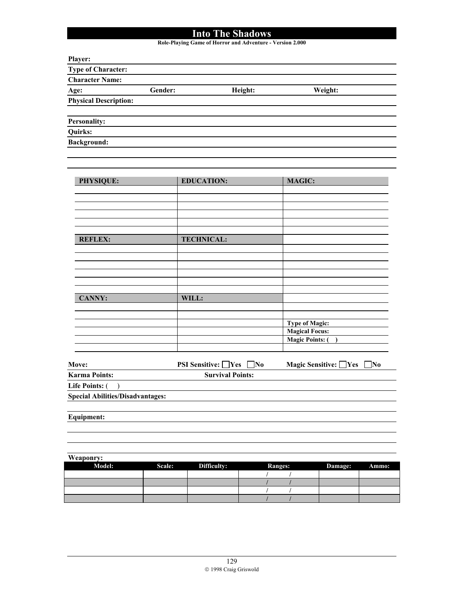**Role-Playing Game of Horror and Adventure - Version 2.000**

| Player:                      |         |         |         |  |
|------------------------------|---------|---------|---------|--|
| <b>Type of Character:</b>    |         |         |         |  |
| <b>Character Name:</b>       |         |         |         |  |
| Age:                         | Gender: | Height: | Weight: |  |
| <b>Physical Description:</b> |         |         |         |  |
|                              |         |         |         |  |
| <b>Personality:</b>          |         |         |         |  |
| Quirks:                      |         |         |         |  |
| <b>Background:</b>           |         |         |         |  |
|                              |         |         |         |  |

| PHYSIQUE:      | <b>EDUCATION:</b> | <b>MAGIC:</b>         |
|----------------|-------------------|-----------------------|
|                |                   |                       |
|                |                   |                       |
|                |                   |                       |
|                |                   |                       |
|                |                   |                       |
|                |                   |                       |
| <b>REFLEX:</b> | <b>TECHNICAL:</b> |                       |
|                |                   |                       |
|                |                   |                       |
|                |                   |                       |
|                |                   |                       |
|                |                   |                       |
|                |                   |                       |
| <b>CANNY:</b>  | WILL:             |                       |
|                |                   |                       |
|                |                   |                       |
|                |                   | <b>Type of Magic:</b> |
|                |                   | <b>Magical Focus:</b> |
|                |                   | <b>Magic Points:</b>  |
|                |                   |                       |

| <b>Move:</b>                            | <b>PSI Sensitive:</b> $\bigcap$ Yes<br><b>No</b> | Magic Sensitive: $\Box$ Yes $\Box$ No |
|-----------------------------------------|--------------------------------------------------|---------------------------------------|
| <b>Karma Points:</b>                    | <b>Survival Points:</b>                          |                                       |
| Life Points: (                          |                                                  |                                       |
| <b>Special Abilities/Disadvantages:</b> |                                                  |                                       |
|                                         |                                                  |                                       |

**Equipment:**

| Weaponry: |        |             |                |         |       |
|-----------|--------|-------------|----------------|---------|-------|
| Model:    | Scale: | Difficulty: | <b>Ranges:</b> | Damage: | Ammo: |
|           |        |             |                |         |       |
|           |        |             |                |         |       |
|           |        |             |                |         |       |
|           |        |             |                |         |       |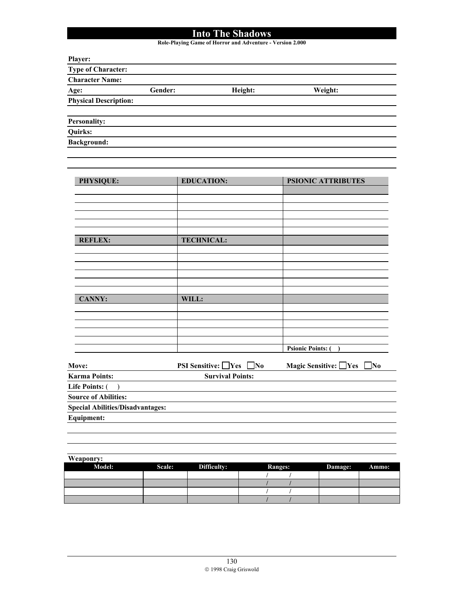**Role-Playing Game of Horror and Adventure - Version 2.000**

| Player:                      |         |         |         |  |
|------------------------------|---------|---------|---------|--|
| <b>Type of Character:</b>    |         |         |         |  |
| <b>Character Name:</b>       |         |         |         |  |
| Age:                         | Gender: | Height: | Weight: |  |
| <b>Physical Description:</b> |         |         |         |  |
|                              |         |         |         |  |
| <b>Personality:</b>          |         |         |         |  |
| Quirks:                      |         |         |         |  |
| <b>Background:</b>           |         |         |         |  |
|                              |         |         |         |  |

| PHYSIQUE:                               | <b>EDUCATION:</b>                | <b>PSIONIC ATTRIBUTES</b>        |
|-----------------------------------------|----------------------------------|----------------------------------|
|                                         |                                  |                                  |
|                                         |                                  |                                  |
|                                         |                                  |                                  |
|                                         |                                  |                                  |
|                                         |                                  |                                  |
| <b>REFLEX:</b>                          | <b>TECHNICAL:</b>                |                                  |
|                                         |                                  |                                  |
|                                         |                                  |                                  |
|                                         |                                  |                                  |
|                                         |                                  |                                  |
|                                         |                                  |                                  |
| <b>CANNY:</b>                           | WILL:                            |                                  |
|                                         |                                  |                                  |
|                                         |                                  |                                  |
|                                         |                                  |                                  |
|                                         |                                  |                                  |
|                                         |                                  | <b>Psionic Points: (</b>         |
| Move:                                   | <b>PSI Sensitive:</b> ■ Yes ■ No | Magic Sensitive: Yes<br>$\bf No$ |
| <b>Karma Points:</b>                    | <b>Survival Points:</b>          |                                  |
| Life Points: (                          |                                  |                                  |
| <b>Source of Abilities:</b>             |                                  |                                  |
| <b>Special Abilities/Disadvantages:</b> |                                  |                                  |
| Equipment:                              |                                  |                                  |

| Weaponry: |        |             |                |         |       |
|-----------|--------|-------------|----------------|---------|-------|
| Model:    | Scale: | Difficulty: | <b>Ranges:</b> | Damage: | Ammo: |
|           |        |             |                |         |       |
|           |        |             |                |         |       |
|           |        |             |                |         |       |
|           |        |             |                |         |       |